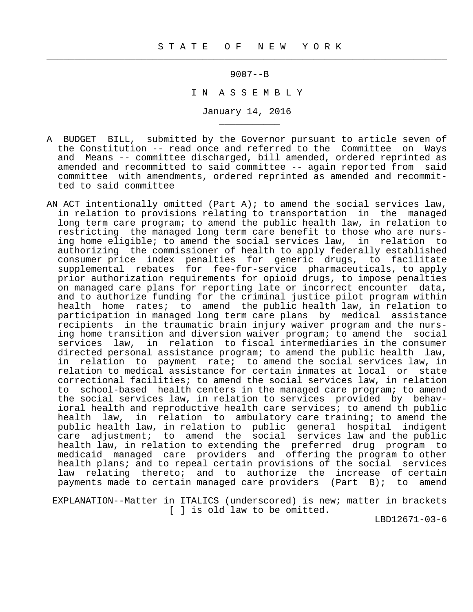$\frac{1}{2}$  , and the contribution of the contribution of the contribution of the contribution of the contribution of the contribution of the contribution of the contribution of the contribution of the contribution of the c

\_\_\_\_\_\_\_\_\_\_\_

9007--B

I N A S S E M B L Y

January 14, 2016

- A BUDGET BILL, submitted by the Governor pursuant to article seven of the Constitution -- read once and referred to the Committee on Ways and Means -- committee discharged, bill amended, ordered reprinted as amended and recommitted to said committee -- again reported from said committee with amendments, ordered reprinted as amended and recommit ted to said committee
- AN ACT intentionally omitted (Part A); to amend the social services law, in relation to provisions relating to transportation in the managed long term care program; to amend the public health law, in relation to restricting the managed long term care benefit to those who are nurs ing home eligible; to amend the social services law, in relation to authorizing the commissioner of health to apply federally established consumer price index penalties for generic drugs, to facilitate supplemental rebates for fee-for-service pharmaceuticals, to apply prior authorization requirements for opioid drugs, to impose penalties on managed care plans for reporting late or incorrect encounter data, and to authorize funding for the criminal justice pilot program within health home rates; to amend the public health law, in relation to participation in managed long term care plans by medical assistance recipients in the traumatic brain injury waiver program and the nurs ing home transition and diversion waiver program; to amend the social services law, in relation to fiscal intermediaries in the consumer directed personal assistance program; to amend the public health law, in relation to payment rate; to amend the social services law, in relation to medical assistance for certain inmates at local or state correctional facilities; to amend the social services law, in relation to school-based health centers in the managed care program; to amend the social services law, in relation to services provided by behav ioral health and reproductive health care services; to amend th public health law, in relation to ambulatory care training; to amend the public health law, in relation to public general hospital indigent care adjustment; to amend the social services law and the public health law, in relation to extending the preferred drug program to medicaid managed care providers and offering the program to other health plans; and to repeal certain provisions of the social services law relating thereto; and to authorize the increase of certain payments made to certain managed care providers (Part B); to amend

 EXPLANATION--Matter in ITALICS (underscored) is new; matter in brackets [ ] is old law to be omitted.

LBD12671-03-6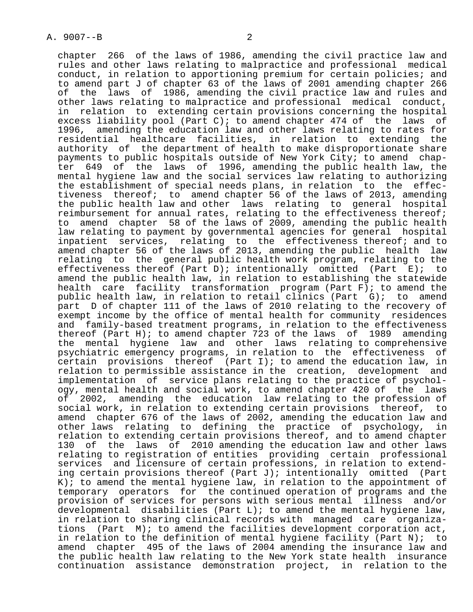chapter 266 of the laws of 1986, amending the civil practice law and rules and other laws relating to malpractice and professional medical conduct, in relation to apportioning premium for certain policies; and to amend part J of chapter 63 of the laws of 2001 amending chapter 266<br>of the laws of 1986, amending the civil practice law and rules and the laws of 1986, amending the civil practice law and rules and other laws relating to malpractice and professional medical conduct, in relation to extending certain provisions concerning the hospital excess liability pool (Part C); to amend chapter  $474$  of the laws of 1996, amending the education law and other laws relating to rates for residential healthcare facilities, in relation to extending the authority of the department of health to make disproportionate share payments to public hospitals outside of New York City; to amend chap ter 649 of the laws of 1996, amending the public health law, the mental hygiene law and the social services law relating to authorizing the establishment of special needs plans, in relation to the effec tiveness thereof; to amend chapter 56 of the laws of 2013, amending the public health law and other laws relating to general hospital reimbursement for annual rates, relating to the effectiveness thereof; to amend chapter 58 of the laws of 2009, amending the public health law relating to payment by governmental agencies for general hospital inpatient services, relating to the effectiveness thereof; and to amend chapter 56 of the laws of 2013, amending the public health law relating to the general public health work program, relating to the effectiveness thereof (Part D); intentionally omitted (Part E); to amend the public health law, in relation to establishing the statewide health care facility transformation program (Part F); to amend the public health law, in relation to retail clinics (Part G); to amend part D of chapter 111 of the laws of 2010 relating to the recovery of exempt income by the office of mental health for community residences and family-based treatment programs, in relation to the effectiveness thereof (Part H); to amend chapter 723 of the laws of 1989 amending the mental hygiene law and other laws relating to comprehensive psychiatric emergency programs, in relation to the effectiveness of certain provisions thereof (Part I); to amend the education law, in relation to permissible assistance in the creation, development and implementation of service plans relating to the practice of psychol ogy, mental health and social work, to amend chapter 420 of the laws of 2002, amending the education law relating to the profession of social work, in relation to extending certain provisions thereof, to amend chapter 676 of the laws of 2002, amending the education law and other laws relating to defining the practice of psychology, in relation to extending certain provisions thereof, and to amend chapter 130 of the laws of 2010 amending the education law and other laws relating to registration of entities providing certain professional services and licensure of certain professions, in relation to extend ing certain provisions thereof (Part J); intentionally omitted (Part  $K$ ); to amend the mental hygiene law, in relation to the appointment of temporary operators for the continued operation of programs and the provision of services for persons with serious mental illness and/or developmental disabilities (Part L); to amend the mental hygiene law, in relation to sharing clinical records with managed care organiza tions (Part M); to amend the facilities development corporation act, in relation to the definition of mental hygiene facility (Part N); to amend chapter 495 of the laws of 2004 amending the insurance law and the public health law relating to the New York state health insurance

continuation assistance demonstration project, in relation to the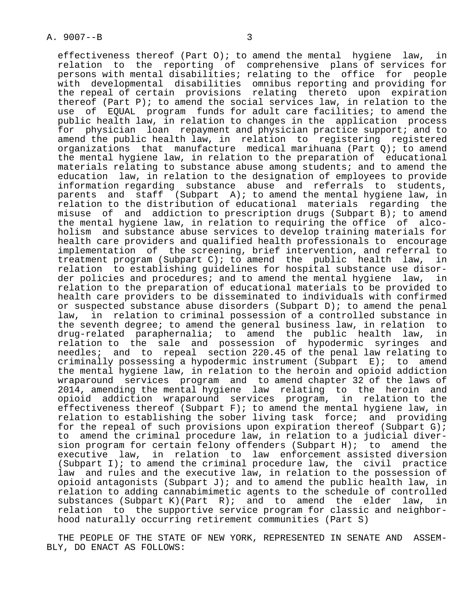effectiveness thereof (Part 0); to amend the mental hygiene law, in relation to the reporting of comprehensive plans of services for persons with mental disabilities; relating to the office for people with developmental disabilities omnibus reporting and providing for the repeal of certain provisions relating thereto upon expiration thereof (Part P); to amend the social services law, in relation to the use of EQUAL program funds for adult care facilities; to amend the public health law, in relation to changes in the application process for physician loan repayment and physician practice support; and to amend the public health law, in relation to registering registered organizations that manufacture medical marihuana (Part  $Q$ ); to amend the mental hygiene law, in relation to the preparation of educational materials relating to substance abuse among students; and to amend the education law, in relation to the designation of employees to provide information regarding substance abuse and referrals to students, parents and staff (Subpart A); to amend the mental hygiene law, in relation to the distribution of educational materials regarding the misuse of and addiction to prescription drugs (Subpart B); to amend the mental hygiene law, in relation to requiring the office of alco holism and substance abuse services to develop training materials for health care providers and qualified health professionals to encourage implementation of the screening, brief intervention, and referral to treatment program (Subpart C); to amend the public health law, in relation to establishing guidelines for hospital substance use disor der policies and procedures; and to amend the mental hygiene law, in relation to the preparation of educational materials to be provided to health care providers to be disseminated to individuals with confirmed or suspected substance abuse disorders (Subpart  $D$ ); to amend the penal law, in relation to criminal possession of a controlled substance in the seventh degree; to amend the general business law, in relation to drug-related paraphernalia; to amend the public health law, in relation to the sale and possession of hypodermic syringes and needles; and to repeal section 220.45 of the penal law relating to criminally possessing a hypodermic instrument (Subpart E); to amend the mental hygiene law, in relation to the heroin and opioid addiction wraparound services program and to amend chapter 32 of the laws of 2014, amending the mental hygiene law relating to the heroin and opioid addiction wraparound services program, in relation to the effectiveness thereof (Subpart F); to amend the mental hygiene law, in relation to establishing the sober living task force; and providing for the repeal of such provisions upon expiration thereof (Subpart G); to amend the criminal procedure law, in relation to a judicial diver sion program for certain felony offenders (Subpart H); to amend the executive law, in relation to law enforcement assisted diversion (Subpart I); to amend the criminal procedure law, the civil practice law and rules and the executive law, in relation to the possession of opioid antagonists (Subpart J); and to amend the public health law, in relation to adding cannabimimetic agents to the schedule of controlled substances (Subpart K)(Part R); and to amend the elder law, in relation to the supportive service program for classic and neighbor hood naturally occurring retirement communities (Part S)

 THE PEOPLE OF THE STATE OF NEW YORK, REPRESENTED IN SENATE AND ASSEM- BLY, DO ENACT AS FOLLOWS: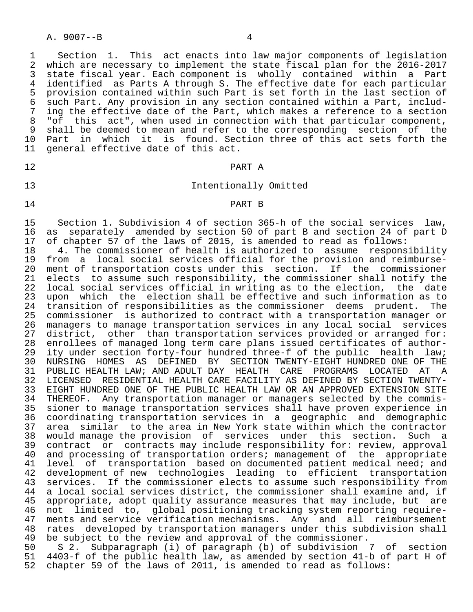A. 9007--B 4

1 Section 1. This act enacts into law major components of legislation<br>2 which are necessary to implement the state fiscal plan for the 2016-2017 2 which are necessary to implement the state fiscal plan for the 2016-2017<br>3 state fiscal year. Each component is wholly contained within a Part 3 state fiscal year. Each component is wholly contained within a Part<br>4 identified as Parts A through S. The effective date for each particular 4 identified as Parts A through S. The effective date for each particular<br>5 provision contained within such Part is set forth in the last section of 5 provision contained within such Part is set forth in the last section of<br>6 such Part, Any provision in any section contained within a Part, includ- 6 such Part. Any provision in any section contained within a Part, includ- 7 ing the effective date of the Part, which makes a reference to a section<br>8 "of this act", when used in connection with that particular component. 8 "of this act", when used in connection with that particular component,<br>8 shall be deemed to mean and refer to the corresponding section of the 9 shall be deemed to mean and refer to the corresponding section of the<br>10 Part in which it is found. Section three of this act sets forth the 10 Part in which it is found. Section three of this act sets forth the 11 general effective date of this act. general effective date of this act.

# 12 PART A

### 13 Intentionally Omitted

#### 14 PART B

15 Section 1. Subdivision 4 of section 365-h of the social services law,<br>16 as separately amended by section 50 of part B and section 24 of part D 16 as separately amended by section 50 of part B and section 24 of part D<br>17 of chapter 57 of the laws of 2015, is amended to read as follows: 17 of chapter  $57$  of the laws of 2015, is amended to read as follows:<br>18  $-4$ . The commissioner of health is authorized to assume respons

18 4. The commissioner of health is authorized to assume responsibility<br>19 from a local social services official for the provision and reimburse-19 from a local social services official for the provision and reimburse-<br>20 ment of transportation costs under this section. If the commissioner 20 ment of transportation costs under this section. If the commissioner<br>21 elects to assume such responsibility, the commissioner shall notify the 21 elects to assume such responsibility, the commissioner shall notify the<br>22 local social services official in writing as to the election, the date 22 local social services official in writing as to the election, the date<br>23 upon which the election shall be effective and such information as to 23 upon which the election shall be effective and such information as to<br>24 transition of responsibilities as the commissioner deems prudent. The 24 transition of responsibilities as the commissioner deems prudent. The<br>25 commissioner is authorized to contract with a transportation manager or 25 commissioner is authorized to contract with a transportation manager or 26 managers to manage transportation services in any local social services<br>27 district, other than transportation services provided or arranged for: 27 district, other than transportation services provided or arranged for:<br>28 enrollees of managed long term care plans issued certificates of author-28 enrollees of managed long term care plans issued certificates of author-<br>29 ity under section forty-four hundred three-f of the public health law; 29 ity under section forty-four hundred three-f of the public health law;<br>20 NURSING HOMES AS DEFINED BY SECTION TWENTY-EIGHT HUNDRED ONE OF THE 30 NURSING HOMES AS DEFINED BY SECTION TWENTY-EIGHT HUNDRED ONE OF THE<br>31 PUBLIC HEALTH LAW; AND ADULT DAY HEALTH CARE PROGRAMS LOCATED AT A 31 PUBLIC HEALTH LAW; AND ADULT DAY HEALTH CARE PROGRAMS LOCATED AT A<br>32 LICENSED RESIDENTIAL HEALTH CARE FACILITY AS DEFINED BY SECTION TWENTY-LICENSED RESIDENTIAL HEALTH CARE FACILITY AS DEFINED BY SECTION TWENTY-33 EIGHT HUNDRED ONE OF THE PUBLIC HEALTH LAW OR AN APPROVED EXTENSION SITE<br>34 THEREOF. Any transportation manager or managers selected by the commis- 34 THEREOF. Any transportation manager or managers selected by the commis- 35 sioner to manage transportation services shall have proven experience in<br>36 coordinating transportation services in a geographic and demographic 36 coordinating transportation services in a geographic and demographic 37 area similar to the area in New York state within which the contractor<br>38 would manage the provision of services under this section. Such a 38 would manage the provision of services under this section. Such a<br>39 contract or contracts may include responsibility for: review, approval 39 contract or contracts may include responsibility for: review, approval<br>40 and processing of transportation orders; management of the appropriate 40 and processing of transportation orders; management of the appropriate<br>41 level of transportation based on documented patient medical need; and 41 level of transportation based on documented patient medical need; and<br>42 development of new technologies leading to efficient transportation 42 development of new technologies leading to efficient transportation<br>43 services. If the commissioner elects to assume such responsibility from 43 services. If the commissioner elects to assume such responsibility from<br>44 a local social services district, the commissioner shall examine and, if 44 a local social services district, the commissioner shall examine and, if<br>45 appropriate, adopt quality assurance measures that may include, but are 45 appropriate, adopt quality assurance measures that may include, but are<br>46 not limited to, global positioning tracking system reporting require-46 not limited to, global positioning tracking system reporting require-<br>47 ments and service verification mechanisms. Any and all reimbursement 47 ments and service verification mechanisms. Any and all reimbursement<br>48 rates developed by transportation managers under this subdivision shall 48 rates developed by transportation managers under this subdivision shall<br>49 be subject to the review and approval of the commissioner. 49 be subject to the review and approval of the commissioner.<br>50 S 2. Subparagraph (i) of paragraph (b) of subdivision

50 S 2. Subparagraph (i) of paragraph (b) of subdivision 7 of section<br>51 4403-f of the public health law, as amended by section 41-b of part H of 51 4403-f of the public health law, as amended by section 41-b of part H of<br>52 chapter 59 of the laws of 2011, is amended to read as follows: chapter 59 of the laws of 2011, is amended to read as follows: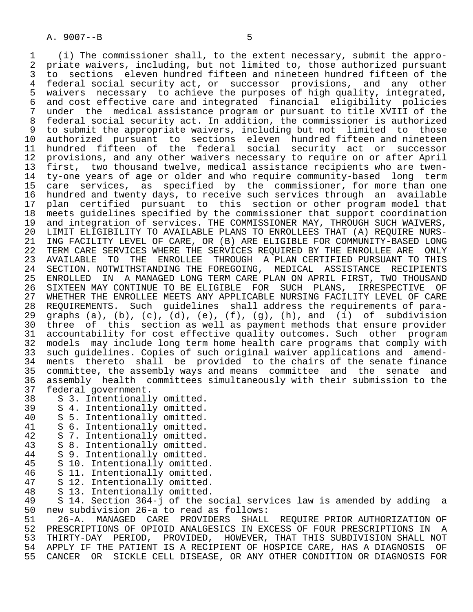1 (i) The commissioner shall, to the extent necessary, submit the appro- 2 priate waivers, including, but not limited to, those authorized pursuant<br>3 to sections eleven hundred fifteen and nineteen hundred fifteen of the 3 to sections eleven hundred fifteen and nineteen hundred fifteen of the<br>4 federal social security act, or successor provisions, and any other 4 federal social security act, or successor provisions, and any other<br>5 waivers necessary to achieve the purposes of high quality, integrated, 5 waivers necessary to achieve the purposes of high quality, integrated,<br>6 and cost effective care and integrated financial eligibility policies 6 and cost effective care and integrated financial eligibility policies<br>7 under the medical assistance program or pursuant to title XVIII of the 7 under the medical assistance program or pursuant to title XVIII of the<br>8 federal social security act. In addition, the commissioner is authorized 8 federal social security act. In addition, the commissioner is authorized<br>8 to submit the appropriate waivers, including but not limited to those 9 to submit the appropriate waivers, including but not limited to those<br>10 authorized pursuant to sections eleven hundred fifteen and nineteen 10 authorized pursuant to sections eleven hundred-fifteen and nineteen<br>11 hundred fifteen of the federal social security act or successor 11 hundred fifteen of the federal social security act or successor<br>12 provisions, and any other waivers necessary to require on or after April 12 provisions, and any other waivers necessary to require on or after April<br>13 first, two thousand twelve, medical assistance recipients who are twen-13 first, two thousand twelve, medical assistance recipients who are twen-<br>14 ty-one years of age or older and who require community-based long term ty-one years of age or older and who require community-based long term 15 care services, as specified by the commissioner, for more than one 16 hundred and twenty days, to receive such services through an available<br>17 plan certified pursuant to this section or other program model that 17 plan certified pursuant to this section or other program model that<br>18 meets quidelines specified by the commissioner that support coordination 18 meets guidelines specified by the commissioner that support coordination<br>19 and integration of services. THE COMMISSIONER MAY, THROUGH SUCH WAIVERS, 19 and integration of services. THE COMMISSIONER MAY, THROUGH SUCH WAIVERS, 20 LIMIT ELIGIBILITY TO AVAILABLE PLANS TO ENROLLEES THAT (A) REOUIRE NURS-20 LIMIT ELIGIBILITY TO AVAILABLE PLANS TO ENROLLEES THAT (A) REQUIRE NURS-<br>21 ING FACILITY LEVEL OF CARE, OR (B) ARE ELIGIBLE FOR COMMUNITY-BASED LONG 21 ING FACILITY LEVEL OF CARE, OR (B) ARE ELIGIBLE FOR COMMUNITY-BASED LONG<br>22 TERM CARE SERVICES WHERE THE SERVICES REOUIRED BY THE ENROLLEE ARE ONLY 22 TERM CARE SERVICES WHERE THE SERVICES REQUIRED BY THE ENROLLEE ARE ONLY<br>23 AVAILABLE TO THE ENROLLEE THROUGH A PLAN CERTIFIED PURSUANT TO THIS 23 AVAILABLE TO THE ENROLLEE THROUGH A PLAN-CERTIFIED PURSUANT TO THIS<br>24 SECTION, NOTWITHSTANDING THE FOREGOING, MEDICAL ASSISTANCE RECIPIENTS 24 SECTION. NOTWITHSTANDING THE FOREGOING, MEDICAL ASSISTANCE RECIPIENTS<br>25 ENROLLED IN A MANAGED LONG TERM CARE PLAN ON APRIL FIRST, TWO THOUSAND 25 ENROLLED IN A MANAGED LONG TERM CARE PLAN ON APRIL FIRST, TWO THOUSAND 26 SIXTEEN MAY CONTINUE TO BE ELIGIBLE FOR SUCH PLANS, IRRESPECTIVE OF<br>27 WHETHER THE ENROLLEE MEETS ANY APPLICABLE NURSING FACILITY LEVEL OF CARE 27 WHETHER THE ENROLLEE MEETS ANY APPLICABLE NURSING FACILITY LEVEL OF CARE<br>28 REOUIREMENTS. Such quidelines shall address the requirements of para-28 REQUIREMENTS. Such guidelines shall address the requirements of para-<br>29 graphs (a), (b), (c), (d), (e), (f), (q), (h), and (i) of subdivision graphs (a), (b), (c), (d), (e), (f), (g), (h), and (i) of subdivision 30 three of this section as well as payment methods that ensure provider 31 accountability for cost effective quality outcomes. Such other program<br>32 models may include long term home health care programs that comply with 32 models may include long term home health care programs that comply with<br>33 such quidelines. Copies of such original waiver applications and amend-33 such guidelines. Copies of such original waiver applications and amend-<br>34 ments thereto shall be provided to the chairs of the senate finance 34 ments thereto shall be provided to the chairs of the senate finance<br>35 committee, the assembly ways and means committee and the senate and 35 committee, the assembly ways and means committee and the senate and<br>36 assembly health committees simultaneously with their submission to the assembly health committees simultaneously with their submission to the 37 federal government.<br>38 S 3. Intentionall

- 38 S 3. Intentionally omitted.<br>39 S 4. Intentionally omitted.
- 39 S 4. Intentionally omitted.<br>40 S 5. Intentionally omitted.
- 40 S 5. Intentionally omitted.<br>41 S 6. Intentionally omitted.
- 41 S 6. Intentionally omitted.<br>42 S 7. Intentionally omitted.
- 42 S 7. Intentionally omitted.<br>43 S 8. Intentionally omitted.
- 43 S 8. Intentionally omitted.<br>44 S 9. Intentionally omitted.
- 44 S 9. Intentionally omitted.<br>45 S 10. Intentionally omitted
- 45 S 10. Intentionally omitted.<br>46 S 11. Intentionally omitted.
- 46 S 11. Intentionally omitted.<br>47 S 12. Intentionally omitted.
- 47 S 12. Intentionally omitted.<br>48 S 13. Intentionally omitted.
- 48 S 13. Intentionally omitted.<br>49 S 14. Section 364-i of the s

 49 S 14. Section 364-j of the social services law is amended by adding a 50 new subdivision 26-a to read as follows:<br>51 26-A. MANAGED CARE PROVIDERS SHALL

 51 26-A. MANAGED CARE PROVIDERS SHALL REQUIRE PRIOR AUTHORIZATION OF 52 PRESCRIPTIONS OF OPIOID ANALGESICS IN EXCESS OF FOUR PRESCRIPTIONS IN A<br>53 THIRTY-DAY PERIOD, PROVIDED, HOWEVER, THAT THIS SUBDIVISION SHALL NOT 53 THIRTY-DAY PERIOD, PROVIDED, HOWEVER, THAT THIS SUBDIVISION SHALL NOT<br>54 APPLY IF THE PATIENT IS A RECIPIENT OF HOSPICE CARE, HAS A DIAGNOSIS OF 54 APPLY IF THE PATIENT IS A RECIPIENT OF HOSPICE CARE, HAS A DIAGNOSIS OF<br>55 CANCER OR SICKLE CELL DISEASE, OR ANY OTHER CONDITION OR DIAGNOSIS FOR 55 CANCER OR SICKLE CELL DISEASE, OR ANY OTHER CONDITION OR DIAGNOSIS FOR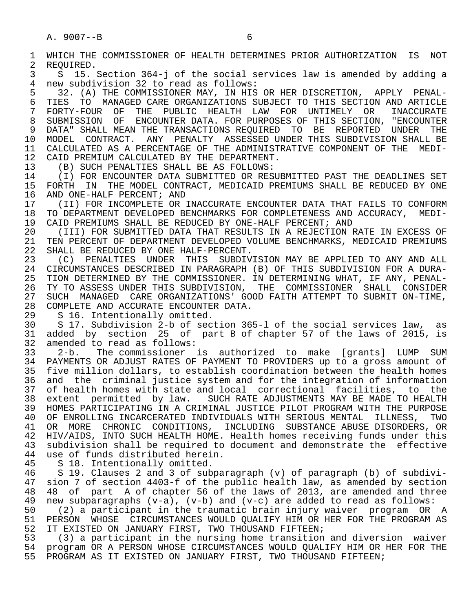1 WHICH THE COMMISSIONER OF HEALTH DETERMINES PRIOR AUTHORIZATION IS NOT<br>2 REOUIRED. 2 REQUIRED.<br>3 S 15. 3 S 15. Section 364-j of the social services law is amended by adding a 4 new subdivision 32 to read as follows: 5 32. (A) THE COMMISSIONER MAY, IN HIS OR HER DISCRETION, APPLY PENAL-<br>6 TIES TO MANAGED CARE ORGANIZATIONS SUBJECT TO THIS SECTION AND ARTICLE 6 TIES TO MANAGED-CARE-ORGANIZATIONS SUBJECT TO THIS SECTION AND ARTICLE 7 FORTY-FOUR OF THE PUBLIC HEALTH LAW FOR UNTIMELY OR INACCURATE 7 FORTY-FOUR OF THE PUBLIC HEALTH LAW FOR UNTIMELY OR INACCURATE<br>8 SUBMISSION OF ENCOUNTER DATA FOR PURPOSES. OF THIS SECTION, "ENCOUNTER 8 SUBMISSION OF ENCOUNTER DATA. FOR PURPOSES OF THIS SECTION, "ENCOUNTER<br>9 DATA" SHALL MEAN THE TRANSACTIONS REOUIRED TO BE REPORTED UNDER THE 9 DATA" SHALL MEAN THE TRANSACTIONS REQUIRED TO BE REPORTED UNDER THE<br>10 MODEL CONTRACT. ANY PENALTY ASSESSED UNDER THIS SUBDIVISION SHALL BE 10 MODEL CONTRACT. ANY PENALTY ASSESSED UNDER THIS SUBDIVISION SHALL BE<br>11 CALCULATED AS A PERCENTAGE OF THE ADMINISTRATIVE COMPONENT OF THE MEDI-11 CALCULATED AS A PERCENTAGE OF THE ADMINISTRATIVE COMPONENT OF THE MEDI-<br>12 CAID PREMIUM CALCULATED BY THE DEPARTMENT. 12 CAID PREMIUM CALCULATED BY THE DEPARTMENT.<br>13 (B) SUCH PENALTIES SHALL BE AS FOLLOWS: 13 (B) SUCH PENALTIES SHALL BE AS FOLLOWS:<br>14 (I) FOR ENCOUNTER DATA SUBMITTED OR RES 14 THE REST ON THE REST OF RESUBMITTED OR RESUBMITTED PAST THE DEADLINES SET 15 FORTH IN THE MODEL CONTRACT. MEDICAID PREMIUMS SHALL BE REDUCED BY ONE 15 FORTH IN THE MODEL CONTRACT, MEDICAID PREMIUMS SHALL BE REDUCED BY ONE 16 AND ONE-HALF PERCENT; AND 16 AND ONE-HALF PERCENT; AND<br>17 (II) FOR INCOMPLETE OR 17 (II) FOR INCOMPLETE OR INACCURATE ENCOUNTER DATA THAT FAILS TO CONFORM<br>18 TO DEPARTMENT DEVELOPED BENCHMARKS FOR COMPLETENESS AND ACCURACY, MEDI-18 TO DEPARTMENT DEVELOPED BENCHMARKS FOR COMPLETENESS AND ACCURACY, MEDI-<br>19 CAID PREMIUMS SHALL BE REDUCED BY ONE-HALF PERCENT; AND 19 CAID PREMIUMS SHALL BE REDUCED BY ONE-HALF PERCENT; AND 20 (III) FOR SUBMITTED DATA THAT RESULTS IN A REJECTION I 20 (III) FOR SUBMITTED DATA THAT RESULTS IN A REJECTION RATE IN EXCESS OF<br>21 TEN PERCENT OF DEPARTMENT DEVELOPED VOLUME BENCHMARKS, MEDICAID PREMIUMS 21 TEN PERCENT OF DEPARTMENT DEVELOPED VOLUME BENCHMARKS, MEDICAID PREMIUMS<br>22 SHALL BE REDUCED BY ONE HALF-PERCENT. 22 SHALL BE REDUCED BY ONE HALF-PERCENT.<br>23 (C) PENALTIES UNDER THIS SUBDIV 23 (C) PENALTIES UNDER THIS SUBDIVISION MAY BE APPLIED TO ANY AND ALL<br>24 CIRCUMSTANCES DESCRIBED IN PARAGRAPH (B) OF THIS SUBDIVISION FOR A DURA-24 CIRCUMSTANCES DESCRIBED IN PARAGRAPH (B) OF THIS SUBDIVISION FOR A DURA-<br>25 TION DETERMINED BY THE COMMISSIONER, IN DETERMINING WHAT, IF ANY, PENAL-TION DETERMINED BY THE COMMISSIONER. IN DETERMINING WHAT, IF ANY, PENAL-26 TY TO ASSESS UNDER THIS SUBDIVISION, THE COMMISSIONER SHALL CONSIDER<br>27 SUCH MANAGED CARE ORGANIZATIONS' GOOD FAITH ATTEMPT TO SUBMIT ON-TIME, 27 SUCH MANAGED CARE ORGANIZATIONS' GOOD FAITH ATTEMPT TO SUBMIT ON-TIME,<br>28 COMPLETE AND ACCURATE ENCOUNTER DATA. 28 COMPLETE AND ACCURATE ENCOUNTER DATA.<br>29 S 16. Intentionally omitted. 29 S 16. Intentionally omitted.<br>30 S 17. Subdivision 2-b of sec 30 S 17. Subdivision 2-b of section 365-l of the social services law, as 31 added by section 25 of part B of chapter 57 of the laws of 2015, is<br>32 amended to read as follows: 32 amended to read as follows:<br>33 2-b. The commissioner 33 2-b. The commissioner is authorized to make [grants] LUMP SUM 34 PAYMENTS OR ADJUST RATES OF PAYMENT TO PROVIDERS up to a gross amount of 35 five million dollars, to establish coordination between the health homes 35 five million dollars, to establish coordination between the health homes<br>36 and the criminal justice system and for the integration of information and the criminal justice system and for the integration of information 37 of health homes with state and local correctional facilities, to the 38 extent permitted by law. SUCH RATE ADJUSTMENTS MAY BE MADE TO HEALTH 39 HOMES PARTICIPATING IN A CRIMINAL JUSTICE PILOT PROGRAM WITH THE PURPOSE<br>40 OF ENROLLING INCARCERATED INDIVIDUALS WITH SERIOUS MENTAL ILLNESS, TWO 40 OF ENROLLING INCARCERATED INDIVIDUALS WITH SERIOUS MENTAL ILLNESS, TWO<br>41 OR MORE CHRONIC CONDITIONS, INCLUDING SUBSTANCE ABUSE DISORDERS, OR 41 OR MORE CHRONIC CONDITIONS, INCLUDING SUBSTANCE ABUSE DISORDERS, OR 42 HIV/AIDS, INTO SUCH HEALTH HOME. Health homes receiving funds under this 43 subdivision shall be required to document and demonstrate the effective<br>44 use of funds distributed herein. 44 use of funds distributed herein.<br>45 S 18. Intentionally omitted. 45 S 18. Intentionally omitted.<br>46 S 19. Clauses 2 and 3 of sub 46 S 19. Clauses 2 and 3 of subparagraph (v) of paragraph (b) of subdivi- 47 sion 7 of section 4403-f of the public health law, as amended by section 48 48 of part A of chapter 56 of the laws of 2013, are amended and three 49 new subparagraphs  $(v-a)$ ,  $(v-b)$  and  $(v-c)$  are added to read as follows: 49 new subparagraphs  $(v-a)$ ,  $(v-b)$  and  $(v-c)$  are added to read as follows:<br>50 (2) a participant in the traumatic brain injury waiver program OR 50 (2) a participant in the traumatic brain injury waiver program OR A<br>51 PERSON WHOSE CIRCUMSTANCES WOULD OUALIFY HIM OR HER FOR THE PROGRAM AS 51 PERSON WHOSE CIRCUMSTANCES WOULD QUALIFY HIM OR HER FOR THE PROGRAM AS<br>52 IT EXISTED ON JANUARY FIRST, TWO THOUSAND FIFTEEN; 52 IT EXISTED ON JANUARY FIRST, TWO THOUSAND FIFTEEN;<br>53 (3) a participant in the nursing home transition 53 (3) a participant in the nursing home transition and diversion waiver

54 program OR A PERSON WHOSE CIRCUMSTANCES WOULD QUALIFY HIM OR HER FOR THE 55 PROGRAM AS IT EXISTED ON JANUARY FIRST. TWO THOUSAND FIFTEEN; PROGRAM AS IT EXISTED ON JANUARY FIRST, TWO THOUSAND FIFTEEN;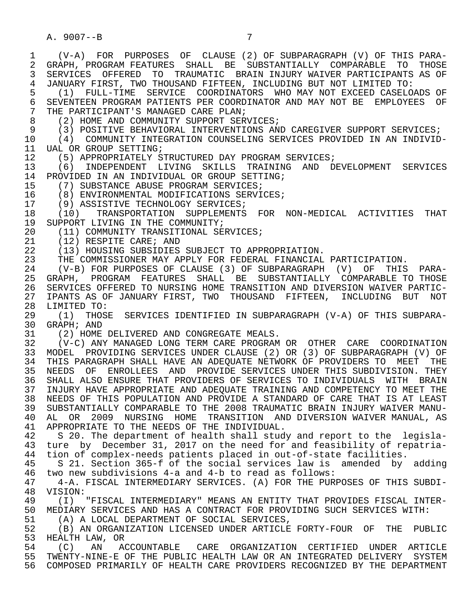1 (V-A) FOR PURPOSES OF CLAUSE (2) OF SUBPARAGRAPH (V) OF THIS PARA- 2 GRAPH, PROGRAM FEATURES SHALL BE SUBSTANTIALLY COMPARABLE TO THOSE<br>3 SERVICES OFFERED TO TRAUMATIC BRAIN INJURY WAIVER PARTICIPANTS AS OF 3 SERVICES OFFERED TO TRAUMATIC BRAIN INJURY WAIVER PARTICIPANTS AS OF 4 JANUARY FIRST, TWO THOUSAND FIFTEEN, INCLUDING BUT NOT LIMITED TO:<br>5 (1) FULL-TIME SERVICE COORDINATORS WHO MAY NOT EXCEED CASELO 5 (1) FULL-TIME SERVICE COORDINATORS WHO MAY NOT EXCEED CASELOADS OF 6 SEVENTEEN PROGRAM PATIENTS PER COORDINATOR AND MAY NOT BE EMPLOYEES OF<br>7 THE PARTICIPANT'S MANAGED CARE PLAN; 7 THE PARTICIPANT'S MANAGED CARE PLAN;<br>8 (2) HOME AND COMMUNITY SUPPORT SER 8 (2) HOME AND COMMUNITY SUPPORT SERVICES;<br>9 (3) POSITIVE BEHAVIORAL INTERVENTIONS AN 9 (3) POSITIVE BEHAVIORAL INTERVENTIONS AND CAREGIVER SUPPORT SERVICES;<br>10 (4) COMMUNITY INTEGRATION COUNSELING SERVICES PROVIDED IN AN INDIVID 10 (4) COMMUNITY INTEGRATION COUNSELING SERVICES PROVIDED IN AN INDIVID-<br>11 UAL OR GROUP SETTING; 11 UAL OR GROUP SETTING;<br>12 (5) APPROPRIATELY S 12 (5) APPROPRIATELY STRUCTURED DAY PROGRAM SERVICES;<br>13 (6) INDEPENDENT LIVING SKILLS TRAINING AND D 13 (6) INDEPENDENT LIVING SKILLS TRAINING AND DEVELOPMENT SERVICES<br>14 PROVIDED IN AN INDIVIDUAL OR GROUP SETTING; 14 PROVIDED IN AN INDIVIDUAL OR GROUP SETTING;<br>15 (7) SUBSTANCE ABUSE PROGRAM SERVICES; 15 (7) SUBSTANCE ABUSE PROGRAM SERVICES;<br>16 (8) ENVIRONMENTAL MODIFICATIONS SERVI 16 (8) ENVIRONMENTAL MODIFICATIONS SERVICES;<br>17 (9) ASSISTIVE TECHNOLOGY SERVICES; 17 (9) ASSISTIVE TECHNOLOGY SERVICES;<br>18 (10) TRANSPORTATION SUPPLEMENTS 18 (10) TRANSPORTATION SUPPLEMENTS FOR NON-MEDICAL ACTIVITIES THAT<br>19 SUPPORT LIVING IN THE COMMUNITY; 19 SUPPORT LIVING IN THE COMMUNITY;<br>20 (11) COMMUNITY TRANSITIONAL SE 20 (11) COMMUNITY TRANSITIONAL SERVICES;<br>21 (12) RESPITE CARE; AND 21 (12) RESPITE CARE; AND<br>22 (13) HOUSING SUBSIDIES 22 (13) HOUSING SUBSIDIES SUBJECT TO APPROPRIATION.<br>23 THE COMMISSIONER MAY APPLY FOR FEDERAL FINANCIAL THE COMMISSIONER MAY APPLY FOR FEDERAL FINANCIAL PARTICIPATION. 24 (V-B) FOR PURPOSES OF CLAUSE (3) OF SUBPARAGRAPH (V) OF THIS PARA- 25 GRAPH, PROGRAM FEATURES SHALL BE SUBSTANTIALLY COMPARABLE TO THOSE 26 SERVICES OFFERED TO NURSING HOME TRANSITION AND DIVERSION WAIVER PARTIC-<br>27 IPANTS AS OF JANUARY FIRST, TWO THOUSAND FIFTEEN, INCLUDING BUT NOT 27 IPANTS AS OF JANUARY FIRST, TWO THOUSAND FIFTEEN, INCLUDING BUT NOT<br>28 LIMITED TO: 28 LIMITED TO:<br>29 (1) THOS 29 (1) THOSE SERVICES IDENTIFIED IN SUBPARAGRAPH (V-A) OF THIS SUBPARA- 30 GRAPH; AND<br>31 (2) HOME 31 (2) HOME DELIVERED AND CONGREGATE MEALS.<br>32 (V-C) ANY MANAGED LONG TERM CARE PROGRAM 32 (V-C) ANY MANAGED LONG TERM CARE PROGRAM OR OTHER CARE COORDINATION 33 MODEL PROVIDING SERVICES UNDER CLAUSE (2) OR (3) OF SUBPARAGRAPH (V) OF 34 THIS PARAGRAPH SHALL HAVE AN ADEQUATE NETWORK OF PROVIDERS TO MEET THE 35 NEEDS OF ENROLLEES AND PROVIDE SERVICES UNDER THIS SUBDIVISION. THEY 35 NEEDS OF ENROLLEES AND PROVIDE SERVICES UNDER THIS SUBDIVISION. THEY<br>36 SHALL ALSO ENSURE THAT PROVIDERS OF SERVICES TO INDIVIDUALS WITH BRAIN SHALL ALSO ENSURE THAT PROVIDERS OF SERVICES TO INDIVIDUALS WITH BRAIN 37 INJURY HAVE APPROPRIATE AND ADEQUATE TRAINING AND COMPETENCY TO MEET THE 38 NEEDS OF THIS POPULATION AND PROVIDE A STANDARD OF CARE THAT IS AT LEAST 39 SUBSTANTIALLY COMPARABLE TO THE 2008 TRAUMATIC BRAIN INJURY WAIVER MANU-<br>40 AL OR 2009 NURSING HOME TRANSITION AND DIVERSION WAIVER MANUAL, AS 40 AL OR 2009 NURSING HOME TRANSITION AND DIVERSION WAIVER MANUAL, AS<br>41 APPROPRIATE TO THE NEEDS OF THE INDIVIDUAL 41 APPROPRIATE TO THE NEEDS OF THE INDIVIDUAL.<br>42 S 20. The department of health shall stud 42 S 20. The department of health shall study and report to the legisla-<br>43 ture, by December 31, 2017 on the need for and feasibility of repatria-43 ture by December 31, 2017 on the need for and feasibility of repatria-<br>44 tion of complex-needs patients placed in out-of-state facilities. 44 tion of complex-needs patients placed in out-of-state facilities.<br>45 S 21. Section 365-f of the social services law is amended by 45 S 21. Section 365-f of the social services law is amended by adding<br>46 two new subdivisions 4-a and 4-b to read as follows: 46 two new subdivisions 4-a and 4-b to read as follows: 47 4-A. FISCAL INTERMEDIARY SERVICES. (A) FOR THE PURPOSES OF THIS SUBDI- 48 VISION:<br>49 (I) 49 (I) "FISCAL INTERMEDIARY" MEANS AN ENTITY THAT PROVIDES FISCAL INTER-<br>50 MEDIARY SERVICES AND HAS A CONTRACT FOR PROVIDING SUCH SERVICES WITH: 50 MEDIARY SERVICES AND HAS A CONTRACT FOR PROVIDING SUCH SERVICES WITH:<br>51 (A) A LOCAL DEPARTMENT OF SOCIAL SERVICES, 51 (A) A LOCAL DEPARTMENT OF SOCIAL SERVICES,<br>52 (B) AN ORGANIZATION LICENSED UNDER ARTICLE 52 (B) AN ORGANIZATION LICENSED UNDER ARTICLE FORTY-FOUR OF THE PUBLIC<br>53 HEALTH LAW, OR 53 HEALTH LAW, OR<br>54 (C) AN ACCOUNTABLE 54 (C) AN ACCOUNTABLE CARE ORGANIZATION CERTIFIED UNDER ARTICLE 55 TWENTY-NINE-E OF THE PUBLIC HEALTH LAW OR AN INTEGRATED DELIVERY SYSTEM 56 COMPOSED PRIMARILY OF HEALTH CARE PROVIDERS RECOGNIZED BY THE DEPARTMENT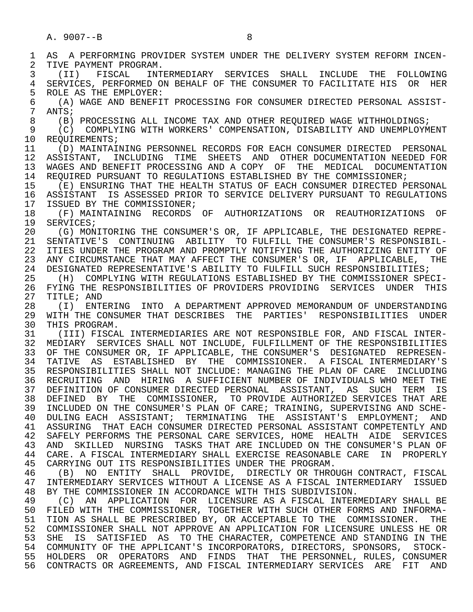1 AS A PERFORMING PROVIDER SYSTEM UNDER THE DELIVERY SYSTEM REFORM INCEN-<br>2 TIVE PAYMENT PROGRAM. 2 TIVE PAYMENT PROGRAM.<br>3 (II) FISCAL INT 3 (II) FISCAL INTERMEDIARY SERVICES SHALL INCLUDE THE FOLLOWING<br>4 SERVICES PERFORMED ON BEHALE OF THE CONSUMER TO FACILITATE HIS OR HER 4 SERVICES, PERFORMED ON BEHALF OF THE CONSUMER TO FACILITATE HIS OR HER<br>5 ROLE AS THE EMPLOYER: 5 ROLE AS THE EMPLOYER:<br>6 (A) WAGE AND BENEFIT 6 (A) WAGE AND BENEFIT PROCESSING FOR CONSUMER DIRECTED PERSONAL ASSIST-  $\begin{array}{cc} 7 & \text{ANTS}; \\ 8 & (B) \end{array}$ 8 (B) PROCESSING ALL INCOME TAX AND OTHER REQUIRED WAGE WITHHOLDINGS;<br>9 (C) COMPLYING WITH WORKERS' COMPENSATION, DISABILITY AND UNEMPLOYM 9 (C) COMPLYING WITH WORKERS' COMPENSATION, DISABILITY AND UNEMPLOYMENT<br>10 REOUIREMENTS; 10 REQUIREMENTS;<br>11 (D) MAINTAI 11 (D) MAINTAINING PERSONNEL RECORDS FOR EACH CONSUMER DIRECTED PERSONAL 12 ASSISTANT, INCLUDING TIME SHEETS AND OTHER DOCUMENTATION NEEDED FOR<br>13 WAGES AND BENEFIT PROCESSING AND A COPY OF THE MEDICAL DOCUMENTATION 13 WAGES AND BENEFIT PROCESSING AND A COPY OF THE MEDICAL DOCUMENTATION<br>14 REQUIRED PURSUANT TO REGULATIONS ESTABLISHED BY THE COMMISSIONER; REQUIRED PURSUANT TO REGULATIONS ESTABLISHED BY THE COMMISSIONER; 15 (E) ENSURING THAT THE HEALTH STATUS OF EACH CONSUMER DIRECTED PERSONAL<br>16 ASSISTANT IS ASSESSED PRIOR TO SERVICE DELIVERY PURSUANT TO REGULATIONS 16 ASSISTANT IS ASSESSED PRIOR TO SERVICE DELIVERY PURSUANT TO REGULATIONS<br>17 ISSUED BY THE COMMISSIONER; 17 ISSUED BY THE COMMISSIONER;<br>18 (F) MAINTAINING RECORDS 18 (F) MAINTAINING RECORDS OF AUTHORIZATIONS OR REAUTHORIZATIONS OF<br>19 SERVICES: 19 SERVICES;<br>20 (G) MON 20 (G) MONITORING THE CONSUMER'S OR, IF APPLICABLE, THE DESIGNATED REPRE-<br>21 SENTATIVE'S CONTINUING ABILITY TO FULFILL THE CONSUMER'S RESPONSIBIL-21 SENTATIVE'S CONTINUING ABILITY TO FULFILL THE CONSUMER'S RESPONSIBIL-<br>22 ITIES UNDER THE PROGRAM AND PROMPTLY NOTIFYING THE AUTHORIZING ENTITY OF 22 ITIES UNDER THE PROGRAM AND PROMPTLY NOTIFYING THE AUTHORIZING ENTITY OF 23 ANY CIRCUMSTANCE THAT MAY AFFECT THE CONSUMER'S OR, IF APPLICABLE, THE 24 DESIGNATED REPRESENTATIVE'S ABILITY TO FULFILL SUCH RESPONSIBILITIES;<br>25 (H) COMPLYING WITH REGULATIONS ESTABLISHED BY THE COMMISSIONER SPEC 25 (H) COMPLYING WITH REGULATIONS ESTABLISHED BY THE COMMISSIONER SPECI- 26 FYING THE RESPONSIBILITIES OF PROVIDERS PROVIDING SERVICES UNDER THIS<br>27 TITLE; AND 27 TITLE; AND<br>28 (I) ENTI 28 (I) ENTERING INTO A DEPARTMENT APPROVED MEMORANDUM OF UNDERSTANDING<br>29 WITH THE CONSUMER THAT DESCRIBES THE PARTIES' RESPONSIBILITIES UNDER 29 WITH THE CONSUMER THAT DESCRIBES THE PARTIES' RESPONSIBILITIES UNDER<br>30 THIS PROGRAM 30 THIS PROGRAM.<br>31 (III) FISCAI 31 (III) FISCAL INTERMEDIARIES ARE NOT RESPONSIBLE FOR, AND FISCAL INTER- 32 MEDIARY SERVICES SHALL NOT INCLUDE, FULFILLMENT OF THE RESPONSIBILITIES 33 OF THE CONSUMER OR, IF APPLICABLE, THE CONSUMER'S DESIGNATED REPRESEN- 34 TATIVE AS ESTABLISHED BY THE COMMISSIONER. A FISCAL INTERMEDIARY'S 35 RESPONSIBILITIES SHALL NOT INCLUDE: MANAGING THE PLAN OF CARE INCLUDING 36 RECRUITING AND HIRING A SUFFICIENT NUMBER OF INDIVIDUALS WHO MEET THE 37 DEFINITION OF CONSUMER DIRECTED PERSONAL ASSISTANT, AS SUCH TERM IS 38 DEFINED BY THE COMMISSIONER, TO PROVIDE AUTHORIZED SERVICES THAT ARE<br>39 INCLUDED ON THE CONSUMER'S PLAN OF CARE; TRAINING, SUPERVISING AND SCHE- 39 INCLUDED ON THE CONSUMER'S PLAN OF CARE; TRAINING, SUPERVISING AND SCHE- 40 DULING EACH ASSISTANT; TERMINATING THE ASSISTANT'S EMPLOYMENT; AND 41 ASSURING THAT EACH CONSUMER DIRECTED PERSONAL ASSISTANT COMPETENTLY AND<br>42 SAFELY PERFORMS THE PERSONAL CARE SERVICES, HOME HEALTH AIDE SERVICES 42 SAFELY PERFORMS THE PERSONAL CARE SERVICES, HOME HEALTH AIDE SERVICES 43 AND SKILLED NURSING TASKS THAT ARE INCLUDED ON THE CONSUMER'S PLAN OF 44 CARE. A FISCAL INTERMEDIARY SHALL EXERCISE REASONABLE CARE IN PROPERLY<br>45 CARRYING OUT ITS RESPONSIBILITIES UNDER THE PROGRAM. CARRYING OUT ITS RESPONSIBILITIES UNDER THE PROGRAM. 46 (B) NO ENTITY SHALL PROVIDE, DIRECTLY OR THROUGH CONTRACT, FISCAL<br>47 INTERMEDIARY SERVICES WITHOUT A LICENSE AS A FISCAL INTERMEDIARY ISSUED 47 INTERMEDIARY SERVICES WITHOUT A LICENSE AS A FISCAL INTERMEDIARY ISSUED<br>48 BY THE COMMISSIONER IN ACCORDANCE WITH THIS SUBDIVISION. 48 BY THE COMMISSIONER IN ACCORDANCE WITH THIS SUBDIVISION.<br>49 (C) AN APPLICATION FOR LICENSURE AS A FISCAL INTER 49 (C) AN APPLICATION FOR LICENSURE AS A FISCAL INTERMEDIARY SHALL BE<br>50 FILED WITH THE COMMISSIONER, TOGETHER WITH SUCH OTHER FORMS AND INFORMA-50 FILED WITH THE COMMISSIONER, TOGETHER WITH SUCH OTHER FORMS AND INFORMA-<br>51 TION AS SHALL BE PRESCRIBED BY, OR ACCEPTABLE TO THE COMMISSIONER. THE 51 TION AS SHALL BE PRESCRIBED BY, OR ACCEPTABLE TO THE COMMISSIONER. THE 52 COMMISSIONER SHALL NOT APPROVE AN APPLICATION FOR LICENSURE UNLESS HE OR 53 SHE IS SATISFIED AS TO THE CHARACTER, COMPETENCE AND STANDING IN THE 54 COMMUNITY OF THE APPLICANT'S INCORPORATORS, DIRECTORS, SPONSORS, STOCK- 55 HOLDERS OR OPERATORS AND FINDS THAT THE PERSONNEL, RULES, CONSUMER 56 CONTRACTS OR AGREEMENTS, AND FISCAL INTERMEDIARY SERVICES ARE FIT AND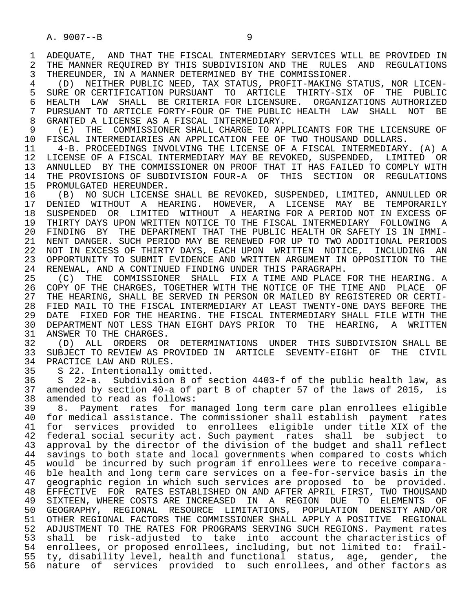1 ADEQUATE, AND THAT THE FISCAL INTERMEDIARY SERVICES WILL BE PROVIDED IN<br>2 THE MANNER REOUIRED BY THIS SUBDIVISION AND THE RULES AND REGULATIONS 2 THE MANNER REQUIRED BY THIS SUBDIVISION AND THE RULES AND REGULATIONS<br>3 THEREUNDER, IN A MANNER DETERMINED BY THE COMMISSIONER. THEREUNDER, IN A MANNER DETERMINED BY THE COMMISSIONER.

 4 (D) NEITHER PUBLIC NEED, TAX STATUS, PROFIT-MAKING STATUS, NOR LICEN- 5 SURE OR CERTIFICATION PURSUANT TO ARTICLE THIRTY-SIX OF THE PUBLIC<br>6 HEALTH LAW SHALL BE CRITERIA FOR LICENSURE. ORGANIZATIONS AUTHORIZED 6 HEALTH LAW SHALL BE CRITERIA FOR LICENSURE. ORGANIZATIONS AUTHORIZED<br>7 PURSUANT TO ARTICLE FORTY-FOUR OF THE PUBLIC HEALTH LAW SHALL NOT BE 7 PURSUANT TO ARTICLE FORTY-FOUR OF THE PUBLIC HEALTH LAW SHALL NOT BE 3 GRANTED A LICENSE AS A FISCAL INTERMEDIARY. 8 GRANTED A LICENSE AS A FISCAL INTERMEDIARY.<br>9 (E) THE COMMISSIONER SHALL CHARGE TO AP

9 (E) THE COMMISSIONER SHALL CHARGE TO APPLICANTS FOR THE LICENSURE OF<br>10 FISCAL INTERMEDIARIES AN APPLICATION FEE OF TWO THOUSAND DOLLARS. 10 FISCAL INTERMEDIARIES AN APPLICATION FEE OF TWO THOUSAND DOLLARS.<br>11 The A-B. PROCEEDINGS INVOLVING THE LICENSE OF A FISCAL INTERMEDIARY

11 4-B. PROCEEDINGS INVOLVING THE LICENSE OF A FISCAL INTERMEDIARY. (A) A<br>12 LICENSE OF A FISCAL INTERMEDIARY MAY BE REVOKED, SUSPENDED, LIMITED OR 12 LICENSE OF A FISCAL INTERMEDIARY MAY BE REVOKED, SUSPENDED, LIMITED OR<br>13 ANNULLED BY THE COMMISSIONER ON PROOF THAT IT HAS FAILED TO COMPLY WITH 13 ANNULLED BY THE COMMISSIONER ON PROOF THAT IT HAS FAILED TO COMPLY WITH 14 THE PROVISIONS OF SUBDIVISION FOUR-A OF THIS SECTION OR REGULATIONS 14 THE PROVISIONS OF SUBDIVISION FOUR-A OF THIS SECTION OR REGULATIONS<br>15 PROMULGATED HEREUNDER.

15 PROMULGATED HEREUNDER.<br>16 (B) NO SUCH LICENSE 16 (B) NO SUCH LICENSE SHALL BE REVOKED, SUSPENDED, LIMITED, ANNULLED OR 17 DENIED WITHOUT A HEARING. HOWEVER, A LICENSE MAY BE TEMPORARILY<br>18 SUSPENDED OR LIMITED WITHOUT A HEARING-FOR A PERIOD-NOT IN-EXCESS OF 18 SUSPENDED OR LIMITED WITHOUT A HEARING FOR A PERIOD NOT IN EXCESS OF<br>19 THIRTY DAYS UPON WRITTEN NOTICE TO THE FISCAL INTERMEDIARY FOLLOWING A 19 THIRTY DAYS UPON WRITTEN NOTICE TO THE FISCAL INTERMEDIARY FOLLOWING A<br>20 FINDING BY THE DEPARTMENT THAT THE PUBLIC HEALTH OR SAFETY IS IN IMMI-20 FINDING BY THE DEPARTMENT THAT THE PUBLIC HEALTH OR SAFETY IS IN IMMI-<br>21 NENT DANGER. SUCH PERIOD MAY BE RENEWED FOR UP TO TWO ADDITIONAL PERIODS 21 NENT DANGER. SUCH PERIOD MAY BE RENEWED FOR UP TO TWO ADDITIONAL PERIODS<br>22 NOT IN EXCESS OF THIRTY DAYS, EACH UPON WRITTEN NOTICE, INCLUDING AN 22 NOT IN EXCESS OF THIRTY DAYS, EACH UPON WRITTEN NOTICE, INCLUDING AN 23 OPPORTUNITY TO SUBMIT EVIDENCE AND WRITTEN ARGUMENT IN OPPOSITION TO THE 23 OPPORTUNITY TO SUBMIT EVIDENCE AND WRITTEN ARGUMENT IN OPPOSITION TO THE 24 RENEWAL, AND A CONTINUED FINDING UNDER THIS PARAGRAPH. 24 RENEWAL, AND A CONTINUED FINDING UNDER THIS PARAGRAPH.<br>25 (C) THE COMMISSIONER SHALL FIX A TIME AND PLACE

(C) THE COMMISSIONER SHALL FIX A TIME AND PLACE FOR THE HEARING. A 26 COPY OF THE CHARGES, TOGETHER WITH THE NOTICE OF THE TIME AND PLACE OF<br>27 THE HEARING, SHALL BE SERVED IN PERSON OR MAILED BY REGISTERED OR CERTI-27 THE HEARING, SHALL BE SERVED IN PERSON OR MAILED BY REGISTERED OR CERTI-<br>28 FIED MAIL TO THE FISCAL INTERMEDIARY AT LEAST TWENTY-ONE DAYS BEFORE THE 28 FIED MAIL TO THE FISCAL INTERMEDIARY AT LEAST TWENTY-ONE DAYS BEFORE THE<br>29 DATE FIXED FOR THE HEARING. THE FISCAL INTERMEDIARY SHALL FILE WITH THE 29 DATE FIXED FOR THE HEARING. THE FISCAL INTERMEDIARY SHALL FILE WITH THE 2018 OF THE HEARING . A WRITTEN 30 DEPARTMENT NOT LESS THAN EIGHT DAYS PRIOR TO THE HEARING, A WRITTEN<br>31 ANSWER TO THE CHARGES. 31 ANSWER TO THE CHARGES.<br>32 (D) ALL ORDERS OR

 32 (D) ALL ORDERS OR DETERMINATIONS UNDER THIS SUBDIVISION SHALL BE 33 SUBJECT TO REVIEW AS PROVIDED IN ARTICLE SEVENTY-EIGHT OF THE CIVIL<br>34 PRACTICE LAW AND RULES. 34 PRACTICE LAW AND RULES.<br>35 S 22. Intentionally o

35 S 22. Intentionally omitted.<br>36 S 22-a. Subdivision 8 of s 36 S 22-a. Subdivision 8 of section 4403-f of the public health law, as<br>37 amended by section 40-a of part B of chapter 57 of the laws of 2015, is 37 amended by section 40-a of part B of chapter 57 of the laws of 2015, is 38 amended to read as follows:<br>39 8. Payment rates for m

 39 8. Payment rates for managed long term care plan enrollees eligible 40 for medical assistance. The commissioner shall establish payment rates<br>41 for services provided to enrollees eligible under title XIX of the 41 for services provided to enrollees eligible under title XIX of the<br>42 federal social security act. Such payment rates shall be subject to 42 federal social security act. Such payment rates shall be subject to<br>43 approval by the director of the division of the budget and shall reflect 43 approval by the director of the division of the budget and shall reflect<br>44 savings to both state and local governments when compared to costs which 44 savings to both state and local governments when compared to costs which<br>45 would be incurred by such program if enrollees were to receive comparawould be incurred by such program if enrollees were to receive compara- 46 ble health and long term care services on a fee-for-service basis in the 47 geographic region in which such services are proposed to be provided.<br>48 EFFECTIVE FOR RATES ESTABLISHED ON AND AFTER APRIL FIRST, TWO THOUSAND 48 EFFECTIVE FOR RATES ESTABLISHED ON AND AFTER APRIL FIRST, TWO THOUSAND<br>49 SIXTEEN, WHERE COSTS ARE INCREASED IN A REGION DUE TO ELEMENTS OF 49 SIXTEEN, WHERE COSTS ARE INCREASED IN A REGION DUE TO ELEMENTS OF 50 GEOGRAPHY, REGIONAL RESOURCE LIMITATIONS, POPULATION DENSITY AND/OR 51 OTHER REGIONAL FACTORS THE COMMISSIONER SHALL APPLY A POSITIVE REGIONAL 52 ADJUSTMENT TO THE RATES FOR PROGRAMS SERVING SUCH REGIONS. Payment rates 53 shall be risk-adjusted to take into account the characteristics of 54 enrollees, or proposed enrollees, including, but not limited to: frail- 55 ty, disability level, health and functional status, age, gender, the 56 nature of services provided to such enrollees, and other factors as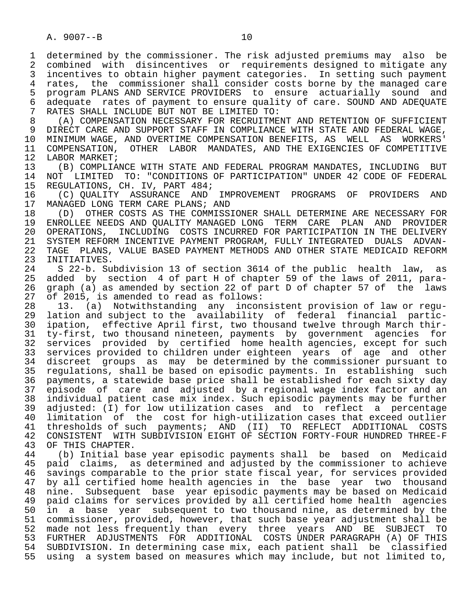1 determined by the commissioner. The risk adjusted premiums may also be<br>2 combined with disincentives or requirements designed to mitigate any 2 combined with disincentives or requirements designed to mitigate any<br>3 incentives to obtain higher payment categories. In setting such payment incentives to obtain higher payment categories. In setting such payment 4 rates, the commissioner shall consider costs borne by the managed care<br>5 program PLANS AND SERVICE PROVIDERS to ensure actuarially sound and 5 program PLANS AND SERVICE PROVIDERS to ensure actuarially sound and<br>6 adequate rates of payment to ensure quality of care. SOUND AND ADEOUATE 6 adequate rates of payment to ensure quality of care. SOUND AND ADEQUATE<br>7 RATES SHALL INCLUDE BUT NOT BE LIMITED TO: 7 RATES SHALL INCLUDE BUT NOT BE LIMITED TO:

8 (A) COMPENSATION NECESSARY FOR RECRUITMENT AND RETENTION OF SUFFICIENT<br>9 DIRECT CARE AND SUPPORT STAFF IN COMPLIANCE WITH STATE AND FEDERAL WAGE. 9 DIRECT CARE AND SUPPORT STAFF IN COMPLIANCE WITH STATE AND FEDERAL WAGE,<br>10 MINIMUM WAGE, AND OVERTIME COMPENSATION BENEFITS, AS WELL AS WORKERS' 10 MINIMUM WAGE, AND OVERTIME COMPENSATION BENEFITS, AS WELL AS<br>11 COMPENSATION, OTHER LABOR MANDATES, AND THE EXIGENCIES OF CO 11 COMPENSATION, OTHER LABOR MANDATES, AND THE EXIGENCIES OF COMPETITIVE 12 LABOR MARKET; 12 LABOR MARKET;<br>13 (B) COMPLIA

 13 (B) COMPLIANCE WITH STATE AND FEDERAL PROGRAM MANDATES, INCLUDING BUT 14 NOT LIMITED TO: "CONDITIONS OF PARTICIPATION" UNDER 42 CODE OF FEDERAL

15 REGULATIONS, CH. IV, PART 484;<br>16 (C) OUALITY ASSURANCE AND 16 (C) QUALITY ASSURANCE AND IMPROVEMENT PROGRAMS OF PROVIDERS AND<br>17 MANAGED LONG-TERM CARE-PLANS; AND 17 MANAGED LONG TERM CARE PLANS; AND<br>18 (D) OTHER COSTS AS THE COMMISS

18 (D) OTHER COSTS AS THE COMMISSIONER SHALL DETERMINE ARE NECESSARY FOR<br>19 ENROLLEE NEEDS AND OUALITY MANAGED LONG TERM CARE PLAN AND PROVIDER 19 ENROLLEE NEEDS AND QUALITY MANAGED LONG TERM CARE PLAN AND PROVIDER 20 OPERATIONS, INCLUDING COSTS INCURRED FOR PARTICIPATION IN THE DELIVERY<br>21 SYSTEM REFORM INCENTIVE PAYMENT PROGRAM, FULLY INTEGRATED DUALS ADVAN-21 SYSTEM REFORM INCENTIVE PAYMENT PROGRAM, FULLY INTEGRATED DUALS ADVAN-<br>22 TAGE PLANS, VALUE BASED PAYMENT METHODS AND OTHER STATE MEDICAID REFORM 22 TAGE PLANS, VALUE BASED PAYMENT METHODS AND OTHER STATE MEDICAID REFORM<br>23 INITIATIVES. 23 INITIATIVES.<br>24 S 22-b. Su

 24 S 22-b. Subdivision 13 of section 3614 of the public health law, as added by section 4 of part H of chapter 59 of the laws of 2011, para-26 graph (a) as amended by section 22 of part D of chapter 57 of the laws<br>27 of 2015, is amended to read as follows: 27 of 2015, is amended to read as follows:<br>28 13. (a) Notwithstanding any incon

 28 13. (a) Notwithstanding any inconsistent provision of law or regu- 29 lation and subject to the availability of federal financial partic- 30 ipation, effective April first, two thousand twelve through March thir-<br>31 tv-first, two thousand nineteen, payments by government agencies for 31 ty-first, two thousand nineteen, payments by government agencies for<br>32 services provided by certified home health agencies, except for such 32 services provided by certified home health agencies, except for such<br>33 services provided to children under eighteen years of age and other services provided to children under eighteen years of age and other 34 discreet groups as may be determined by the commissioner pursuant to<br>35 regulations, shall be based on episodic payments. In establishing such 35 regulations, shall be based on episodic payments. In establishing such<br>36 payments, a statewide base price shall be established for each sixty day payments, a statewide base price shall be established for each sixty day 37 episode of care and adjusted by a regional wage index factor and an 38 individual patient case mix index. Such episodic payments may be further 39 adjusted: (I) for low utilization cases and to reflect a percentage 40 limitation of the cost-for-high-utilization-cases-that-exceed-outlier<br>41 thresholds of such payments; AND (II) TO REFLECT ADDITIONAL COSTS 41 thresholds of such payments; AND (II) TO REFLECT ADDITIONAL COSTS<br>42 CONSISTENT WITH SUBDIVISION EIGHT OF SECTION FORTY-FOUR HUNDRED THREE-F 42 CONSISTENT WITH SUBDIVISION EIGHT OF SECTION FORTY-FOUR HUNDRED THREE-F<br>43 OF THIS CHAPTER. 43 OF THIS CHAPTER.<br>44 (b) Initial ba

 44 (b) Initial base year episodic payments shall be based on Medicaid paid claims, as determined and adjusted by the commissioner to achieve 46 savings comparable to the prior state fiscal year, for services provided<br>47 by all certified home health agencies in the base year two thousand by all certified home health agencies in the base year two thousand 48 nine. Subsequent base year episodic payments may be based on Medicaid<br>49 paid claims for services provided by all certified home health agencies 49 paid claims for services provided by all certified home health agencies<br>50 in a base vear subsequent to two thousand nine, as determined by the 50 in a base year subsequent to two thousand nine, as determined by the<br>51 commissioner, provided, however, that such base year adjustment shall be commissioner, provided, however, that such base year adjustment shall be 52 made not less frequently than every three years AND BE SUBJECT TO<br>53 FURTHER ADJUSTMENTS FOR ADDITIONAL COSTS-UNDER-PARAGRAPH (A) OF-THIS 53 FURTHER ADJUSTMENTS FOR ADDITIONAL COSTS UNDER PARAGRAPH (A) OF THIS<br>54 SUBDIVISION. In determining case mix, each patient shall be classified 54 SUBDIVISION. In determining case mix, each patient shall be classified<br>55 using a system based on measures which may include, but not limited to, using a system based on measures which may include, but not limited to,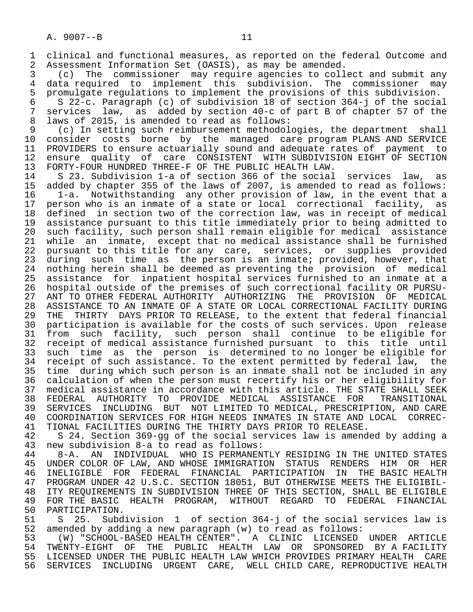1 clinical and functional measures, as reported on the federal Outcome and<br>2 Assessment Information Set (OASIS), as may be amended. 2 Assessment Information Set (OASIS), as may be amended.<br>3 (c) The commissioner may require agencies to coll

 3 (c) The commissioner may require agencies to collect and submit any 4 data required to implement this subdivision. The commissioner may<br>5 promulgate requlations to implement the provisions of this subdivision. 5 promulgate regulations to implement the provisions of this subdivision.<br>6 S 22-c. Paragraph (c) of subdivision 18 of section 364-i of the social

 6 S 22-c. Paragraph (c) of subdivision 18 of section 364-j of the social 7 services law, as added by section 40-c of part B of chapter 57 of the<br>8 laws of 2015, is amended to read as follows: 8 laws of 2015, is amended to read as follows:<br>9 (c) In setting such reimbursement methodol

9 (c) In setting such reimbursement methodologies, the department shall<br>10 consider costs borne by the managed care program PLANS AND SERVICE 10 consider costs borne by the managed care-program-PLANS AND SERVICE 11 PROVIDERS to ensure actuarially sound and adequate rates of payment to 11 PROVIDERS to ensure actuarially sound and adequate rates of payment to<br>12 ensure quality of care CONSISTENT WITH SUBDIVISION EIGHT OF SECTION 12 ensure quality of care CONSISTENT WITH SUBDIVISION EIGHT OF SECTION<br>13 FORTY-FOUR HUNDRED THREE-F OF THE PUBLIC HEALTH LAW. 13 FORTY-FOUR HUNDRED THREE-F OF THE PUBLIC HEALTH LAW.<br>14 S 23. Subdivision 1-a of section 366 of the social

14 S 23. Subdivision 1-a of section 366 of the social services law, as<br>15 added by chapter 355 of the laws of 2007, is amended to read as follows: 15 added by chapter 355 of the laws of 2007, is amended to read as follows: 16 1-a. Notwithstanding any other provision of law, in the event that a<br>17 person who is an inmate of a state or local correctional facility, as 17 person who is an inmate of a state or local correctional facility, as<br>18 defined in section two of the correction law, was in receipt of medical 18 defined in section two of the correction law, was in receipt of medical<br>19 assistance pursuant to this title immediately prior to being admitted to 19 assistance pursuant to this title immediately prior to being admitted to<br>20 such facility, such person shall remain eligible for medical assistance 20 such facility, such person shall remain eligible for medical assistance<br>21 while an inmate, except that no medical assistance shall be furnished 21 while an inmate, except that no medical assistance shall be furnished<br>22 pursuant to this title for any care, services, or supplies provided pursuant to this title for any care, services, or supplies provided 23 during such time as the person is an inmate; provided, however, that 24 nothing herein shall be deemed as preventing the provision of medical<br>25 assistance for inpatient hospital services furnished to an inmate at a assistance for inpatient hospital services furnished to an inmate at a 26 hospital outside of the premises of such correctional facility OR PURSU- 27 ANT TO OTHER FEDERAL AUTHORITY AUTHORIZING THE PROVISION OF MEDICAL<br>28 ASSISTANCE TO AN INMATE OF A STATE OR LOCAL CORRECTIONAL FACILITY DURING 28 ASSISTANCE TO AN INMATE OF A STATE OR LOCAL CORRECTIONAL FACILITY DURING<br>29 THE THIRTY DAYS PRIOR TO RELEASE, to the extent that federal financial 29 THE THIRTY DAYS PRIOR TO RELEASE, to the extent that federal financial<br>30 participation is available for the costs of such services. Upon release 30 participation is available for the costs of such services. Upon release<br>31 from such facility, such person shall continue to be eligible for 31 from such facility, such person shall continue to be eligible for<br>32 receipt of medical assistance furnished pursuant to this title until 32 receipt of medical assistance furnished pursuant to this title until<br>33 such time as the person is determined to no longer be eligible for 33 such time as the person is determined to no longer be eligible for<br>34 receipt of such assistance. To the extent permitted by federal law, the 34 receipt of such assistance. To the extent permitted by federal law, the<br>35 time during which such person is an inmate shall not be included in any 35 time during which such person is an inmate shall not be included in any<br>36 calculation of when the person must recertify his or her eligibility for calculation of when the person must recertify his or her eligibility for 37 medical assistance in accordance with this article. THE STATE SHALL SEEK 38 FEDERAL AUTHORITY TO PROVIDE MEDICAL ASSISTANCE FOR<br>39 SERVICES INCLUDING BUT NOT-LIMITED-TO-MEDICAL, PRESCRIE 39 SERVICES INCLUDING BUT NOT LIMITED TO MEDICAL, PRESCRIPTION, AND CARE<br>40 COORDINATION SERVICES FOR HIGH NEEDS INMATES IN STATE AND LOCAL CORREC-40 COORDINATION SERVICES FOR HIGH NEEDS INMATES IN STATE AND LOCAL CORREC-<br>41 TIONAL FACILITIES DURING THE THIRTY DAYS PRIOR TO RELEASE. 41 TIONAL FACILITIES DURING THE THIRTY DAYS PRIOR TO RELEASE.

 42 S 24. Section 369-gg of the social services law is amended by adding a 43 new subdivision 8-a to read as follows:

 44 8-A. AN INDIVIDUAL WHO IS PERMANENTLY RESIDING IN THE UNITED STATES 45 UNDER COLOR OF LAW, AND WHOSE IMMIGRATION STATUS RENDERS HIM OR HER 46 INELIGIBLE FOR FEDERAL FINANCIAL PARTICIPATION IN THE BASIC-HEALTH<br>47 PROGRAM-UNDER-42 U.S.C. SECTION-18051, BUT-OTHERWISE-MEETS-THE-ELIGIBIL-47 PROGRAM UNDER 42 U.S.C. SECTION 18051, BUT OTHERWISE MEETS THE ELIGIBIL-<br>48 ITY REOUIREMENTS IN SUBDIVISION THREE OF THIS SECTION, SHALL BE ELIGIBLE 48 ITY REQUIREMENTS IN SUBDIVISION THREE OF THIS SECTION, SHALL BE ELIGIBLE<br>49 FOR THE BASIC HEALTH PROGRAM, WITHOUT REGARD TO FEDERAL FINANCIAL 49 FOR THE BASIC HEALTH PROGRAM, WITHOUT REGARD TO FEDERAL FINANCIAL<br>50 PARTICIPATION. 50 PARTICIPATION.<br>51 S 25. Subd

51 S 25. Subdivision 1 of section 364-j of the social services law is<br>52 amended by adding a new paragraph (w) to read as follows: 52 amended by adding a new paragraph (w) to read as follows:

 53 (W) "SCHOOL-BASED HEALTH CENTER". A CLINIC LICENSED UNDER ARTICLE 54 TWENTY-EIGHT OF THE PUBLIC HEALTH LAW OR SPONSORED BY A FACILITY<br>55 LICENSED UNDER THE PUBLIC HEALTH LAW WHICH PROVIDES PRIMARY HEALTH CARE 55 LICENSED UNDER THE PUBLIC HEALTH LAW WHICH PROVIDES PRIMARY HEALTH CARE<br>56 SERVICES INCLUDING URGENT CARE, WELL CHILD CARE, REPRODUCTIVE HEALTH 56 SERVICES INCLUDING URGENT CARE, WELL CHILD CARE, REPRODUCTIVE HEALTH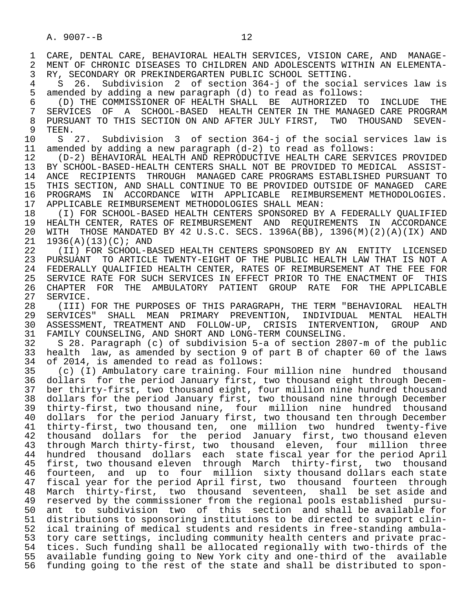A. 9007--B 12

1 CARE, DENTAL CARE, BEHAVIORAL HEALTH SERVICES, VISION CARE, AND MANAGE-<br>2 MENT OF CHRONIC DISEASES TO CHILDREN AND ADOLESCENTS WITHIN AN ELEMENTA-2 MENT OF CHRONIC DISEASES TO CHILDREN AND ADOLESCENTS WITHIN AN ELEMENTA-<br>3 RY, SECONDARY OR PREKINDERGARTEN PUBLIC SCHOOL SETTING. 3 RY, SECONDARY OR PREKINDERGARTEN PUBLIC SCHOOL SETTING.<br>4 S. 26. Subdivision 2 of section 364-i of the socia 4 S 26. Subdivision 2 of section 364-j of the social services law is<br>5 amended by adding a new paragraph (d) to read as follows: 5 amended by adding a new paragraph (d) to read as follows: 6 (D) THE COMMISSIONER OF HEALTH SHALL BE AUTHORIZED TO INCLUDE THE 7 SERVICES OF A SCHOOL-BASED HEALTH CENTER IN THE MANAGED CARE PROGRAM<br>8 PURSUANT TO THIS SECTION ON AND AFTER JULY FIRST. TWO THOUSAND SEVEN-8 PURSUANT TO THIS SECTION ON AND AFTER JULY FIRST, TWO THOUSAND SEVEN-<br>9 TEEN. 9 TEEN.<br>10 S 27. 10 S 27. Subdivision 3 of section 364-j of the social services law is<br>11 amended by adding a new paragraph (d-2) to read as follows: 11 amended by adding a new paragraph (d-2) to read as follows: 12 (D-2) BEHAVIORAL HEALTH AND REPRODUCTIVE HEALTH CARE SERVICES PROVIDED<br>13 BY SCHOOL-BASED-HEALTH CENTERS SHALL NOT BE PROVIDED TO MEDICAL ASSIST- 13 BY SCHOOL-BASED-HEALTH CENTERS SHALL NOT BE PROVIDED TO MEDICAL ASSIST- 14 ANCE RECIPIENTS THROUGH MANAGED CARE PROGRAMS ESTABLISHED PURSUANT TO 15 THIS SECTION, AND SHALL CONTINUE TO BE PROVIDED OUTSIDE OF MANAGED CARE<br>16 PROGRAMS IN ACCORDANCE WITH APPLICABLE REIMBURSEMENT METHODOLOGIES. 16 PROGRAMS IN ACCORDANCE WITH APPLICABLE REIMBURSEMENT—METHODOLOGIES.<br>17 APPLICABLE—REIMBURSEMENT—METHODOLOGIES SHALL MEAN: 17 APPLICABLE REIMBURSEMENT METHODOLOGIES SHALL MEAN:<br>18 (I) FOR SCHOOL-BASED HEALTH CENTERS SPONSORED BY 18 THE REALT ON A SCHOOL-BASED HEALTH CENTERS SPONSORED BY A FEDERALLY QUALIFIED<br>19 HEALTH CENTER, RATES OF REIMBURSEMENT AND REOUIREMENTS IN ACCORDANCE 19 HEALTH CENTER, RATES OF REIMBURSEMENT AND REQUIREMENTS IN ACCORDANCE<br>20 WITH THOSE MANDATED BY 42 U.S.C. SECS. 1396A(BB), 1396(M)(2)(A)(IX) AND 20 WITH THOSE MANDATED BY 42 U.S.C. SECS. 1396A(BB), 1396(M)(2)(A)(IX) AND<br>21 1936(A)(13)(C); AND 21 1936(A)(13)(C); AND<br>22 (II) FOR SCHOOL-B. 22 (II) FOR SCHOOL-BASED HEALTH CENTERS SPONSORED BY AN ENTITY LICENSED<br>23 PURSUANT TO ARTICLE TWENTY-EIGHT OF THE PUBLIC HEALTH LAW THAT IS NOT A PURSUANT TO ARTICLE TWENTY-EIGHT OF THE PUBLIC HEALTH LAW THAT IS NOT A 24 FEDERALLY QUALIFIED HEALTH CENTER, RATES OF REIMBURSEMENT AT THE FEE FOR<br>25 SERVICE RATE FOR SUCH SERVICES IN EFFECT PRIOR TO THE ENACTMENT OF THIS SERVICE RATE FOR SUCH SERVICES IN EFFECT PRIOR TO THE ENACTMENT OF THIS 26 CHAPTER FOR THE AMBULATORY PATIENT GROUP RATE FOR THE APPLICABLE<br>27 SERVICE. 27 SERVICE.<br>28 (III) 28 (III) FOR THE PURPOSES OF THIS PARAGRAPH, THE TERM "BEHAVIORAL HEALTH<br>29 SERVICES" SHALL MEAN PRIMARY PREVENTION, INDIVIDUAL MENTAL HEALTH 29 SERVICES" SHALL MEAN PRIMARY PREVENTION, INDIVIDUAL MENTAL HEALTH<br>30 ASSESSMENT, TREATMENT—AND FOLLOW-UP, CRISIS INTERVENTION, GROUP AND 30 ASSESSMENT, TREATMENT AND FOLLOW-UP, CRISIS INTERVENTION, GROUP AND<br>31 FAMILY COUNSELING, AND SHORT AND LONG-TERM COUNSELING. 31 FAMILY COUNSELING, AND SHORT AND LONG-TERM COUNSELING.<br>32 S 28. Paragraph (c) of subdivision 5-a of section 28 32 S 28. Paragraph (c) of subdivision 5-a of section 2807-m of the public 33 health law, as amended by section 9 of part B of chapter 60 of the laws 34 of 2014, is amended to read as follows:<br>35 (c) (I) Ambulatory care training. Fou 35 (c) (I) Ambulatory care training. Four million nine hundred thousand<br>36 dollars for the period January first, two thousand eight through Decemdollars for the period January first, two thousand eight through Decem-37 ber thirty-first, two thousand eight, four million nine hundred thousand<br>38 dollars for the period January first, two thousand nine through December 38 dollars for the period January first, two thousand nine through December<br>39 thirty-first, two thousand nine, four million nine hundred thousand 39 thirty-first, two thousand nine, four million nine hundred thousand<br>40 dollars for the period January first, two thousand ten through December 40 dollars for the period January first, two thousand ten through December<br>41 thirty-first, two thousand ten, one million two hundred twenty-five 41 thirty-first, two thousand ten, one million two hundred twenty-five 42 thousand dollars for the period January first, two thousand eleven<br>43 through March thirty-first, two thousand eleven, four million three 43 through March thirty-first, two thousand eleven, four million three<br>44 hundred thousand dollars each state fiscal year for the period April 44 hundred thousand dollars each state fiscal year for the period April<br>45 first, two thousand eleven through March thirty-first, two thousand first, two thousand eleven through March thirty-first, two thousand 46 fourteen, and up to four million sixty thousand dollars each state<br>47 fiscal year for the period April first, two thousand fourteen through fiscal year for the period April first, two thousand fourteen through 48 March thirty-first, two thousand seventeen, shall be set aside and<br>49 reserved by the commissioner from the regional pools established pursu-49 reserved by the commissioner from the regional pools established pursu-<br>50 ant to subdivision two of this section and shall be available for ant to subdivision two of this section and shall be available for 51 distributions to sponsoring institutions to be directed to support clin- 52 ical training of medical students and residents in free-standing ambula- 53 tory care settings, including community health centers and private prac- 54 tices. Such funding shall be allocated regionally with two-thirds of the 55 available funding going to New York city and one-third of the available 56 funding going to the rest of the state and shall be distributed to spon-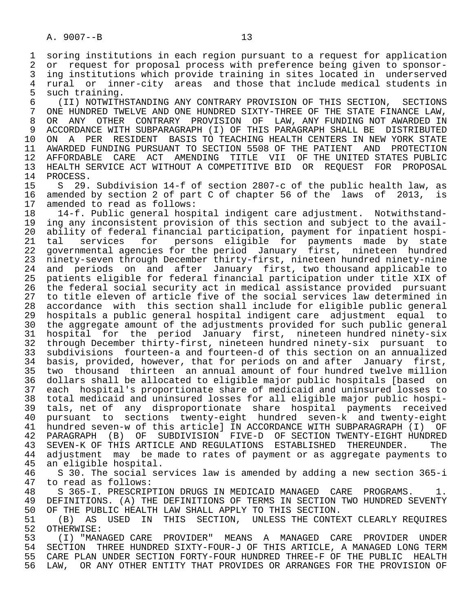5 such training.<br>6 (II) NOTWITH 6 (II) NOTWITHSTANDING ANY CONTRARY PROVISION OF THIS SECTION, SECTIONS ONE HUNDRED TWELVE AND ONE HUNDRED SIXTY-THREE OF THE STATE FINANCE LAW, 8 OR ANY OTHER CONTRARY PROVISION OF LAW, ANY FUNDING NOT AWARDED IN 9 ACCORDANCE WITH SUBPARAGRAPH (I) OF THIS PARAGRAPH SHALL BE DISTRIBUTED<br>10 ON A PER RESIDENT BASIS TO TEACHING HEALTH CENTERS IN NEW YORK STATE 10 ON A PER RESIDENT BASIS TO TEACHING HEALTH CENTERS IN NEW YORK STATE<br>11 AWARDED FUNDING PURSUANT TO SECTION 5508 OF THE PATIENT AND PROTECTION 11 AWARDED FUNDING PURSUANT TO SECTION 5508 OF THE PATIENT AND PROTECTION<br>12 AFFORDABLE CARE ACT AMENDING TITLE VII OF THE UNITED STATES PUBLIC 12 AFFORDABLE CARE ACT AMENDING TITLE VII OF THE UNITED STATES PUBLIC<br>13 HEALTH SERVICE ACT WITHOUT A COMPETITIVE BID OR REOUEST FOR PROPOSAL 13 HEALTH SERVICE ACT WITHOUT A COMPETITIVE BID OR REQUEST FOR PROPOSAL<br>14 PROCESS 14 PROCESS.<br>15 S 29.

 15 S 29. Subdivision 14-f of section 2807-c of the public health law, as 16 amended by section 2 of part C of chapter 56 of the laws of 2013, is<br>17 amended to read as follows:

17 amended to read as follows:<br>18 14-f. Public general hosp 18 14-f. Public general hospital indigent care adjustment. Notwithstand-<br>19 ing any inconsistent provision of this section and subject to the avail-19 ing any inconsistent provision of this section and subject to the avail-<br>20 ability of federal financial participation, payment for inpatient hospi-20 ability of federal financial participation, payment for inpatient hospi-<br>21 tal services for persons eligible for payments made by state 21 tal services for persons eligible for payments made by state<br>22 governmental-agencies-for-the-period January first, nineteen hundred 22 governmental agencies for the period January first, nineteen hundred<br>23 ninety-seven through December thirty-first, nineteen hundred ninety-nine 23 ninety-seven through December thirty-first, nineteen hundred ninety-nine 24 and periods on and after January first, two thousand applicable to 25 patients eligible for federal financial participation under title XIX of 26 the federal social security act in medical assistance provided pursuant 27 to title eleven of article five of the social services law determined in<br>28 accordance with this section shall include for eligible public general accordance with this section shall include for eligible public general 29 hospitals a public general hospital indigent care adjustment equal to 30 the aggregate amount of the adjustments provided for such public general<br>31 hospital for the period January first, nineteen hundred ninety-six 31 hospital for the period January first, nineteen hundred ninety-six 32 through December thirty-first, nineteen hundred ninety-six pursuant to<br>33 subdivisions fourteen-a and fourteen-d of this section on an annualized 33 subdivisions fourteen-a and fourteen-d of this section on an annualized<br>34 basis, provided, however, that for periods on and after January first, 34 basis, provided, however, that for periods on and after January first,<br>35 two thousand thirteen an annual amount of four hundred twelve million 35 two thousand thirteen an annual amount of four hundred twelve million<br>36 dollars shall be allocated to eligible major public hospitals [based on dollars shall be allocated to eligible major public hospitals [based on 37 each hospital's proportionate share of medicaid and uninsured losses to 38 total medicaid and uninsured losses for all eligible major public hospi- 39 tals, net of any disproportionate share hospital payments received 40 pursuant to sections twenty-eight hundred seven-k and twenty-eight 41 hundred seven-w of this article] IN ACCORDANCE WITH SUBPARAGRAPH (I) OF 42 PARAGRAPH (B) OF SUBDIVISION FIVE-D OF-SECTION-TWENTY-EIGHT-HUNDRED<br>43 SEVEN-K OF-THIS ARTICLE AND REGULATIONS ESTABLISHED THEREUNDER. The 43 SEVEN-K OF THIS ARTICLE AND REGULATIONS ESTABLISHED THEREUNDER.<br>44 adjustment may be made to rates of payment or as aggregate paym 44 adjustment may be made to rates of payment or as aggregate payments to an eligible hospital.

 46 S 30. The social services law is amended by adding a new section 365-i 47 to read as follows:<br>48 S 365-I. PRESCRIP

48 S 365-I. PRESCRIPTION DRUGS IN MEDICAID MANAGED CARE PROGRAMS. 1.<br>49 DEFINITIONS. (A) THE DEFINITIONS OF TERMS IN SECTION TWO HUNDRED SEVENTY 49 DEFINITIONS. (A) THE DEFINITIONS OF TERMS IN SECTION TWO HUNDRED SEVENTY<br>50 OF THE PUBLIC HEALTH LAW SHALL APPLY TO THIS SECTION. 50 OF THE PUBLIC HEALTH LAW SHALL APPLY TO THIS SECTION.<br>51 (B) AS USED IN THIS SECTION, UNLESS THE CONTE

51 (B) AS USED IN THIS SECTION, UNLESS THE CONTEXT CLEARLY REQUIRES<br>52 OTHERWISE: OTHERWISE:

 53 (I) "MANAGED CARE PROVIDER" MEANS A MANAGED CARE PROVIDER UNDER 54 SECTION THREE HUNDRED SIXTY-FOUR-J OF THIS ARTICLE, A MANAGED LONG TERM 55 CARE PLAN UNDER SECTION FORTY-FOUR HUNDRED THREE-F OF THE PUBLIC HEALTH<br>56 LAW, OR ANY OTHER ENTITY THAT PROVIDES OR ARRANGES FOR THE PROVISION OF LAW, OR ANY OTHER ENTITY THAT PROVIDES OR ARRANGES FOR THE PROVISION OF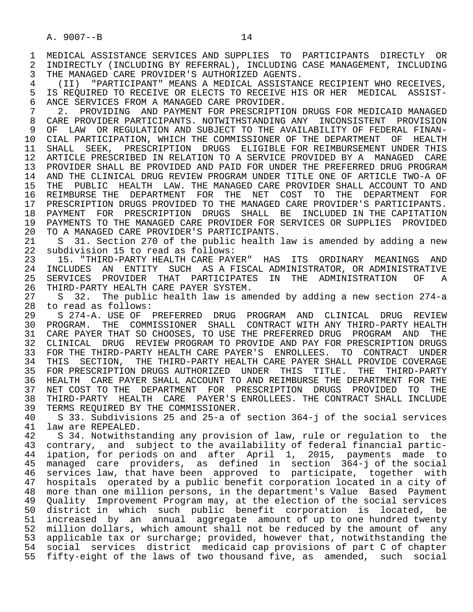4 (II) "PARTICIPANT" MEANS A MEDICAL ASSISTANCE RECIPIENT WHO RECEIVES,<br>5 IS REOUIRED TO RECEIVE OR ELECTS TO RECEIVE HIS OR HER MEDICAL ASSIST-5 IS REQUIRED TO RECEIVE OR ELECTS TO RECEIVE HIS OR HER MEDICAL ASSIST-<br>6 ANCE SERVICES FROM A MANAGED CARE PROVIDER. 6 ANCE SERVICES FROM A MANAGED CARE PROVIDER.<br>7 3. PROVIDING AND PAYMENT FOR PRESCRIPTI

7 2. PROVIDING AND PAYMENT FOR PRESCRIPTION DRUGS FOR MEDICAID MANAGED<br>8 CARE PROVIDER PARTICIPANTS, NOTWITHSTANDING ANY INCONSISTENT PROVISION 8 CARE PROVIDER PARTICIPANTS. NOTWITHSTANDING ANY INCONSISTENT PROVISION<br>9 OF LAW OR REGULATION AND SUBJECT TO THE AVAILABILITY OF FEDERAL FINAN-9 OF LAW OR REGULATION AND SUBJECT TO THE AVAILABILITY OF FEDERAL FINAN-<br>10 CIAL PARTICIPATION, WHICH THE COMMISSIONER OF THE DEPARTMENT OF HEALTH 10 CIAL PARTICIPATION, WHICH THE COMMISSIONER OF THE DEPARTMENT OF HEALTH<br>11 SHALL SEEK, PRESCRIPTION DRUGS ELIGIBLE FOR REIMBURSEMENT UNDER THIS 11 SHALL SEEK, PRESCRIPTION DRUGS ELIGIBLE FOR REIMBURSEMENT UNDER THIS<br>12 ARTICLE PRESCRIBED IN RELATION TO A SERVICE PROVIDED BY A MANAGED CARE 12 ARTICLE PRESCRIBED IN RELATION TO A SERVICE PROVIDED BY A MANAGED CARE 13 PROVIDER SHALL BE PROVIDED AND PAID FOR UNDER THE PREFERRED DRUG PROGRAM<br>14 AND THE CLINICAL DRUG REVIEW PROGRAM UNDER TITLE ONE OF ARTICLE TWO-A OF AND THE CLINICAL DRUG REVIEW PROGRAM UNDER TITLE ONE OF ARTICLE TWO-A OF 15 THE PUBLIC HEALTH LAW. THE MANAGED CARE PROVIDER SHALL ACCOUNT TO AND 16 REIMBURSE THE DEPARTMENT FOR THE NET COST TO THE DEPARTMENT FOR<br>17 PRESCRIPTION DRUGS PROVIDED TO THE MANAGED CARE PROVIDER'S PARTICIPANTS. 17 PRESCRIPTION DRUGS PROVIDED TO THE MANAGED CARE PROVIDER'S PARTICIPANTS.<br>18 PAYMENT FOR PRESCRIPTION DRUGS SHALL BE INCLUDED IN THE CAPITATION 18 PAYMENT FOR PRESCRIPTION DRUGS SHALL BE INCLUDED IN THE CAPITATION<br>19 PAYMENTS TO THE MANAGED CARE PROVIDER FOR SERVICES OR SUPPLIES PROVIDED 19 PAYMENTS TO THE MANAGED CARE PROVIDER FOR SERVICES OR SUPPLIES PROVIDED<br>20 TO A MANAGED CARE PROVIDER'S PARTICIPANTS. 20 TO A MANAGED CARE PROVIDER'S PARTICIPANTS.<br>21 S 31. Section 270 of the public health

21 S 31. Section 270 of the public health law is amended by adding a new<br>22 subdivision 15 to read as follows: 22 subdivision 15 to read as follows:<br>23 15. "THIRD-PARTY HEALTH CARE PAY

23 15. "THIRD-PARTY HEALTH CARE PAYER" HAS ITS ORDINARY MEANINGS AND<br>24 INCLUDES AN ENTITY SUCH AS A FISCAL ADMINISTRATOR, OR ADMINISTRATIVE 24 INCLUDES AN ENTITY SUCH AS<sup>A FISCAL ADMINISTRATOR, ORADMINISTRATIVE<br>25 SERVICES PROVIDER THAT PARTICIPATES IN THE ADMINISTRATION OF A</sup> 25 SERVICES PROVIDER THAT PARTICIPATES IN THE ADMINISTRATION OF A 26 THIRD-PARTY HEALTH CARE PAYER SYSTEM.<br>27 S 32. The public health law is am

 27 S 32. The public health law is amended by adding a new section 274-a 28 to read as follows:<br>29 S 274-A. USE OF

29 S 274-A. USE OF PREFERRED DRUG PROGRAM AND CLINICAL DRUG REVIEW<br>30 PROGRAM. THE COMMISSIONER SHALL CONTRACT WITH ANY THIRD-PARTY HEALTH 30 PROGRAM. THE COMMISSIONER SHALL CONTRACT WITH ANY THIRD-PARTY HEALTH 31 CARE PAYER THAT SO CHOOSES, TO USE THE PREFERRED DRUG PROGRAM AND THE 32 CLINICAL DRUGS 32 CLINICAL DRUG REVIEW PROGRAM TO PROVIDE AND PAY FOR PRESCRIPTION DRUGS 33 FOR THE THIRD-PARTY HEALTH CARE PAYER'S ENROLLEES. TO CONTRACT UNDER 34 THIS SECTION, THE THIRD-PARTY HEALTH CARE PAYER SHALL PROVIDE COVERAGE 35 FOR PRESCRIPTION DRUGS AUTHORIZED UNDER THIS TITLE. THE THIRD-PARTY 36 HEALTH CARE PAYER SHALL ACCOUNT TO AND REIMBURSE THE DEPARTMENT FOR THE 37 NET COST TO THE DEPARTMENT FOR PRESCRIPTION DRUGS PROVIDED TO THE<br>38 THIRD-PARTY HEALTH CARE PAYER'S ENROLLEES. THE CONTRACT SHALL INCLUDE 38 THIRD-PARTY HEALTH CARE PAYER'S ENROLLEES. THE CONTRACT SHALL INCLUDE<br>39 TERMS REOUIRED BY THE COMMISSIONER. 39 TERMS REQUIRED BY THE COMMISSIONER.<br>40 S 33. Subdivisions 25 and 25-a of

 40 S 33. Subdivisions 25 and 25-a of section 364-j of the social services 41 law are REPEALED.<br>42 S 34. Notwithst

42 S 34. Notwithstanding any provision of law, rule or regulation to the<br>43 contrary, and subject to the availability of federal financial partic-43 contrary, and subject to the availability of federal financial partic-<br>44 ipation, for periods on and after April 1, 2015, payments made to ipation, for periods on and after April 1, 2015, payments made to 45 managed care providers, as defined in section 364-j of the social 46 services law, that have been approved to participate, together with 47 hospitals operated by a public benefit corporation located in a city of 48 more than one million persons, in the department's Value Based Payment 49 Quality Improvement Program may, at the election of the social services 50 district in which such public benefit corporation is located, be 51 increased by an annual aggregate amount of up to one hundred twenty 52 million dollars, which amount shall not be reduced by the amount of any 53 applicable tax or surcharge; provided, however that, notwithstanding the 54 social services district medicaid cap provisions of part C of chapter 55 fifty-eight of the laws of two thousand five, as amended, such social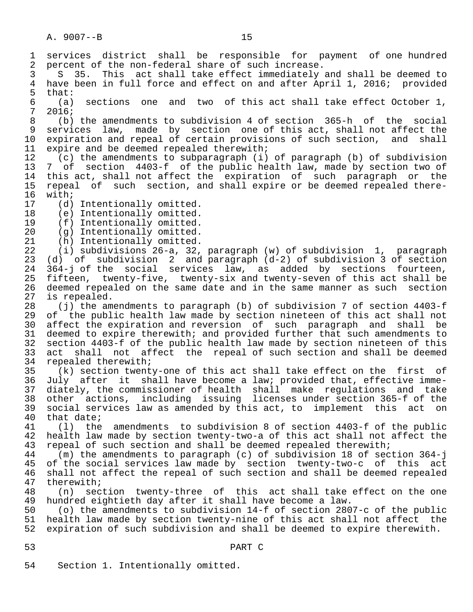1 services district shall be responsible for payment of one-hundred<br>2 percent of the non-federal share of such increase. 2 percent of the non-federal share of such increase.<br>3 S 35. This act shall take effect immediately 3 S 35. This act shall take effect immediately and shall be deemed to<br>4 have been in full force and effect on and after April 1, 2016; provided 4 have been in full force and effect on and after April 1, 2016; provided that: 5 that:<br>6 (a) 6 (a) sections one and two of this act shall take effect October 1,  $\begin{array}{cc} 7 & 2016; \\ 8 & (b) \end{array}$  8 (b) the amendments to subdivision 4 of section 365-h of the social 9 services law, made by section one of this act, shall not affect the<br>10 expiration and repeal of certain provisions of such section, and shall 10 expiration and repeal of certain provisions of such section, and shall<br>11 expire and be deemed repealed therewith; 11 expire and be deemed repealed therewith;<br>12 (c) the amendments to subparagraph (i) 12 (c) the amendments to subparagraph (i) of paragraph (b) of subdivision<br>13 7 of section 4403-f of the public health law, made by section two of 13 7 of section 4403-f of the public health law, made by section two of<br>14 this act, shall not affect the expiration of such paragraph or the this act, shall not affect the expiration of such paragraph or the 15 repeal of such section, and shall expire or be deemed repealed there-<br>16 with;  $16$  with;<br> $17$  (d) 17 (d) Intentionally omitted.<br>18 (e) Intentionally omitted. 18 (e) Intentionally omitted.<br>19 (f) Intentionally omitted. 19 (f) Intentionally omitted.<br>20 (g) Intentionally omitted. 20 (g) Intentionally omitted.<br>21 (h) Intentionally omitted. 21 (h) Intentionally omitted.<br>22 (i) subdivisions 26-a, 32. 22 (i) subdivisions 26-a, 32, paragraph (w) of subdivision 1, paragraph (d) of subdivision 2 and paragraph  $(d-2)$  of subdivision 3 of section 24  $364$ -j of the social services law, as added by sections fourteen,<br>25 fifteen, twenty-five, twenty-six and twenty-seven of this act shall be 25 fifteen, twenty-five, twenty-six and twenty-seven of this act shall be 26 deemed repealed on the same date and in the same manner as such section<br>27 is repealed. 27 is repealed.<br>28 (i) the am 28 (j) the amendments to paragraph (b) of subdivision 7 of section 4403-f 29 of the public health law made by section nineteen of this act shall not<br>20 affect the expiration and reversion of such paragraph and shall be 30 affect the expiration and reversion of such paragraph and shall be<br>31 deemed to expire therewith; and provided further that such amendments to 31 deemed to expire therewith; and provided further that such amendments to<br>32 section 4403-f of the public health law made by section nineteen of this 32 section 4403-f of the public health law made by section nineteen of this 33 act shall not affect the repeal of such section and shall be deemed<br>34 repealed therewith; 34 repealed therewith;<br>35 (k) section twent 35 (k) section twenty-one of this act shall take effect on the first of<br>36 July after it shall have become a law; provided that, effective imme-July after it shall have become a law; provided that, effective imme- 37 diately, the commissioner of health shall make regulations and take 38 other actions, including issuing licenses under section 365-f of the 39 social services law as amended by this act, to implement this act on 40 that date;<br>41 (1) the 41 (l) the amendments to subdivision 8 of section 4403-f of the public 42 health law made by section twenty-two-a of this act shall not affect the<br>43 repeal of such section and shall be deemed repealed therewith; 43 repeal of such section and shall be deemed repealed therewith;<br>44 (m) the amendments to paragraph (c) of subdivision 18 of sec 44 (m) the amendments to paragraph (c) of subdivision 18 of section 364-j of the social services law made by section twenty-two-c of this act 46 shall not affect the repeal of such section and shall be deemed repealed<br>47 therewith; 47 therewith;<br>48 (n) sec 48 (n) section twenty-three of this act shall take effect on the one<br>49 hundred eightieth day after it shall have become a law. 49 hundred eightieth day after it shall have become a law.<br>50 (o) the amendments to subdivision 14-f of section 280 50 (o) the amendments to subdivision 14-f of section 2807-c of the public health law made by section twenty-nine of this act shall not affect the 52 expiration of such subdivision and shall be deemed to expire therewith. 53 PART C

54 Section 1. Intentionally omitted.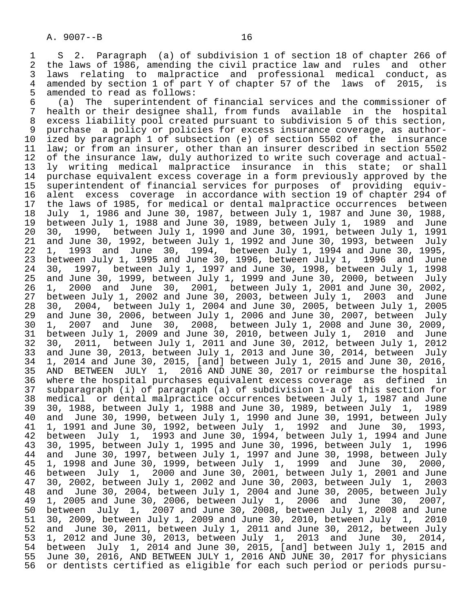1 S 2. Paragraph (a) of subdivision 1 of section 18 of chapter 266 of<br>2 the laws of 1986, amending the civil practice law and rules and other 2 the laws of 1986, amending the civil practice law and rules and other<br>3 laws relating to malpractice and professional medical conduct, as 3 laws relating to malpractice and professional medical conduct, as 4 amended by section 1 of part Y of chapter 57 of the laws of 2015, is 5 amended to read as follows:<br>6 (a) The superintendent

 6 (a) The superintendent of financial services and the commissioner of 7 health or their designee shall, from funds available in the hospital<br>8 excess liability pool created pursuant to subdivision 5 of this section. 8 excess liability pool created pursuant to subdivision 5 of this section,<br>9 purchase a policy or policies for excess insurance coverage, as author-9 purchase a policy or policies for excess insurance coverage, as author-<br>10 ized by paragraph 1 of subsection (e) of section 5502 of the insurance 10 ized by paragraph 1 of subsection (e) of section 5502 of the insurance<br>11 law; or from an insurer, other than an insurer described in section 5502 11 law; or from an insurer, other than an insurer described in section 5502<br>12 of the insurance law, duly authorized to write such coverage and actual-12 of the insurance law, duly authorized to write such coverage and actual-<br>13 ly writing medical malpractice insurance in this state; or shall 13 ly writing medical malpractice insurance in this state; or shall<br>14 purchase equivalent excess coverage in a form previously approved by the purchase equivalent excess coverage in a form previously approved by the 15 superintendent of financial services for purposes of providing equiv- 16 alent excess coverage in accordance with section 19 of chapter 294 of<br>17 the laws of 1985, for medical or dental malpractice occurrences between 17 the laws of 1985, for medical or dental malpractice occurrences between<br>18 July 1, 1986 and June 30, 1987, between July 1, 1987 and June 30, 1988, 18 July 1, 1986 and June 30, 1987, between July 1, 1987 and June 30, 1988, 19 between July 1, 1988 and June 30, 1989, between July 1,<br>20 30, 1990, between July 1, 1990 and June 30, 1991, betw 20 30, 1990, between July 1, 1990 and June 30, 1991, between July 1, 1991 21 and June 30, 1992, between July 1, 1992 and June 30, 1993, between July 22 1, 1993 and June 30, 1994, between July 1, 1994 and June 30, 1995, 23 between July 1, 1995 and June 30, 1996, between July 1, 1996<br>24 30, 1997, between July 1, 1997 and June 30, 1998, between Ju 24 30, 1997, between July 1, 1997 and June 30, 1998, between July 1, 1998<br>25 and June 30, 1999, between July 1, 1999 and June 30, 2000, between July and June 30, 1999, between July 1, 1999 and June 30, 2000, between July 26 1, 2000 and June 30, 2001, between July 1, 2001 and June 30, 2002, 27 between July 1, 2002 and June 30, 2003, between July 1, 2003<br>28 30, 2004, between July 1, 2004 and June 30, 2005, between Ju 28 30, 2004, between July 1, 2004 and June 30, 2005, between July 1, 2005 29 and June 30, 2006, between July 1, 2006 and June 30, 2007, between July 30 1, 2007 and June 30, 2008, between July 1, 2008 and June 30, 2009, 30 1, 2007 and 0 and 50, 2010, 2010, between July 1, 2010<br>32 30, 2011, between July 1, 2011 and June 30, 2012, between Ju 32 30, 2011, between July 1, 2011 and June 30, 2012, between July 1, 2012 33 and June 30, 2013, between July 1, 2013 and June 30, 2014, between July 34 1, 2014 and June 30, 2015, [and] between July 1, 2015 and June 30, 2016, 35 AND BETWEEN JULY 1, 2016 AND JUNE 30, 2017 or reimburse the hospital 36 where the hospital purchases equivalent excess coverage as defined in 37 subparagraph (i) of paragraph (a) of subdivision 1-a of this section for 38 medical or dental malpractice occurrences between July 1, 1987 and June<br>39 30, 1988, between July 1, 1988 and June 30, 1989, between July 1, 1989 39 30, 1988, between July 1, 1988 and June 30, 1989, between July 1,  $40$  and June 30, 1991, between 40 and June 30, 1990, between July 1, 1990 and June 30, 1991, between July<br>41 1, 1991 and June 30, 1992, between July 1, 1992 and June 30, 1993, 41 1, 1991 and June 30, 1992, between July 1, 1992 and June 30, 1993, 42 between July 1, 1993 and June 30, 1994, between July 1, 1994 and June<br>43 30, 1995, between July 1, 1995 and June 30, 1996, between July 1, 1996 43 30, 1995, between July 1, 1995 and June 30, 1996, between July 1,<br>44 and June 30, 1997, between July 1, 1997 and June 30, 1998, between 44 and June 30, 1997, between July 1, 1997 and June 30, 1998, between July<br>45 1, 1998 and June 30, 1999, between July 1, 1999 and June 30, 2000, 45 1, 1998 and June 30, 1999, between July 1, 1999 and June 30, 2000, 19 1, 1996 and July 1, 2000 and June 30, 2001, between July 1, 2001 and June<br>47 30, 2002, between July 1, 2002 and June 30, 2003, between July 1, 2003 47 30, 2002, between July 1, 2002 and June 30, 2003, between July 1, 2003 48 and June 30, 2004, between July 1, 2004 and June 30, 2005, between July 49 1, 2005 and June 30, 2006, between July 1, 2006 and June 30, 2007, 50 between July 1, 2007 and June 30, 2008, between July 1, 2008 and June 51 30, 2009, between July 1, 2009 and June 30, 2010, between July 1, 2010 52 and June 30, 2011, between July 1, 2011 and June 30, 2012, between July<br>53 1, 2012 and June 30, 2013, between July 1, 2013 and June 30, 2014, 53 1, 2012 and June 30, 2013, between July 1, 2013 and June 30, 2014, 54 between July 1, 2014 and June 30, 2015, [and] between July 1, 2015 and 55 June 30, 2016, AND BETWEEN JULY 1, 2016 AND JUNE 30, 2017 for physicians<br>56 or dentists certified as eligible for each such period or periods pursuor dentists certified as eligible for each such period or periods pursu-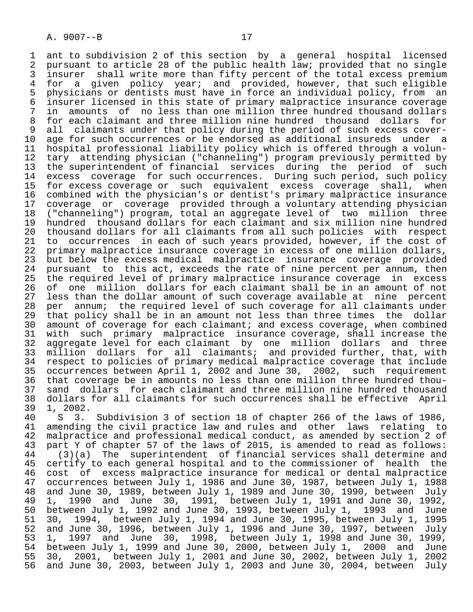1 ant to subdivision 2 of this section by a general hospital licensed<br>2 pursuant to article 28 of the public health law; provided that no single 2 pursuant to article 28 of the public health law; provided that no single<br>3 insurer shall write more than fifty percent of the total excess premium 3 insurer shall write more than fifty percent of the total excess premium<br>4 for a given policy year; and provided, however, that such eligible 4 for a given policy year; and provided, however, that such eligible<br>5 physicians or dentists must have in force an individual policy, from an 5 physicians or dentists must have in force an individual policy, from an<br>6 insurer licensed in this state of primary malpractice insurance coverage 6 insurer licensed in this state of primary malpractice insurance coverage 7 in amounts of no less than one million three hundred thousand dollars<br>8 for each claimant and three million nine hundred thousand dollars for 8 for each claimant and three million nine hundred thousand dollars for<br>9 all claimants under that policy during the period of such excess cover-9 all claimants under that policy during the period of such excess cover-<br>10 age for such occurrences or be endorsed as additional insureds under a 10 age for such occurrences or be endorsed as additional insureds under a<br>11 hospital professional liability policy which is offered through a volun-11 hospital professional liability policy which is offered through a volun-<br>12 tary attending physician ("channeling") program previously permitted by 12 tary attending physician ("channeling") program previously permitted by<br>13 the superintendent of financial services during the period of such 13 the superintendent of financial services during the period of such<br>14 excess coverage for such occurrences. During such period, such policy excess coverage for such occurrences. During such period, such policy 15 for excess coverage or such equivalent excess coverage shall, when<br>16 combined with the physician's or dentist's primary malpractice insurance 16 combined with the physician's or dentist's primary malpractice insurance<br>17 coverage or coverage provided through a voluntary attending physician 17 coverage or coverage provided through a voluntary attending physician<br>18 ("channeling") program, total an aggregate level of two million three 18 ("channeling") program, total an aggregate level of two million three 19 hundred thousand dollars for each claimant and six million nine hundred<br>20 thousand dollars for all claimants from all such policies with respect 20 thousand dollars for all claimants from all such policies with respect<br>21 to occurrences in each of such years provided, however, if the cost of 21 to occurrences in each of such years provided, however, if the cost of<br>22 primary malpractice insurance coverage in excess of one million dollars, 22 primary malpractice insurance coverage in excess of one million dollars,<br>23 but below the excess medical malpractice insurance coverage provided 23 but below the excess medical malpractice insurance coverage provided<br>24 pursuant to this act, exceeds the rate of nine percent per annum, then 24 pursuant to this act, exceeds the rate of nine percent per annum, then<br>25 the required level of primary malpractice insurance coverage in excess the required level of primary malpractice insurance coverage in excess 26 of one million dollars for each claimant shall be in an amount of not<br>27 less than the dollar amount of such coverage available at nine percent 27 less than the dollar amount of such coverage available at nine percent<br>28 per annum; the required level of such coverage for all claimants under 28 per annum; the required level of such coverage for all claimants under<br>29 that policy shall be in an amount not less than three times the dollar 29 that policy shall be in an amount not less than three times the dollar<br>20 amount of coverage for each claimant; and excess coverage, when combined 30 amount of coverage for each claimant; and excess coverage, when combined<br>31 with such primary malpractice insurance coverage, shall increase the 31 with such primary malpractice insurance coverage, shall increase the 32 aggregate level for each claimant by one million dollars and three 33 million dollars for all claimants; and provided further, that, with<br>34 respect to policies of primary medical malpractice coverage that include 34 respect to policies of primary medical malpractice coverage that include<br>35 occurrences between April 1, 2002 and June 30, 2002, such requirement 35 occurrences between April 1, 2002 and June 30, 2002, such requirement<br>36 that coverage be in amounts no less than one million three hundred thouthat coverage be in amounts no less than one million three hundred thou-37 sand dollars for each claimant and three million nine hundred thousand<br>38 dollars for all claimants for such occurrences shall be effective April 38 dollars for all claimants for such occurrences shall be effective April<br>39 1. 2002. 39 1, 2002.

40 S 3. Subdivision 3 of section 18 of chapter 266 of the laws of 1986,<br>41 amending the civil practice law and rules and other laws relating to 41 amending the civil practice law and rules and other laws relating to<br>42 malpractice and professional medical conduct, as amended by section 2 of 42 malpractice and professional medical conduct, as amended by section 2 of<br>43 part Y of chapter 57 of the laws of 2015, is amended to read as follows: 43 part Y of chapter 57 of the laws of 2015, is amended to read as follows:<br>44 (3)(a) The superintendent of financial services shall determine and 44 (3)(a) The superintendent of financial services shall determine and<br>45 certify to each general hospital and to the commissioner of health the 45 certify to each general hospital and to the commissioner of health the<br>46 cost of excess malpractice insurance for medical or dental malpractice 46 cost of excess malpractice insurance for medical or dental malpractice<br>47 occurrences between July 1, 1986 and June 30, 1987, between July 1, 1988 47 occurrences between July 1, 1986 and June 30, 1987, between July 1, 1988<br>48 and June 30, 1989, between July 1, 1989 and June 30, 1990, between July 48 and June 30, 1989, between July 1, 1989 and June 30, 1990, between July 49 1, 1990 and June 30, 1991, between July 1, 1991 and June 30, 1992, 50 between July 1, 1992 and June 30, 1993, between July 1, 1993 and June 51 30, 1994, between July 1, 1994 and June 30, 1995, between July 1, 1995 52 and June 30, 1996, between July 1, 1996 and June 30, 1997, between July<br>53 1, 1997 and June 30, 1998, between July 1, 1998 and June 30, 1999, 53 1, 1997 and June 30, 1998, between July 1, 1998 and June 30, 1999, 54 between July 1, 1999 and June 30, 2000, between July 1, 2000 and June 55 30, 2001, between July 1, 2001 and June 30, 2002, between July 1, 2002 and June 30, 2003, between July 1, 2003 and June 30, 2004, between July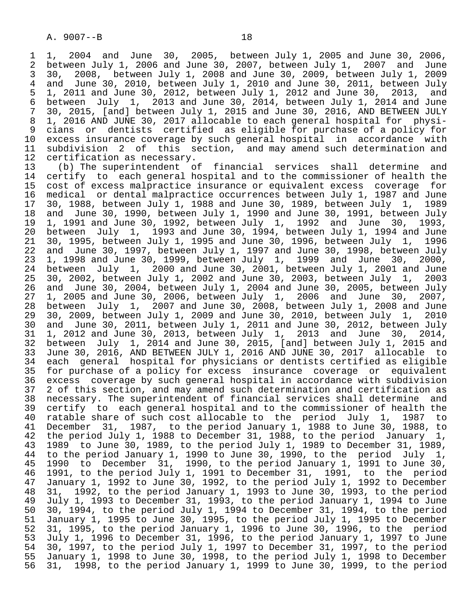1 1, 2004 and June 30, 2005, between July 1, 2005 and June 30, 2006, 2 between July 1, 2006 and June 30, 2007, between July 1, 2007<br>3 30, 2008, between July 1, 2008 and June 30, 2009, between Ju 3 30, 2008, between July 1, 2008 and June 30, 2009, between July 1, 2009 4 and June 30, 2010, between July 1, 2010 and June 30, 2011, between July<br>5 1, 2011 and June 30, 2012, between July 1, 2012 and June 30, 2013, and 5 1, 2011 and June 30, 2012, between July 1, 2012 and June 30, 2013, and 6 between July 1, 2013 and June 30, 2014, between July 1, 2014 and June 7 30, 2015, [and] between July 1, 2015 and June 30, 2016, AND BETWEEN JULY<br>8 1, 2016 AND JUNE 30, 2017 allocable to each general hospital for physi-8 1, 2016 AND JUNE 30, 2017 allocable to each general hospital for physi-<br>9 cians or dentists certified as eligible for purchase of a policy for 9 cians or dentists certified as eligible for purchase of a policy for<br>10 excess insurance coverage by such general hospital in accordance with 10 excess insurance coverage by such general hospital in accordance with<br>11 subdivision 2 of this section, and may amend such determination and 11 subdivision 2 of this section, and may amend such determination and<br>12 certification as necessary.

12 certification as necessary.<br>13 (b) The superintendent o 13 (b) The superintendent of financial services shall determine and<br>14 certify to each general hospital and to the commissioner of health the certify to each general hospital and to the commissioner of health the 15 cost of excess malpractice insurance or equivalent excess coverage for 16 medical or dental malpractice occurrences between July 1, 1987 and June<br>17 30, 1988, between July 1, 1988 and June 30, 1989, between July 1, 1989 17 30, 1988, between July 1, 1988 and June 30, 1989, between July 1, 1989 18 and June 30, 1990, between July 1, 1990 and June 30, 1991, between July<br>19 1, 1991 and June 30, 1992, between July 1, 1992 and June 30, 1993, 19 1, 1991 and June 30, 1992, between July 1, 1992 and June 30, 1993, 20 between July 1, 1993 and June 30, 1994, between July 1, 1994 and June 21 30, 1995, between July 1, 1995 and June 30, 1996, between July 1,<br>22 and June 30, 1997, between July 1, 1997 and June 30, 1998, between 22 and June 30, 1997, between July 1, 1997 and June 30, 1998, between July<br>23 1, 1998 and June 30, 1999, between July 1, 1999 and June 30, 2000, 23 1, 1998 and June 30, 1999, between July 1, 1999 and June 30, 2000, 24 between July 1, 2000 and June 23 1, 1998 and Sans 99, 1999, 2018 and 1982<br>24 between July 1, 2000 and June 30, 2001, between July 1, 2003<br>25 30, 2002, between July 1, 2002 and June 30, 2003, between July 1, 2003 25 30, 2002, between July 1, 2002 and June 30, 2003, between July 1, 2003 26 and June 30, 2004, between July 1, 2004 and June 30, 2005, between July 27 1, 2005 and June 30, 2006, between July 1, 2006 and June 30,<br>28 between July 1, 2007 and June 30, 2008, between July 1, 2008 an 28 between July 1, 2007 and June 30, 2008, between July 1, 2008 and June 29 30, 2009, between July 1, 2009 and June 30, 2010, between July 1, 2010 30 and June 30, 2011, between July 1, 2011 and June 30, 2012, between July 31 1, 2012 and June 30, 2013, between July 1, 2013 and June 30, 2014, 32 between July 1, 2014 and June 30, 2015, [and] between July 1, 2015 and 33 June 30, 2016, AND BETWEEN JULY 1, 2016 AND JUNE 30, 2017 allocable to 34 each general hospital for physicians or dentists certified as eligible<br>35 for purchase of a policy for excess insurance coverage or equivalent 35 for purchase of a policy for excess insurance coverage or equivalent excess coverage by such general hospital in accordance with subdivision 37 2 of this section, and may amend such determination and certification as<br>38 necessary. The superintendent of financial services shall determine and 38 necessary. The superintendent of financial services shall determine and<br>39 certify to each general hospital and to the commissioner of health the 39 certify to each general hospital and to the commissioner of health the<br>40 ratable share of such cost allocable to the period July 1, 1987 to 40 ratable share of such cost allocable to the period July 1, 1987 to<br>41 December 31, 1987, to the period January 1, 1988 to June 30, 1988, to 41 December 31, 1987, to the period January 1, 1988 to June 30, 1988, to 42 the period January 1, 42 the period July 1, 1988 to December 31, 1988, to the period January 1,<br>43 1989 to June 30, 1989, to the period July 1, 1989 to December 31, 1989, 43 1989 to June 30, 1989, to the period July 1, 1989 to December 31, 1989,<br>44 to the period January 1, 1990 to June 30, 1990, to the period July 1, 44 to the period January 1, 1990 to June 30, 1990, to the period July 1,<br>45 1990 to December 31, 1990, to the period January 1, 1991 to June 30, 45 1990 to December 31, 1990, to the period January 1, 1991 to June 30,<br>46 1991, to the period July 1, 1991 to December 31, 1991, to the period 46 1991, to the period July 1, 1991 to December 31, 1991, to the period 47 January 1, 1992 to June 30, 1992, to the period July 1, 1992 to December 48 31, 1992, to the period January 1, 1993 to June 30, 1993, to the period<br>49 July 1, 1993 to December 31, 1993, to the period January 1, 1994 to June 49 July 1, 1993 to December 31, 1993, to the period January 1, 1994 to June<br>50 30, 1994, to the period July 1, 1994 to December 31, 1994, to the period 50 30, 1994, to the period July 1, 1994 to December 31, 1994, to the period<br>51 January 1, 1995 to June 30, 1995, to the period July 1, 1995 to December 51 January 1, 1995 to June 30, 1995, to the period July 1, 1995 to December<br>52 31, 1995, to the period January 1, 1996 to June 30, 1996, to the period 52 31, 1995, to the period January 1, 1996 to June 30, 1996, to the period 53 July 1, 1996 to December 31, 1996, to the period January 1, 1997 to June 54 30, 1997, to the period July 1, 1997 to December 31, 1997, to the period<br>55 January 1, 1998 to June 30, 1998, to the period July 1, 1998 to December 55 January 1, 1998 to June 30, 1998, to the period July 1, 1998 to December<br>56 31, 1998, to the period January 1, 1999 to June 30, 1999, to the period 56 31, 1998, to the period January 1, 1999 to June 30, 1999, to the period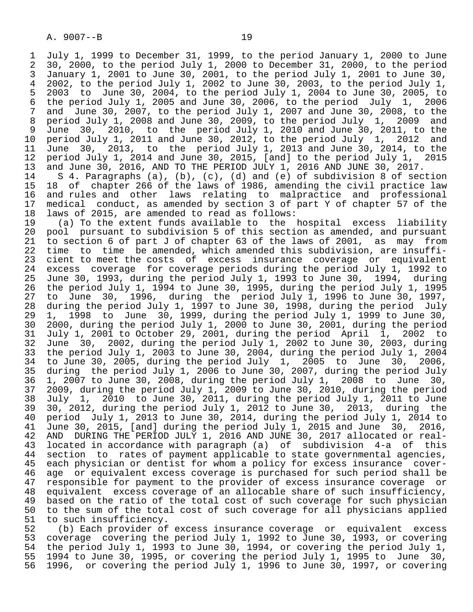1 July 1, 1999 to December 31, 1999, to the period January 1, 2000 to June 2 30, 2000, to the period July 1, 2000 to December 31, 2000, to the period 3 January 1, 2001 to June 30, 2001, to the period July 1, 2001 to June 30, 4 2002, to the period July 1, 2002 to June 30, 2003, to the period July 1, 5 2003 to June 30, 2004, to the period July 1, 2004 to June 30, 2005, to 6 the period July 1, 2005 and June 30, 2006, to the period July 1,  $\frac{7}{1000}$  and June 30, 2008, to the period July 1, 2007 and June 30, 2008, to 7 and June 30, 2007, to the period July 1, 2007 and June 30, 2008, to the<br>8 period July 1, 2008 and June 30, 2009, to the period July 1, 2009 and 8 period July 1, 2008 and June 30, 2009, to the period July 1,<br>9 June 30, 2010, to the period July 1, 2010 and June 30, 20 9 June 30, 2010, to the period July 1, 2010 and June 30, 2011, to the<br>10 period July 1, 2011 and June 30, 2012, to the period July 1, 2012 and 10 period July 1, 2011 and June 30, 2012, to the period July 1,<br>11 June 30, 2013, to the period July 1, 2013 and June 30, 20 11 June 30, 2013, to the period July 1, 2013 and June 30, 2014, to the 12 period July 1, 2015 12 period July 1, 2014 and June 30, 2015, [and] to the period July 1,<br>13 and June 30, 2016, AND TO THE PERIOD JULY 1, 2016 AND JUNE 30, 2017. 13 and June 30, 2016, AND TO THE PERIOD JULY 1, 2016 AND JUNE 30, 2017.<br>14 S 4. Paragraphs (a), (b), (c), (d) and (e) of subdivision 8 of sec

S 4. Paragraphs (a), (b), (c), (d) and (e) of subdivision 8 of section 15 18 of chapter 266 of the laws of 1986, amending the civil practice law<br>16 and rules and other laws relating to malpractice and professional 16 and rules and other laws relating to malpractice and professional 17 medical conduct, as amended by section 3 of part Y of chapter 57 of the 18 laws of 2015, are amended to read as follows:<br>19 (a) To the extent funds available to the

 19 (a) To the extent funds available to the hospital excess liability 20 pool pursuant to subdivision 5 of this section as amended, and pursuant<br>21 to section 6 of part J of chapter 63 of the laws of 2001, as may from 21 to section 6 of part J of chapter 63 of the laws of 2001, as<br>22 time to time be amended, which amended this subdivision, ar 22 time to time be amended, which amended this subdivision, are insuffi-<br>23 cient to meet the costs of excess insurance coverage or equivalent 23 cient to meet the costs of excess insurance coverage or equivalent<br>24 excess coverage for coverage periods during the period July 1, 1992 to 24 excess coverage for coverage periods during the period July 1, 1992 to<br>25 June 30, 1993, during the period July 1, 1993 to June 30, 1994, during June 30, 1993, during the period July 1, 1993 to June 30, 1994, during 26 the period July 1, 1994 to June 30, 1995, during the period July 1, 1995 27 to June 30, 1996, during the period July 1, 1996 to June 30, 1997, 28 during the period July 1, 1997 to June 30, 1998, during the period July 29 1, 1998 to June 30, 1999, during the period July 1, 1999 to June 30, 30 2000, during the period July 1, 2000 to June 30, 2001, during the period 31 July 1, 2001 to October 29, 2001, during the period April 1, 2002 to 32 June 30, 2002, during the period July 1, 2002 to June 30, 2003, during 33 the period July 1, 2003 to June 30, 2004, during the period July 1, 2004 34 to June 30, 2005, during the period July 1, 2005 to June 30, 2006, 35 during the period July 1, 2006 to June 30, 2007, during the period July 36 1, 2007 to June 30, 2008, during the period July 1, 2008 to June 30, 37 2009, during the period July 1, 2009 to June 30, 2010, during the period 38 July 1, 2010 to June 30, 2011, during the period July 1, 2011 to June 39 30, 2012, during the period July 1, 2012 to June 30, 2013, during the<br>40 period July 1, 2013 to June 30, 2014, during the period July 1, 2014 to 40 period July 1, 2013 to June 30, 2014, during the period July 1, 2014 to 41 June 30, 2016, 41 June 30, 2015, [and] during the period July 1, 2015 and June 30, 2016,<br>42 AND DURING THE PERIOD JULY 1, 2016 AND JUNE 30, 2017 allocated or real-42 AND DURING THE PERIOD JULY 1, 2016 AND JUNE 30, 2017 allocated or real-<br>43 located in accordance with paragraph (a) of subdivision 4-a of this 43 located in accordance with paragraph (a) of subdivision 4-a of this<br>44 section to rates of payment applicable to state governmental agencies, 44 section to rates of payment applicable to state governmental agencies,<br>45 each physician or dentist for whom a policy for excess insurance covereach physician or dentist for whom a policy for excess insurance cover-46 age or equivalent excess coverage is purchased for such period shall be<br>47 responsible for payment to the provider of excess insurance coverage or responsible for payment to the provider of excess insurance coverage or 48 equivalent excess coverage of an allocable share of such insufficiency, 49 based on the ratio of the total cost of such coverage for such physician<br>50 to the sum of the total cost of such coverage for all physicians applied 50 to the sum of the total cost of such coverage for all physicians applied<br>51 to such insufficiency.

51 to such insufficiency.<br>52 (b) Each provider of 52 (b) Each provider of excess insurance coverage or equivalent excess 53 coverage covering the period July 1, 1992 to June 30, 1993, or covering<br>54 the period July 1, 1993 to June 30, 1994, or covering the period July 1, 54 the period July 1, 1993 to June 30, 1994, or covering the period July 1,<br>55 1994 to June 30, 1995, or covering the period July 1, 1995 to June 30, 55 1994 to June 30, 1995, or covering the period July 1, 1995 to June 30, 1996, or covering the period July 1, 1996 to June 30, 1997, or covering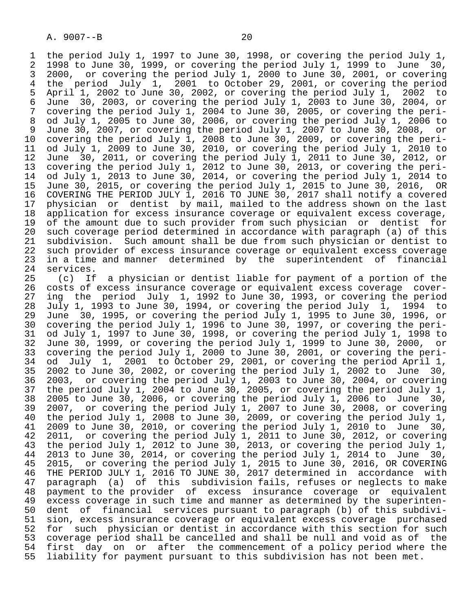1 the period July 1, 1997 to June 30, 1998, or covering the period July 1,<br>2 1998 to June 30, 1999, or covering the period July 1, 1999 to June 30, 2 1998 to June 30, 1999, or covering the period July 1, 1999 to June<br>3 2000, or covering the period July 1, 2000 to June 30, 2001, or cover 3 2000, or covering the period July 1, 2000 to June 30, 2001, or covering<br>4 the period July 1, 2001 to October 29, 2001, or covering the period 4 the period July 1, 2001 to October 29, 2001, or covering the period 5 April 1, 2002 to June 30, 2002, or covering the period July 1,<br>6 June 30, 2003, or covering the period July 1, 2003 to June 30, 6 June 30, 2003, or covering the period July 1, 2003 to June 30, 2004, or<br>7 covering the period July 1, 2004 to June 30, 2005, or covering the peri- 7 covering the period July 1, 2004 to June 30, 2005, or covering the peri- 8 od July 1, 2005 to June 30, 2006, or covering the period July 1, 2006 to 9 June 30, 2007, or covering the period July 1, 2007 to June 30, 2008, or<br>10 covering the period July 1, 2008 to June 30, 2009, or covering the peri-10 covering the period July 1, 2008 to June 30, 2009, or covering the peri-<br>11 od July 1, 2009 to June 30, 2010, or covering the period July 1, 2010 to 11 od July 1, 2009 to June 30, 2010, or covering the period July 1, 2010 to 12 June 30, 2011, or covering the period July 1, 2011 to June 30, 2012, or<br>13 covering the period July 1, 2012 to June 30, 2013, or covering the peri-13 covering the period July 1, 2012 to June 30, 2013, or covering the peri-<br>14 od July 1, 2013 to June 30, 2014, or covering the period July 1, 2014 to od July 1, 2013 to June 30, 2014, or covering the period July 1, 2014 to 15 June 30, 2015, or covering the period July 1, 2015 to June 30, 2016, OR 16 COVERING THE PERIOD JULY 1, 2016 TO JUNE 30, 2017 shall notify a covered<br>17 physician or dentist by mail, mailed to the address shown on the last 17 physician or dentist by mail, mailed to the address shown on the last<br>18 application for excess insurance coverage or equivalent excess coverage, 18 application for excess insurance coverage or equivalent excess coverage,<br>19 of the amount due to such provider from such physician or dentist for 19 of the amount due to such provider from such physician or dentist for<br>20 such coverage period determined in accordance with paragraph (a) of this 20 such coverage period determined in accordance with paragraph (a) of this<br>21 subdivision. Such amount shall be due from such physician or dentist to 21 subdivision. Such amount shall be due from such physician or dentist to<br>22 such provider of excess insurance coverage or equivalent excess coverage 22 such provider of excess insurance coverage or equivalent excess coverage<br>23 in a time and manner determined by the superintendent of financial 23 in a time and manner determined by the superintendent of financial<br>24 services.

24 services.<br>25 (c) If 25 (c) If a physician or dentist liable for payment of a portion of the 26 costs of excess insurance coverage or equivalent excess coverage cover-<br>27 ing the period July 1, 1992 to June 30, 1993, or covering the period 27 ing the period July 1, 1992 to June 30, 1993, or covering the period<br>28 July 1, 1993 to June 30, 1994, or covering the period July 1, 1994 to 28 July 1, 1993 to June 30, 1994, or covering the period July<br>29 June 30, 1995, or covering the period July 1, 1995 to June 29 June 30, 1995, or covering the period July 1, 1995 to June 30, 1996, or 30 covering the period July 1, 1996 to June 30, 1997, or covering the peri- 31 od July 1, 1997 to June 30, 1998, or covering the period July 1, 1998 to<br>32 June 30, 1999, or covering the period July 1, 1999 to June 30, 2000, or 32 June 30, 1999, or covering the period July 1, 1999 to June 30, 2000, or 33 covering the period July 1, 2000 to June 30, 2001, or covering the peri-<br>34 od July 1, 2001 to October 29, 2001, or covering the period April 1, 34 od July 1, 2001 to October 29, 2001, or covering the period April 1,<br>35 2002 to June 30, 2002, or covering the period July 1, 2002 to June 30, 35 2002 to June 30, 2002, or covering the period July 1, 2002 to June 30,<br>36 2003, or covering the period July 1, 2003 to June 30, 2004, or covering 36 2003, or covering the period July 1, 2003 to June 30, 2004, or covering 37 the period July 1, 2004 to June 30, 2005, or covering the period July 1, 38 2005 to June 30, 2006, or covering the period July 1, 2006 to June 30, 39 2007, or covering the period July 1, 2007 to June 30, 2008, or covering 40 the period July 1, 2008 to June 30, 2009, or covering the period July 1,<br>41 2009 to June 30, 2010, or covering the period July 1, 2010 to June 30, 41 2009 to June 30, 2010, or covering the period July 1, 2010 to June 30,<br>42 2011, or covering the period July 1, 2011 to June 30, 2012, or covering 42 2011, or covering the period July 1, 2011 to June 30, 2012, or covering<br>43 the period July 1, 2012 to June 30, 2013, or covering the period July 1, 43 the period July 1, 2012 to June 30, 2013, or covering the period July 1,<br>44 2013 to June 30, 2014, or covering the period July 1, 2014 to June 30, 44 2013 to June 30, 2014, or covering the period July 1, 2014 to June 30,<br>45 2015, or covering the period July 1, 2015 to June 30, 2016, OR COVERING 2015, or covering the period July 1, 2015 to June 30, 2016, OR COVERING 46 THE PERIOD JULY 1, 2016 TO JUNE 30, 2017 determined in accordance with<br>47 paragraph (a) of this subdivision fails, refuses or neglects to make 47 paragraph (a) of this subdivision fails, refuses or neglects to make 48 payment to the provider of excess insurance coverage or equivalent<br>49 excess coverage in such time and manner as determined by the superinten-49 excess coverage in such time and manner as determined by the superinten-<br>50 dent of financial services pursuant to paragraph (b) of this subdivi-50 dent of financial services pursuant to paragraph (b) of this subdivi-<br>51 sion, excess insurance coverage or equivalent excess coverage purchased 51 sion, excess insurance coverage or equivalent excess coverage purchased<br>52 for such physician or dentist in accordance with this section for such 52 for such physician or dentist in accordance with this section for such<br>53 coverage period shall be cancelled and shall be null and void as of the 53 coverage period shall be cancelled and shall be null and void as of the<br>54 first day on or after the commencement of a policy period where the 54 first day on or after the commencement of a policy period where the<br>55 liability for payment pursuant to this subdivision has not been met. liability for payment pursuant to this subdivision has not been met.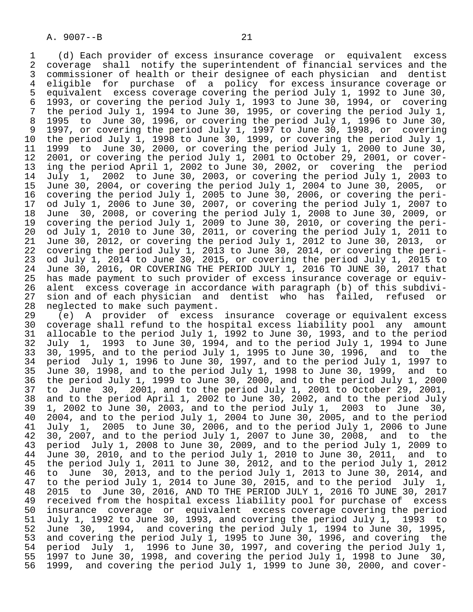1 (d) Each provider of excess insurance coverage or equivalent excess 2 coverage shall notify the superintendent of financial services and the<br>3 commissioner of health or their designee of each physician and dentist 3 commissioner of health or their designee of each physician and dentist 4 eligible for purchase of a policy for-excess insurance-coverage-or<br>5 equivalent excess coverage-covering the-period July 1, 1992 to June 30, 5 equivalent excess coverage covering the period July 1, 1992 to June 30,<br>6 1993, or covering the period July 1, 1993 to June 30, 1994, or covering 6 1993, or covering the period July 1, 1993 to June 30, 1994, or covering 7 the period July 1, 1994 to June 30, 1995, or covering the period July 1,<br>8 1995 to June 30, 1996, or covering the period July 1, 1996 to June 30, 8 1995 to June 30, 1996, or covering the period July 1, 1996 to June 30, 9 1997, or covering the period July 1, 1997 to June 30, 1998, or covering<br>10 the period July 1, 1998 to June 30, 1999, or covering the period July 1, 10 the period July 1, 1998 to June 30, 1999, or covering the period July 1,<br>11 1999 to June 30, 2000, or covering the period July 1, 2000 to June 30, 11 1999 to June 30, 2000, or covering the period July 1, 2000 to June 30,<br>12 2001, or covering the period July 1, 2001 to October 29, 2001, or cover-12 2001, or covering the period July 1, 2001 to October 29, 2001, or cover-<br>13 ing the period April 1, 2002 to June 30, 2002, or covering the period 13 ing the period April 1, 2002 to June 30, 2002, or covering the period<br>14 July 1, 2002 to June 30, 2003, or covering the period July 1, 2003 to 14 July 1, 2002 to June 30, 2003, or covering the period July 1, 2003 to 15 June 30, 2004, or covering the period July 1, 2004 to June 30, 2005, or 16 covering the period July 1, 2005 to June 30, 2006, or covering the peri-<br>17 od July 1, 2006 to June 30, 2007, or covering the period July 1, 2007 to 17 od July 1, 2006 to June 30, 2007, or covering the period July 1, 2007 to<br>18 June 30, 2008, or covering the period July 1, 2008 to June 30, 2009, or 18 June 30, 2008, or covering the period July 1, 2008 to June 30, 2009, or 19 covering the period July 1, 2009 to June 30, 2010, or covering the peri-<br>20 od July 1, 2010 to June 30, 2011, or covering the period July 1, 2011 to 20 od July 1, 2010 to June 30, 2011, or covering the period July 1, 2011 to<br>21 June 30, 2012, or covering the period July 1, 2012 to June 30, 2013, or 21 June 30, 2012, or covering the period July 1, 2012 to June 30, 2013,<br>22 covering the period July 1, 2013 to June 30, 2014, or covering the pe 22 covering the period July 1, 2013 to June 30, 2014, or covering the peri-<br>23 od July 1, 2014 to June 30, 2015, or covering the period July 1, 2015 to 23 od July 1, 2014 to June 30, 2015, or covering the period July 1, 2015 to<br>24 June 30, 2016, OR COVERING THE PERIOD JULY 1, 2016 TO JUNE 30, 2017 that 24 June 30, 2016, OR COVERING THE PERIOD JULY 1, 2016 TO JUNE 30, 2017 that<br>25 has made payment to such provider of excess insurance coverage or equivhas made payment to such provider of excess insurance coverage or equiv- 26 alent excess coverage in accordance with paragraph (b) of this subdivi- 27 sion and of each physician and dentist who has failed, refused or<br>28 neglected to make such payment.

28 neglected to make such payment.<br>29 (e) A provider of excess 29 (e) A provider of excess insurance coverage or equivalent excess 30 coverage shall refund to the hospital excess liability pool any amount<br>31 allocable to the period July 1, 1992 to June 30, 1993, and to the period 31 allocable to the period July 1, 1992 to June 30, 1993, and to the period<br>32 July 1, 1993 to June 30, 1994, and to the period July 1, 1994 to June 32 July 1, 1993 to June 30, 1994, and to the period July 1, 1994 to June 33 30, 1995, and to the period July 1, 1995 to June 30, 1996, and to the<br>34 period July 1, 1996 to June 30, 1997, and to the period July 1, 1997 to 34 period July 1, 1996 to June 30, 1997, and to the period July 1, 1997 to<br>35 June 30, 1998, and to the period July 1, 1998 to June 30, 1999, and to 31 Forrow 30.1, 1, 1998 53 Sund 30, 1998, 2011 1998 to June 30, 1999, and to<br>35 June 30, 1998, and to the period July 1, 1998 to June 30, 1999, and to<br>36 the period July 1, 1999 to June 30, 2000, and to the period July 1, the period July 1, 1999 to June 30, 2000, and to the period July 1, 2000 37 to June 30, 2001, and to the period July 1, 2001 to October 29, 2001, 38 and to the period April 1, 2002 to June 30, 2002, and to the period July<br>39 1, 2002 to June 30, 2003, and to the period July 1, 2003 to June 30, 39 1, 2002 to June 30, 2003, and to the period July 1, 2003 to June 30, 40 2004, and to the period July 1, 2004 to June 30, 2005, and to the period<br>41 July 1, 2005 to June 30, 2006, and to the period July 1, 2006 to June 41 July 1, 2005 to June 30, 2006, and to the period July 1, 2006 to June<br>42 30, 2007, and to the period July 1, 2007 to June 30, 2008, and to the 42 30, 2007, and to the period July 1, 2007 to June 30, 2008, and to the<br>43 period July 1, 2008 to June 30, 2009, and to the period July 1, 2009 to 43 period July 1, 2008 to June 30, 2009, and to the period July 1, 2009 to<br>44 June 30, 2010, and to the period July 1, 2010 to June 30, 2011, and to  $\overline{1}$  June 30, 2010, and to the period July 1, 2010 to June 30, 2011, and to  $45$  the period July 1, 2012 the period July 1, 2011 to June 30, 2012, and to the period July 1, 2012 46 to June 30, 2013, and to the period July 1, 2013 to June 30, 2014, and<br>47 to the period July 1, 2014 to June 30, 2015, and to the period July 1, to the period July 1, 2014 to June 30, 2015, and to the period July 1, 48 2015 to June 30, 2016, AND TO THE PERIOD JULY 1, 2016 TO JUNE 30, 2017<br>49 received from the hospital excess liability pool for purchase of excess 49 received from the hospital excess liability pool for purchase of excess<br>50 insurance coverage or equivalent excess coverage covering the period 50 insurance coverage or equivalent excess coverage covering the period<br>51 July 1, 1992 to June 30, 1993, and covering the period July 1, 1993 to 51 July 1, 1992 to June 30, 1993, and covering the period July 1, 1993 to<br>52 June 30, 1994, and covering the period July 1, 1994 to June 30, 1995, 52 June 30, 1994, and covering the period July 1, 1994 to June 30, 1995,<br>53 and covering the period July 1, 1995 to June 30, 1996, and covering the 53 and covering the period July 1, 1995 to June 30, 1996, and covering the<br>54 period July 1, 1996 to June 30, 1997, and covering the period July 1, 54 period July 1, 1996 to June 30, 1997, and covering the period July 1,<br>55 1997 to June 30, 1998, and covering the period July 1, 1998 to June 30, 55 1997 to June 30, 1998, and covering the period July 1, 1998 to June 30, 1999, and covering the period July 1, 1999 to June 30, 2000, and cover-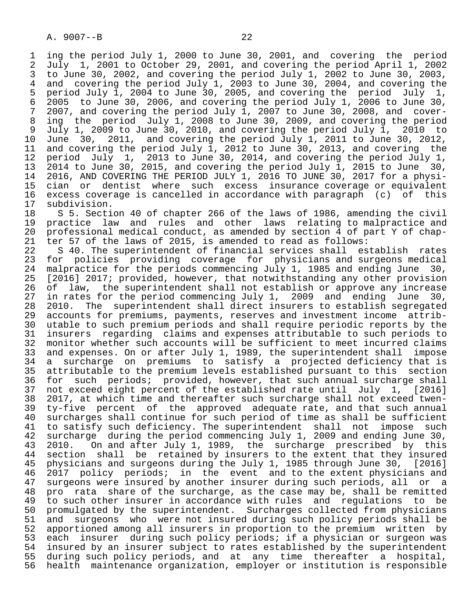1 ing the period July 1, 2000 to June 30, 2001, and covering the period<br>2 July 1, 2001 to October 29, 2001, and covering the period April 1, 2002 2 July 1, 2001 to October 29, 2001, and covering the period April 1, 2002 3 to June 30, 2002, and covering the period July 1, 2002 to June 30, 2003,<br>4 and covering the period July 1, 2003 to June 30, 2004, and covering the 4 and covering the period July 1, 2003 to June 30, 2004, and covering the<br>5 period July 1, 2004 to June 30, 2005, and covering the period July 1, 5 period July 1, 2004 to June 30, 2005, and covering the period July 1, 6 2005 to June 30, 2006, and covering the period July 1, 2006 to June 30, 7 2007, and covering the period July 1, 2007 to June 30, 2008, and cover- 8 ing the period July 1, 2008 to June 30, 2009, and covering the period<br>9 July 1, 2009 to June 30, 2010, and covering the period July 1, 2010 to 9 July 1, 2009 to June 30, 2010, and covering the period July 1, 2010 to<br>10 June 30, 2011, and covering the period July 1, 2011 to June 30, 2012, 10 June 30, 2011, and covering the period July 1, 2011 to June 30, 2012, 11 and covering the period July 1, 2012 to June 30, 2013, and covering the<br>12 period July 1, 2013 to June 30, 2014, and covering the period July 1, 12 period July 1, 2013 to June 30, 2014, and covering the period July 1, 13 2014 to June 30, 2015, and covering the period July 1, 2015 to June 30, 14 2016, AND COVERING THE PERIOD JULY 1, 2016 TO JUNE 30, 2017 for a physi- 15 cian or dentist where such excess insurance coverage or equivalent 16 excess coverage is cancelled in accordance with paragraph (c) of this

17 subdivision.<br>18 S 5. Secti 18 S 5. Section 40 of chapter 266 of the laws of 1986, amending the civil<br>19 practice law and rules and other laws relating to malpractice and 19 practice law and rules and other laws relating to malpractice and<br>20 professional medical conduct, as amended by section 4 of part Y of chap-20 professional medical conduct, as amended by section 4 of part Y of chap-<br>21 ter 57 of the laws of 2015, is amended to read as follows:

21 ter 57 of the laws of 2015, is amended to read as follows:<br>22 S 40. The superintendent of financial services shall es 22 S 40. The superintendent of financial services shall establish rates<br>23 for policies providing coverage for physicians and surgeons medical 23 for policies providing coverage for physicians and surgeons medical<br>24 malpractice for the periods commencing July 1, 1985 and ending June 30, 24 malpractice for the periods commencing July 1, 1985 and ending June 30,<br>25 [2016] 2017; provided, however, that notwithstanding any other provision [2016] 2017; provided, however, that notwithstanding any other provision 26 of law, the superintendent shall not establish or approve any increase<br>27 in rates for the period commencing July 1, 2009 and ending June 30, 27 in rates for the period commencing July 1, 2009 and ending June 30, 28 2010. The superintendent shall direct insurers to establish segregated 29 accounts for premiums, payments, reserves and investment income attrib-<br>20 utable to such premium periods and shall require periodic reports by the 30 utable to such premium periods and shall require periodic reports by the<br>31 insurers regarding claims and expenses attributable to such periods to 31 insurers regarding claims and expenses attributable to such periods to<br>32 monitor whether such accounts will be sufficient to meet incurred claims 32 monitor whether such accounts will be sufficient to meet incurred claims<br>33 and expenses. On or after July 1, 1989, the superintendent shall impose 33 and expenses. On or after July 1, 1989, the superintendent shall impose<br>34 a surcharge on premiums to satisfy a projected deficiency that is 34 a surcharge on premiums to satisfy a projected deficiency that is<br>35 attributable to the premium levels established pursuant to this section 35 attributable to the premium levels established pursuant to this section<br>36 for such periods; provided, however, that such annual surcharge shall for such periods; provided, however, that such annual surcharge shall 37 not exceed eight percent of the established rate until July 1, [2016]<br>38 2017, at which time and thereafter such surcharge shall not exceed twen-38 2017, at which time and thereafter such surcharge shall not exceed twen-<br>39 ty-five percent of the approved adequate rate, and that such annual 39 ty-five percent of the approved adequate rate, and that such annual<br>40 surcharges shall continue for such period of time as shall be sufficient 40 surcharges shall continue for such period of time as shall be sufficient<br>41 to satisfy such deficiency. The superintendent shall not impose such 41 to satisfy such deficiency. The superintendent shall not impose such<br>42 surcharge during the period commencing July 1, 2009 and ending June 30, 42 surcharge during the period commencing July 1, 2009 and ending June 30,<br>43 2010. On and after July 1, 1989, the surcharge prescribed by this 43 2010. On and after July 1, 1989, the surcharge prescribed by this<br>44 section shall be retained by insurers to the extent that they insured 44 section shall be retained by insurers to the extent that they insured<br>45 physicians and surgeons during the July 1, 1985 through June 30, [2016] 45 physicians and surgeons during the July 1, 1985 through June 30, [2016]<br>46 2017 policy periods; in the event and to the extent physicians and 46 2017 policy periods; in the event and to the extent physicians and<br>47 surgeons were insured by another insurer during such periods, all or a surgeons were insured by another insurer during such periods, all or a 48 pro rata share of the surcharge, as the case may be, shall be remitted<br>49 to such other insurer in accordance with rules and requlations to be 49 to such other insurer in accordance with rules and regulations to be<br>50 promulgated by the superintendent. Surcharges collected from physicians 50 promulgated by the superintendent. Surcharges collected from physicians<br>51 and surgeons who were not insured during such policy periods shall be 51 and surgeons who were not insured during such policy periods shall be<br>52 apportioned among all insurers in proportion to the premium written by 52 apportioned among all insurers in proportion to the premium written by<br>53 each insurer during such policy periods; if a physician or surgeon was 53 each insurer during such policy periods; if a physician or surgeon was<br>54 insured by an insurer subject to rates established by the superintendent 54 insured by an insurer subject to rates established by the superintendent<br>55 during such policy periods, and at any time thereafter a hospital, 55 during such policy periods, and at any time thereafter a hospital,<br>56 health maintenance organization, employer or institution is responsible health maintenance organization, employer or institution is responsible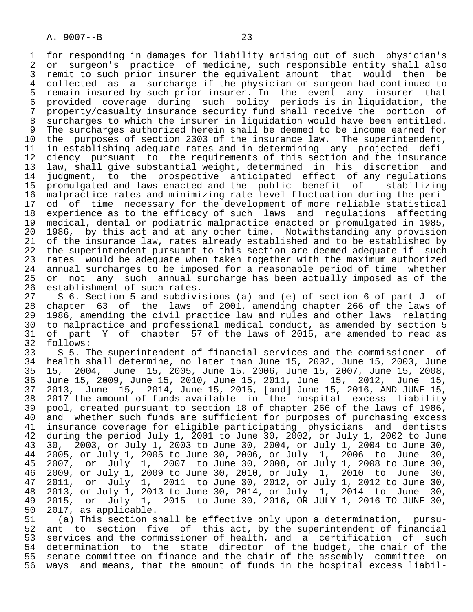1 for responding in damages for liability arising out of such physician's<br>2 or surgeon's practice of medicine, such responsible entity shall also 2 or surgeon's practice of medicine, such responsible entity shall also<br>3 remit to such prior insurer the equivalent amount that would then be 3 remit to such prior insurer the equivalent amount that would then be 4 collected as a surcharge if the physician or surgeon had continued to<br>5 remain insured by such prior insurer. In the event any insurer that 5 remain insured by such prior insurer. In the event any insurer that<br>6 provided coverage during such policy periods is in liquidation, the 6 provided coverage during such policy periods is in liquidation, the<br>7 property/casualty insurance security fund shall receive the portion of 7 property/casualty insurance security fund shall receive the portion of<br>8 surcharges to which the insurer in liguidation would have been entitled. 8 surcharges to which the insurer in liquidation would have been entitled.<br>9 The surcharges authorized herein shall be deemed to be income earned for 9 The surcharges authorized herein shall be deemed to be income earned for<br>10 the purposes of section 2303 of the insurance law. The superintendent, 10 the purposes of section 2303 of the insurance law. The superintendent,<br>11 in establishing adequate rates and in determining any projected defi-11 in establishing adequate rates and in determining any projected defi-<br>12 ciency pursuant to the requirements of this section and the insurance 12 ciency pursuant to the requirements of this section and the insurance<br>13 law, shall give substantial weight, determined in his discretion and 13 law, shall give substantial weight, determined in his discretion and judgment, to the prospective anticipated effect of any regulations 15 promulgated and laws enacted and the public benefit of stabilizing 16 malpractice rates and minimizing rate level fluctuation during the peri-<br>17 od of time necessary for the development of more reliable statistical 17 od of time necessary for the development of more reliable statistical<br>18 experience as to the efficacy of such laws and requlations affecting 18 experience as to the efficacy of such laws and regulations affecting<br>19 medical, dental or podiatric malpractice enacted or promulgated in 1985, 19 medical, dental or podiatric malpractice enacted or promulgated in 1985,<br>20 1986, by this act and at any other time. Notwithstanding any provision 20 1986, by this act and at any other time. Notwithstanding any provision<br>21 of the insurance law, rates already established and to be established by 21 of the insurance law, rates already established and to be established by<br>22 the superintendent pursuant to this section are deemed adequate if such 22 the superintendent pursuant to this section are deemed adequate if such<br>23 rates would be adequate when taken together with the maximum authorized 23 rates would be adequate when taken together with the maximum authorized<br>24 annual surcharges to be imposed for a reasonable period of time whether 24 annual surcharges to be imposed for a reasonable period of time whether<br>25 or not any such annual surcharge has been actually imposed as of the 25 or not any such annual surcharge has been actually imposed as of the 26 establishment of such rates.<br>27 S 6. Section 5 and subdivi

27 S 6. Section 5 and subdivisions (a) and (e) of section 6 of part J of<br>28 chapter 63 of the laws of 2001, amending chapter 266 of the laws of 28 chapter 63 of the laws of 2001, amending chapter 266 of the laws of 29 1986, amending the civil practice law and rules and other laws relating<br>20 to malpractice and professional medical conduct, as amended by section 5 30 to malpractice and professional medical conduct, as amended by section 5<br>31 of part Y of chapter 57 of the laws of 2015, are amended to read as 31 of part Y of chapter 57 of the laws of 2015, are amended to read as

32 follows:<br>33 S 5. T 33 S 5. The superintendent of financial services and the commissioner of<br>34 health shall determine, no later than June 15, 2002, June 15, 2003, June 34 health shall determine, no later than June 15, 2002, June 15, 2003, June 35 15, 2004, June 15, 2005, June 15, 2006, June 15, 2007, June 15, 2008, 36 June 15, 2009, June 15, 2010, June 15, 2011, June 15, 2012, June 15, 37 2013, June 15, 2014, June 15, 2015, [and] June 15, 2016, AND JUNE 15, 38 2017 the amount of funds available in the hospital excess liability 39 pool, created pursuant to section 18 of chapter 266 of the laws of 1986, 40 and whether such funds are sufficient for purposes of purchasing excess 41 insurance coverage for eligible participating physicians and dentists<br>42 during the period July 1, 2001 to June 30, 2002, or July 1, 2002 to June 42 during the period July 1, 2001 to June 30, 2002, or July 1, 2002 to June<br>43 30, 2003, or July 1, 2003 to June 30, 2004, or July 1, 2004 to June 30, 43 30, 2003, or July 1, 2003 to June 30, 2004, or July 1, 2004 to June 30, 44 2005, or July 1, 2005 to June 30, 2006, or July 1, 2006 to June 30, 45 2007, or July 1, 2007 to June 30, 2008, or July 1, 2008 to June 30, 46 2009, or July 1, 2009 to June 30, 2010, or July 1, 2010 to June 30, 47 2011, or July 1, 2011 to June 30, 2012, or July 1, 2012 to June 30, 48 2013, or July 1, 2013 to June 30, 2014, or July 1, 2014 to June 30, 49 2015, or July 1, 2015 to June 30, 2016, OR JULY 1, 2016 TO JUNE 30, 49 2015, or  $\overline{July}$  1,<br>50 2017, as applicable.<br>51 (a) This section s

 51 (a) This section shall be effective only upon a determination, pursu- 52 ant to section five of this act, by the superintendent of financial<br>53 services and the commissioner of health, and a certification of such 53 services and the commissioner of health, and a certification of such<br>54 determination to the state director of the budget, the chair of the 54 determination to the state director of the budget, the chair of the<br>55 senate committee on finance and the chair of the assembly committee on 55 senate committee on finance and the chair of the assembly committee on<br>56 ways and means, that the amount of funds in the hospital excess liabilways and means, that the amount of funds in the hospital excess liabil-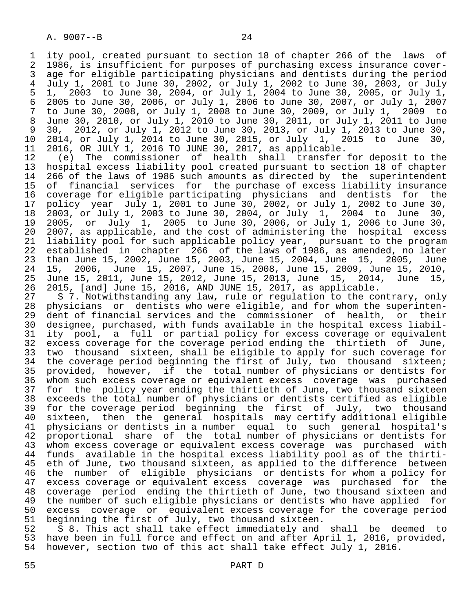1 ity pool, created pursuant to section 18 of chapter 266 of the laws of 2 1986, is insufficient for purposes of purchasing excess insurance cover-<br>3 age for eligible participating physicians and dentists during the period 3 age for eligible participating physicians and dentists during the period<br>4 July 1, 2001 to June 30, 2002, or July 1, 2002 to June 30, 2003, or July 4 July 1, 2001 to June 30, 2002, or July 1, 2002 to June 30, 2003, or July 5 1, 2003 to June 30, 2004, or July 1, 2004 to June 30, 2005, or July 1, 6 2005 to June 30, 2006, or July 1, 2006 to June 30, 2007, or July 1, 2007 7 to June 30, 2008, or July 1, 2008 to June 30, 2009, or July 1, 2009 to 8 June 30, 2010, or July 1, 2010 to June 30, 2011, or July 1, 2011 to June 9 30, 2012, or July 1, 2012 to June 30, 2013, or July 1, 2013 to June 30, 10 2014, or July 1, 2014 to June 30, 2015, or July 1, 2015 to June 30,

11 2016, OR JULY 1, 2016 TO JUNE 30, 2017, as applicable.<br>12 (e) The commissioner of health shall transfer 12 (e) The commissioner of health shall transfer for deposit to the<br>13 hospital excess liability pool created pursuant to section 18 of chapter 13 hospital excess liability pool created pursuant to section 18 of chapter<br>14 266 of the laws of 1986 such amounts as directed by the superintendent 266 of the laws of 1986 such amounts as directed by the superintendent 15 of financial services for the purchase of excess liability insurance 16 coverage for eligible participating physicians and dentists<br>17 policy year July 1, 2001 to June 30, 2002, or July 1, 2002 to 17 policy year July 1, 2001 to June 30, 2002, or July 1, 2002 to June 30,<br>18 2003, or July 1, 2003 to June 30, 2004, or July 1, 2004 to June 30, 18 2003, or July 1, 2003 to June 30, 2004, or July 1, 2004 to June 30, 19 2005, or July 1, 2005 to June 30, 2006, or July 1, 2006 to June 30, 20 2007, as applicable, and the cost of administering the hospital excess 21 liability pool for such applicable policy year, pursuant to the program<br>22 established in chapter 266 of the laws of 1986, as amended, no later 22 established in chapter 266 of the laws of 1986, as amended, no later<br>23 than June 15, 2002, June 15, 2003, June 15, 2004, June 15, 2005, June 23 than June 15, 2002, June 15, 2003, June 15, 2004, June 15, 2005, June<br>24 15, 2006, June 15, 2007, June 15, 2008, June 15, 2009, June 15, 2010, 24 15, 2006, June 15, 2007, June 15, 2008, June 15, 2009, June 15, 2010, 25 June 15, 2011, June 15, 2012, June 15, 2013, June 15, 2014, June 15,

 26 2015, [and] June 15, 2016, AND JUNE 15, 2017, as applicable. 27 S 7. Notwithstanding any law, rule or regulation to the contrary, only<br>28 physicians or dentists who were eligible, and for whom the superinten-28 physicians or dentists who were eligible, and for whom the superinten-<br>29 dent of financial services and the commissioner of health, or their 29 dent of financial services and the commissioner of health, or their<br>30 designee, purchased, with funds available in the hospital excess liabil-30 designee, purchased, with funds available in the hospital excess liabil-<br>31 itv pool, a full or partial policy for excess coverage or equivalent 31 ity pool, a full or partial policy for excess coverage or equivalent<br>32 excess coverage for the coverage period ending the thirtieth of June, 32 excess coverage for the coverage period ending the thirtieth<br>33 two thousand sixteen, shall be eligible to apply for such co 33 two thousand sixteen, shall be eligible to apply for such coverage for<br>34 the coverage period beginning the first of July, two thousand sixteen; 34 the coverage period beginning the first of July, two thousand sixteen;<br>35 provided, however, if the total number of physicians or dentists for 35 provided, however, if the total number of physicians or dentists for whom such excess coverage or equivalent excess coverage was purchased 37 for the policy year ending the thirtieth of June, two thousand sixteen<br>38 exceeds the total number of physicians or dentists certified as eligible 38 exceeds the total number of physicians or dentists certified as eligible 39 for the coverage period beginning the first of July, two thousand 40 sixteen, then the general hospitals may certify additional eligible<br>41 physicians or dentists in a number equal to such general hospital's 41 physicians or dentists in a number equal to such general hospital's<br>42 proportional share of the total number of physicians or dentists for 42 proportional share of the total number of physicians or dentists for<br>43 whom excess coverage or equivalent excess coverage was purchased with 43 whom excess coverage or equivalent excess coverage was purchased with<br>44 funds available in the hospital excess liability pool as of the thirti-44 funds available in the hospital excess liability pool as of the thirti-<br>45 eth of June, two thousand sixteen, as applied to the difference between eth of June, two thousand sixteen, as applied to the difference between 46 the number of eligible physicians or dentists for whom a policy for excess coverage or equivalent excess coverage was purchased for the 48 coverage period ending the thirtieth of June, two thousand sixteen and<br>49 the number of such eligible physicians or dentists who have applied for 49 the number of such eligible physicians or dentists who have applied for<br>50 excess coverage or equivalent excess coverage for the coverage period 50 excess coverage or equivalent excess coverage for the coverage period<br>51 beginning the first of July, two thousand sixteen.

51 beginning the first of July, two thousand sixteen.<br>52 S 8. This act shall take effect immediately and 52 S 8. This act shall take effect immediately and shall be deemed to<br>53 have been in full force and effect on and after April 1, 2016, provided, 53 have been in full force and effect on and after April 1, 2016, provided,<br>54 however, section two of this act shall take effect July 1, 2016. however, section two of this act shall take effect July 1, 2016.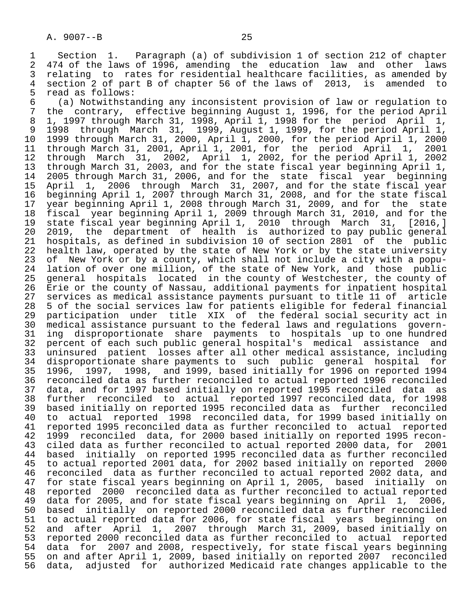1 Section 1. Paragraph (a) of subdivision 1 of section 212 of chapter<br>2 474 of the laws of 1996, amending the education law and other laws 2 474 of the laws of 1996, amending the education law and other laws<br>3 relating to rates for residential healthcare facilities, as amended by 3 relating to rates for residential healthcare facilities, as amended by<br>4 section 2 of part B of chapter 56 of the laws of 2013, is amended to 4 section 2 of part B of chapter 56 of the laws of 2013, is amended to 5 read as follows:<br>6 (a) Notwithsta

 6 (a) Notwithstanding any inconsistent provision of law or regulation to 7 the contrary, effective beginning August 1, 1996, for the period April<br>8 1, 1997 through March 31, 1998, April 1, 1998 for the period April 1, 8 1, 1997 through March 31, 1998, April 1, 1998 for the period April 1, 9 1998 through March 31, 1999, August 1, 1999, for the period April 1, 10 1999 through March 31, 2000, April 1, 2000, for the period April 1, 2000 11 through March 31, 2001, April 1, 2001, for the period April 1, 2001 12 through March 31, 2002, April 1, 2002, for the period April 1, 2002<br>13 through March 31, 2003, and for the state fiscal vear beginning April 1, 11 through March 31, 2003, and for the state fiscal year beginning April 1,<br>14 2005 through March 31, 2006, and for the state fiscal year beginning 14 2005 through March 31, 2006, and for the state fiscal year beginning 15 April 1, 2006 through March 31, 2007, and for the state fiscal year<br>16 beginning April 1, 2007 through March 31, 2008, and for the state fiscal 16 beginning April 1, 2007 through March 31, 2008, and for the state fiscal 17 year beginning April 1, 2008 through March 31, 2009, and for the state 18 fiscal year beginning April 1, 2009 through March 31, 2010, and for the<br>19 state fiscal year beginning April 1, 2010 through March 31, [2016,] 19 state fiscal year beginning April 1, 2010 through March 31, [2016,] 20 2019, the department of health is authorized to pay public general 21 hospitals, as defined in subdivision 10 of section 2801 of the public 22 health law, operated by the state of New York or by the state university<br>23 of New York or by a county, which shall not include a city with a popu-23 of New York or by a county, which shall not include a city with a popu-<br>24 lation of over one million, of the state of New York, and those public 24 lation of over one million, of the state of New York, and those public<br>25 general hospitals located in the county of Westchester, the county of 25 general hospitals located in the county of Westchester, the county of 26 Erie or the county of Nassau, additional payments for inpatient hospital 27 services as medical assistance payments pursuant to title 11 of article<br>28 5 of the social services law for patients eligible for federal financial 28 5 of the social services law for patients eligible for federal financial<br>29 participation under title XIX of the federal social security act in 29 participation under title XIX of the federal social security act in 30 medical assistance pursuant to the federal laws and regulations govern- 31 ing disproportionate share payments to hospitals up to one hundred<br>32 percent of each such public general hospital's medical assistance and 32 percent of each such public general hospital's medical assistance and<br>33 uninsured patient losses after all other medical assistance, including 33 uninsured patient losses after all other medical assistance, including<br>34 disproportionate share payments to such public general hospital for 34 disproportionate share payments to such public general hospital for<br>35 1996, 1997, 1998, and 1999, based initially for 1996 on reported 1994 35 1996, 1997, 1998, and 1999, based initially for 1996 on reported 1994 36 reconciled data as further reconciled to actual reported 1996 reconciled 37 data, and for 1997 based initially on reported 1995 reconciled data as<br>38 further reconciled to actual reported 1997 reconciled data, for 1998 38 further reconciled to actual reported 1997 reconciled data, for 1998 39 based initially on reported 1995 reconciled data as further reconciled 40 to actual reported 1998 reconciled data, for 1999 based initially on<br>41 reported 1995 reconciled data as further reconciled to actual reported 41 reported 1995 reconciled data as further reconciled to actual reported<br>42 1999 reconciled data, for 2000 based initially on reported 1995 recon-42 1999 reconciled data, for 2000 based initially on reported 1995 recon-<br>43 ciled data as further reconciled to actual reported 2000 data, for 2001 43 ciled data as further reconciled to actual reported 2000 data, for 2001<br>44 based initially on reported 1995 reconciled data as further reconciled 44 based initially on reported 1995 reconciled data as further reconciled<br>45 to actual reported 2001 data, for 2002 based initially on reported 2000 45 to actual reported 2001 data, for 2002 based initially on reported 2000 46 reconciled data as further reconciled to actual reported 2002 data, and<br>47 for state fiscal years beginning on April 1, 2005, based initially on 47 for state fiscal years beginning on April 1, 2005, based initially on<br>48 reported 2000 reconciled data as further reconciled to actual reported 48 reported 2000 reconciled data as further reconciled to actual reported<br>49 data for 2005, and for state fiscal years beginning on April 1, 2006, 49 data for 2005, and for state fiscal years beginning on April 1,<br>50 based initially on reported 2000 reconciled data as further reco 50 based initially on reported 2000 reconciled data as further reconciled<br>51 to actual reported data for 2006, for state fiscal years beginning on 51 to actual reported data for 2006, for state fiscal years beginning on<br>52 and after April 1, 2007 through March 31, 2009, based initially on 52 and after April 1, 2007 through March 31, 2009, based initially on<br>53 reported 2000 reconciled data as further reconciled to actual reported 53 reported 2000 reconciled data as further reconciled to actual reported<br>54 data for 2007 and 2008, respectively, for state fiscal years beginning 54 data for 2007 and 2008, respectively, for state fiscal years beginning<br>55 on and after April 1, 2009, based initially on reported 2007 reconciled 55 on and after April 1, 2009, based initially on reported 2007 reconciled data, adjusted for authorized Medicaid rate changes applicable to the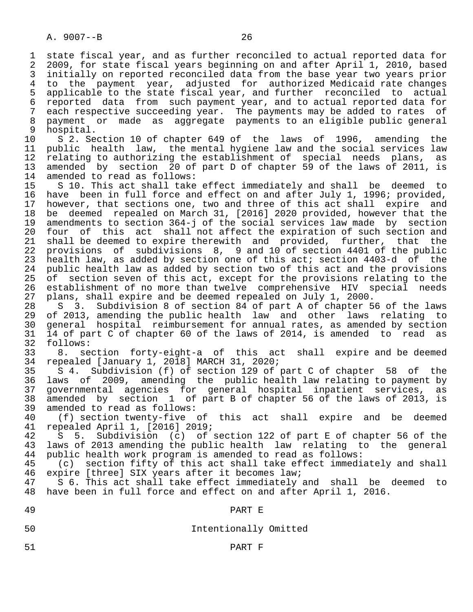1 state fiscal year, and as further reconciled to actual reported data for<br>2 2009, for state fiscal vears beginning on and after April 1, 2010, based 2 2009, for state fiscal years beginning on and after April 1, 2010, based<br>3 initially on reported reconciled data from the base year two years prior 3 initially on reported reconciled data from the base year two years prior<br>4 to the payment year, adjusted for authorized Medicaid rate changes 4 to the payment year, adjusted for authorized-Medicaid-rate-changes<br>5 applicable-to-the-state-fiscal-year, and-further-reconciled-to-actual 5 applicable to the state fiscal year, and further reconciled to actual<br>6 reported data from such payment year, and to actual reported data for 6 reported data from such payment year, and to actual reported data for each respective succeeding year. The payments may be added to rates of 8 payment or made as aggregate payments to an eligible public general

9 hospital.<br>10 S 2. Se 10 S 2. Section 10 of chapter 649 of the laws of 1996, amending the<br>11 public health law, the mental hygiene law and the social services law 11 public health law, the mental hygiene law and the social services law<br>12 relating to authorizing the establishment of special needs plans, as 12 relating to authorizing the establishment of special needs plans, as<br>13 amended by section 20 of part D of chapter 59 of the laws of 2011, is 13 amended by section 20 of part D of chapter 59 of the laws of 2011, is 14 amended to read as follows: amended to read as follows:

15 S 10. This act shall take effect immediately and shall be deemed to<br>16 have been in full force and effect on and after July 1, 1996; provided, 16 have been in full force and effect on and after July 1, 1996; provided,<br>17 however, that sections one, two and three of this act shall expire and 17 however, that sections one, two and three of this act shall expire and<br>18 be deemed repealed on March 31, [2016] 2020 provided, however that the 18 be deemed repealed on March 31, [2016] 2020 provided, however that the<br>19 amendments to section 364-j of the social services law made by section 19 amendments to section 364-j of the social services law made by section<br>20 four of this act shall not affect the expiration of such section and 20 four of this act shall not affect the expiration of such section and<br>21 shall be deemed to expire therewith and provided, further, that the 21 shall be deemed to expire therewith and provided, further, that the<br>22 provisions of subdivisions 8, 9 and 10 of section 4401 of the public 22 provisions of subdivisions 8, 9 and 10 of section 4401 of the public<br>23 health law, as added by section one of this act; section 4403-d of the health law, as added by section one of this act; section 4403-d of the 24 public health law as added by section two of this act and the provisions<br>25 of section seven of this act, except for the provisions relating to the section seven of this act, except for the provisions relating to the 26 establishment of no more than twelve comprehensive HIV special needs<br>27 plans, shall expire and be deemed repealed on July 1, 2000. 27 plans, shall expire and be deemed repealed on July 1, 2000.<br>28 S 3. Subdivision 8 of section 84 of part A of chapter 5

28 S 3. Subdivision 8 of section 84 of part A of chapter 56 of the laws<br>29 of 2013, amending the public health law and other laws relating to 29 of 2013, amending the public health law and other laws relating to<br>20 general hospital reimbursement for annual rates, as amended by section 30 general hospital reimbursement for annual rates, as amended by section<br>31 14 of part C of chapter 60 of the laws of 2014, is amended to read as 31 14 of part C of chapter 60 of the laws of 2014, is amended to read as 32 follows: 32 follows:<br>33 8. se

 33 8. section forty-eight-a of this act shall expire and be deemed 34 repealed [January 1, 2018] MARCH 31, 2020;<br>35 S 4. Subdivision (f) of section 129 of

35 S 4. Subdivision (f) of section 129 of part C of chapter 58 of the<br>36 laws of 2009, amending the public health law relating to payment by laws of 2009, amending the public health law relating to payment by 37 governmental agencies for general hospital inpatient services, as 38 amended by section 1 of part B of chapter 56 of the laws of 2013, is 39 amended to read as follows:<br>40 (f) section twenty-five

40 (f) section twenty-five of this act shall expire and be deemed<br>41 repealed April 1, [2016] 2019; 41 repealed April 1, [2016] 2019;

42 S 5. Subdivision (c) of section 122 of part E of chapter 56 of the<br>43 laws of 2013 amending the public health law relating to the general 43 laws of 2013 amending the public health law relating to the general<br>44 public health work program is amended to read as follows:

44 public health work program is amended to read as follows:<br>45 (c) section fifty of this act shall take effect immedi (c) section fifty of this act shall take effect immediately and shall 46 expire [three] SIX years after it becomes law;<br>47 S 6. This act shall take effect immediately

S 6. This act shall take effect immediately and shall be deemed to 48 have been in full force and effect on and after April 1, 2016.

| -<br>.<br>. .<br>.<br>. .<br>-- |
|---------------------------------|
|---------------------------------|

50 Intentionally Omitted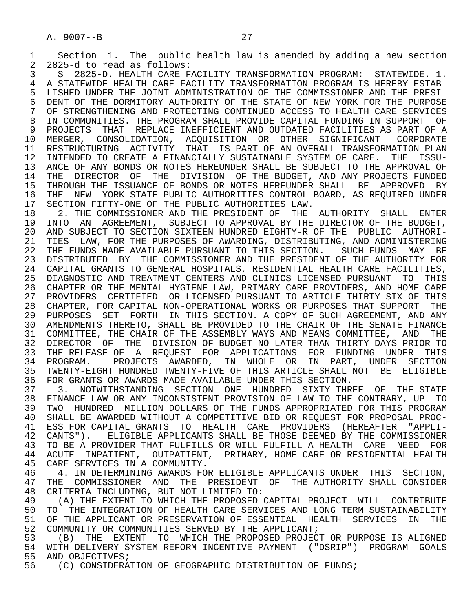1 Section 1. The public health law is amended by adding a new section<br>2 2825-d to read as follows: 2 2825-d to read as follows: 3 S 2825-D. HEALTH CARE FACILITY TRANSFORMATION PROGRAM: STATEWIDE. 1. 4 A STATEWIDE HEALTH CARE FACILITY TRANSFORMATION PROGRAM IS HEREBY ESTAB-<br>5 LISHED UNDER THE JOINT ADMINISTRATION OF THE COMMISSIONER AND THE PRESI-5 LISHED UNDER THE JOINT ADMINISTRATION OF THE COMMISSIONER AND THE PRESI-<br>6 DENT OF THE DORMITORY AUTHORITY OF THE STATE OF NEW YORK FOR THE PURPOSE 6 DENT OF THE DORMITORY AUTHORITY OF THE STATE OF NEW YORK FOR THE PURPOSE<br>7 OF STRENGTHENING AND PROTECTING CONTINUED ACCESS TO HEALTH CARE SERVICES 7 OF STRENGTHENING AND PROTECTING CONTINUED ACCESS TO HEALTH CARE SERVICES 8 IN COMMUNITIES. THE PROGRAM SHALL PROVIDE CAPITAL FUNDING IN SUPPORT OF A<br>9 PROJECTS THAT REPLACE INEFFICIENT AND OUTDATED FACILITIES AS PART OF A 9 PROJECTS THAT REPLACE INEFFICIENT AND OUTDATED FACILITIES AS PART OF A<br>10 MERGER, CONSOLIDATION, ACOUISITION OR OTHER SIGNIFICANT CORPORATE 10 MERGER, CONSOLIDATION, ACQUISITION OR OTHER SIGNIFICANT<br>11 RESTRUCTURING ACTIVITY THAT IS PART OF AN-OVERALL-TRANSFOR 11 RESTRUCTURING ACTIVITY THAT IS PART OF AN OVERALL TRANSFORMATION PLAN<br>12 INTENDED TO CREATE A FINANCIALLY SUSTAINABLE SYSTEM OF CARE. THE ISSU-12 INTENDED TO CREATE A FINANCIALLY SUSTAINABLE SYSTEM OF CARE. THE 13 ANCE OF ANY BONDS OR NOTES HEREUNDER SHALL BE SUBJECT TO THE APPRO 13 ANCE OF ANY BONDS OR NOTES HEREUNDER SHALL BE SUBJECT TO THE APPROVAL OF 14 THE DIRECTOR OF THE DIVISION OF THE BUDGET. AND ANY PROJECTS FUNDED THE DIRECTOR OF THE DIVISION OF THE BUDGET, AND ANY PROJECTS FUNDED 15 THROUGH THE ISSUANCE OF BONDS OR NOTES HEREUNDER SHALL BE APPROVED BY<br>16 THE NEW YORK STATE PUBLIC AUTHORITIES CONTROL BOARD, AS REOUIRED UNDER 16 THE NEW YORK STATE PUBLIC AUTHORITIES CONTROL BOARD, AS REQUIRED UNDER<br>17 SECTION FIFTY-ONE OF THE PUBLIC AUTHORITIES LAW.

17 SECTION FIFTY-ONE OF THE PUBLIC AUTHORITIES LAW.<br>18 2. THE COMMISSIONER AND THE PRESIDENT OF THE 18 2. THE COMMISSIONER AND THE PRESIDENT OF THE AUTHORITY SHALL ENTER<br>19 INTO AN AGREEMENT, SUBJECT TO APPROVAL BY THE DIRECTOR OF THE BUDGET. 19 INTO AN AGREEMENT, SUBJECT TO APPROVAL BY THE DIRECTOR OF THE BUDGET,<br>20 AND SUBJECT TO SECTION SIXTEEN HUNDRED EIGHTY-R OF THE PUBLIC AUTHORI-20 AND SUBJECT TO SECTION SIXTEEN HUNDRED EIGHTY-R OF THE PUBLIC AUTHORI-<br>21 TIES LAW, FOR THE PURPOSES OF AWARDING, DISTRIBUTING, AND ADMINISTERING 21 TIES LAW, FOR THE PURPOSES OF AWARDING, DISTRIBUTING, AND ADMINISTERING<br>22 THE FUNDS MADE AVAILABLE PURSUANT TO THIS SECTION. SUCH FUNDS MAY BE 22 THE FUNDS MADE AVAILABLE PURSUANT TO THIS SECTION. SUCH FUNDS MAY BE 23 DISTRIBUTED BY THE COMMISSIONER AND THE PRESIDENT OF THE AUTHORITY FOR 23 DISTRIBUTED BY THE COMMISSIONER AND THE PRESIDENT OF THE AUTHORITY FOR 24 CAPITAL GRANTS TO GENERAL HOSPITALS, RESIDENTIAL HEALTH CARE FACILITIES,<br>25 DIAGNOSTIC AND TREATMENT CENTERS AND CLINICS LICENSED PURSUANT TO THIS 25 DIAGNOSTIC AND TREATMENT CENTERS AND CLINICS LICENSED PURSUANT TO THIS 26 CHAPTER OR THE MENTAL HYGIENE LAW, PRIMARY CARE PROVIDERS, AND HOME CARE 27 PROVIDERS CERTIFIED OR LICENSED PURSUANT TO ARTICLE THIRTY-SIX OF THIS 28 CHAPTER, FOR CAPITAL NON-OPERATIONAL WORKS OR PURPOSES THAT SUPPORT THE 29 PURPOSES SET FORTH IN THIS SECTION. A COPY OF SUCH AGREEMENT, AND ANY 30 AMENDMENTS THERETO, SHALL BE PROVIDED TO THE CHAIR OF THE SENATE FINANCE 31 COMMITTEE, THE CHAIR OF THE ASSEMBLY WAYS AND MEANS COMMITTEE, AND THE THE DIVISION OF BUDGET NO LATER THAN THIRTY DAYS PRIOR TO 32 DIRECTOR OF THE DIVISION OF BUDGET NO LATER THAN THIRTY DAYS PRIOR TO<br>33 THE RELEASE OF A REOUEST FOR APPLICATIONS FOR FUNDING UNDER THIS 33 THE RELEASE OF A REQUEST FOR APPLICATIONS FOR FUNDING UNDER THIS<br>34 PROGRAM. PROJECTS AWARDED, IN WHOLE OR IN PART, UNDER SECTION 34 PROGRAM. PROJECTS AWARDED, IN WHOLE OR IN PART, UNDER SECTION<br>35 TWENTY-EIGHT-HUNDRED-TWENTY-FIVE-OF-THIS-ARTICLE-SHALL-NOT BE ELIGIBLE 35 TWENTY-EIGHT HUNDRED TWENTY-FIVE OF THIS ARTICLE SHALL NOT BE ELIGIBLE<br>36 FOR GRANTS OR AWARDS MADE AVAILABLE UNDER THIS SECTION. 36 FOR GRANTS OR AWARDS MADE AVAILABLE UNDER THIS SECTION.

 37 3. NOTWITHSTANDING SECTION ONE HUNDRED SIXTY-THREE OF THE STATE 38 FINANCE LAW OR ANY INCONSISTENT PROVISION OF LAW TO THE CONTRARY, UP TO<br>39 TWO HUNDRED MILLION DOLLARS OF THE FUNDS APPROPRIATED FOR THIS PROGRAM 39 TWO HUNDRED MILLION DOLLARS OF THE FUNDS APPROPRIATED FOR THIS PROGRAM<br>40 SHALL BE AWARDED WITHOUT A COMPETITIVE BID OR REOUEST FOR PROPOSAL PROC-40 SHALL BE AWARDED WITHOUT A COMPETITIVE BID OR REQUEST FOR PROPOSAL PROC-<br>41 ESS FOR CAPITAL GRANTS TO HEALTH CARE PROVIDERS (HEREAFTER "APPLI-41 ESS FOR CAPITAL GRANTS TO HEALTH CARE PROVIDERS (HEREAFTER "APPLI-42 CANTS"). ELIGIBLE APPLICANTS SHALL BE THOSE DEEMED BY THE COMMISSIONER 42 CANTS"). ELIGIBLE APPLICANTS SHALL BE THOSE DEEMED BY THE COMMISSIONER<br>43 TO BE A PROVIDER THAT FULFILLS OR WILL FULFILL A HEALTH CARE. NEED. FOR 43 TO BE A PROVIDER THAT FULFILLS OR WILL FULFILL A HEALTH CARE NEED FOR<br>44 ACUTE INPATIENT, OUTPATIENT, PRIMARY, HOME CARE OR RESIDENTIAL HEALTH 44 ACUTE INPATIENT, OUTPATIENT, PRIMARY, HOME CARE OR RESIDENTIAL HEALTH<br>45 CARE SERVICES IN A COMMUNITY. CARE SERVICES IN A COMMUNITY.

46 THE ALL IN DETERMINING AWARDS FOR ELIGIBLE APPLICANTS UNDER THIS SECTION,<br>47 THE COMMISSIONER AND THE PRESIDENT OF THE AUTHORITY SHALL CONSIDER 47 THE COMMISSIONER AND THE PRESIDENT OF THE AUTHORITY SHALL CONSIDER<br>48 CRITERIA INCLUDING, BUT NOT LIMITED TO: 48 CRITERIA INCLUDING, BUT NOT LIMITED TO:<br>49 (A) THE EXTENT TO WHICH THE PROPOSED

49 THE EXTENT TO WHICH THE PROPOSED CAPITAL PROJECT WILL CONTRIBUTE 49 (A) THE INTEGRATION OF HEALTH CARE SERVICES AND LONG TERM SUSTAINABILITY 50 TO THE INTEGRATION OF HEALTH CARE SERVICES AND LONG TERM SUSTAINABILITY<br>51 OF THE APPLICANT OR PRESERVATION OF ESSENTIAL HEALTH SERVICES IN THE 51 OF THE APPLICANT OR PRESERVATION OF ESSENTIAL HEALTH SERVICES IN THE 52 COMMUNITY OR COMMUNITIES SERVED BY THE APPLICANT; 52 COMMUNITY OR COMMUNITIES SERVED BY THE APPLICANT;<br>53 (B) THE EXTENT TO WHICH THE PROPOSED PROJECT

53 (B) THE EXTENT TO WHICH THE PROPOSED PROJECT OR PURPOSE IS ALIGNED<br>54 WITH DELIVERY SYSTEM REFORM INCENTIVE PAYMENT ("DSRIP") PROGRAM GOALS 54 WITH DELIVERY SYSTEM REFORM INCENTIVE PAYMENT ("DSRIP") PROGRAM GOALS<br>55 AND OBJECTIVES; 55 AND OBJECTIVES;<br>56 (C) CONSIDERA

(C) CONSIDERATION OF GEOGRAPHIC DISTRIBUTION OF FUNDS;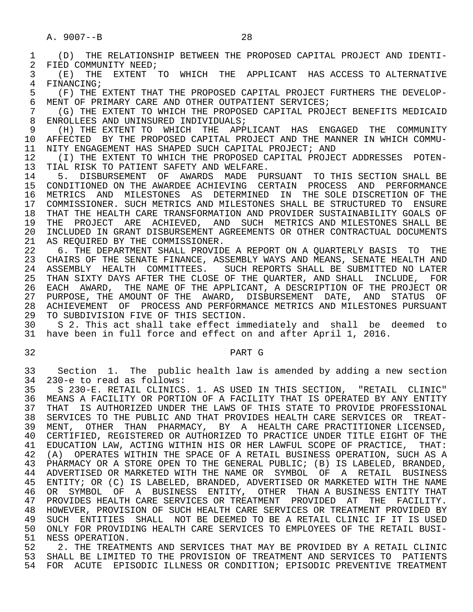| 1<br>2   | THE RELATIONSHIP BETWEEN THE PROPOSED CAPITAL PROJECT AND IDENTI-<br>(D)<br>FIED COMMUNITY NEED;                                                             |
|----------|--------------------------------------------------------------------------------------------------------------------------------------------------------------|
| 3<br>4   | THE<br>EXTENT TO WHICH THE APPLICANT HAS ACCESS TO ALTERNATIVE<br>(E)<br>FINANCING;                                                                          |
| 5        | (F) THE EXTENT THAT THE PROPOSED CAPITAL PROJECT FURTHERS THE DEVELOP-                                                                                       |
| 6        | MENT OF PRIMARY CARE AND OTHER OUTPATIENT SERVICES;                                                                                                          |
| 7<br>8   | (G) THE EXTENT TO WHICH THE PROPOSED CAPITAL PROJECT BENEFITS MEDICAID<br>ENROLLEES AND UNINSURED INDIVIDUALS;                                               |
| 9        | (H) THE EXTENT TO<br>WHICH THE APPLICANT HAS ENGAGED THE<br>COMMUNITY                                                                                        |
| 10       | BY THE PROPOSED CAPITAL PROJECT AND THE MANNER IN WHICH COMMU-<br>AFFECTED                                                                                   |
| 11<br>12 | NITY ENGAGEMENT HAS SHAPED SUCH CAPITAL PROJECT; AND<br>(I) THE EXTENT TO WHICH THE PROPOSED CAPITAL PROJECT ADDRESSES POTEN-                                |
| 13       | TIAL RISK TO PATIENT SAFETY AND WELFARE.                                                                                                                     |
| 14       | DISBURSEMENT OF AWARDS MADE PURSUANT<br>TO THIS SECTION SHALL BE<br>5.                                                                                       |
| 15<br>16 | CONDITIONED ON THE AWARDEE ACHIEVING CERTAIN PROCESS<br>AND<br>PERFORMANCE<br>THE SOLE DISCRETION OF THE<br>AND<br>MILESTONES AS DETERMINED<br>IN<br>METRICS |
| 17       | COMMISSIONER. SUCH METRICS AND MILESTONES SHALL BE STRUCTURED TO<br><b>ENSURE</b>                                                                            |
| 18       | THAT THE HEALTH CARE TRANSFORMATION AND PROVIDER SUSTAINABILITY GOALS OF                                                                                     |
| 19<br>20 | PROJECT<br>ARE<br>ACHIEVED, AND SUCH METRICS AND MILESTONES SHALL BE<br>THE<br>INCLUDED IN GRANT DISBURSEMENT AGREEMENTS OR OTHER CONTRACTUAL DOCUMENTS      |
| 21       | AS REOUIRED BY THE COMMISSIONER.                                                                                                                             |
| 22       | 6. THE DEPARTMENT SHALL PROVIDE A REPORT ON A QUARTERLY BASIS<br>THE<br>TO                                                                                   |
| 23<br>24 | CHAIRS OF THE SENATE FINANCE, ASSEMBLY WAYS AND MEANS, SENATE HEALTH AND<br>HEALTH COMMITTEES. SUCH REPORTS SHALL BE SUBMITTED NO LATER<br>ASSEMBLY          |
| 25       | THAN SIXTY DAYS AFTER THE CLOSE OF THE QUARTER, AND SHALL INCLUDE,<br>FOR                                                                                    |
| 26       | EACH AWARD, THE NAME OF THE APPLICANT, A DESCRIPTION OF THE PROJECT OR                                                                                       |
| 27<br>28 | PURPOSE, THE AMOUNT OF THE AWARD, DISBURSEMENT DATE, AND<br>STATUS<br>OF<br>OF PROCESS AND PERFORMANCE METRICS AND MILESTONES PURSUANT<br><b>ACHIEVEMENT</b> |
| 29       | TO SUBDIVISION FIVE OF THIS SECTION.                                                                                                                         |
| 30       | S 2. This act shall take effect immediately and shall be deemed<br>to                                                                                        |
| 31       | have been in full force and effect on and after April 1, 2016.                                                                                               |
| 32       | PART G                                                                                                                                                       |
| 33       | Section 1. The public health law is amended by adding a new section                                                                                          |
| 34<br>35 | 230-e to read as follows:<br>S 230-E. RETAIL CLINICS. 1. AS USED IN THIS SECTION, "RETAIL<br>CLINIC"                                                         |
| 36.      | MEANS A FACILITY OR PORTION OF A FACILITY THAT IS OPERATED BY ANY ENTITY                                                                                     |
| 37       | THAT IS AUTHORIZED UNDER THE LAWS OF THIS STATE TO PROVIDE PROFESSIONAL                                                                                      |
| 38<br>39 | SERVICES TO THE PUBLIC AND THAT PROVIDES HEALTH CARE SERVICES OR<br>TREAT-<br>MENT, OTHER THAN PHARMACY, BY A HEALTH CARE PRACTITIONER LICENSED,             |
| 40       | CERTIFIED, REGISTERED OR AUTHORIZED TO PRACTICE UNDER TITLE EIGHT OF THE                                                                                     |
| 41       | EDUCATION LAW, ACTING WITHIN HIS OR HER LAWFUL SCOPE OF PRACTICE,<br>THAT:                                                                                   |
| 42<br>43 | (A) OPERATES WITHIN THE SPACE OF A RETAIL BUSINESS OPERATION, SUCH AS A<br>PHARMACY OR A STORE OPEN TO THE GENERAL PUBLIC; (B) IS LABELED, BRANDED,          |
| 44       | ADVERTISED OR MARKETED WITH THE NAME OR SYMBOL OF A RETAIL<br>BUSINESS                                                                                       |
| 45       | ENTITY; OR (C) IS LABELED, BRANDED, ADVERTISED OR MARKETED WITH THE NAME                                                                                     |
| 46<br>47 | SYMBOL OF A BUSINESS ENTITY, OTHER THAN A BUSINESS ENTITY THAT<br>OR<br>PROVIDES HEALTH CARE SERVICES OR TREATMENT PROVIDED AT THE<br>FACILITY.              |
| 48       |                                                                                                                                                              |
|          | HOWEVER, PROVISION OF SUCH HEALTH CARE SERVICES OR TREATMENT PROVIDED BY                                                                                     |
| 49       | SUCH ENTITIES SHALL NOT BE DEEMED TO BE A RETAIL CLINIC IF IT IS USED                                                                                        |
| 50<br>51 | ONLY FOR PROVIDING HEALTH CARE SERVICES TO EMPLOYEES OF THE RETAIL BUSI-<br>NESS OPERATION.                                                                  |

 53 SHALL BE LIMITED TO THE PROVISION OF TREATMENT AND SERVICES TO PATIENTS 54 FOR ACUTE EPISODIC ILLNESS OR CONDITION; EPISODIC PREVENTIVE TREATMENT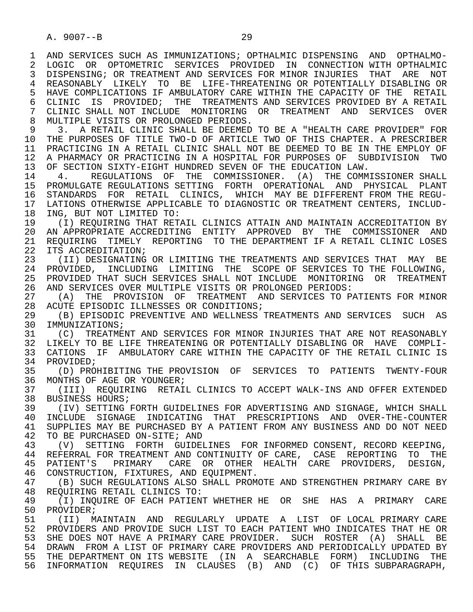1 AND SERVICES SUCH AS IMMUNIZATIONS; OPTHALMIC DISPENSING AND OPTHALMO-<br>2 LOGIC OR OPTOMETRIC SERVICES PROVIDED IN CONNECTION WITH OPTHALMIC 2 LOGIC OR OPTOMETRIC SERVICES PROVIDED IN CONNECTION— WITH OPTHALMIC<br>3 DISPENSING; OR TREATMENT AND SERVICES FOR MINOR INJURIES THAT ARE NOT 3 DISPENSING; OR TREATMENT AND SERVICES FOR MINOR INJURIES THAT ARE NOT 4 REASONABLY LIKELY TO BE LIFE-THREATENING OR POTENTIALLY DISABLING OR<br>5 HAVE COMPLICATIONS IF AMBULATORY CARE WITHIN THE CAPACITY OF THE RETAIL 5 HAVE COMPLICATIONS IF AMBULATORY CARE WITHIN THE CAPACITY OF THE RETAIL<br>6 CLINIC IS PROVIDED; THE TREATMENTS AND SERVICES PROVIDED BY A RETAIL 6 CLINIC IS PROVIDED; THE TREATMENTS AND SERVICES PROVIDED BY A RETAIL<br>7 CLINIC SHALL NOT INCLUDE MONITORING OR TREATMENT AND SERVICES OVER 7 CLINIC SHALL NOT INCLUDE MONITORING OR TREATMENT AND SERVICES OVER<br>8 MILITIPLE VISITS OR PROLONGED PERIODS 8 MULTIPLE VISITS OR PROLONGED PERIODS.<br>9 3. A RETAIL CLINIC SHALL BE DEEMED

9 3. A RETAIL CLINIC SHALL BE DEEMED TO BE A "HEALTH CARE PROVIDER" FOR<br>10 THE PURPOSES OF TITLE TWO-D OF ARTICLE TWO OF THIS CHAPTER, A PRESCRIBER 10 THE PURPOSES OF TITLE TWO-D OF ARTICLE TWO OF THIS CHAPTER. A PRESCRIBER<br>11 PRACTICING IN A RETAIL CLINIC SHALL NOT BE DEEMED TO BE IN THE EMPLOY OF 11 PRACTICING IN A RETAIL CLINIC SHALL NOT BE DEEMED TO BE IN THE EMPLOY OF<br>12 A PHARMACY OR PRACTICING IN A HOSPITAL FOR PURPOSES OF SUBDIVISION TWO 12 A PHARMACY OR PRACTICING IN A HOSPITAL FOR PURPOSES OF SUBDIVISION TWO 13 OF SECTION SIXTY-EIGHT HUNDRED SEVEN OF THE EDUCATION LAW.<br>14 4. REGULATIONS OF THE COMMISSIONER. (A) THE COMM

 14 4. REGULATIONS OF THE COMMISSIONER. (A) THE COMMISSIONER SHALL 15 PROMULGATE REGULATIONS SETTING FORTH OPERATIONAL AND PHYSICAL PLANT 16 STANDARDS FOR RETAIL CLINICS, WHICH MAY BE DIFFERENT FROM THE REGU-<br>17 LATIONS OTHERWISE APPLICABLE TO DIAGNOSTIC OR TREATMENT CENTERS, INCLUD-17 LATIONS OTHERWISE APPLICABLE TO DIAGNOSTIC OR TREATMENT CENTERS, INCLUD-<br>18 ING, BUT NOT LIMITED TO: 18 ING, BUT NOT LIMITED TO:<br>19 (I) REQUIRING THAT RET

19 (I) REQUIRING THAT RETAIL CLINICS ATTAIN AND MAINTAIN ACCREDITATION BY<br>20 AN APPROPRIATE ACCREDITING ENTITY APPROVED BY THE COMMISSIONER AND 20 AN APPROPRIATE ACCREDITING ENTITY APPROVED BY THE COMMISSIONER AND<br>21 REOUIRING TIMELY REPORTING TO THE DEPARTMENT IF A RETAIL CLINIC LOSES 21 REQUIRING TIMELY REPORTING TO THE DEPARTMENT IF A RETAIL CLINIC LOSES<br>22 ITS ACCREDITATION; 22 ITS ACCREDITATION;<br>23 (II) DESIGNATING

(II) DESIGNATING OR LIMITING THE TREATMENTS AND SERVICES THAT MAY BE 24 PROVIDED, INCLUDING LIMITING THE SCOPE OF SERVICES TO THE FOLLOWING,<br>25 PROVIDED THAT SUCH SERVICES SHALL NOT INCLUDE MONITORING OR TREATMENT 25 PROVIDED THAT SUCH SERVICES SHALL NOT INCLUDE MONITORING OR TREATMENT 26 AND SERVICES OVER MULTIPLE VISITS OR PROLONGED PERIODS:

27 (A) THE PROVISION OF TREATMENT AND SERVICES TO PATIENTS FOR MINOR<br>28 ACUTE EPISODIC ILLNESSES OR CONDITIONS; 28 ACUTE EPISODIC ILLNESSES OR CONDITIONS;<br>29 (B) EPISODIC PREVENTIVE AND WELLNESS

29 (B) EPISODIC PREVENTIVE AND WELLNESS TREATMENTS AND SERVICES SUCH AS<br>30 IMMUNIZATIONS: 30 IMMUNIZATIONS;<br>31 (C) TREATMEI

31 (C) TREATMENT AND SERVICES FOR MINOR INJURIES THAT ARE NOT REASONABLY<br>32 LIKELY TO BE LIFE THREATENING OR POTENTIALLY DISABLING OR HAVE COMPLI-32 LIKELY TO BE LIFE THREATENING OR POTENTIALLY DISABLING OR HAVE COMPLI-<br>33 CATIONS IF AMBULATORY CARE WITHIN THE CAPACITY OF THE RETAIL CLINIC IS 33 CATIONS IF AMBULATORY CARE WITHIN THE CAPACITY OF THE RETAIL CLINIC IS 34 PROVIDED; 34 PROVIDED;<br>35 (D) PRO

35 (D) PROHIBITING THE PROVISION OF SERVICES TO PATIENTS TWENTY-FOUR<br>36 MONTHS OF AGE OR YOUNGER; MONTHS OF AGE OR YOUNGER;

 37 (III) REQUIRING RETAIL CLINICS TO ACCEPT WALK-INS AND OFFER EXTENDED 38 BUSINESS HOURS;<br>39 (IV) SETTING

39 (IV) SETTING FORTH GUIDELINES FOR ADVERTISING AND SIGNAGE, WHICH SHALL<br>30 INCLUDE SIGNAGE INDICATING THAT PRESCRIPTIONS AND OVER-THE-COUNTER 40 INCLUDE SIGNAGE INDICATING THAT PRESCRIPTIONS AND OVER-THE-COUNTER<br>41 SUPPLIES MAY BE PURCHASED BY A PATIENT FROM ANY BUSINESS AND DO NOT NEED 41 SUPPLIES MAY BE PURCHASED BY A PATIENT FROM ANY BUSINESS AND DO NOT NEED<br>42 TO BE PURCHASED ON-SITE; AND 42 TO BE PURCHASED ON-SITE; AND<br>43 (V) SETTING FORTH GUIDEI

43 (V) SETTING FORTH GUIDELINES FOR INFORMED CONSENT, RECORD KEEPING,<br>44 REFERRAL FOR TREATMENT AND CONTINUITY OF CARE CASE REPORTING TO THE 44 REFERRAL FOR TREATMENT AND CONTINUITY OF CARE, CASE REPORTING TO THE 45 PATIENT'S PRIMARY CARE OR OTHER HEALTH CARE PROVIDERS, DESIGN, PATIENT'S PRIMARY CARE OR OTHER HEALTH CARE PROVIDERS, DESIGN, 46 CONSTRUCTION, FIXTURES, AND EQUIPMENT.<br>47 (B) SUCH REGULATIONS ALSO SHALL PROM

47 (B) SUCH REGULATIONS ALSO SHALL PROMOTE AND STRENGTHEN PRIMARY CARE BY<br>48 REOUIRING RETAIL CLINICS TO: 48 REQUIRING RETAIL CLINICS TO:<br>49 (I) INOUIRE OF EACH PATIEN

49 (I) INQUIRE OF EACH PATIENT WHETHER HE OR SHE HAS A PRIMARY CARE<br>50 PROVIDER; 50 PROVIDER;<br>51 (II) M

 51 (II) MAINTAIN AND REGULARLY UPDATE A LIST OF LOCAL PRIMARY CARE 52 PROVIDERS AND PROVIDE SUCH LIST TO EACH PATIENT WHO INDICATES THAT HE OR 53 SHE DOES NOT HAVE A PRIMARY CARE PROVIDER. SUCH ROSTER (A) SHALL BE<br>54 DRAWN FROM A LIST OF PRIMARY CARE PROVIDERS AND PERIODICALLY UPDATED BY 54 DRAWN FROM A LIST OF PRIMARY CARE PROVIDERS AND PERIODICALLY UPDATED BY<br>55 THE DEPARTMENT ON ITS WEBSITE (IN A SEARCHABLE FORM) INCLUDING THE 55 THE DEPARTMENT ON ITS WEBSITE (IN A SEARCHABLE FORM) INCLUDING THE 56 THE SUBPARAGRAPH. 56 INFORMATION REQUIRES IN CLAUSES (B) AND (C) OF THIS SUBPARAGRAPH,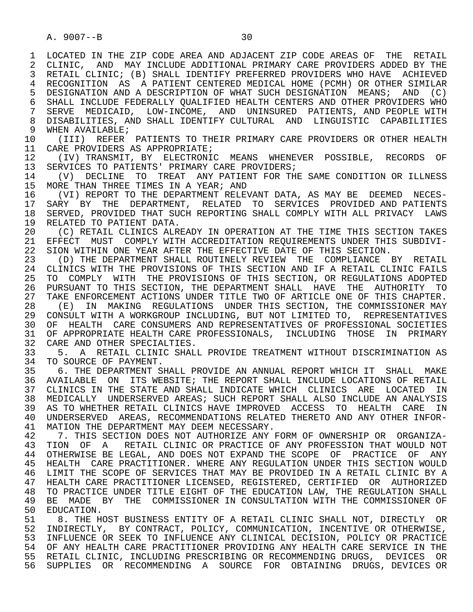1 LOCATED IN THE ZIP CODE AREA AND ADJACENT ZIP CODE AREAS OF THE RETAIL<br>2 CLINIC, AND MAY INCLUDE ADDITIONAL PRIMARY CARE PROVIDERS ADDED BY THE 2 CLINIC, AND MAY INCLUDE ADDITIONAL PRIMARY CARE PROVIDERS ADDED BY THE<br>3 RETAIL CLINIC; (B) SHALL IDENTIFY PREFERRED PROVIDERS WHO HAVE ACHIEVED RETAIL CLINIC; (B) SHALL IDENTIFY PREFERRED PROVIDERS WHO HAVE ACHIEVED 4 RECOGNITION AS A PATIENT CENTERED MEDICAL HOME (PCMH) OR OTHER SIMILAR<br>5 DESIGNATION AND A DESCRIPTION OF WHAT SUCH DESIGNATION MEANS; AND (C) 5 DESIGNATION AND A DESCRIPTION OF WHAT SUCH DESIGNATION MEANS; AND (C)<br>6 SHALL INCLUDE FEDERALLY OUALIFIED HEALTH CENTERS AND OTHER PROVIDERS WHO 6 SHALL INCLUDE FEDERALLY QUALIFIED HEALTH CENTERS AND OTHER PROVIDERS WHO<br>7 SERVE MEDICAID, LOW-INCOME, AND UNINSURED PATIENTS, AND PEOPLE WITH SERVE MEDICAID, LOW-INCOME, AND UNINSURED PATIENTS, AND PEOPLE WITH 8 DISABILITIES, AND SHALL IDENTIFY CULTURAL AND LINGUISTIC CAPABILITIES<br>9 WHEN AVAILABLE; 9 WHEN AVAILABLE;<br>10 (TTT) REFER 10 (III) REFER PATIENTS TO THEIR PRIMARY CARE PROVIDERS OR OTHER HEALTH<br>11 CARE PROVIDERS AS APPROPRIATE; 11 CARE PROVIDERS AS APPROPRIATE;<br>12 (IV) TRANSMIT, BY ELECTRONI 12 (IV) TRANSMIT, BY ELECTRONIC MEANS WHENEVER POSSIBLE, RECORDS OF<br>13 SERVICES TO PATIENTS' PRIMARY CARE PROVIDERS; 13 SERVICES TO PATIENTS' PRIMARY CARE PROVIDERS;<br>14 (V) DECLINE TO TREAT ANY PATIENT FOR TH 14 (V) DECLINE TO TREAT ANY PATIENT FOR THE SAME CONDITION OR ILLNESS<br>15 MORE THAN THREE TIMES IN A YEAR; AND 15 MORE THAN THREE TIMES IN A YEAR; AND<br>16 (VI) REPORT TO THE DEPARTMENT RELEY 16 (VI) REPORT TO THE DEPARTMENT RELEVANT DATA, AS MAY BE DEEMED NECES-<br>17 SARY BY THE DEPARTMENT, RELATED TO SERVICES PROVIDED AND PATIENTS 17 SARY BY THE DEPARTMENT, RELATED TO SERVICES PROVIDED AND PATIENTS<br>18 SERVED, PROVIDED THAT SUCH REPORTING SHALL COMPLY WITH ALL PRIVACY LAWS 18 SERVED, PROVIDED THAT SUCH REPORTING SHALL COMPLY WITH ALL PRIVACY LAWS<br>19 RELATED TO PATIENT DATA. 19 RELATED TO PATIENT DATA.<br>20 (C) RETAIL CLINICS ALR 20 (C) RETAIL CLINICS ALREADY IN OPERATION AT THE TIME THIS SECTION TAKES<br>21 EFFECT MUST COMPLY WITH ACCREDITATION REOUIREMENTS UNDER THIS SUBDIVI-21 EFFECT MUST COMPLY WITH ACCREDITATION REQUIREMENTS UNDER THIS SUBDIVI-<br>22 SION WITHIN ONE YEAR AFTER THE EFFECTIVE DATE OF THIS SECTION. 22 SION WITHIN ONE YEAR AFTER THE EFFECTIVE DATE OF THIS SECTION.<br>23 (D) THE DEPARTMENT SHALL ROUTINELY REVIEW THE COMPLIANCE (D) THE DEPARTMENT SHALL ROUTINELY REVIEW THE COMPLIANCE BY RETAIL 24 CLINICS WITH THE PROVISIONS OF THIS SECTION AND IF A RETAIL CLINIC FAILS<br>25 TO COMPLY WITH THE PROVISIONS OF THIS SECTION, OR REGULATIONS ADOPTED 25 TO COMPLY WITH THE PROVISIONS OF THIS SECTION, OR REGULATIONS ADOPTED 26 PURSUANT TO THIS SECTION, THE DEPARTMENT SHALL HAVE THE AUTHORITY TO 27 TAKE ENFORCEMENT ACTIONS UNDER TITLE TWO OF ARTICLE ONE OF THIS CHAPTER. 27 TAKE ENFORCEMENT ACTIONS UNDER TITLE TWO OF ARTICLE ONE OF THIS CHAPTER.<br>28 (E) IN MAKING REGULATIONS UNDER THIS SECTION, THE COMMISSIONER MAY 28 (E) IN MAKING REGULATIONS UNDER THIS SECTION, THE COMMISSIONER MAY<br>29 CONSULT WITH A WORKGROUP INCLUDING, BUT NOT LIMITED TO, REPRESENTATIVES 29 CONSULT WITH A WORKGROUP INCLUDING, BUT NOT LIMITED TO, REPRESENTATIVES<br>30 OF HEALTH CARE CONSUMERS AND REPRESENTATIVES OF PROFESSIONAL SOCIETIES 30 OF HEALTH CARE CONSUMERS AND REPRESENTATIVES OF PROFESSIONAL SOCIETIES<br>31 OF APPROPRIATE HEALTH CARE PROFESSIONALS, INCLUDING THOSE IN PRIMARY 31 OF APPROPRIATE HEALTH CARE PROFESSIONALS, INCLUDING THOSE IN PRIMARY<br>32 CARE AND OTHER SPECIALTIES. 32 CARE AND OTHER SPECIALTIES.<br>33 5. A RETAIL CLINIC SHALL 33 5. A RETAIL CLINIC SHALL PROVIDE TREATMENT WITHOUT DISCRIMINATION AS<br>34 TO SOURCE OF PAYMENT. 34 TO SOURCE OF PAYMENT.<br>35 6. THE DEPARTMENT S. 35 6. THE DEPARTMENT SHALL PROVIDE AN ANNUAL REPORT WHICH IT SHALL MAKE<br>36 AVAILABLE ON ITS WEBSITE; THE REPORT SHALL INCLUDE LOCATIONS OF RETAIL 36 AVAILABLE ON ITS WEBSITE; THE REPORT SHALL INCLUDE LOCATIONS OF RETAIL 37 CLINICS IN THE STATE AND SHALL INDICATE WHICH CLINICS ARE LOCATED IN 38 MEDICALLY UNDERSERVED AREAS; SUCH REPORT SHALL ALSO INCLUDE AN ANALYSIS 39 AS TO WHETHER RETAIL CLINICS HAVE IMPROVED ACCESS TO HEALTH CARE IN 40 UNDERSERVED AREAS, RECOMMENDATIONS RELATED THERETO AND ANY OTHER INFOR-40 UNDERSERVED AREAS, RECOMMENDATIONS RELATED THERETO AND ANY OTHER INFOR-<br>41 MATION THE DEPARTMENT MAY DEEM NECESSARY. 41 MATION THE DEPARTMENT MAY DEEM NECESSARY.<br>42 T. THIS SECTION DOES NOT AUTHORIZE ANY 42 1. THIS SECTION DOES NOT AUTHORIZE ANY FORM OF OWNERSHIP OR ORGANIZA-<br>43 TION OF A RETAIL CLINIC OR PRACTICE OF ANY PROFESSION THAT WOULD NOT 43 TION OF A RETAIL CLINIC OR PRACTICE OF ANY PROFESSION THAT WOULD NOT<br>44 OTHERWISE BE LEGAL, AND DOES NOT EXPAND THE SCOPE OF PRACTICE OF ANY 44 OTHERWISE BE LEGAL, AND DOES NOT EXPAND THE SCOPE OF PRACTICE OF ANY<br>45 HEALTH CARE PRACTITIONER. WHERE ANY REGULATION UNDER THIS SECTION WOULD 45 HEALTH CARE PRACTITIONER. WHERE ANY REGULATION UNDER THIS SECTION WOULD 46 LIMIT THE SCOPE OF SERVICES THAT MAY BE PROVIDED IN A RETAIL CLINIC BY A<br>47 HEALTH CARE PRACTITIONER LICENSED, REGISTERED, CERTIFIED OR AUTHORIZED 47 HEALTH CARE PRACTITIONER LICENSED, REGISTERED, CERTIFIED OR AUTHORIZED 48 TO PRACTICE UNDER TITLE EIGHT OF THE EDUCATION LAW, THE REGULATION SHALL<br>49 BE MADE BY THE COMMISSIONER IN CONSULTATION WITH THE COMMISSIONER OF 49 BE MADE BY THE COMMISSIONER IN CONSULTATION WITH THE COMMISSIONER OF<br>50 EDUCATION. 50 EDUCATION.<br>51 8. THE H 51 8. THE HOST BUSINESS ENTITY OF A RETAIL CLINIC SHALL NOT, DIRECTLY OR<br>52 INDIRECTLY, BY CONTRACT, POLICY, COMMUNICATION, INCENTIVE OR OTHERWISE, 52 INDIRECTLY, BY CONTRACT, POLICY, COMMUNICATION, INCENTIVE OR OTHERWISE,<br>53 INFLUENCE OR SEEK TO INFLUENCE ANY CLINICAL DECISION, POLICY OR PRACTICE 53 INFLUENCE OR SEEK TO INFLUENCE ANY CLINICAL DECISION, POLICY OR PRACTICE<br>54 OF ANY HEALTH CARE PRACTITIONER PROVIDING ANY HEALTH CARE SERVICE IN THE OF ANY HEALTH CARE PRACTITIONER PROVIDING ANY HEALTH CARE SERVICE IN THE 55 RETAIL CLINIC, INCLUDING PRESCRIBING OR RECOMMENDING DRUGS, DEVICES OR

56 SUPPLIES OR RECOMMENDING A SOURCE FOR OBTAINING DRUGS, DEVICES OR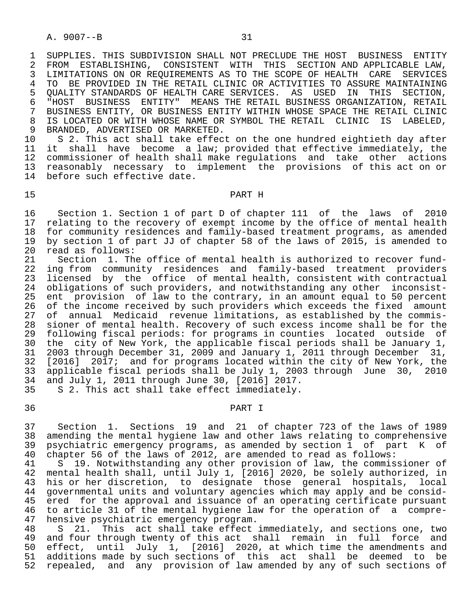1 SUPPLIES. THIS SUBDIVISION SHALL NOT PRECLUDE THE HOST BUSINESS ENTITY<br>2 FROM ESTABLISHING, CONSISTENT WITH THIS SECTION AND APPLICABLE LAW, 2 FROM ESTABLISHING, CONSISTENT WITH THIS SECTIONANDAPPLICABLE LAW,<br>3 LIMITATIONS ON OR REOUIREMENTS AS TO THE SCOPE OF HEALTH CARE SERVICES 3 LIMITATIONS ON OR REQUIREMENTS AS TO THE SCOPE OF HEALTH CARE 4 TO BE PROVIDED IN THE RETAIL CLINIC OR ACTIVITIES TO ASSURE MU 4 TO BE PROVIDED IN THE RETAIL CLINIC OR ACTIVITIES TO ASSURE MAINTAINING<br>5 OUALITY STANDARDS OF HEALTH CARE SERVICES. AS USED IN THIS SECTION, 5 QUALITY STANDARDS OF HEALTH CARE SERVICES. AS USED IN THIS<br>6 "HOST BUSINESS ENTITY" MEANS THE RETAIL BUSINESS ORGANIZATI 6 "HOST BUSINESS ENTITY" MEANS THE RETAIL BUSINESS ORGANIZATION, RETAIL<br>7 BUSINESS ENTITY, OR BUSINESS ENTITY WITHIN WHOSE SPACE THE RETAIL CLINIC 7 BUSINESS ENTITY, OR BUSINESS ENTITY WITHIN WHOSE SPACE THE RETAIL CLINIC<br>8 IS LOCATED OR WITH WHOSE NAME OR SYMBOL THE RETAIL, CLINIC IS ILABELED. 8 IS LOCATED OR WITH WHOSE NAME OR SYMBOL THE RETAIL CLINIC IS LABELED,<br>9 BRANDED, ADVERTISED OR MARKETED. 9 BRANDED, ADVERTISED OR MARKETED.<br>10 S 2. This act shall take effec

10 S 2. This act shall take effect on the one hundred eightieth day after<br>11 it shall have become a law; provided that effective immediately, the 11 it shall have become a law; provided that effective immediately, the<br>12 commissioner of health shall make regulations and take other actions 12 commissioner of health shall make regulations and take other actions<br>13 reasonably necessary to implement the provisions of this act on or 13 reasonably necessary to implement the provisions of this act on or<br>14 before such effective date. before such effective date.

### 15 PART H

16 Section 1. Section 1 of part D of chapter 111 of the laws of 2010<br>17 relating to the recovery of exempt income by the office of mental health 17 relating to the recovery of exempt income by the office of mental health<br>18 for community residences and family-based treatment programs, as amended 18 for community residences and family-based treatment programs, as amended<br>19 by section 1 of part JJ of chapter 58 of the laws of 2015, is amended to 19 by section 1 of part JJ of chapter 58 of the laws of 2015, is amended to 20 read as follows:<br>21 Section 1. Th

21 Section 1. The office of mental health is authorized to recover fund-<br>22 ing from community residences and family-based treatment providers 22 ing from community residences and family-based treatment providers<br>23 licensed by the office of mental-health, consistent with contractual 23 licensed by the office of mental health, consistent with contractual<br>24 obligations of such providers, and notwithstanding any other inconsist-24 obligations of such providers, and notwithstanding any other inconsist-<br>25 ent provision of law to the contrary, in an amount equal to 50 percent 25 ent provision of law to the contrary, in an amount equal to 50 percent<br>26 of the income received by such providers which exceeds the fixed amount 26 of the income received by such providers which exceeds the fixed amount<br>27 of annual Medicaid revenue limitations, as established by the commisof annual Medicaid revenue limitations, as established by the commis- 28 sioner of mental health. Recovery of such excess income shall be for the 29 following fiscal periods: for programs in counties located outside of<br>20 the city of New York, the applicable fiscal periods shall be January 1, 30 the city of New York, the applicable fiscal periods shall be January 1,<br>31 2003 through December 31, 2009 and January 1, 2011 through December 31, 31 2003 through December 31, 2009 and January 1, 2011 through December 31,<br>32 [2016] 2017; and for programs located within the city of New York, the 32 [2016] 2017; and for programs located within the city of New York, the<br>33 applicable fiscal periods shall be July 1, 2003 through June 30, 2010 33 applicable fiscal periods shall be July 1, 2003 through June 30, 2010<br>34 and July 1, 2011 through June 30, [2016] 2017. and July 1, 2011 through June 30, [2016] 2017.

35 S 2. This act shall take effect immediately.

## 36 PART I

 37 Section 1. Sections 19 and 21 of chapter 723 of the laws of 1989 38 amending the mental hygiene law and other laws relating to comprehensive<br>39 psychiatric emergency programs, as amended by section 1 of part K of 39 psychiatric emergency programs, as amended by section 1 of part K of 40 chapter 56 of the laws of 2012, are amended to read as follows: 40 chapter 56 of the laws of 2012, are amended to read as follows:<br>41 S 19. Notwithstanding any other provision of law, the commis

5 19. Notwithstanding any other provision of law, the commissioner of 42 mental health shall, until July 1, [2016] 2020, be solely authorized, in<br>43 his or her discretion, to designate those general hospitals, local his or her discretion, to designate those general hospitals, local 44 governmental units and voluntary agencies which may apply and be consid- 45 ered for the approval and issuance of an operating certificate pursuant<br>46 to article 31 of the mental hygiene law for the operation of a compre-46 to article 31 of the mental hygiene law for the operation of a compre-<br>47 hensive psychiatric emergency program. hensive psychiatric emergency program.

48 S 21. This act shall take effect immediately, and sections one, two<br>49 and four through twenty of this act shall remain in full force and 49 and four through twenty of this act shall remain in full force and<br>50 effect, until July 1, [2016] 2020, at which time the amendments and 50 effect, until July 1, [2016] 2020, at which time the amendments and<br>51 additions made by such sections of this act shall be deemed to be 51 additions made by such sections of this act shall be deemed to be<br>52 repealed, and any provision of law amended by any of such sections of 52 repealed, and any provision of law amended by any of such sections of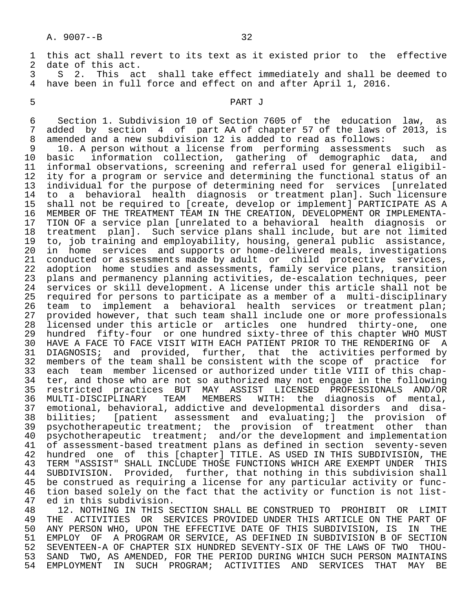|                 | 1 this act shall revert to its text as it existed prior to the effective |
|-----------------|--------------------------------------------------------------------------|
|                 | date of this act.                                                        |
|                 | S 2. This act shall take effect immediately and shall be deemed to       |
|                 | 4 have been in full force and effect on and after April 1, 2016.         |
| 5.              | PART J                                                                   |
| 6               | Section 1. Subdivision 10 of Section 7605 of the education law, as       |
|                 | added by section 4 of part AA of chapter 57 of the laws of 2013, is      |
| 8               | amended and a new subdivision 12 is added to read as follows:            |
| 9               | 10. A person without a license from performing assessments such as       |
| 10 <sup>°</sup> | basic information collection, gathering of demographic data, and         |
| 11              | informal observations, screening and referral used for general eligibil- |
| 12 <sup>°</sup> | ity for a program or service and determining the functional status of an |
| 13              | individual for the purpose of determining need for services [unrelated   |

 14 to a behavioral health diagnosis or treatment plan]. Such licensure 15 shall not be required to [create, develop or implement] PARTICIPATE AS A<br>16 MEMBER OF THE TREATMENT TEAM IN THE CREATION, DEVELOPMENT OR IMPLEMENTA-16 MEMBER OF THE TREATMENT TEAM IN THE CREATION, DEVELOPMENT OR IMPLEMENTA-<br>17 TION OF a service plan [unrelated to a behavioral health diagnosis or 17 TION OF a service plan [unrelated to a behavioral health diagnosis or<br>18 treatment plan]. Such service plans shall include, but are not limited 18 treatment plan]. Such service plans shall include, but are not limited<br>19 to, job training and employability, housing, general public assistance, 19 to, job training and employability, housing, general public assistance,<br>20 in home services and supports or home-delivered meals, investigations 20 in home services and supports or home-delivered meals, investigations<br>21 conducted or assessments made by adult or child protective services, 21 conducted or assessments made by adult or child protective services,<br>22 adoption home studies and assessments, family service plans, transition 22 adoption home studies and assessments, family service plans, transition<br>23 plans and permanency planning activities, de-escalation techniques, peer 23 plans and permanency planning activities, de-escalation techniques, peer<br>24 services or skill development. A license under this article shall not be 24 services or skill development. A license under this article shall not be 25 required for persons to participate as a member of a multi-disciplinary<br>26 team to implement a behavioral health services or treatment plan; 26 team to implement a behavioral health services or treatment plan;<br>27 provided however, that such team shall include one or more professionals 27 provided however, that such team shall include one or more professionals<br>28 licensed under this article or articles one hundred thirty-one, one 28 licensed under this article or articles one hundred thirty-one, one 29 hundred fifty-four or one hundred sixty-three of this chapter WHO MUST 30 HAVE A FACE TO FACE VISIT WITH EACH PATIENT PRIOR TO THE RENDERING OF A<br>31 DIAGNOSIS; and provided, further, that the activities performed by DIAGNOSIS; and provided, further, that the activities performed by 32 members of the team shall be consistent with the scope of practice for 33 each team member licensed or authorized under title VIII of this chap- 34 ter, and those who are not so authorized may not engage in the following 35 restricted practices BUT MAY ASSIST LICENSED PROFESSIONALS AND/OR<br>36 MULTI-DISCIPLINARY TEAM MEMBERS WITH: the diagnosis of mental, 36 MULTI-DISCIPLINARY TEAM MEMBERS WITH: the diagnosis of mental, emotional, behavioral, addictive and developmental disorders and disa-38 bilities; [patient assessment and evaluating;] the provision of<br>39 psychotherapeutic treatment; the provision of treatment other than 39 psychotherapeutic treatment; the provision of treatment other than<br>40 psychotherapeutic treatment; and/or the development and implementation <sup>1</sup> psychotherapeutic treatment; and/or the development and implementation<br>41 of assessment-based treatment plans as defined in section seventy-seven 41 of assessment-based treatment plans as defined in section seventy-seven<br>42 hundred one of this [chapter] TITLE. AS USED IN THIS SUBDIVISION, THE 42 hundred one of this [chapter] TITLE. AS USED IN THIS SUBDIVISION, THE<br>43 TERM "ASSIST" SHALL INCLUDE THOSE FUNCTIONS WHICH ARE EXEMPT UNDER THIS 43 TERM "ASSIST" SHALL INCLUDE THOSE FUNCTIONS WHICH ARE EXEMPT UNDER THIS<br>44 SURDIVISION. Provided. further, that nothing in this subdivision shall 44 SUBDIVISION. Provided, further, that nothing in this subdivision shall<br>45 be construed as requiring a license for any particular activity or funcbe construed as requiring a license for any particular activity or func-46 tion based solely on the fact that the activity or function is not list-<br>47 ed in this subdivision. 47 ed in this subdivision.<br>48 12. NOTHING IN THIS S

48 12. NOTHING IN THIS SECTION SHALL BE CONSTRUED TO PROHIBIT OR LIMIT<br>49 THE ACTIVITIES OR SERVICES PROVIDED UNDER THIS ARTICLE ON THE PART OF 49 THE ACTIVITIES OR SERVICES PROVIDED UNDER THIS ARTICLE ON THE PART OF<br>50 ANY PERSON WHO, UPON THE EFFECTIVE DATE OF THIS SUBDIVISION, IS IN THE 50 ANY PERSON WHO, UPON THE EFFECTIVE DATE OF THIS SUBDIVISION, IS IN THE<br>51 EMPLOY OF A PROGRAM OR SERVICE, AS DEFINED IN SUBDIVISION B OF SECTION 51 EMPLOY OF A PROGRAM OR SERVICE, AS DEFINED IN SUBDIVISION B OF SECTION<br>52 SEVENTEEN-A OF CHAPTER SIX HUNDRED SEVENTY-SIX OF THE LAWS OF TWO THOU- 52 SEVENTEEN-A OF CHAPTER SIX HUNDRED SEVENTY-SIX OF THE LAWS OF TWO THOU- 53 SAND TWO, AS AMENDED, FOR THE PERIOD DURING WHICH SUCH PERSON MAINTAINS<br>54 EMPLOYMENT IN SUCH PROGRAM; ACTIVITIES AND SERVICES THAT MAY BE 54 EMPLOYMENT IN SUCH PROGRAM; ACTIVITIES AND SERVICES THAT MAY BE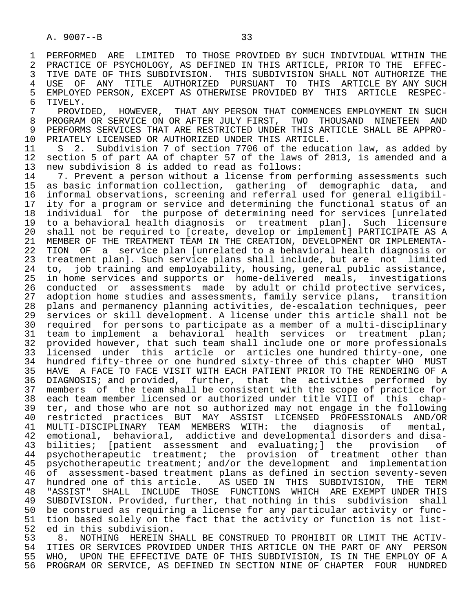1 PERFORMED ARE LIMITED TO THOSE PROVIDED BY SUCH INDIVIDUAL WITHIN THE<br>2 PRACTICE OF PSYCHOLOGY, AS DEFINED IN THIS ARTICLE, PRIOR TO THE EFFEC-2 PRACTICE OF PSYCHOLOGY, AS DEFINED IN THIS ARTICLE, PRIOR TO THE EFFEC-<br>3 TIVE DATE OF THIS SUBDIVISION. THIS SUBDIVISION SHALL NOT AUTHORIZE THE 3 TIVE DATE OF THIS SUBDIVISION. THIS SUBDIVISION SHALL NOT AUTHORIZE THE<br>4 USE OF ANY TITLE AUTHORIZED PURSUANT TO THIS ARTICLE BY ANY SUCH 4 USE OF ANY TITLE AUTHORIZED PURSUANT TO THIS ARTICLE BY ANY SUCH 5 EMPLOYED PERSON, EXCEPT AS OTHERWISE PROVIDED BY<br>6 TIVELY.

6 TIVELY.<br>7 PROVIDED, 7 PROVIDED, HOWEVER, THAT ANY PERSON THAT COMMENCES EMPLOYMENT IN SUCH (2011) PROGRAM OR SERVICE ON OR AFTER JULY FIRST. TWO THOUSAND NINETEEN AND 8 PROGRAM OR SERVICE ON OR AFTER JULY FIRST, TWO THOUSAND NINETEEN AND<br>9 PERFORMS SERVICES THAT ARE RESTRICTED UNDER THIS ARTICLE SHALL BE APPRO-9 PERFORMS SERVICES THAT ARE RESTRICTED UNDER THIS ARTICLE SHALL BE APPRO-<br>10 PRIATELY LICENSED OR AUTHORIZED UNDER THIS ARTICLE. 10 PRIATELY LICENSED OR AUTHORIZED UNDER THIS ARTICLE.<br>11 S 2. Subdivision 7 of section 7706 of the educa

11 S 2. Subdivision 7 of section 7706 of the education law, as added by<br>12 section 5 of part AA of chapter 57 of the laws of 2013, is amended and a 12 section 5 of part AA of chapter 57 of the laws of 2013, is amended and a<br>13 new subdivision 8 is added to read as follows: 13 new subdivision 8 is added to read as follows:<br>14 17 Prevent a person without a license from p

14 1. Prevent a person without a license from performing assessments such<br>15 as basic information collection, gathering of demographic data, and 15 as basic information collection, gathering of demographic data, and 16 informal observations, screening and referral used for general eligibil-<br>17 ity for a program or service and determining the functional status of an 17 ity for a program or service and determining the functional status of an<br>18 individual for the purpose of determining need for services [unrelated 18 individual for the purpose of determining need for services [unrelated<br>19 to a behavioral health diagnosis or treatment planl. Such licensure 19 to a behavioral health diagnosis or treatment plan]. Such licensure 20 shall not be required to [create, develop or implement] PARTICIPATE AS A<br>21 MEMBER OF THE TREATMENT TEAM IN THE CREATION, DEVELOPMENT OR IMPLEMENTA-21 MEMBER OF THE TREATMENT TEAM IN THE CREATION, DEVELOPMENT OR IMPLEMENTA-<br>22 TION OF a service plan [unrelated to a behavioral health diagnosis or 22 TION OF a service plan [unrelated to a behavioral health diagnosis or<br>23 treatment plan]. Such service plans shall include, but are not limited 23 treatment plan]. Such service plans shall include, but are not limited<br>24 to. iob training and employability, housing, general public assistance, 24 to, job training and employability, housing, general public assistance,<br>25 in home services and supports or home-delivered meals, investigations in home services and supports or home-delivered meals, investigations 26 conducted or assessments made by adult or child protective services,<br>27 adoption home studies and assessments, family service plans, transition 27 adoption home studies and assessments, family service plans, transition<br>28 plans and permanency planning activities, de-escalation techniques, peer 28 plans and permanency planning activities, de-escalation techniques, peer services or skill development. A license under this article shall not be 30 required for persons to participate as a member of a multi-disciplinary 31 team to implement a behavioral health services or treatment plan;<br>32 provided however, that such team shall include one or more professionals 32 provided however, that such team shall include one or more professionals<br>33 licensed under this article or articles one hundred thirty-one, one 33 licensed under this article or articles one hundred thirty-one, one 34 hundred fifty-three or one hundred sixty-three of this chapter WHO MUST<br>35 HAVE A FACE TO FACE VISIT WITH EACH PATIENT PRIOR TO THE RENDERING OF A 35 HAVE A FACE TO FACE VISIT WITH EACH PATIENT PRIOR TO THE RENDERING OF A<br>36 DIAGNOSIS; and provided, further, that, the activities performed by DIAGNOSIS; and provided, further, that the activities performed by 37 members of the team shall be consistent with the scope of practice for 38 each team member licensed or authorized under title VIII of this chap- 39 ter, and those who are not so authorized may not engage in the following<br>40 restricted practices BUT MAY ASSIST LICENSED PROFESSIONALS AND/OR 40 restricted practices BUT MAY ASSIST LICENSED PROFESSIONALS AND/OR 41 MULTI-DISCIPLINARY TEAM MEMBERS WITH: the diagnosis of mental,<br>42 emotional, behavioral, addictive and developmental disorders and disa-42 emotional, behavioral, addictive and developmental disorders and disa-<br>43 bilities; [patient assessment and evaluating;] the provision of 43 bilities; [patient assessment and evaluating;] the provision of<br>44 psychotherapeutic treatment; the provision of treatment other than 44 psychotherapeutic treatment; the provision of treatment other than<br>45 psychotherapeutic treatment; and/or the development and implementation 45 psychotherapeutic treatment; and/or the development and implementation 46 of assessment-based treatment plans as defined in section seventy-seven<br>47 hundred one of this article. AS USED IN THIS SUBDIVISION, THE TERM 47 hundred one of this article. AS USED IN THIS SUBDIVISION, THE TERM<br>48 "ASSIST" SHALL INCLUDE THOSE FUNCTIONS WHICH ARE EXEMPT UNDER THIS 48 "ASSIST" SHALL INCLUDE THOSE FUNCTIONS WHICH ARE—EXEMPT\_UNDER\_THIS<br>49 SUBDIVISION. Provided, further, that nothing in this subdivision shall 49 SUBDIVISION. Provided, further, that nothing in this subdivision shall<br>50 be construed as requiring a license for any particular activity or func-50 be construed as requiring a license for any particular activity or func-<br>51 tion based solely on the fact that the activity or function is not list-51 tion based solely on the fact that the activity or function is not list-<br>52 ed in this subdivision.

 52 ed in this subdivision. 53 6. NOTHING HEREIN SHALL BE CONSTRUED TO PROHIBIT OR LIMIT THE ACTIV-<br>54 TTIES OR SERVICES PROVIDED UNDER THIS ARTICLE ON THE PART OF ANY PERSON 54 ITIES OR SERVICES PROVIDED UNDER THIS ARTICLE ON THE PART OF ANY PERSON<br>55 WHO, UPON THE EFFECTIVE DATE OF THIS SUBDIVISION, IS IN THE EMPLOY OF A 55 WHO, UPON THE EFFECTIVE DATE OF THIS SUBDIVISION, IS IN THE EMPLOY OF A<br>56 PROGRAM OR SERVICE, AS DEFINED IN SECTION NINE OF CHAPTER FOUR HUNDRED 56 PROGRAM OR SERVICE, AS DEFINED IN SECTION NINE OF CHAPTER FOUR HUNDRED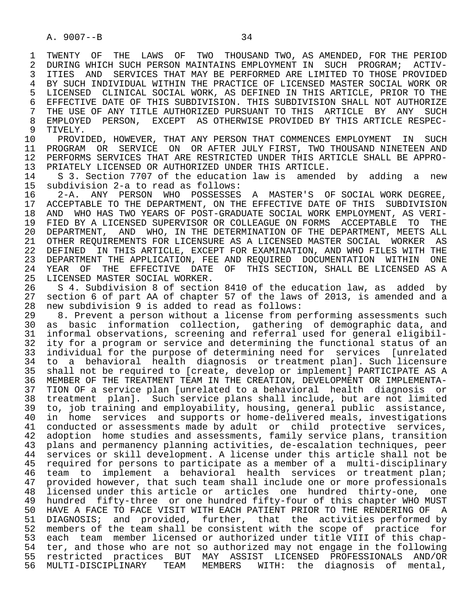1 TWENTY OF THE LAWS OF TWO THOUSAND TWO, AS AMENDED, FOR THE PERIOD<br>2 DURING WHICH SUCH PERSON MAINTAINS EMPLOYMENT IN SUCH PROGRAM; ACTIV-2 DURING WHICH SUCH PERSON MAINTAINS EMPLOYMENT IN SUCH PROGRAM; ACTIV-<br>3 ITIES AND SERVICES THAT MAY BE PERFORMED ARE LIMITED TO THOSE PROVIDED 3 ITIES AND SERVICES THAT MAY BE PERFORMED ARE LIMITED TO THOSE PROVIDED<br>4 BY SUCH INDIVIDUAL WITHIN THE PRACTICE OF LICENSED MASTER SOCIAL WORK OR 4 BY SUCH INDIVIDUAL WITHIN THE PRACTICE OF LICENSED MASTER SOCIAL WORK OR<br>5 LICENSED CLINICAL SOCIAL WORK, AS DEFINED IN THIS ARTICLE, PRIOR TO THE 5 LICENSED CLINICAL SOCIAL WORK, AS DEFINED IN THIS ARTICLE, PRIOR TO THE<br>6 EFFECTIVE DATE OF THIS SUBDIVISION. THIS SUBDIVISION SHALL NOT AUTHORIZE 6 EFFECTIVE DATE OF THIS SUBDIVISION. THIS SUBDIVISION SHALL NOT AUTHORIZE<br>7 THE USE OF ANY TITLE AUTHORIZED PURSUANT TO THIS ARTICLE BY ANY SUCH 7 THE USE OF ANY TITLE AUTHORIZED PURSUANT TO THIS ARTICLE BY ANY SUCH 7 THE SUPERTY AS OTHERWISE PROVIDED BY THIS ARTICLE RESPECT 8 EMPLOYED PERSON, EXCEPT AS OTHERWISE PROVIDED BY THIS ARTICLE RESPEC-<br>9 TIVELY.

9 TIVELY.<br>10 PROVI 10 PROVIDED, HOWEVER, THAT ANY PERSON THAT COMMENCES EMPLOYMENT IN SUCH<br>11 PROGRAM OR SERVICE ON OR AFTER JULY FIRST, TWO THOUSAND NINETEEN AND 11 PROGRAM OR SERVICE ON OR AFTER JULY FIRST, TWO THOUSAND NINETEEN AND<br>12 PERFORMS SERVICES THAT ARE RESTRICTED UNDER THIS ARTICLE SHALL BE APPRO-12 PERFORMS SERVICES THAT ARE RESTRICTED UNDER THIS ARTICLE SHALL BE APPRO-<br>13 PRIATELY LICENSED OR AUTHORIZED UNDER THIS ARTICLE. 13 PRIATELY LICENSED OR AUTHORIZED UNDER THIS ARTICLE.<br>14 S 3. Section 7707 of the education law is amende

 14 S 3. Section 7707 of the education law is amended by adding a new 15 subdivision 2-a to read as follows:

16 2-A. ANY PERSON WHO POSSESSES A MASTER'S OF SOCIAL WORK DEGREE,<br>17 ACCEPTABLE TO THE DEPARTMENT, ON THE EFFECTIVE DATE OF THIS SUBDIVISION 17 ACCEPTABLE TO THE DEPARTMENT, ON THE EFFECTIVE DATE OF THIS SUBDIVISION<br>18 AND WHO HAS TWO YEARS OF POST-GRADUATE SOCIAL WORK EMPLOYMENT, AS VERI-18 AND WHO HAS TWO YEARS OF POST-GRADUATE SOCIAL WORK EMPLOYMENT, AS VERI-<br>19 FIED BY A LICENSED SUPERVISOR OR COLLEAGUE ON FORMS ACCEPTABLE TO THE 19 FIED BY A LICENSED SUPERVISOR OR COLLEAGUE ON FORMS ACCEPTABLE TO THE 20 DEPARTMENT. AND WHO. IN THE DETERMINATION OF THE DEPARTMENT. MEETS ALL 20 DEPARTMENT, AND WHO, IN THE DETERMINATION OF THE DEPARTMENT, MEETS ALL<br>21 OTHER REOUIREMENTS FOR LICENSURE AS A LICENSED MASTER SOCIAL WORKER AS 21 OTHER REQUIREMENTS FOR LICENSURE AS A LICENSED MASTER SOCIAL WORKER<br>22 DEFINED IN THIS ARTICLE, EXCEPT FOR EXAMINATION, AND WHO FILES WITH T 22 DEFINED IN THIS ARTICLE, EXCEPT FOR EXAMINATION, AND WHO FILES WITH THE<br>23 DEPARTMENT THE APPLICATION, FEE AND REOUIRED DOCUMENTATION WITHIN ONE 23 DEPARTMENT THE APPLICATION, FEE AND REQUIRED DOCUMENTATION WITHIN ONE<br>24 YEAR OF THE EFFECTIVE DATE OF THIS SECTION, SHALL BE LICENSED AS A 24 YEAR OF THE EFFECTIVE DATE OF THIS SECTION, SHALL BE LICENSED AS A 25 LICENSED AS A LICENSED MASTER SOCIAL WORKER.

26 S 4. Subdivision 8 of section 8410 of the education law, as added by<br>27 section 6 of part AA of chapter 57 of the laws of 2013, is amended and a 27 section 6 of part AA of chapter 57 of the laws of 2013, is amended and a 28 new subdivision 9 is added to read as follows:<br>29 8. Prevent a person without a license from p

29 8. Prevent a person without a license from performing assessments such<br>20 as basic information collection, gathering of demographic data, and 30 as basic information collection, gathering of demographic data, and<br>31 informal observations, screening and referral used for general eligibil-31 informal observations, screening and referral used for general eligibil-<br>32 ity for a program or service and determining the functional status of an 32 ity for a program or service and determining the functional status of an<br>33 individual for the purpose of determining need for services [unrelated 33 individual for the purpose of determining need for services [unrelated<br>34 to a behavioral health diagnosis or treatment plan]. Such licensure 34 to a behavioral health diagnosis or treatment plan]. Such licensure<br>35 shall not be required to [create, develop or implement] PARTICIPATE AS A shall not be required to [create, develop or implement] PARTICIPATE AS A 36 MEMBER OF THE TREATMENT TEAM IN THE CREATION, DEVELOPMENT OR IMPLEMENTA- 37 TION OF a service plan [unrelated to a behavioral health diagnosis or 38 treatment plan]. Such service plans shall include, but are not limited<br>39 to, job training and emplovability, housing, general public assistance, 39 to, job training and employability, housing, general public assistance,<br>40 in home services and supports or home-delivered meals, investigations 40 in home services and supports or home-delivered meals, investigations<br>41 conducted or assessments made by adult or child protective services. 41 conducted or assessments made by adult or child protective services,<br>42 adoption home studies and assessments, family service plans, transition 42 adoption home studies and assessments, family service plans, transition<br>43 plans and permanency planning activities, de-escalation techniques, peer plans and permanency planning activities, de-escalation techniques, peer 44 services or skill development. A license under this article shall not be<br>45 required for persons to participate as a member of a multi-disciplinary 45 required for persons to participate as a member of a multi-disciplinary 46 team to implement a behavioral health services or treatment plan;<br>47 provided however, that such team shall include one or more professionals 47 provided however, that such team shall include one or more professionals 48 licensed under this article or articles one hundred thirty-one, one 49 hundred fifty-three or one hundred fifty-four of this chapter WHO MUST 50 HAVE A FACE TO FACE VISIT WITH EACH PATIENT PRIOR TO THE RENDERING OF A<br>51 DIAGNOSIS; and provided, further, that the activities performed by DIAGNOSIS; and provided, further, that the activities performed by 52 members of the team shall be consistent with the scope of practice for<br>53 each team member licensed or authorized under title VIII of this chap-53 each team member licensed or authorized under title VIII of this chap-<br>54 ter, and those who are not so authorized may not engage in the following 54 ter, and those who are not so authorized may not engage in the following<br>55 restricted practices BUT MAY ASSIST LICENSED PROFESSIONALS AND/OR 55 restricted practices BUT MAY ASSIST LICENSED PROFESSIONALS AND/OR<br>56 MULTI-DISCIPLINARY TEAM MEMBERS WITH: the diagnosis of mental, WITH: the diagnosis of mental,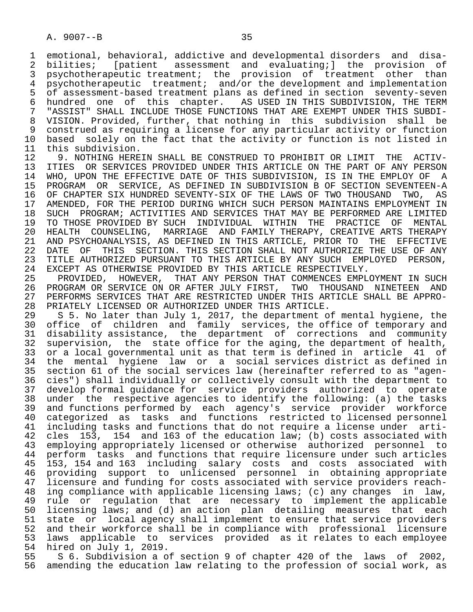1 emotional, behavioral, addictive and developmental disorders and disa-<br>2 bilities; [patient assessment and evaluating;] the provision of 2 bilities; [patient assessment and evaluating;] the provision of<br>3 psychotherapeutic treatment; the provision of treatment other than 3 psychotherapeutic treatment; the provision of treatment other than<br>4 psychotherapeutic treatment; and/or the development and implementation 4 psychotherapeutic treatment; and/or the development and implementation<br>5 of assessment-based treatment plans as defined in section seventy-seven 5 of assessment-based treatment plans as defined in section seventy-seven<br>6 hundred one of this chapter. AS USED IN THIS SUBDIVISION, THE TERM 6 hundred one of this chapter. AS USED IN THIS SUBDIVISION, THE TERM<br>7 "ASSIST" SHALL INCLUDE THOSE FUNCTIONS THAT ARE EXEMPT UNDER THIS SUBDI-"ASSIST" SHALL INCLUDE THOSE FUNCTIONS THAT ARE EXEMPT UNDER THIS SUBDI- 8 VISION. Provided, further, that nothing in this subdivision shall be 9 construed as requiring a license for any particular activity or function<br>10 based solely on the fact that the activity or function is not listed in 10 based solely on the fact that the activity or function is not listed in<br>11 this subdivision.

11 this subdivision.<br>12 9. NOTHING HERE 12 9. NOTHING HEREIN SHALL BE CONSTRUED TO PROHIBIT OR LIMIT THE ACTIV-<br>13 ITIES OR SERVICES PROVIDED UNDER THIS ARTICLE ON THE PART OF ANY PERSON 13 ITIES OR SERVICES PROVIDED UNDER THIS ARTICLE ON THE PART OF ANY PERSON<br>14 WHO, UPON THE EFFECTIVE DATE OF THIS SUBDIVISION, IS IN THE EMPLOY OF A WHO, UPON THE EFFECTIVE DATE OF THIS SUBDIVISION, IS IN THE EMPLOY OF A 15 PROGRAM OR SERVICE, AS DEFINED IN SUBDIVISION B OF SECTION SEVENTEEN-A<br>16 OF CHAPTER SIX HUNDRED SEVENTY-SIX OF THE LAWS OF TWO THOUSAND TWO, AS 16 OF CHAPTER SIX HUNDRED SEVENTY-SIX OF THE LAWS OF TWO THOUSAND TWO, AS<br>17 AMENDED, FOR THE PERIOD DURING WHICH SUCH PERSON MAINTAINS EMPLOYMENT IN 17 AMENDED, FOR THE PERIOD DURING WHICH SUCH PERSON MAINTAINS EMPLOYMENT IN<br>18 SUCH PROGRAM; ACTIVITIES AND SERVICES THAT MAY BE PERFORMED ARE LIMITED 18 SUCH PROGRAM; ACTIVITIES AND SERVICES THAT MAY BE PERFORMED ARE LIMITED<br>19 TO THOSE PROVIDED BY SUCH INDIVIDUAL WITHIN THE PRACTICE OF MENTAL 19 TO THOSE PROVIDED BY SUCH INDIVIDUAL WITHIN THE PRACTICE OF MENTAL<br>20 HEALTH COUNSELING, MARRIAGE AND FAMILY THERAPY, CREATIVE ARTS THERAPY 20 HEALTH COUNSELING, MARRIAGE AND FAMILY THERAPY, CREATIVE ARTS THERAPY<br>21 AND PSYCHOANALYSIS, AS DEFINED IN THIS ARTICLE, PRIOR TO THE EFFECTIVE 21 AND PSYCHOANALYSIS, AS DEFINED IN THIS ARTICLE, PRIOR TO THE EFFECTIVE 22 DATE OF THIS SECTION. THIS SECTION SHALL NOT AUTHORIZE THE USE OF ANY<br>23 TITLE AUTHORIZED PURSUANT TO THIS ARTICLE BY ANY SUCH EMPLOYED PERSON, 23 TITLE AUTHORIZED PURSUANT TO THIS ARTICLE BY ANY SUCH EMPLOYED PERSON,<br>24 EXCEPT AS OTHERWISE PROVIDED BY THIS ARTICLE RESPECTIVELY. 24 EXCEPT AS OTHERWISE PROVIDED BY THIS ARTICLE RESPECTIVELY.<br>25 PROVIDED, HOWEVER, THAT ANY PERSON THAT COMMENCES EMPL

 25 PROVIDED, HOWEVER, THAT ANY PERSON THAT COMMENCES EMPLOYMENT IN SUCH 26 PROGRAM OR SERVICE ON OR AFTER JULY FIRST, TWO THOUSAND NINETEEN AND<br>27 PERFORMS SERVICES THAT ARE RESTRICTED UNDER THIS ARTICLE SHALL BE APPRO-27 PERFORMS SERVICES THAT ARE RESTRICTED UNDER THIS ARTICLE SHALL BE APPRO-<br>28 PRIATELY LICENSED OR AUTHORIZED UNDER THIS ARTICLE. 28 PRIATELY LICENSED OR AUTHORIZED UNDER THIS ARTICLE.<br>29 S 5. No later than July 1, 2017, the department o

29 S 5. No later than July 1, 2017, the department of mental hygiene, the<br>30 office of children and family services, the office of temporary and office of children and family services, the office of temporary and 31 disability assistance, the department of corrections and community<br>32 supervision, the state office for the aging, the department of health, 32 supervision, the state office for the aging, the department of health,<br>33 or a local governmental unit as that term is defined in article 41 of or a local governmental unit as that term is defined in article 41 of 34 the mental hygiene law or a social services district as defined in<br>35 section 61 of the social services law (hereinafter referred to as "agensection 61 of the social services law (hereinafter referred to as "agen- 36 cies") shall individually or collectively consult with the department to 37 develop formal guidance for service providers authorized to operate 38 under the respective agencies to identify the following: (a) the tasks<br>39 and functions performed by each agency's service provider workforce 39 and functions performed by each agency's service provider workforce<br>40 categorized as tasks and functions restricted to licensed personnel 40 categorized as tasks and functions restricted to licensed personnel<br>41 including tasks and functions that do not require a license under arti-41 including tasks and functions that do not require a license under arti-<br>42 cles 153. 154 and 163 of the education law; (b) costs associated with 42 cles 153, 154 and 163 of the education law; (b) costs associated with<br>43 emploving appropriately licensed or otherwise authorized personnel to 43 employing appropriately licensed or otherwise authorized personnel to<br>44 perform tasks and functions that require licensure under such articles 44 perform tasks and functions that require licensure under such articles<br>45 153, 154 and 163 including salary costs and costs associated with 45 153, 154 and 163 including salary costs and costs associated with 46 providing support to unlicensed personnel in obtaining appropriate 47 licensure and funding for costs associated with service providers reach-<br>48 ing compliance with applicable licensing laws; (c) any changes in law. 48 ing compliance with applicable licensing laws; (c) any changes in law,<br>49 rule or regulation that are necessary to implement the applicable 49 rule or regulation that are necessary to implement the applicable<br>50 licensing laws; and (d) an action plan detailing measures that each 50 licensing laws; and (d) an action plan detailing measures that each<br>51 state or local agency shall implement to ensure that service providers 51 state or local agency shall implement to ensure that service providers<br>52 and their workforce shall be in compliance with professional licensure 52 and their workforce shall be in compliance with professional licensure<br>53 laws applicable to services provided as it relates to each employee 53 laws applicable to services provided as it relates to each employee<br>54 hired on July 1, 2019. 54 hired on July 1, 2019.<br>55 S 6. Subdivision a of

55 S 6. Subdivision a of section 9 of chapter 420 of the laws of 2002,<br>56 amending the education law relating to the profession of social work, as amending the education law relating to the profession of social work, as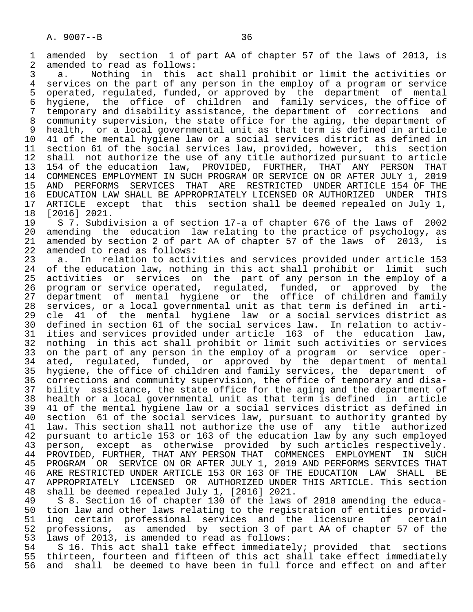1 amended by section 1 of part AA of chapter 57 of the laws of 2013, is 2 amended to read as follows: 2 amended to read as follows:<br>3 a. Nothing in this a

 3 a. Nothing in this act shall prohibit or limit the activities or 4 services on the part of any person in the employ of a program or service<br>5 operated, regulated, funded, or approved by the department of mental 5 operated, regulated, funded, or approved by the department of mental<br>6 hygiene, the office of children and family services, the office of 6 hygiene, the office of children and family services, the office of<br>7 temporary and disability assistance, the department of corrections and 7 temporary and disability assistance, the department of corrections and community supervision, the state office for the aging, the department of 9 health, or a local governmental unit as that term is defined in article<br>10 41 of the mental hygiene law or a social services district as defined in 10 41 of the mental hygiene law or a social services district as defined in<br>11 section 61 of the social services law, provided, however, this section 11 section 61 of the social services law, provided, however, this section<br>12 shall not authorize the use of any title authorized pursuant to article 12 shall not authorize the use of any title authorized pursuant to article<br>13 154 of the education law, PROVIDED, FURTHER, THAT ANY PERSON THAT 13 154 of the education law, PROVIDED, FURTHER, THAT ANY PERSON THAT<br>14 COMMENCES EMPLOYMENT IN SUCH PROGRAM OR SERVICE ON OR AFTER JULY 1, 2019 14 COMMENCES EMPLOYMENT IN SUCH PROGRAM OR SERVICE ON OR AFTER JULY 1, 2019<br>15 AND PERFORMS SERVICES THAT ARE RESTRICTED UNDER ARTICLE 154 OF THE 15 AND PERFORMS SERVICES THAT ARE RESTRICTED UNDER ARTICLE 154 OF THE<br>16 EDUCATION LAW SHALL BE APPROPRIATELY LICENSED OR AUTHORIZED UNDER THIS 16 EDUCATION LAW SHALL BE APPROPRIATELY LICENSED OR AUTHORIZED UNDER<br>17 ARTICLE except that this section shall be deemed repealed on Ju 17 ARTICLE except that this section shall be deemed repealed on July 1,<br>18 [2016] 2021.

 18 [2016] 2021. 19 S 7. Subdivision a of section 17-a of chapter 676 of the laws of 2002<br>20 amending the education law relating to the practice of psychology, as 20 amending the education law relating to the practice of psychology, as<br>21 amended by section 2 of part AA of chapter 57 of the laws of 2013, is 21 amended by section 2 of part AA of chapter 57 of the laws of 2013, is 22 amended to read as follows: 22 amended to read as follows:<br>23 a. In relation to activ

23 a. In relation to activities and services provided under article 153<br>24 of the education law, nothing in this act shall prohibit or limit such 24 of the education law, nothing in this act shall prohibit or limit such<br>25 activities or services on the part of any person in the employ of a activities or services on the part of any person in the employ of a 26 program or service operated, regulated, funded, or approved by the<br>27 department of mental hygiene or the office of children and family 27 department of mental hygiene or the office of children and family<br>28 services, or a local governmental unit as that term is defined in arti-28 services, or a local governmental unit as that term is defined in arti-<br>29 cle 41 of the mental hygiene law or a social services district as 29 cle 41 of the mental hygiene law or a social services district as<br>30 defined in section 61 of the social services law. In relation to activ- 30 defined in section 61 of the social services law. In relation to activ- 31 ities and services provided under article 163 of the education law, 32 nothing in this act shall prohibit or limit such activities or services<br>33 on the part of any person in the employ of a program or service oper-33 on the part of any person in the employ of a program or service oper-<br>34 ated, requlated, funded, or approved by the department of mental 34 ated, regulated, funded, or approved by the department of mental<br>35 hygiene, the office of children and family services, the department of 35 hygiene, the office of children and family services, the department of<br>36 corrections and community supervision, the office of temporary and disacorrections and community supervision, the office of temporary and disa- 37 bility assistance, the state office for the aging and the department of 38 health or a local governmental unit as that term is defined in article 39 41 of the mental hygiene law or a social services district as defined in 40 section 61 of the social services law, pursuant to authority granted by<br>41 law, This section shall not authorize the use of any title authorized 41 law. This section shall not authorize the use of any title authorized<br>42 pursuant to article 153 or 163 of the education law by any such employed 42 pursuant to article 153 or 163 of the education law by any such employed<br>43 person, except as otherwise provided by such articles respectively. 43 person, except as otherwise provided by such articles respectively.<br>44 PROVIDED, FURTHER, THAT ANY PERSON THAT COMMENCES EMPLOYMENT IN SUCH 44 PROVIDED, FURTHER, THAT ANY PERSON THAT COMMENCES EMPLOYMENT IN SUCH<br>45 PROGRAM OR SERVICE ON OR AFTER JULY 1, 2019 AND PERFORMS SERVICES THAT PROGRAM OR SERVICE ON OR AFTER JULY 1, 2019 AND PERFORMS SERVICES THAT 46 ARE RESTRICTED UNDER ARTICLE 153 OR 163 OF THE EDUCATION LAW SHALL BE<br>47 APPROPRIATELY LICENSED OR AUTHORIZED UNDER THIS ARTICLE. This section 47 APPROPRIATELY LICENSED OR AUTHORIZED UNDER THIS ARTICLE. This section<br>48 shall be deemed repealed July 1, [2016] 2021.

 48 shall be deemed repealed July 1, [2016] 2021. 49 S 8. Section 16 of chapter 130 of the laws of 2010 amending the educa-<br>50 tion law and other laws relating to the registration of entities provid-50 tion law and other laws relating to the registration of entities provid-<br>51 ing certain professional services and the licensure of certain 51 ing certain professional services and the licensure of certain<br>52 professions, as amended by section 3 of part AA of chapter 57 of the 52 professions, as amended by section 3 of part AA of chapter 57 of the 53 laws of 2013, is amended to read as follows:

54 S 16. This act shall take effect immediately; provided that sections<br>55 thirteen, fourteen and fifteen of this act shall take effect immediately 55 thirteen, fourteen and fifteen of this act shall take effect immediately<br>56 and shall be deemed to have been in full force and effect on and after and shall be deemed to have been in full force and effect on and after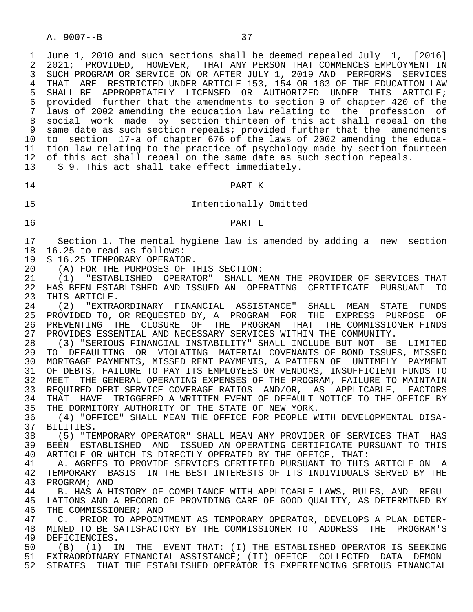1 June 1, 2010 and such sections shall be deemed repealed July 1, [2016]<br>2 2021; PROVIDED, HOWEVER, THAT ANY PERSON THAT COMMENCES EMPLOYMENT IN 2 2021; PROVIDED, HOWEVER, THAT ANY PERSON THAT COMMENCES EMPLOYMENT IN<br>3 SUCH PROGRAM OR SERVICE ON OR AFTER JULY 1, 2019 AND PERFORMS SERVICES 3 SUCH PROGRAM OR SERVICE ON OR AFTER JULY 1, 2019 AND PERFORMS SERVICES 4 THAT ARE RESTRICTED UNDER ARTICLE 153, 154 OR 163 OF THE EDUCATION LAW<br>5 SHALL BE APPROPRIATELY LICENSED OR AUTHORIZED UNDER THIS ARTICLE; 5 SHALL BE APPROPRIATELY LICENSED OR AUTHORIZED UNDER THIS ARTICLE;<br>6 provided further that the amendments to section 9 of chapter 420 of the 6 provided further that the amendments to section 9 of chapter 420 of the laws of 2002 amending the education law relating to the profession of 8 social work made by section thirteen of this act shall repeal on the 9 same date as such section repeals; provided further that the amendments<br>10 to section 17-a of chapter 676 of the laws of 2002 amending the educa- 10 to section 17-a of chapter 676 of the laws of 2002 amending the educa tion law relating to the practice of psychology made by section fourteen 12 of this act shall repeal on the same date as such section repeals. 13 S 9. This act shall take effect immediately.

14 PART K

# 15 Intentionally Omitted

# 16 PART L

17 Section 1. The mental hygiene law is amended by adding a new section<br>18 16.25 to read as follows: 18 16.25 to read as follows:<br>19 S 16.25 TEMPORARY OPERATO

19 S 16.25 TEMPORARY OPERATOR.<br>20 (A) FOR THE PURPOSES OF T

20 (A) FOR THE PURPOSES OF THIS SECTION:<br>21 (1) "ESTABLISHED OPERATOR" SHALL M

 21 (1) "ESTABLISHED OPERATOR" SHALL MEAN THE PROVIDER OF SERVICES THAT 22 HAS BEEN ESTABLISHED AND ISSUED AN OPERATING CERTIFICATE PURSUANT TO<br>23 THIS ARTICLE. 23 THIS ARTICLE.<br>24 (2) "EXTRA

24 (2) "EXTRAORDINARY FINANCIAL ASSISTANCE" SHALL MEAN STATE FUNDS<br>25 PROVIDED-TO, OR-REOUESTED-BY, A PROGRAM FOR THE EXPRESS PURPOSE OF PROVIDED TO, OR REQUESTED BY, A PROGRAM FOR THE EXPRESS PURPOSE OF 26 PREVENTING THE CLOSURE OF THE PROGRAM THAT THE COMMISSIONER FINDS<br>27 PROVIDES ESSENTIAL AND NECESSARY SERVICES WITHIN THE COMMUNITY. 27 PROVIDES ESSENTIAL AND NECESSARY SERVICES WITHIN THE COMMUNITY.<br>28 (3) "SERIOUS FINANCIAL INSTABILITY" SHALL INCLUDE BUT NOT BE

 28 (3) "SERIOUS FINANCIAL INSTABILITY" SHALL INCLUDE BUT NOT BE LIMITED 29 TO DEFAULTING OR VIOLATING MATERIAL COVENANTS OF BOND ISSUES, MISSED 30 MORTGAGE PAYMENTS, MISSED RENT PAYMENTS, A PATTERN OF UNTIMELY PAYMENT 31 OF DEBTS, FAILURE TO PAY ITS EMPLOYEES OR VENDORS, INSUFFICIENT FUNDS TO 32 MEET THE GENERAL OPERATING EXPENSES OF THE PROGRAM, FAILURE TO MAINTAIN 33 REQUIRED DEBT SERVICE COVERAGE RATIOS AND/OR, AS APPLICABLE, FACTORS 34 THAT HAVE TRIGGERED A WRITTEN EVENT OF DEFAULT NOTICE TO THE OFFICE BY<br>35 THE DORMITORY AUTHORITY OF THE STATE OF NEW YORK. 35 THE DORMITORY AUTHORITY OF THE STATE OF NEW YORK.<br>36 (4) "OFFICE" SHALL MEAN THE OFFICE FOR PEOPLE W

36 (4) "OFFICE" SHALL MEAN THE OFFICE FOR PEOPLE WITH DEVELOPMENTAL DISA-<br>37 BILITIES 37 BILITIES.<br>38 (5) "TE

38 (5) "TEMPORARY OPERATOR" SHALL MEAN ANY PROVIDER OF SERVICES THAT HAS<br>39 BEEN ESTABLISHED AND ISSUED AN OPERATING CERTIFICATE PURSUANT TO THIS 39 BEEN ESTABLISHED AND ISSUED AN OPERATING CERTIFICATE PURSUANT TO THIS<br>40 ARTICLE OR WHICH IS DIRECTLY OPERATED BY THE OFFICE, THAT: 40 ARTICLE OR WHICH IS DIRECTLY OPERATED BY THE OFFICE, THAT:<br>41 A. AGREES TO PROVIDE SERVICES CERTIFIED PURSUANT TO THIS

41 THE A. AGREES TO PROVIDE SERVICES CERTIFIED PURSUANT TO THIS ARTICLE ON THE ALL TEMPORARY THAS IN THE BEST INTERESTS OF ITS INDIVIDUALS SERVED BY THE 42 TEMPORARY BASIS IN THE BEST INTERESTS OF ITS INDIVIDUALS SERVED BY THE 43 PROGRAM; AND 43 PROGRAM; AND<br>44 B. HAS A H

 44 B. HAS A HISTORY OF COMPLIANCE WITH APPLICABLE LAWS, RULES, AND REGU- 45 LATIONS AND A RECORD OF PROVIDING CARE OF GOOD QUALITY, AS DETERMINED BY<br>46 THE COMMISSIONER; AND 46 THE COMMISSIONER; AND<br>47 C. PRIOR TO APPOIN

47 C. PRIOR TO APPOINTMENT AS TEMPORARY OPERATOR, DEVELOPS A PLAN DETER-<br>48 MINED TO BE SATISFACTORY BY THE COMMISSIONER TO ADDRESS THE PROGRAM'S 48 MINED TO BE SATISFACTORY BY THE COMMISSIONER TO ADDRESS THE PROGRAM'S<br>49 DEFICIENCIES. 49 DEFICIENCIES.<br>50 (B) (1) TI

50 (B) (1) IN THE EVENT THAT: (I) THE ESTABLISHED OPERATOR IS SEEKING<br>51 EXTRAORDINARY FINANCIAL ASSISTANCE; (II) OFFICE COLLECTED DATA DEMON-51 EXTRAORDINARY FINANCIAL ASSISTANCE; (II) OFFICE COLLECTED DATA DEMON-<br>52 STRATES THAT THE ESTABLISHED OPERATOR IS EXPERIENCING SERIOUS FINANCIAL STRATES THAT THE ESTABLISHED OPERATOR IS EXPERIENCING SERIOUS FINANCIAL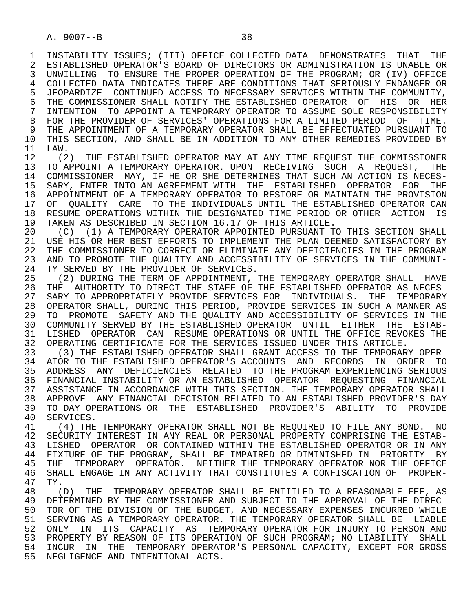1 INSTABILITY ISSUES; (III) OFFICE COLLECTED DATA DEMONSTRATES THAT THE<br>2 ESTABLISHED OPERATOR'S BOARD OF DIRECTORS OR ADMINISTRATION IS UNABLE OR 2 ESTABLISHED OPERATOR'S BOARD OF DIRECTORS OR ADMINISTRATION IS UNABLE OR<br>3 UNWILLING TO ENSURE THE PROPER OPERATION OF THE PROGRAM; OR (IV) OFFICE UNWILLING TO ENSURE THE PROPER OPERATION OF THE PROGRAM; OR (IV) OFFICE 4 COLLECTED DATA INDICATES THERE ARE CONDITIONS THAT SERIOUSLY ENDANGER OR<br>5 JEOPARDIZE CONTINUED ACCESS TO NECESSARY SERVICES WITHIN THE COMMUNITY. 5 JEOPARDIZE CONTINUED ACCESS TO NECESSARY SERVICES WITHIN THE COMMUNITY,<br>6 THE COMMISSIONER SHALL NOTIFY THE ESTABLISHED OPERATOR OF HIS OR HER 6 THE COMMISSIONER SHALL NOTIFY THE ESTABLISHED OPERATOR OF HIS OR HER<br>7 INTENTION TO APPOINT A TEMPORARY OPERATOR TO ASSUME SOLE RESPONSIBILITY 7 INTENTION TO APPOINT A TEMPORARY OPERATOR TO ASSUME SOLE RESPONSIBILITY 8 FOR THE PROVIDER OF SERVICES' OPERATIONS FOR A LIMITED PERIOD OF TIME.<br>9 THE APPOINTMENT OF A TEMPORARY OPERATOR SHALL BE EFFECTUATED PURSUANT TO 9 THE APPOINTMENT OF A TEMPORARY OPERATOR SHALL BE EFFECTUATED PURSUANT TO<br>10 THIS SECTION, AND SHALL BE IN ADDITION TO ANY OTHER REMEDIES PROVIDED BY 10 THIS SECTION, AND SHALL BE IN ADDITION TO ANY OTHER REMEDIES PROVIDED BY<br>11 LAW.

11 LAW.<br>12 (2) 12 (2) THE ESTABLISHED OPERATOR MAY AT ANY TIME REQUEST THE COMMISSIONER<br>13 TO APPOINT A TEMPORARY OPERATOR, UPON RECEIVING SUCH A REOUEST, THE 13 TO APPOINT A TEMPORARY OPERATOR. UPON RECEIVING SUCH A REQUEST, THE 14 COMMISSIONER MAY, IF HE OR SHE DETERMINES THAT SUCH AN ACTION IS NECES-14 COMMISSIONER MAY, IF HE OR SHE DETERMINES THAT SUCH AN ACTION IS NECES-<br>15 SARY, ENTER INTO AN AGREEMENT WITH THE ESTABLISHED OPERATOR FOR THE 15 SARY, ENTER INTO AN AGREEMENT WITH THE ESTABLISHED OPERATOR FOR THE<br>16 APPOINTMENT OF A TEMPORARY OPERATOR TO RESTORE OR MAINTAIN THE PROVISION 16 APPOINTMENT OF A TEMPORARY OPERATOR TO RESTORE OR MAINTAIN THE PROVISION<br>17 OF OUALITY CARE TO THE INDIVIDUALS UNTIL THE ESTABLISHED OPERATOR CAN 17 OF QUALITY CARE TO THE INDIVIDUALS UNTIL THE ESTABLISHED OPERATOR CAN<br>18 RESUME OPERATIONS WITHIN THE DESIGNATED TIME PERIOD OR OTHER ACTION IS 18 RESUME OPERATIONS WITHIN THE DESIGNATED TIME PERIOD OR OTHER ACTION IS<br>19 TAKEN AS DESCRIBED IN SECTION 16.17 OF THIS ARTICLE. 19 TAKEN AS DESCRIBED IN SECTION 16.17 OF THIS ARTICLE.<br>20 (C) (1) A TEMPORARY OPERATOR APPOINTED PURSUANT TO

20 (C) (1) A TEMPORARY OPERATOR APPOINTED PURSUANT TO THIS SECTION SHALL<br>21 USE HIS OR HER BEST EFFORTS TO IMPLEMENT THE PLAN DEEMED SATISFACTORY BY 21 USE HIS OR HER BEST EFFORTS TO IMPLEMENT THE PLAN DEEMED SATISFACTORY BY<br>22 THE COMMISSIONER TO CORRECT OR ELIMINATE ANY DEFICIENCIES IN THE PROGRAM 22 THE COMMISSIONER TO CORRECT OR ELIMINATE ANY DEFICIENCIES IN THE PROGRAM<br>23 AND TO PROMOTE THE OUALITY AND ACCESSIBILITY OF SERVICES IN THE COMMUNI-23 AND TO PROMOTE THE QUALITY AND ACCESSIBILITY OF SERVICES IN THE COMMUNI-<br>24 TY SERVED BY THE PROVIDER OF SERVICES. 24 TY SERVED BY THE PROVIDER OF SERVICES.<br>25 (2) DURING THE TERM OF APPOINTMENT.

(2) DURING THE TERM OF APPOINTMENT, THE TEMPORARY OPERATOR SHALL HAVE 26 THE AUTHORITY TO DIRECT THE STAFF OF THE ESTABLISHED OPERATOR AS NECES-<br>27 SARY TO APPROPRIATELY PROVIDE SERVICES FOR INDIVIDUALS. THE TEMPORARY 27 SARY TO APPROPRIATELY PROVIDE SERVICES FOR INDIVIDUALS. THE TEMPORARY<br>28 OPERATOR SHALL, DURING THIS PERIOD, PROVIDE SERVICES IN SUCH A MANNER AS 28 OPERATOR SHALL, DURING THIS PERIOD, PROVIDE SERVICES IN SUCH A MANNER AS 29 TO PROMOTE SAFETY AND THE QUALITY AND ACCESSIBILITY OF SERVICES IN THE 30 COMMUNITY SERVED BY THE ESTABLISHED OPERATOR UNTIL EITHER THE ESTAB- 31 LISHED OPERATOR CAN RESUME OPERATIONS OR UNTIL THE OFFICE REVOKES THE 32 OPERATING CERTIFICATE FOR THE SERVICES ISSUED UNDER THIS ARTICLE.<br>33 (3) THE ESTABLISHED OPERATOR SHALL GRANT ACCESS TO THE TEMPORAR

 33 (3) THE ESTABLISHED OPERATOR SHALL GRANT ACCESS TO THE TEMPORARY OPER- 34 ATOR TO THE ESTABLISHED OPERATOR'S ACCOUNTS AND RECORDS IN ORDER TO<br>35 ADDRESS ANY DEFICIENCIES RELATED TO THE PROGRAM EXPERIENCING SERIOUS 35 ADDRESS ANY DEFICIENCIES RELATED TO THE PROGRAM EXPERIENCING SERIOUS 36 FINANCIAL INSTABILITY OR AN ESTABLISHED OPERATOR REQUESTING FINANCIAL 37 ASSISTANCE IN ACCORDANCE WITH THIS SECTION. THE TEMPORARY OPERATOR SHALL<br>38 APPROVE ANY FINANCIAL DECISION RELATED TO AN ESTABLISHED PROVIDER'S DAY 38 APPROVE ANY FINANCIAL DECISION RELATED TO AN ESTABLISHED PROVIDER'S DAY<br>39 TO DAY OPERATIONS OR THE ESTABLISHED PROVIDER'S ABILITY TO PROVIDE 39 TO DAY OPERATIONS OR THE ESTABLISHED PROVIDER'S ABILITY TO PROVIDE<br>40 SERVICES. 40 SERVICES.<br>41 (4) THE

41 (4) THE TEMPORARY OPERATOR SHALL NOT BE REQUIRED TO FILE ANY BOND. NO<br>42 SECURITY INTEREST IN ANY REAL OR PERSONAL PROPERTY COMPRISING THE ESTAB-42 SECURITY INTEREST IN ANY REAL OR PERSONAL PROPERTY COMPRISING THE ESTAB-<br>43 LISHED, OPERATOR, OR CONTAINED WITHIN THE ESTABLISHED OPERATOR OR IN ANY 43 LISHED OPERATOR OR CONTAINED WITHIN THE ESTABLISHED OPERATOR OR IN ANY<br>44 FIXTURE OF THE PROGRAM, SHALL BE IMPAIRED OR DIMINISHED IN PRIORITY BY 44 FIXTURE OF THE PROGRAM, SHALL BE IMPAIRED OR DIMINISHED IN PRIORITY BY<br>45 THE TEMPORARY OPERATOR. NEITHER THE TEMPORARY OPERATOR NOR THE OFFICE 45 THE TEMPORARY OPERATOR. NEITHER THE TEMPORARY OPERATOR NOR THE OFFICE<br>46 SHALL ENGAGE IN ANY ACTIVITY THAT CONSTITUTES A CONFISCATION OF PROPER-46 SHALL ENGAGE IN ANY ACTIVITY THAT CONSTITUTES A CONFISCATION OF PROPER-<br>47 TY 47 TY.<br>48 (

48 (D) THE TEMPORARY OPERATOR SHALL BE ENTITLED TO A REASONABLE FEE, AS<br>49 DETERMINED BY THE COMMISSIONER AND SUBJECT TO THE APPROVAL OF THE DIREC-49 DETERMINED BY THE COMMISSIONER AND SUBJECT TO THE APPROVAL OF THE DIREC-<br>50 TOR OF THE DIVISION OF THE BUDGET, AND NECESSARY EXPENSES INCURRED WHILE 50 TOR OF THE DIVISION OF THE BUDGET, AND NECESSARY EXPENSES INCURRED WHILE<br>51 SERVING AS A TEMPORARY OPERATOR. THE TEMPORARY OPERATOR SHALL BE LIABLE SERVING AS A TEMPORARY OPERATOR. THE TEMPORARY OPERATOR SHALL BE LIABLE 52 ONLY IN ITS CAPACITY AS TEMPORARY OPERATOR FOR INJURY TO PERSON AND 53 PROPERTY BY REASON OF ITS OPERATION OF SUCH PROGRAM; NO LIABILITY SHALL<br>54 INCUR IN THE TEMPORARY OPERATOR'S PERSONAL CAPACITY, EXCEPT FOR GROSS 54 INCUR IN THE TEMPORARY OPERATOR'S PERSONAL CAPACITY, EXCEPT FOR GROSS 55 NEGLIGENCE AND INTENTIONAL ACTS.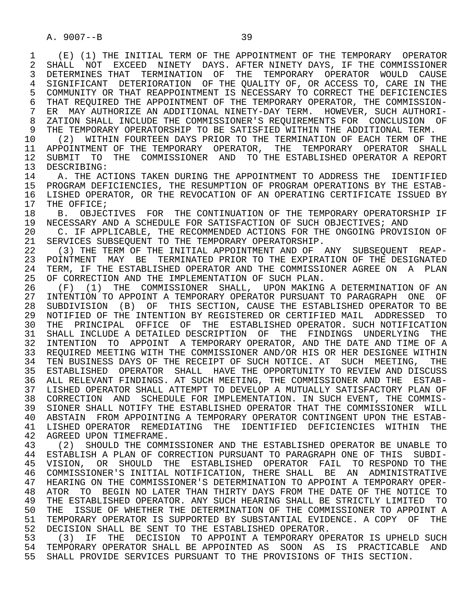1 (E) (1) THE INITIAL TERM OF THE APPOINTMENT OF THE TEMPORARY OPERATOR 2 SHALL NOT EXCEED NINETY DAYS. AFTER\_NINETY\_DAYS, IF THE COMMISSIONER<br>3 DETERMINES\_THAT\_\_TERMINATION\_\_OF\_\_THE\_\_TEMPORARY\_\_OPERATOR\_\_WOULD\_\_CAUSE 3 DETERMINES THAT TERMINATION OF THE TEMPORARY OPERATOR WOULD CAUSE 4 SIGNIFICANT DETERIORATION OF THE QUALITY OF, OR ACCESS TO, CARE IN THE 5 COMMUNITY OR THAT REAPPOINTMENT IS NECESSARY TO CORRECT THE DEFICIENCIES 5 COMMUNITY OR THAT REAPPOINTMENT IS NECESSARY TO CORRECT THE DEFICIENCIES<br>6 THAT REOUIRED THE APPOINTMENT OF THE TEMPORARY OPERATOR, THE COMMISSION-6 THAT REQUIRED THE APPOINTMENT OF THE TEMPORARY OPERATOR, THE COMMISSION-<br>7 ER MAY AUTHORIZE AN ADDITIONAL NINETY-DAY TERM. HOWEVER, SUCH AUTHORI-7 ER MAY AUTHORIZE AN ADDITIONAL NINETY-DAY TERM. HOWEVER, SUCH AUTHORI-<br>8 ZATION SHALL INCLUDE THE COMMISSIONER'S REQUIREMENTS FOR CONCLUSION OF 8 ZATION SHALL INCLUDE THE COMMISSIONER'S REQUIREMENTS FOR CONCLUSION OF<br>9 THE TEMPORARY OPERATORSHIP TO BE SATISFIED WITHIN THE ADDITIONAL TERM. 9 THE TEMPORARY OPERATORSHIP TO BE SATISFIED WITHIN THE ADDITIONAL TERM.<br>10 (2) WITHIN FOURTEEN DAYS PRIOR TO THE TERMINATION OF EACH TERM OF TI 10 (2) WITHIN FOURTEEN DAYS PRIOR TO THE TERMINATION OF EACH TERM OF THE THE TEMPORARY OPERATOR SHALL 11 APPOINTMENT OF THE TEMPORARY OPERATOR, THE TEMPORARY OPERATOR SHALL<br>12 SUBMIT TO THE COMMISSIONER AND TO THE ESTABLISHED OPERATOR A REPORT 12 SUBMIT TO THE COMMISSIONER AND TO THE ESTABLISHED OPERATOR A REPORT 13 DESCRIBING: 13 DESCRIBING:<br>14 A THE AC 14 THE ACTIONS TAKEN DURING THE APPOINTMENT TO ADDRESS THE IDENTIFIED<br>15 PROGRAM DEFICIENCIES, THE RESUMPTION OF PROGRAM OPERATIONS BY THE ESTAB- 15 PROGRAM DEFICIENCIES, THE RESUMPTION OF PROGRAM OPERATIONS BY THE ESTAB- 16 LISHED OPERATOR, OR THE REVOCATION OF AN OPERATING CERTIFICATE ISSUED BY<br>17 THE OFFICE; 17 THE OFFICE;<br>18 B. OBJEC 18 B. OBJECTIVES FOR THE CONTINUATION OF THE TEMPORARY OPERATORSHIP IF<br>19 NECESSARY AND A SCHEDULE FOR SATISFACTION OF SUCH OBJECTIVES; AND 19 NECESSARY AND A SCHEDULE FOR SATISFACTION OF SUCH OBJECTIVES; AND 20 (1) THE RECOMMENDED ACTIONS FOR THE ONGOING PROVIS 20 C. IF APPLICABLE, THE RECOMMENDED ACTIONS FOR THE ONGOING PROVISION OF 21 SERVICES SUBSEOUENT TO THE TEMPORARY OPERATORSHIP. 21 SERVICES SUBSEQUENT TO THE TEMPORARY OPERATORSHIP.<br>22 (3) THE TERM OF THE INITIAL APPOINTMENT AND OF 22 (3) THE TERM OF THE INITIAL APPOINTMENT AND OF ANY SUBSEQUENT REAP-<br>23 POINTMENT MAY BE TERMINATED PRIOR TO THE EXPIRATION OF THE DESIGNATED 23 POINTMENT MAY BE TERMINATED PRIOR TO THE EXPIRATION OF THE DESIGNATED 24 TERM, IF THE ESTABLISHED OPERATOR AND THE COMMISSIONER AGREE ON A PLAN<br>25 OF CORRECTION AND THE IMPLEMENTATION OF SUCH PLAN. OF CORRECTION AND THE IMPLEMENTATION OF SUCH PLAN. 26 (F) (1) THE COMMISSIONER SHALL, UPON MAKING A DETERMINATION OF AN<br>27 INTENTION TO APPOINT A TEMPORARY OPERATOR PURSUANT TO PARAGRAPH ONE OF 27 INTENTION TO APPOINT A TEMPORARY OPERATOR PURSUANT TO PARAGRAPH ONE OF<br>28 SUBDIVISION (B) OF THIS SECTION, CAUSE THE ESTABLISHED OPERATOR TO BE 28 SUBDIVISION (B) OF THIS SECTION, CAUSE THE ESTABLISHED OPERATOR TO BE<br>29 NOTIFIED OF THE INTENTION BY REGISTERED OR CERTIFIED MAIL ADDRESSED TO 29 NOTIFIED OF THE INTENTION BY REGISTERED OR CERTIFIED MAIL ADDRESSED TO 30 THE PRINCIPAL OFFICE OF THE ESTABLISHED OPERATOR. SUCH NOTIFICATION 31 SHALL INCLUDE A DETAILED DESCRIPTION OF THE FINDINGS UNDERLYING THE<br>32 INTENTION TO APPOINT A TEMPORARY OPERATOR, AND THE DATE AND TIME OF A 32 INTENTION TO APPOINT A TEMPORARY OPERATOR, AND THE DATE AND TIME OF A 33 REQUIRED MEETING WITH THE COMMISSIONER AND/OR HIS OR HER DESIGNEE WITHIN 34 TEN BUSINESS DAYS OF THE RECEIPT OF SUCH NOTICE. AT SUCH MEETING, THE 35 ESTABLISHED OPERATOR SHALL HAVE THE OPPORTUNITY TO REVIEW AND DISCUSS 36 ALL RELEVANT FINDINGS. AT SUCH MEETING, THE COMMISSIONER AND THE ESTAB- 37 LISHED OPERATOR SHALL ATTEMPT TO DEVELOP A MUTUALLY SATISFACTORY PLAN OF 38 CORRECTION AND SCHEDULE FOR IMPLEMENTATION. IN SUCH EVENT, THE COMMIS-<br>39 SIONER SHALL NOTIFY THE ESTABLISHED OPERATOR THAT THE COMMISSIONER WILL 39 SIONER SHALL NOTIFY THE ESTABLISHED OPERATOR THAT THE COMMISSIONER WILL<br>40 ABSTAIN FROM APPOINTING A TEMPORARY OPERATOR CONTINGENT UPON THE ESTAB-40 ABSTAIN FROM APPOINTING A TEMPORARY OPERATOR CONTINGENT UPON THE ESTAB-<br>41 LISHED OPERATOR REMEDIATING THE IDENTIFIED DEFICIENCIES WITHIN THE 41 LISHED OPERATOR REMEDIATING THE IDENTIFIED DEFICIENCIES WITHIN THE 42 AGREED-UPON-TIMEFRAME. 42 AGREED UPON TIMEFRAME.<br>43 (2) SHOULD THE COMM 43 (2) SHOULD THE COMMISSIONER AND THE ESTABLISHED OPERATOR BE UNABLE TO<br>44 ESTABLISH A PLAN OF CORRECTION PURSUANT TO PARAGRAPH ONE OF THIS SUBDI-44 ESTABLISH A PLAN OF CORRECTION PURSUANT TO PARAGRAPH ONE OF THIS SUBDI-<br>45 VISION, OR SHOULD THE ESTABLISHED OPERATOR FAIL TO RESPOND TO THE 45 VISION, OR SHOULD THE ESTABLISHED OPERATOR FAIL TO RESPOND TO THE 46 COMMISSIONER'S INITIAL NOTIFICATION, THERE SHALL BE AN ADMINISTRATIVE<br>47 HEARING ON THE COMMISSIONER'S DETERMINATION TO APPOINT A TEMPORARY OPER- 47 HEARING ON THE COMMISSIONER'S DETERMINATION TO APPOINT A TEMPORARY OPER- 48 ATOR TO BEGIN NO LATER THAN THIRTY DAYS FROM THE DATE OF THE NOTICE TO 49 THE ESTABLISHED OPERATOR. ANY SUCH HEARING SHALL BE STRICTLY LIMITED TO

49 THE ESTABLISHED OPERATOR. ANY SUCH HEARING SHALL BE STRICTLY LIMITED TO<br>50 THE ISSUE OF WHETHER THE DETERMINATION OF THE COMMISSIONER TO APPOINT A 50 THE ISSUE OF WHETHER THE DETERMINATION OF THE COMMISSIONER TO APPOINT A<br>51 TEMPORARY OPERATOR IS SUPPORTED BY SUBSTANTIAL EVIDENCE. A COPY OF THE 51 TEMPORARY OPERATOR IS SUPPORTED BY SUBSTANTIAL EVIDENCE. A COPY OF THE 52 DECISION SHALL BE SENT TO THE ESTABLISHED OPERATOR. 52 DECISION SHALL BE SENT TO THE ESTABLISHED OPERATOR.<br>53 (3) IF THE DECISION TO APPOINT A TEMPORARY OPI

53 (3) IF THE DECISION TO APPOINT A TEMPORARY OPERATOR IS UPHELD SUCH<br>54 TEMPORARY OPERATOR SHALL BE APPOINTED AS SOON AS IS PRACTICABLE AND 54 TEMPORARY OPERATOR SHALL BE APPOINTED AS SOON AS IS PRACTICABLE AND<br>55 SHALL PROVIDE SERVICES PURSUANT TO THE PROVISIONS OF THIS SECTION. 55 SHALL PROVIDE SERVICES PURSUANT TO THE PROVISIONS OF THIS SECTION.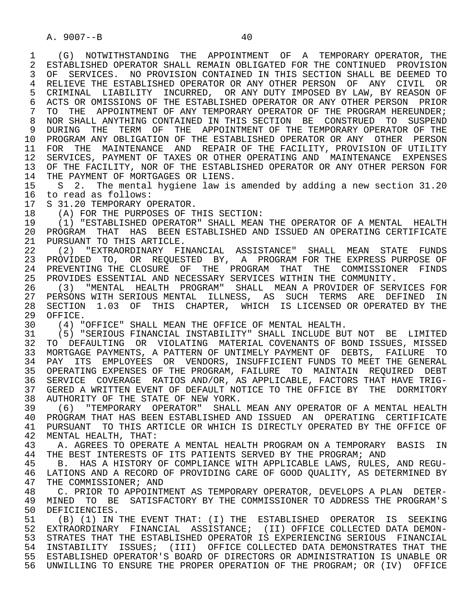1 (G) NOTWITHSTANDING THE APPOINTMENT OF A TEMPORARY OPERATOR, THE 2 ESTABLISHED OPERATOR SHALL REMAIN OBLIGATED FOR THE CONTINUED PROVISION<br>3 OF SERVICES. NO PROVISION CONTAINED IN THIS SECTION SHALL BE DEEMED TO 3 OF SERVICES. NO PROVISION CONTAINED IN THIS SECTION SHALL BE DEEMED TO 4 RELIEVE THE ESTABLISHED OPERATOR OR ANY OTHER PERSON OF ANY CIVIL OR<br>5 CRIMINAL LIABILITY INCURRED, OR ANY DUTY IMPOSED BY LAW, BY REASON OF 5 CRIMINAL LIABILITY INCURRED, OR ANY DUTY IMPOSED BY LAW, BY REASON OF<br>6 ACTS OR OMISSIONS OF THE ESTABLISHED OPERATOR OR ANY OTHER PERSON PRIOR 6 ACTS OR OMISSIONS OF THE ESTABLISHED OPERATOR OR ANY OTHER PERSON PRIOR<br>7 TO THE APPOINTMENT OF ANY TEMPORARY OPERATOR OF THE PROGRAM HEREUNDER; TO THE APPOINTMENT OF ANY TEMPORARY OPERATOR OF THE PROGRAM HEREUNDER; 8 NOR SHALL ANYTHING CONTAINED IN THIS SECTION BE CONSTRUED TO SUSPEND<br>9 DURING THE TERM OF THE APPOINTMENT OF THE TEMPORARY OPERATOR OF THE 9 DURING THE TERM OF THE APPOINTMENT OF THE TEMPORARY OPERATOR OF THE 10 PROGRAM ANY OBLIGATION OF THE ESTABLISHED OPERATOR OR ANY OTHER PERSON 10 PROGRAM ANY OBLIGATION OF THE ESTABLISHED OPERATOR OR ANY OTHER PERSON 11 FOR THE MAINTENANCE AND REPAIR OF THE FACILITY, PROVISION OF UTILITY 12 SERVICES, PAYMENT OF TAXES OR OTHER OPERATING AND MAINTENANCE EXPENSES 13 OF THE FACILITY, NOR OF THE ESTABLISHED OPERATOR OR ANY OTHER PERSON FOR<br>14 THE PAYMENT OF MORTGAGES OR LIENS THE PAYMENT OF MORTGAGES OR LIENS.

15 S 2. The mental hygiene law is amended by adding a new section 31.20<br>16 to read as follows: 16 to read as follows:<br>17 S 31.20 TEMPORARY O

17 S 31.20 TEMPORARY OPERATOR.<br>18 (A) FOR THE PURPOSES OF T

18 (A) FOR THE PURPOSES OF THIS SECTION:<br>19 (1) "ESTABLISHED OPERATOR" SHALL MEAN

 19 (1) "ESTABLISHED OPERATOR" SHALL MEAN THE OPERATOR OF A MENTAL HEALTH 20 PROGRAM THAT HAS BEEN ESTABLISHED AND ISSUED AN OPERATING CERTIFICATE<br>21 PURSUANT TO THIS ARTICLE. 21 PURSUANT TO THIS ARTICLE.<br>22 (2) "EXTRAORDINARY FII

 22 (2) "EXTRAORDINARY FINANCIAL ASSISTANCE" SHALL MEAN STATE FUNDS 23 PROVIDED TO, OR REQUESTED BY, A PROGRAM FOR THE EXPRESS PURPOSE OF 24 PREVENTING THE CLOSURE OF THE PROGRAM THAT THE COMMISSIONER FINDS<br>25 PROVIDES ESSENTIAL AND NECESSARY SERVICES WITHIN THE COMMUNITY. 25 PROVIDES ESSENTIAL AND NECESSARY SERVICES WITHIN THE COMMUNITY.

 26 (3) "MENTAL HEALTH PROGRAM" SHALL MEAN A PROVIDER OF SERVICES FOR 27 PERSONS WITH SERIOUS MENTAL ILLNESS, AS SUCH TERMS ARE DEFINED IN 28 SECTION 1.03 OF THIS CHAPTER, WHICH IS LICENSED OR OPERATED BY THE 29 OFFICE. 29 OFFICE.<br>30 (4) "

30 (4) "OFFICE" SHALL MEAN THE OFFICE OF MENTAL HEALTH.

 31 (5) "SERIOUS FINANCIAL INSTABILITY" SHALL INCLUDE BUT NOT BE LIMITED 32 TO DEFAULTING OR VIOLATING MATERIAL COVENANTS OF BOND ISSUES, MISSED<br>33 MORTGAGE PAYMENTS, A PATTERN OF UNTIMELY PAYMENT OF DEBTS, FAILURE TO 33 MORTGAGE PAYMENTS, A PATTERN OF UNTIMELY PAYMENT OF DEBTS, FAILURE TO 34 PAY ITS EMPLOYEES OR VENDORS, INSUFFICIENT FUNDS TO MEET THE GENERAL 35 OPERATING EXPENSES OF THE PROGRAM, FAILURE TO MAINTAIN REQUIRED DEBT 36 SERVICE COVERAGE RATIOS AND/OR, AS APPLICABLE, FACTORS THAT HAVE TRIG- 37 GERED A WRITTEN EVENT OF DEFAULT NOTICE TO THE OFFICE BY THE DORMITORY 38 AUTHORITY OF THE STATE OF NEW YORK.<br>39 (6) "TEMPORARY OPERATOR" SHALL

 39 (6) "TEMPORARY OPERATOR" SHALL MEAN ANY OPERATOR OF A MENTAL HEALTH 40 PROGRAM THAT HAS BEEN ESTABLISHED AND ISSUED AN OPERATING CERTIFICATE<br>41 PURSUANT TO THIS ARTICLE OR WHICH IS DIRECTLY OPERATED BY THE OFFICE OF 41 PURSUANT TO THIS ARTICLE OR WHICH IS DIRECTLY OPERATED BY THE OFFICE OF 42 MENTAL HEALTH. THAT: 42 MENTAL HEALTH, THAT:<br>43 A. AGREES TO OPERA

43 A. AGREES TO OPERATE A MENTAL HEALTH PROGRAM ON A TEMPORARY BASIS IN<br>44 THE BEST INTERESTS OF ITS PATIENTS SERVED BY THE PROGRAM; AND 44 THE BEST INTERESTS OF ITS PATIENTS SERVED BY THE PROGRAM; AND 45 B. HAS A HISTORY OF COMPLIANCE WITH APPLICABLE LAWS, RULES.

 45 B. HAS A HISTORY OF COMPLIANCE WITH APPLICABLE LAWS, RULES, AND REGU- 46 LATIONS AND A RECORD OF PROVIDING CARE OF GOOD QUALITY, AS DETERMINED BY<br>47 THE COMMISSIONER; AND 47 THE COMMISSIONER; AND<br>48 C. PRIOR TO APPOINT

 48 C. PRIOR TO APPOINTMENT AS TEMPORARY OPERATOR, DEVELOPS A PLAN DETER- 49 MINED TO BE SATISFACTORY BY THE COMMISSIONER TO ADDRESS THE PROGRAM'S<br>50 DEFICIENCIES. 50 DEFICIENCIES.<br>51 (B) (1) IN

 51 (B) (1) IN THE EVENT THAT: (I) THE ESTABLISHED OPERATOR IS SEEKING 52 EXTRAORDINARY FINANCIAL ASSISTANCE; (II) OFFICE COLLECTED DATA DEMON- 53 STRATES THAT THE ESTABLISHED OPERATOR IS EXPERIENCING SERIOUS FINANCIAL<br>54 INSTABLUTY ISSUES: (III) OFFICE COLLECTED DATA DEMONSTRATES THAT THE 54 INSTABILITY ISSUES; (III) OFFICE COLLECTED DATA DEMONSTRATES THAT THE 55 ESTABLISHED OPERATOR'S BOARD OF DIRECTORS OR ADMINISTRATION IS UNABLE OR 56 UNWILLING TO ENSURE THE PROPER OPERATION OF THE PROGRAM; OR (IV) OFFICE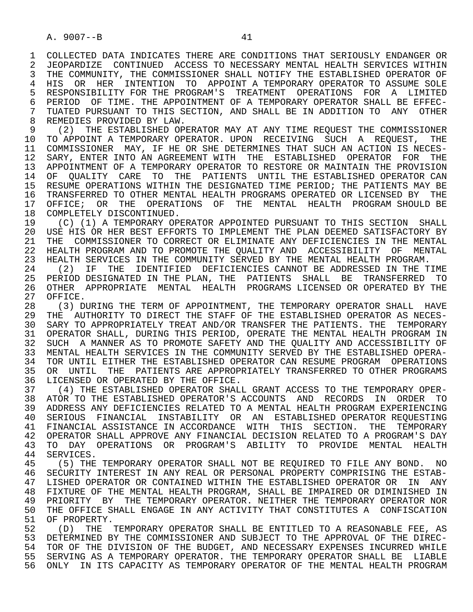1 COLLECTED DATA INDICATES THERE ARE CONDITIONS THAT SERIOUSLY ENDANGER OR<br>2 JEOPARDIZE CONTINUED ACCESS TO NECESSARY MENTAL HEALTH SERVICES WITHIN 2 JEOPARDIZE CONTINUED ACCESS TO NECESSARY MENTAL HEALTH SERVICES WITHIN<br>3 THE COMMUNITY, THE COMMISSIONER SHALL NOTIFY THE ESTABLISHED OPERATOR OF THE COMMUNITY, THE COMMISSIONER SHALL NOTIFY THE ESTABLISHED OPERATOR OF 4 HIS OR HER INTENTION TO APPOINT A TEMPORARY OPERATOR TO ASSUME SOLE<br>5 RESPONSIBILITY FOR THE PROGRAM'S TREATMENT OPERATIONS FOR A LIMITED 5 RESPONSIBILITY FOR THE PROGRAM'S TREATMENT OPERATIONS FOR A LIMITED<br>6 PERIOD OF TIME. THE APPOINTMENT OF A TEMPORARY OPERATOR SHALL BE EFFEC-6 PERIOD OF TIME. THE APPOINTMENT OF A TEMPORARY OPERATOR SHALL BE EFFEC-<br>7 TUATED PURSUANT TO THIS SECTION. AND SHALL BE IN ADDITION TO ANY OTHER 7 TUATED PURSUANT TO THIS SECTION, AND SHALL BE IN ADDITION TO ANY OTHER<br>8 REMEDIES PROVIDED BY LAW 8 REMEDIES PROVIDED BY LAW.<br>9 (2) THE ESTABLISHED OP

9 (2) THE ESTABLISHED OPERATOR MAY AT ANY TIME REQUEST THE COMMISSIONER<br>10 TO APPOINT A TEMPORARY OPERATOR, UPON RECEIVING SUCH A REOUEST, THE 10 TO APPOINT A TEMPORARY OPERATOR. UPON RECEIVING SUCH A REQUEST,<br>11 COMMISSIONER MAY, IF HE OR SHE DETERMINES THAT SUCH AN ACTION IS NEG 11 COMMISSIONER MAY, IF HE OR SHE DETERMINES THAT SUCH AN ACTION IS NECES-<br>12 SARY, ENTER INTO AN AGREEMENT WITH THE ESTABLISHED OPERATOR FOR THE 12 SARY, ENTER INTO AN AGREEMENT WITH THE ESTABLISHED OPERATOR FOR THE<br>13 APPOINTMENT OF A TEMPORARY OPERATOR TO RESTORE OR MAINTAIN THE PROVISION 13 APPOINTMENT OF A TEMPORARY OPERATOR TO RESTORE OR MAINTAIN THE PROVISION<br>14 OF OUALITY CARE TO THE PATIENTS UNTIL THE ESTABLISHED OPERATOR CAN OF OUALITY CARE TO THE PATIENTS UNTIL THE ESTABLISHED OPERATOR CAN 15 RESUME OPERATIONS WITHIN THE DESIGNATED TIME PERIOD; THE PATIENTS MAY BE<br>16 TRANSFERRED TO OTHER MENTAL HEALTH PROGRAMS OPERATED OR LICENSED BY THE 16 TRANSFERRED TO OTHER MENTAL HEALTH PROGRAMS OPERATED OR LICENSED BY THE THE OPERATIONS OF THE MENTAL HEALTH PROGRAM SHOULD BE 17 OFFICE; OR THE OPERATIONS OF THE MENTAL HEALTH PROGRAM SHOULD BE 18 COMPLETELY DISCONTINUED. 18 COMPLETELY DISCONTINUED.<br>19 (C) (1) A TEMPORARY OP

19 (C) (1) A TEMPORARY OPERATOR APPOINTED PURSUANT TO THIS SECTION SHALL<br>20 USE HIS OR HER BEST EFFORTS TO IMPLEMENT THE PLAN DEEMED SATISFACTORY BY 20 USE HIS OR HER BEST EFFORTS TO IMPLEMENT THE PLAN DEEMED SATISFACTORY BY<br>21 THE COMMISSIONER TO CORRECT OR ELIMINATE ANY DEFICIENCIES IN THE MENTAL 21 THE COMMISSIONER TO CORRECT OR ELIMINATE ANY DEFICIENCIES IN THE MENTAL<br>22 HEALTH PROGRAM AND TO PROMOTE THE OUALITY AND ACCESSIBILITY OF MENTAL 22 HEALTH PROGRAM AND TO PROMOTE THE QUALITY AND ACCESSIBILITY OF MENTAL<br>23 HEALTH SERVICES IN THE COMMUNITY SERVED BY THE MENTAL HEALTH PROGRAM. 23 HEALTH SERVICES IN THE COMMUNITY SERVED BY THE MENTAL HEALTH PROGRAM.

24 (2) IF THE IDENTIFIED DEFICIENCIES CANNOT BE ADDRESSED IN THE TIME<br>25 PERIOD DESIGNATED IN THE PLAN, THE PATIENTS SHALL BE TRANSFERRED TO 25 PERIOD DESIGNATED IN THE PLAN, THE PATIENTS SHALL BE TRANSFERRED TO 26 OTHER APPROPRIATE MENTAL HEALTH PROGRAMS LICENSED OR OPERATED BY THE 27 OFFICE. 27 OFFICE.<br>28 (3) DI

28 (3) DURING THE TERM OF APPOINTMENT, THE TEMPORARY OPERATOR SHALL HAVE<br>29 THE AUTHORITY TO DIRECT THE STAFF OF THE ESTABLISHED OPERATOR AS NECES-29 THE AUTHORITY TO DIRECT THE STAFF OF THE ESTABLISHED OPERATOR AS NECES-<br>30 SARY TO APPROPRIATELY TREAT AND/OR TRANSFER THE PATIENTS, THE TEMPORARY 30 SARY TO APPROPRIATELY TREAT AND/OR TRANSFER THE PATIENTS. THE TEMPORARY<br>31 OPERATOR SHALL, DURING THIS PERIOD, OPERATE THE MENTAL HEALTH PROGRAM IN 31 OPERATOR SHALL, DURING THIS PERIOD, OPERATE THE MENTAL HEALTH PROGRAM IN<br>32 SUCH A MANNER AS TO PROMOTE SAFETY AND THE OUALITY AND ACCESSIBILITY OF 32 SUCH A MANNER AS TO PROMOTE SAFETY AND THE QUALITY AND ACCESSIBILITY OF 33 MENTAL HEALTH SERVICES IN THE COMMUNITY SERVED BY THE ESTABLISHED OPERA-33 MENTAL HEALTH SERVICES IN THE COMMUNITY SERVED BY THE ESTABLISHED OPERA-<br>34 TOR UNTIL EITHER THE ESTABLISHED OPERATOR CAN RESUME PROGRAM OPERATIONS 34 TOR UNTIL EITHER THE ESTABLISHED OPERATOR CAN RESUME PROGRAM OPERATIONS<br>35 OR UNTIL THE PATIENTS ARE APPROPRIATELY TRANSFERRED TO OTHER PROGRAMS 35 OR UNTIL THE PATIENTS ARE APPROPRIATELY TRANSFERRED TO OTHER PROGRAMS<br>36 LICENSED OR OPERATED BY THE OFFICE. LICENSED OR OPERATED BY THE OFFICE.

 37 (4) THE ESTABLISHED OPERATOR SHALL GRANT ACCESS TO THE TEMPORARY OPER- 38 ATOR TO THE ESTABLISHED OPERATOR'S ACCOUNTS AND RECORDS IN ORDER TO<br>39 ADDRESS ANY DEFICIENCIES RELATED TO A MENTAL HEALTH PROGRAM EXPERIENCING 39 ADDRESS ANY DEFICIENCIES RELATED TO A MENTAL HEALTH PROGRAM EXPERIENCING<br>40 SERIOUS FINANCIAL INSTABILITY OR AN ESTABLISHED OPERATOR REOUESTING 40 SERIOUS FINANCIAL INSTABILITY OR AN ESTABLISHED-OPERATOR-REQUESTING<br>41 FINANCIAL-ASSISTANCE IN-ACCORDANCE WITH THIS SECTION. THE TEMPORARY 41 FINANCIAL ASSISTANCE IN ACCORDANCE WITH THIS SECTION. THE TEMPORARY<br>42 OPERATOR SHALL APPROVE ANY FINANCIAL DECISION RELATED TO A PROGRAM'S DAY 42 OPERATOR SHALL APPROVE ANY FINANCIAL DECISION RELATED TO A PROGRAM'S DAY<br>43 TO DAY OPERATIONS OR PROGRAM'S ABILITY TO PROVIDE MENTAL HEALTH 43 TO DAY OPERATIONS OR PROGRAM'S ABILITY TO PROVIDE MENTAL HEALTH 44 SERVICES. 44 SERVICES.<br>45 (5) THE

 45 (5) THE TEMPORARY OPERATOR SHALL NOT BE REQUIRED TO FILE ANY BOND. NO 46 SECURITY INTEREST IN ANY REAL OR PERSONAL PROPERTY COMPRISING THE ESTAB-<br>47 LISHED OPERATOR OR CONTAINED WITHIN THE ESTABLISHED OPERATOR OR IN ANY 47 LISHED OPERATOR OR CONTAINED WITHIN THE ESTABLISHED OPERATOR OR IN ANY<br>48 FIXTURE OF THE MENTAL HEALTH PROGRAM, SHALL BE IMPAIRED OR DIMINISHED IN 48 FIXTURE OF THE MENTAL HEALTH PROGRAM, SHALL BE IMPAIRED OR DIMINISHED IN<br>49 PRIORITY BY THE TEMPORARY OPERATOR. NEITHER THE TEMPORARY OPERATOR NOR 49 PRIORITY BY THE TEMPORARY OPERATOR. NEITHER THE TEMPORARY OPERATOR NOR<br>50 THE OFFICE SHALL ENGAGE IN ANY ACTIVITY THAT CONSTITUTES A CONFISCATION 50 THE OFFICE SHALL ENGAGE IN ANY ACTIVITY THAT CONSTITUTES A CONFISCATION<br>51 OF PROPERTY. 51 OF PROPERTY.<br>52 (D) THE '

52 (D) THE TEMPORARY OPERATOR SHALL BE ENTITLED TO A REASONABLE FEE, AS<br>53 DETERMINED BY THE COMMISSIONER AND SUBJECT TO THE APPROVAL OF THE DIREC-53 DETERMINED BY THE COMMISSIONER AND SUBJECT TO THE APPROVAL OF THE DIREC-<br>54 TOR OF THE DIVISION OF THE BUDGET, AND NECESSARY EXPENSES INCURRED WHILE 54 TOR OF THE DIVISION OF THE BUDGET, AND NECESSARY EXPENSES INCURRED WHILE<br>55 SERVING AS A TEMPORARY OPERATOR. THE TEMPORARY OPERATOR SHALL BE LIABLE 55 SERVING AS A TEMPORARY OPERATOR. THE TEMPORARY OPERATOR SHALL BE LIABLE<br>56 ONLY IN ITS CAPACITY AS TEMPORARY OPERATOR OF THE MENTAL HEALTH PROGRAM ONLY IN ITS CAPACITY AS TEMPORARY OPERATOR OF THE MENTAL HEALTH PROGRAM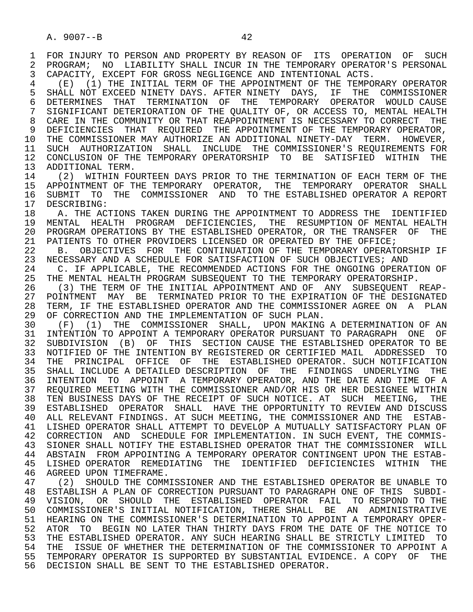1 FOR INJURY TO PERSON AND PROPERTY BY REASON OF ITS OPERATION OF SUCH<br>2 PROGRAM; NO LIABILITY SHALL INCUR IN THE TEMPORARY OPERATOR'S PERSONAL 2 PROGRAM; NO LIABILITY SHALL INCUR IN THE TEMPORARY OPERATOR'S PERSONAL<br>3 CAPACITY, EXCEPT FOR GROSS NEGLIGENCE AND INTENTIONAL ACTS. 3 CAPACITY, EXCEPT FOR GROSS NEGLIGENCE AND INTENTIONAL ACTS.

 4 (E) (1) THE INITIAL TERM OF THE APPOINTMENT OF THE TEMPORARY OPERATOR 5 SHALL NOT EXCEED NINETY DAYS. AFTER NINETY DAYS, IF THE COMMISSIONER 6 DETERMINES THAT TERMINATION OF THE TEMPORARY OPERATOR WOULD CAUSE 7 SIGNIFICANT DETERIORATION OF THE QUALITY OF, OR ACCESS TO, MENTAL HEALTH<br>8 CARE IN THE COMMUNITY OR THAT REAPPOINTMENT IS NECESSARY TO CORRECT. THE 8 CARE IN THE COMMUNITY OR THAT REAPPOINTMENT IS NECESSARY TO CORRECT THE  $\overline{9}$  deficiencies That Required the appointment of the Temporary operator. 9 DEFICIENCIES THAT REQUIRED THE APPOINTMENT OF THE TEMPORARY OPERATOR,<br>10 THE COMMISSIONER MAY AUTHORIZE AN ADDITIONAL NINETY-DAY TERM. HOWEVER, 10 THE COMMISSIONER MAY AUTHORIZE AN ADDITIONAL NINETY-DAY TERM. HOWEVER,<br>11 SUCH AUTHORIZATION SHALL INCLUDE THE COMMISSIONER'S REOUIREMENTS FOR 11 SUCH AUTHORIZATION SHALL INCLUDE THE COMMISSIONER'S REQUIREMENTS FOR<br>12 CONCLUSION OF THE TEMPORARY OPERATORSHIP TO BE SATISFIED WITHIN THE 12 CONCLUSION OF THE TEMPORARY OPERATORSHIP TO BE SATISFIED WITHIN THE 13 ADDITIONAL TERM.

13 ADDITIONAL TERM.<br>14 (2) WITHIN FO 14 (2) WITHIN FOURTEEN DAYS PRIOR TO THE TERMINATION OF EACH TERM OF THE TERMINATION SHALL 15 APPOINTMENT OF THE TEMPORARY OPERATOR, THE TEMPORARY OPERATOR SHALL<br>16 SUBMIT TO THE COMMISSIONER AND TO THE ESTABLISHED OPERATOR A REPORT 16 SUBMIT TO THE COMMISSIONER AND TO THE ESTABLISHED OPERATOR A REPORT 17 DESCRIBING:

17 DESCRIBING:<br>18 A. THE AC 18 THE ACTIONS TAKEN DURING THE APPOINTMENT TO ADDRESS THE IDENTIFIED<br>19 MENTAL HEALTH PROGRAM DEFICIENCIES. THE RESUMPTION OF MENTAL HEALTH 19 MENTAL HEALTH PROGRAM DEFICIENCIES, THE RESUMPTION OF MENTAL HEALTH<br>20 PROGRAM OPERATIONS BY THE ESTABLISHED OPERATOR, OR THE TRANSFER OF THE 20 PROGRAM OPERATIONS BY THE ESTABLISHED OPERATOR, OR THE TRANSFER OF THE 21 PATIENTS TO OTHER PROVIDERS LICENSED OR OPERATED BY THE OFFICE; 21 PATIENTS TO OTHER PROVIDERS LICENSED OR OPERATED BY THE OFFICE;<br>22 B. OBJECTIVES FOR THE CONTINUATION OF THE TEMPORARY OPERAT

22 B. OBJECTIVES FOR THE CONTINUATION OF THE TEMPORARY OPERATORSHIP IF<br>23 NECESSARY AND A SCHEDULE FOR SATISFACTION OF SUCH OBJECTIVES; AND 23 NECESSARY AND A SCHEDULE FOR SATISFACTION OF SUCH OBJECTIVES; AND 24 C. IF APPLICABLE, THE RECOMMENDED ACTIONS FOR THE ONGOING OPERAT

24 C. IF APPLICABLE, THE RECOMMENDED ACTIONS FOR THE ONGOING OPERATION OF<br>25 THE MENTAL HEALTH PROGRAM SUBSEOUENT TO THE TEMPORARY OPERATORSHIP. THE MENTAL HEALTH PROGRAM SUBSEQUENT TO THE TEMPORARY OPERATORSHIP.

26 (3) THE TERM OF THE INITIAL APPOINTMENT AND OF ANY SUBSEQUENT REAP-<br>27 POINTMENT MAY BE TERMINATED PRIOR TO THE EXPIRATION OF THE DESIGNATED 27 POINTMENT MAY BE TERMINATED PRIOR TO THE EXPIRATION OF THE DESIGNATED<br>28 TERM, IF THE ESTABLISHED OPERATOR AND THE COMMISSIONER AGREE ON A PLAN 28 TERM, IF THE ESTABLISHED OPERATOR AND THE COMMISSIONER AGREE ON A PLAN<br>29 OF CORRECTION AND THE IMPLEMENTATION OF SUCH PLAN. 29 OF CORRECTION AND THE IMPLEMENTATION OF SUCH PLAN.<br>30 (F) (1) THE COMMISSIONER SHALL, UPON MAKING

30 (F) (1) THE COMMISSIONER SHALL, UPON MAKING A DETERMINATION OF AN<br>31 INTENTION TO APPOINT A TEMPORARY OPERATOR PURSUANT TO PARAGRAPH ONE OF 31 INTENTION TO APPOINT A TEMPORARY OPERATOR PURSUANT TO PARAGRAPH ONE OF<br>32 SUBDIVISION (B) OF THIS SECTION CAUSE THE ESTABLISHED OPERATOR TO BE 32 SUBDIVISION (B) OF THIS SECTION CAUSE THE ESTABLISHED OPERATOR TO BE<br>33 NOTIFIED OF THE INTENTION BY REGISTERED OR CERTIFIED MAIL ADDRESSED TO 33 NOTIFIED OF THE INTENTION BY REGISTERED OR CERTIFIED MAIL ADDRESSED TO 34 THE PRINCIPAL OFFICE OF THE ESTABLISHED-OPERATOR. SUCH-NOTIFICATION<br>35 SHALL INCLUDE A DETAILED-DESCRIPTION OF THE FINDINGS UNDERLYING THE 35 SHALL INCLUDE A DETAILED DESCRIPTION OF THE FINDINGS UNDERLYING THE<br>36 INTENTION TO APPOINT A TEMPORARY OPERATOR, AND THE DATE AND TIME OF A 36 INTENTION TO APPOINT A TEMPORARY OPERATOR, AND THE DATE AND TIME OF A 37 REQUIRED MEETING WITH THE COMMISSIONER AND/OR HIS OR HER DESIGNEE WITHIN 38 TEN BUSINESS DAYS OF THE RECEIPT OF SUCH NOTICE. AT SUCH MEETING, THE 39 ESTABLISHED OPERATOR SHALL HAVE THE OPPORTUNITY TO REVIEW AND DISCUSS ESTABLISHED OPERATOR SHALL HAVE THE OPPORTUNITY TO REVIEW AND DISCUSS 40 ALL RELEVANT FINDINGS. AT SUCH MEETING, THE COMMISSIONER AND THE ESTAB- 41 LISHED OPERATOR SHALL ATTEMPT TO DEVELOP A MUTUALLY SATISFACTORY PLAN OF 42 CORRECTION AND SCHEDULE FOR IMPLEMENTATION. IN SUCH EVENT, THE COMMIS-<br>43 SIONER SHALL NOTIFY THE ESTABLISHED OPERATOR THAT THE COMMISSIONER WILL 43 SIONER SHALL NOTIFY THE ESTABLISHED OPERATOR THAT THE COMMISSIONER WILL<br>44 ABSTAIN FROM APPOINTING A TEMPORARY OPERATOR CONTINGENT UPON THE ESTAB-44 ABSTAIN FROM APPOINTING A TEMPORARY OPERATOR CONTINGENT UPON THE ESTAB-<br>45 LISHED OPERATOR REMEDIATING THE IDENTIFIED DEFICIENCIES WITHIN THE 45 LISHED OPERATOR REMEDIATING THE IDENTIFIED DEFICIENCIES WITHIN THE

46 AGREED UPON TIMEFRAME.<br>47 (2) SHOULD THE COMM 47 (2) SHOULD THE COMMISSIONER AND THE ESTABLISHED OPERATOR BE UNABLE TO<br>48 ESTABLISH A PLAN OF CORRECTION PURSUANT TO PARAGRAPH ONE OF THIS SUBDI-48 ESTABLISH A PLAN OF CORRECTION PURSUANT TO PARAGRAPH ONE OF THIS SUBDI-<br>49 VISION, OR SHOULD THE ESTABLISHED OPERATOR FAIL TO RESPOND TO THE 49 VISION, OR SHOULD THE ESTABLISHED OPERATOR FAIL TO-RESPOND-TO-THE<br>50 COMMISSIONER'S INITIAL-NOTIFICATION, THERE-SHALL BE AN ADMINISTRATIVE 50 COMMISSIONER'S INITIAL NOTIFICATION, THERE SHALL BE AN ADMINISTRATIVE<br>51 HEARING ON THE COMMISSIONER'S DETERMINATION TO APPOINT A TEMPORARY OPER-51 HEARING ON THE COMMISSIONER'S DETERMINATION TO APPOINT A TEMPORARY OPER-<br>52 ATOR TO BEGIN NO LATER THAN THIRTY DAYS FROM THE DATE OF THE NOTICE TO 52 ATOR TO BEGIN NO LATER THAN THIRTY DAYS FROM THE DATE OF THE NOTICE TO<br>53 THE ESTABLISHED OPERATOR, ANY SUCH HEARING SHALL BE STRICTLY LIMITED TO 53 THE ESTABLISHED OPERATOR. ANY SUCH HEARING SHALL BE STRICTLY LIMITED TO<br>54 THE ISSUE OF WHETHER THE DETERMINATION OF THE COMMISSIONER TO APPOINT A 54 THE ISSUE OF WHETHER THE DETERMINATION OF THE COMMISSIONER TO APPOINT A<br>55 TEMPORARY OPERATOR IS SUPPORTED BY SUBSTANTIAL EVIDENCE. A COPY OF THE 55 TEMPORARY OPERATOR IS SUPPORTED BY SUBSTANTIAL EVIDENCE. A COPY OF THE 56 DECISION SHALL BE SENT TO THE ESTABLISHED OPERATOR.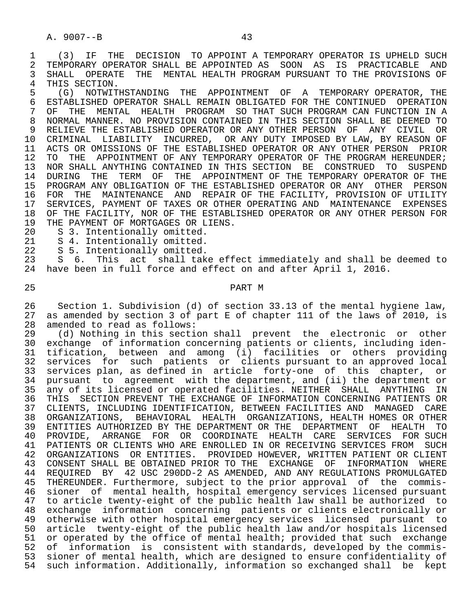1 (3) IF THE DECISION TO APPOINT A TEMPORARY OPERATOR IS UPHELD SUCH<br>2 TEMPORARY OPERATOR SHALL BE APPOINTED AS SOON AS IS PRACTICABLE AND 2 TEMPORARY OPERATOR SHALL BE APPOINTED AS SOON AS IS PRACTICABLE AND<br>3 SHALL OPERATE THE MENTAL HEALTH PROGRAM PURSUANT TO THE PROVISIONS OF 3 SHALL OPERATE THE MENTAL HEALTH PROGRAM PURSUANT TO THE PROVISIONS OF

4 THIS SECTION.<br>5 (G) NOTWIT 5 (G) NOTWITHSTANDING THE APPOINTMENT OF A TEMPORARY OPERATOR, THE 6 ESTABLISHED OPERATOR SHALL REMAIN OBLIGATED FOR THE CONTINUED OPERATION<br>7 OF THE MENTAL HEALTH PROGRAM SO THAT SUCH PROGRAM CAN FUNCTION IN A 7 OF THE MENTAL HEALTH PROGRAM SO THAT SUCH PROGRAM CAN FUNCTION IN A<br>8 NORMAL MANNER, NO PROVISION CONTAINED IN THIS SECTION SHALL BE DEEMED TO 8 NORMAL MANNER. NO PROVISION CONTAINED IN THIS SECTION SHALL BE DEEMED TO<br>9 RELIEVE THE ESTABLISHED OPERATOR OR ANY OTHER PERSON OF ANY CIVIL OR 9 RELIEVE THE ESTABLISHED OPERATOR OR ANY OTHER PERSON OF ANY CIVIL OR<br>10 CRIMINAL LIABILITY INCURRED, OR ANY DUTY IMPOSED BY LAW, BY REASON OF 10 CRIMINAL LIABILITY INCURRED, OR ANY DUTY IMPOSED BY LAW, BY REASON OF<br>11 ACTS OR OMISSIONS OF THE ESTABLISHED OPERATOR OR ANY OTHER PERSON PRIOR 11 ACTS OR OMISSIONS OF THE ESTABLISHED OPERATOR OR ANY OTHER PERSON PRIOR<br>12 TO THE APPOINTMENT OF ANY TEMPORARY OPERATOR OF THE PROGRAM HEREUNDER; 12 TO THE APPOINTMENT OF ANY TEMPORARY OPERATOR OF THE PROGRAM HEREUNDER;<br>13 NOR SHALL ANYTHING CONTAINED IN THIS SECTION BE CONSTRUED TO SUSPEND 13 NOR SHALL ANYTHING CONTAINED IN THIS SECTION BE CONSTRUED TO SUSPEND<br>14 DURING THE TERM OF THE APPOINTMENT OF THE TEMPORARY OPERATOR OF THE 14 DURING THE TERM OF THE APPOINTMENT OF THE TEMPORARY OPERATOR OF THE 15 PROGRAM ANY OBLIGATION OF THE ESTABLISHED OPERATOR OR ANY OTHER PERSON<br>16 FOR THE MAINTENANCE AND REPAIR OF THE FACILITY, PROVISION OF UTILITY 16 FOR THE MAINTENANCE AND REPAIR OF THE FACILITY, PROVISION OF UTILITY<br>17 SERVICES, PAYMENT OF TAXES OR OTHER OPERATING AND MAINTENANCE EXPENSES SERVICES, PAYMENT OF TAXES OR OTHER OPERATING AND MAINTENANCE EXPENSES 18 OF THE FACILITY, NOR OF THE ESTABLISHED OPERATOR OR ANY OTHER PERSON FOR<br>19 THE PAYMENT OF MORTGAGES OR LIENS. 19 THE PAYMENT OF MORTGAGES OR LIENS.<br>20 S 3. Intentionally omitted.

20 S 3. Intentionally omitted.<br>21 S 4. Intentionally omitted.

21 S 4. Intentionally omitted.<br>22 S 5. Intentionally omitted.

22 S 5. Intentionally omitted.<br>23 S 6. This act shall tak

 23 S 6. This act shall take effect immediately and shall be deemed to 24 have been in full force and effect on and after April 1, 2016.

# 25 PART M

26 Section 1. Subdivision (d) of section 33.13 of the mental hygiene law,<br>27 as amended by section 3 of part E of chapter 111 of the laws of 2010, is 27 as amended by section 3 of part E of chapter 111 of the laws of 2010, is 28 amended to read as follows: 28 amended to read as follows:<br>29 (d) Nothing in this section

29 (d) Nothing in this section shall prevent the electronic or other<br>30 exchange of information concerning patients or clients, including iden- 30 exchange of information concerning patients or clients, including iden tification, between and among (i) facilities or others providing 32 services for such patients or clients pursuant to an approved local 33 services plan, as defined in article forty-one of this chapter, or 34 pursuant to agreement with the department, and (ii) the department or 35 any of its licensed or operated facilities. NEITHER SHALL ANYTHING IN 36 THIS SECTION PREVENT THE EXCHANGE OF INFORMATION CONCERNING PATIENTS OR 37 CLIENTS, INCLUDING IDENTIFICATION, BETWEEN FACILITIES AND MANAGED CARE 38 ORGANIZATIONS, BEHAVIORAL HEALTH ORGANIZATIONS, HEALTH HOMES OR OTHER 39 ENTITIES AUTHORIZED BY THE DEPARTMENT OR THE DEPARTMENT OF HEALTH TO 40 PROVIDE, ARRANGE FOR OR COORDINATE HEALTH CARE SERVICES FOR SUCH 41 PATIENTS OR CLIENTS WHO ARE ENROLLED IN OR RECEIVING SERVICES FROM SUCH 42 ORGANIZATIONS OR ENTITIES. PROVIDED HOWEVER, WRITTEN PATIENT OR CLIENT 43 CONSENT SHALL BE OBTAINED PRIOR TO THE EXCHANGE OF INFORMATION WHERE 44 REQUIRED BY 42 USC 290DD-2 AS AMENDED, AND ANY REGULATIONS PROMULGATED 45 THEREUNDER. Furthermore, subject to the prior approval of the commis- 46 sioner of mental health, hospital emergency services licensed pursuant 47 to article twenty-eight of the public health law shall be authorized to 48 exchange information concerning patients or clients electronically or 49 otherwise with other hospital emergency services licensed pursuant to 50 article twenty-eight of the public health law and/or hospitals licensed 51 or operated by the office of mental health; provided that such exchange<br>52 of information is consistent with standards, developed by the commisinformation is consistent with standards, developed by the commis- 53 sioner of mental health, which are designed to ensure confidentiality of 54 such information. Additionally, information so exchanged shall be kept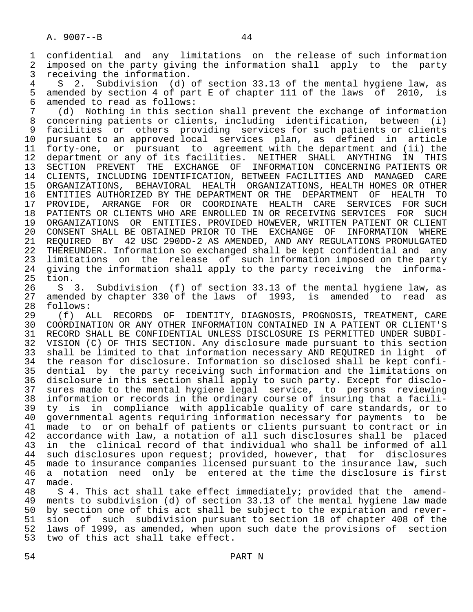1 confidential and any limitations on the release of such information<br>2 imposed on the party giving the information shall apply to the party 2 imposed on the party giving the information shall apply to the party<br>3 receiving the information. 3 receiving the information.<br>4 S 2 Subdivision (d)

4 S 2. Subdivision (d) of section 33.13 of the mental hygiene law, as<br>5 amended by section 4 of part E of chapter 111 of the laws of 2010, is 5 amended by section 4 of part E of chapter 111 of the laws of 2010, is<br>6 amended to read as follows: 6 amended to read as follows:

7 (d) Nothing in this section shall prevent the exchange of information<br>8 concerning patients or clients, including identification, between (i) concerning patients or clients, including identification, between (i) 9 facilities or others providing services for such patients or clients 10 pursuant to an approved local services plan, as defined in article<br>11 forty-one, or pursuant to agreement with the department and (ii) the 11 forty-one, or pursuant to agreement with the department and (ii) the<br>12 department or any of its facilities. NEITHER SHALL ANYTHING IN THIS 12 department or any of its facilities. NEITHER SHALL ANYTHING IN THIS 13 SECTION PREVENT THE EXCHANGE OF INFORMATION CONCERNING PATIENTS OR 14 CLIENTS, INCLUDING IDENTIFICATION, BETWEEN FACILITIES AND MANAGED CARE 15 ORGANIZATIONS, BEHAVIORAL HEALTH ORGANIZATIONS, HEALTH HOMES OR OTHER 16 ENTITIES AUTHORIZED BY THE DEPARTMENT OR THE DEPARTMENT OF HEALTH TO<br>17 PROVIDE, ARRANGE FOR OR COORDINATE HEALTH CARE SERVICES FOR SUCH 17 PROVIDE, ARRANGE FOR OR COORDINATE HEALTH CARE SERVICES FOR SUCH<br>18 PATIENTS OR CLIENTS WHO ARE ENROLLED IN OR RECEIVING SERVICES FOR SUCH 18 PATIENTS OR CLIENTS WHO ARE ENROLLED IN OR RECEIVING SERVICES FOR SUCH<br>19 ORGANIZATIONS OR ENTITIES, PROVIDED HOWEVER, WRITTEN PATIENT OR CLIENT 19 ORGANIZATIONS OR ENTITIES. PROVIDED HOWEVER, WRITTEN PATIENT OR CLIENT 20 CONSENT SHALL BE OBTAINED PRIOR TO THE EXCHANGE OF INFORMATION WHERE<br>21 REOUIRED BY 42 USC 290DD-2 AS AMENDED, AND ANY REGULATIONS PROMULGATED 21 REQUIRED BY 42 USC 290DD-2 AS AMENDED, AND ANY REGULATIONS PROMULGATED<br>22 THEREUNDER. Information so exchanged shall be kept confidential and any 22 THEREUNDER. Information so exchanged shall be kept confidential and any<br>23 limitations on the release of such information imposed on the party 23 limitations on the release of such information imposed on the party<br>24 giving the information shall apply to the party receiving the informa-24 giving the information shall apply to the party receiving the informa-<br>25 tion. tion.

 26 S 3. Subdivision (f) of section 33.13 of the mental hygiene law, as 27 amended by chapter 330 of the laws of 1993, is amended to read as 28 follows: 28 follows:<br>29 (f) A

 29 (f) ALL RECORDS OF IDENTITY, DIAGNOSIS, PROGNOSIS, TREATMENT, CARE 30 COORDINATION OR ANY OTHER INFORMATION CONTAINED IN A PATIENT OR CLIENT'S<br>31 RECORD SHALL BE CONFIDENTIAL UNLESS DISCLOSURE IS PERMITTED UNDER SUBDI-31 RECORD SHALL BE CONFIDENTIAL UNLESS DISCLOSURE IS PERMITTED UNDER SUBDI-<br>32 VISION (C) OF THIS SECTION. Any disclosure made pursuant to this section 32 VISION (C) OF THIS SECTION. Any disclosure made pursuant to this section<br>33 shall be limited to that information necessary AND REOUIRED in light of shall be limited to that information necessary AND REQUIRED in light of 34 the reason for disclosure. Information so disclosed shall be kept confi-<br>35 dential by the party receiving such information and the limitations on dential by the party receiving such information and the limitations on 36 disclosure in this section shall apply to such party. Except for disclo- 37 sures made to the mental hygiene legal service, to persons reviewing 38 information or records in the ordinary course of insuring that a facili-<br>39 ty is in compliance with applicable quality of care standards, or to 39 ty is in compliance with applicable quality of care standards, or to<br>40 governmental agents requiring information necessary for payments to be 40 governmental agents requiring information necessary for payments to be 41 made to or on behalf of patients or clients pursuant to contract or in<br>42 accordance with law, a notation of all such disclosures shall be placed 42 accordance with law, a notation of all such disclosures shall be placed<br>43 in the clinical record of that individual who shall be informed of all 43 in the clinical record of that individual who shall be informed of all<br>44 such disclosures upon request; provided, however, that for disclosures 44 such disclosures upon request; provided, however, that for disclosures<br>45 made to insurance companies licensed pursuant to the insurance law, such 45 made to insurance companies licensed pursuant to the insurance law, such<br>46 a notation need only be entered at the time the disclosure is first 46 a notation need only be entered at the time the disclosure is first<br>47 made. 47 made.

48 S 4. This act shall take effect immediately; provided that the amend-<br>49 ments to subdivision (d) of section 33.13 of the mental hygiene law made 49 ments to subdivision (d) of section 33.13 of the mental hygiene law made<br>50 by section one of this act shall be subject to the expiration and rever-50 by section one of this act shall be subject to the expiration and rever-<br>51 sion of such subdivision pursuant to section 18 of chapter 408 of the 51 sion of such subdivision pursuant to section 18 of chapter 408 of the<br>52 laws of 1999, as amended, when upon such date the provisions of section 52 laws of 1999, as amended, when upon such date the provisions of section<br>53 two of this act shall take effect. two of this act shall take effect.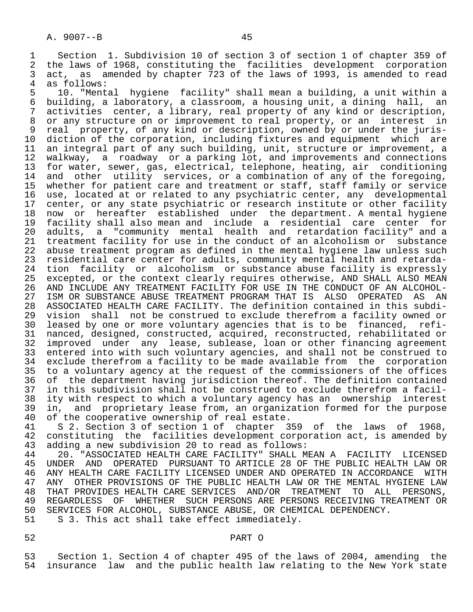4 as follows:<br>5 10. "Ment 5 10. "Mental hygiene facility" shall mean a building, a unit within a<br>6 building, a laboratory, a classroom, a housing unit, a dining hall, an 6 building, a laboratory, a classroom, a housing unit, a dining hall, an<br>7 activities center, a library, real property of any kind or description, 7 activities center, a library, real property of any kind or description,<br>8 or any structure on or improvement to real property, or an interest in 8 or any structure on or improvement to real property, or an interest in<br>9 real property, of any kind or description, owned by or under the juris-9 real property, of any kind or description, owned by or under the juris-<br>10 diction of the corporation, including fixtures and equipment which are 10 diction of the corporation, including fixtures and equipment which are<br>11 an integral part of any such building, unit, structure or improvement, a 11 an integral part of any such building, unit, structure or improvement, a<br>12 walkway, a roadway or a parking lot, and improvements and connections 12 walkway, a roadway or a parking lot, and improvements and connections<br>13 for water, sewer, gas, electrical, telephone, heating, air conditioning 13 for water, sewer, gas, electrical, telephone, heating, air conditioning<br>14 and other utility services, or a combination of any of the foregoing, and other utility services, or a combination of any of the foregoing, 15 whether for patient care and treatment or staff, staff family or service<br>16 use, located at or related to any psychiatric center, any developmental 16 use, located at or related to any psychiatric center, any developmental<br>17 center, or any state psychiatric or research institute or other facility 17 center, or any state psychiatric or research institute or other facility<br>18 now or hereafter established under the department. A mental hygiene 18 now or hereafter established under the department. A mental hygiene<br>19 facility shall also mean and include a residential care center for 19 facility shall also mean and include a residential care center for 20 adults, a "community mental health and retardation facility" and a<br>21 treatment facility for use in the conduct of an alcoholism or substance 21 treatment facility for use in the conduct of an alcoholism or substance<br>22 abuse treatment program as defined in the mental hygiene law unless such 22 abuse treatment program as defined in the mental hygiene law unless such<br>23 residential care center for adults, community mental health and retarda-23 residential care center for adults, community mental health and retarda-<br>24 tion facility or alcoholism or substance abuse facility is expressly 24 tion facility or alcoholism or substance abuse facility is expressly<br>25 excepted, or the context clearly requires otherwise, AND SHALL ALSO MEAN excepted, or the context clearly requires otherwise, AND SHALL ALSO MEAN 26 AND INCLUDE ANY TREATMENT FACILITY FOR USE IN THE CONDUCT OF AN ALCOHOL- 27 ISM OR SUBSTANCE ABUSE TREATMENT PROGRAM THAT IS ALSO OPERATED AS AN 28 ASSOCIATED HEALTH CARE FACILITY. The definition contained in this subdi-28 ASSOCIATED HEALTH CARE FACILITY. The definition contained in this subdi-<br>29 vision shall not be construed to exclude therefrom a facility owned or 29 vision shall not be construed to exclude therefrom a facility owned or<br>20 leased by one or more voluntary agencies that is to be financed, refileased by one or more voluntary agencies that is to be financed, refi-31 nanced, designed, constructed, acquired, reconstructed, rehabilitated or<br>32 improved under any lease, sublease, loan or other financing agreement 32 improved under any lease, sublease, loan or other financing agreement<br>33 entered into with such voluntary agencies, and shall not be construed to entered into with such voluntary agencies, and shall not be construed to 34 exclude therefrom a facility to be made available from the corporation 35 to a voluntary agency at the request of the commissioners of the offices 36 of the department having jurisdiction thereof. The definition contained 37 in this subdivision shall not be construed to exclude therefrom a facil- 38 ity with respect to which a voluntary agency has an ownership interest<br>39 in, and proprietary lease from, an organization formed for the purpose 39 in, and proprietary lease from, an organization formed for the purpose<br>40 of the cooperative ownership of real estate.

40 of the cooperative ownership of real estate.<br>41 S 2. Section 3 of section 1 of chapter 3 41 S 2. Section 3 of section 1 of chapter 359 of the laws of 1968,<br>42 constituting the facilities development corporation act, is amended by 42 constituting the facilities development corporation act, is amended by<br>43 adding a new subdivision 20 to read as follows: 43 adding a new subdivision 20 to read as follows:

44 20. "ASSOCIATED HEALTH CARE FACILITY" SHALL MEAN A FACILITY LICENSED<br>45 UNDER AND OPERATED PURSUANT TO ARTICLE 28 OF THE PUBLIC HEALTH LAW OR 45 UNDER AND OPERATED PURSUANT TO ARTICLE 28 OF THE PUBLIC HEALTH LAW OR 46 ANY HEALTH CARE FACILITY LICENSED UNDER AND OPERATED IN ACCORDANCE WITH<br>47 ANY OTHER PROVISIONS OF THE PUBLIC HEALTH LAW OR THE MENTAL HYGIENE LAW 47 ANY OTHER PROVISIONS OF THE PUBLIC HEALTH LAW OR THE MENTAL HYGIENE LAW<br>48 THAT PROVIDES HEALTH CARE SERVICES AND/OR TREATMENT TO ALL PERSONS. 48 THAT PROVIDES HEALTH CARE SERVICES AND/OR TREATMENT TO ALL PERSONS, 49 REGARDLESS OF WHETHER SUCH PERSONS ARE PERSONS RECEIVING TREATMENT OR<br>50 SERVICES FOR ALCOHOL, SUBSTANCE ABUSE, OR CHEMICAL DEPENDENCY. 50 SERVICES FOR ALCOHOL, SUBSTANCE ABUSE, OR CHEMICAL DEPENDENCY.<br>51 S 3. This act shall take effect immediately. S 3. This act shall take effect immediately.

# 52 PART O

53 Section 1. Section 4 of chapter 495 of the laws of 2004, amending the<br>54 insurance law and the public health law relating to the New York state insurance law and the public health law relating to the New York state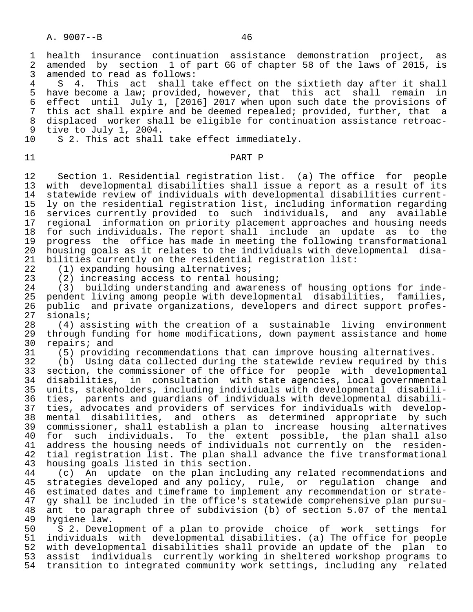1 health insurance continuation assistance demonstration project, as<br>2 amended by section 1 of part GG of chapter 58 of the laws of 2015, is 2 amended by section 1 of part GG of chapter 58 of the laws of 2015, is<br>3 amended to read as follows: 3 amended to read as follows:<br>4 S 4. This act shall t.

4 S 4. This act shall take effect on the sixtieth day after it shall<br>5 have become a law; provided, however, that this act shall remain in 5 have become a law; provided, however, that this act shall remain in 6 effect until July 1, [2016] 2017 when upon such date the provisions of 7 this act shall expire and be deemed repealed; provided, further, that a<br>8 displaced worker shall be eligible for continuation assistance retroac-8 displaced worker shall be eligible for continuation assistance retroac-<br>9 tive to July 1, 2004. 9 tive to July 1, 2004.<br>10 S 2. This act shall

### 11 PART P

 12 Section 1. Residential registration list. (a) The office for people 13 with developmental disabilities shall issue a report as a result of its 14 statewide review of individuals with developmental disabilities current- 15 ly on the residential registration list, including information regarding<br>16 services currently provided to such individuals, and any available 16 services currently provided to such individuals, and any available<br>17 regional information on priority placement approaches and housing needs 17 regional information on priority placement approaches and housing needs<br>18 for such individuals. The report shall include an update as to the 18 for such individuals. The report shall include an update as to the<br>19 progress the office has made in meeting the following transformational 19 progress the office has made in meeting the following transformational<br>20 housing goals as it relates to the individuals with developmental disa-20 housing goals as it relates to the individuals with developmental disa-<br>21 bilities currently on the residential registration list: 21 bilities currently on the residential registration list:<br>22 (1) expanding housing alternatives;

22 (1) expanding housing alternatives;<br>23 (2) increasing access to rental hou

23 (2) increasing access to rental housing;<br>24 (3) building understanding and awarenes

S 2. This act shall take effect immediately.

24 (3) building understanding and awareness of housing options for inde-<br>25 pendent living among people with developmental disabilities, families, 25 pendent living among people with developmental disabilities, families,<br>26 public and private organizations, developers and direct support profes-26 public and private organizations, developers and direct support profes-<br>27 sionals;  $27$  sionals;<br> $28$   $(4)$  as;

 28 (4) assisting with the creation of a sustainable living environment 29 through funding for home modifications, down payment assistance and home<br>30 repairs; and 30 repairs; and<br>31 (5) provid:

31 (5) providing recommendations that can improve housing alternatives.<br>32 (b) Using data collected during the statewide review required by th

32 (b) Using data collected during the statewide review required by this<br>33 section, the commissioner of the office for people with developmental 33 section, the commissioner of the office for people with developmental<br>34 disabilities, in consultation with state agencies, local governmental disabilities, in consultation with state agencies, local governmental 35 units, stakeholders, including individuals with developmental disabili- 36 ties, parents and guardians of individuals with developmental disabili-<br>37 ties, advocates and providers of services for individuals with develop-37 ties, advocates and providers of services for individuals with develop-<br>38 mental disabilities, and others as determined appropriate by such 38 mental disabilities, and others as determined appropriate by such<br>39 commissioner, shall establish a plan to increase housing alternatives 39 commissioner, shall establish a plan to increase housing alternatives 40 for such individuals. To the extent possible, the plan shall also 41 address the housing needs of individuals not currently on the residen- 42 tial registration list. The plan shall advance the five transformational<br>43 housing goals listed in this section. 43 housing goals listed in this section.<br>44 (c) An update on the plan includ

44 (c) An update on the plan including any related recommendations and<br>45 strategies developed and any policy, rule, or regulation change and strategies developed and any policy, rule, or regulation change and 46 estimated dates and timeframe to implement any recommendation or strate-<br>47 gy shall be included in the office's statewide comprehensive plan pursu- 47 gy shall be included in the office's statewide comprehensive plan pursu- 48 ant to paragraph three of subdivision (b) of section 5.07 of the mental 49 hygiene law. 49 hygiene law.<br>50 S 2. Devel

50 S 2. Development of a plan to provide choice of work settings for<br>51 individuals with developmental disabilities. (a) The office for people 51 individuals with developmental disabilities. (a) The office for people<br>52 with developmental disabilities shall provide an update of the plan to 52 with developmental disabilities shall provide an update of the plan to<br>53 assist individuals currently working in sheltered workshop programs to assist individuals currently working in sheltered workshop programs to 54 transition to integrated community work settings, including any related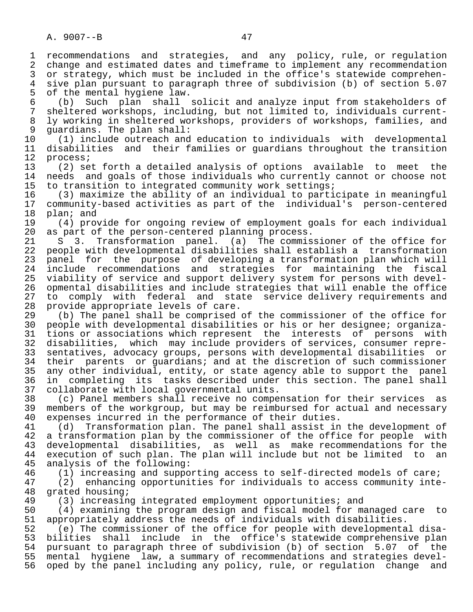5 of the mental hygiene law.<br>6 (b) Such plan shall 6 (b) Such plan shall solicit and analyze input from stakeholders of 7 sheltered workshops, including, but not limited to, individuals current- 8 ly working in sheltered workshops, providers of workshops, families, and<br>9 quardians. The plan shall: 9 guardians. The plan shall:<br>10 (1) include outreach and

 10 (1) include outreach and education to individuals with developmental 11 disabilities and their families or guardians throughout the transition<br>12 process; 12 process;<br>13 (2) se

 13 (2) set forth a detailed analysis of options available to meet the 14 needs and goals of those individuals who currently cannot or choose not<br>15 to transition to integrated community work settings;

15 to transition to integrated community work settings;<br>16 (3) maximize the ability of an individual to parti 16 (3) maximize the ability of an individual to participate in meaningful 17 community-based activities as part of the individual's person-centered 18 plan; and<br>19 (4) prov

19 (4) provide for ongoing review of employment goals for each individual<br>20 as part of the person-centered planning process. 20 as part of the person-centered planning process.<br>21 S 3. Transformation panel. (a) The commis

21 S 3. Transformation panel. (a) The commissioner of the office for<br>22 people with developmental disabilities shall establish a transformation 22 people with developmental disabilities shall establish a transformation<br>23 panel for the purpose of developing a transformation plan which will 23 panel for the purpose of developing a transformation plan which will 24 include recommendations and strategies for maintaining the fiscal 25 viability of service and support delivery system for persons with devel- 26 opmental disabilities and include strategies that will enable the office<br>27 to comply with federal and state service delivery requirements and 27 to comply with federal and state service delivery requirements and<br>28 provide appropriate levels of care. 28 provide appropriate levels of care.<br>29 (b) The panel shall be comprised

 29 (b) The panel shall be comprised of the commissioner of the office for 30 people with developmental disabilities or his or her designee; organiza- 31 tions or associations which represent the interests of persons with<br>32 disabilities, which may include providers of services, consumer repre-32 disabilities, which may include providers of services, consumer repre-<br>33 sentatives, advocacy groups, persons with developmental disabilities or 33 sentatives, advocacy groups, persons with developmental disabilities or<br>34 their parents or quardians; and at the discretion of such commissioner 34 their parents or guardians; and at the discretion of such commissioner<br>35 any other individual, entity, or state agency able to support the panel 35 any other individual, entity, or state agency able to support the panel<br>36 in completing its tasks described under this section. The panel shall in completing its tasks described under this section. The panel shall 37 collaborate with local governmental units.<br>38 (c) Panel members shall receive no compe

 38 (c) Panel members shall receive no compensation for their services as 39 members of the workgroup, but may be reimbursed for actual and necessary<br>40 expenses incurred in the performance of their duties. 40 expenses incurred in the performance of their duties.<br>41 (d) Transformation plan. The panel shall assist in

41 (d) Transformation plan. The panel shall assist in the development of<br>42 a transformation plan by the commissioner of the office for people with 42 a transformation plan by the commissioner of the office for people with<br>43 developmental disabilities, as well as make recommendations for the 43 developmental disabilities, as well as make recommendations for the<br>44 execution of such plan. The plan will include but not be limited to an 44 execution of such plan. The plan will include but not be limited to an 45 analysis of the following: analysis of the following:

46 (1) increasing and supporting access to self-directed models of care;<br>47 (2) enhancing opportunities for individuals to access community inte

 47 (2) enhancing opportunities for individuals to access community inte- 48 grated housing;<br>49 (3) increasin

49 (3) increasing integrated employment opportunities; and<br>50 (4) examining the program design and fiscal model for ma

50 (4) examining the program design and fiscal model for managed care to<br>51 appropriately address the needs of individuals with disabilities. 51 appropriately address the needs of individuals with disabilities.<br>52 (e) The commissioner of the office for people with developmenta

52 (e) The commissioner of the office for people with developmental disa-<br>53 bilities shall include in the office's statewide comprehensive plan 53 bilities shall include in the office's statewide comprehensive plan<br>54 pursuant to paragraph three of subdivision (b) of section 5.07 of the 54 pursuant to paragraph three of subdivision (b) of section 5.07<br>55 mental hygiene law, a summary of recommendations and strategie 55 mental hygiene law, a summary of recommendations and strategies devel-<br>56 oped by the panel including any policy, rule, or regulation change and oped by the panel including any policy, rule, or regulation change and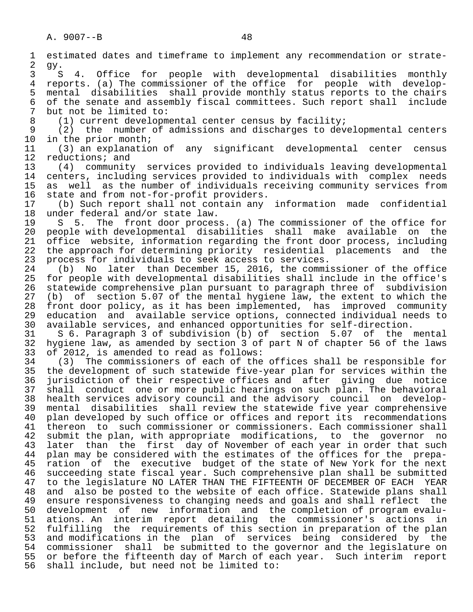1 estimated dates and timeframe to implement any recommendation or strate-  $\frac{2}{3}$  gy. 3 S 4. Office for people with developmental disabilities monthly<br>4 reports. (a) The commissioner of the office for people with develop-4 reports. (a) The commissioner of the office for people with develop-<br>5 mental disabilities shall provide monthly status reports to the chairs 5 mental disabilities shall provide monthly status reports to the chairs<br>6 of the senate and assembly fiscal committees. Such report shall include 6 of the senate and assembly fiscal committees. Such report shall include<br>7 but not be limited to: 7 but not be limited to:<br>8 (1) current development 8 (1) current developmental center census by facility;<br>9 (2) the number of admissions and discharges to dev 9 (2) the number of admissions and discharges to developmental centers<br>10 in the prior month; 10 in the prior month;<br>11 (3) an explanatio 11 (3) an explanation of any significant developmental center census<br>12 reductions; and 12 reductions; and<br>13 (4) community 13 (4) community services provided to individuals leaving developmental 14 centers, including services provided to individuals with complex needs<br>15 as well as the number of individuals receiving community services from 15 as well as the number of individuals receiving community services from<br>16 state and from not-for-profit providers. 16 state and from not-for-profit providers.<br>17 (b) Such report shall not contain any 17 (b) Such report shall not contain any information made confidential 18 under federal and/or state law.<br>19 S 5. The front door proces 19 S 5. The front door process. (a) The commissioner of the office for<br>20 people with developmental disabilities shall make available on the 20 people with developmental disabilities shall make available on the<br>21 office website, information regarding the front door process, including 21 office website, information regarding the front door process, including<br>22 the approach for determining priority residential placements and the 22 the approach for determining priority residential placements and the<br>23 process for individuals to seek access to services. 23 process for individuals to seek access to services.<br>24 (b) No later than December 15, 2016, the commi 24 (b) No later than December 15, 2016, the commissioner of the office<br>25 for people with developmental disabilities shall include in the office's 25 for people with developmental disabilities shall include in the office's 26 statewide comprehensive plan pursuant to paragraph three of subdivision<br>27 (b) of section 5.07 of the mental hygiene law, the extent to which the 27 (b) of section 5.07 of the mental hygiene law, the extent to which the<br>28 front door policy, as it has been implemented, has improved community 28 front door policy, as it has been implemented, has improved community<br>29 education and available service options, connected individual needs to 29 education and available service options, connected individual needs to<br>30 available services, and enhanced opportunities for self-direction. 30 available services, and enhanced opportunities for self-direction.<br>31 S 6. Paragraph 3 of subdivision (b) of section 5.07 of the 31 S 6. Paragraph 3 of subdivision (b) of section 5.07 of the mental<br>32 hygiene law, as amended by section 3 of part N of chapter 56 of the laws 32 hygiene law, as amended by section 3 of part N of chapter 56 of the laws<br>33 of 2012, is amended to read as follows: 33 of 2012, is amended to read as follows:<br>34 (3) The commissioners of each of the 34 (3) The commissioners of each of the offices shall be responsible for 35 the development of such statewide five-year plan for services within the<br>36 jurisdiction of their respective offices and after giving due notice jurisdiction of their respective offices and after giving due notice 37 shall conduct one or more public hearings on such plan. The behavioral 38 health services advisory council and the advisory council on develop- 39 mental disabilities shall review the statewide five year comprehensive<br>40 plan developed by such office or offices and report its recommendations 40 plan developed by such office or offices and report its recommendations<br>41 thereon to such commissioner or commissioners. Each commissioner shall 41 thereon to such commissioner or commissioners. Each commissioner shall<br>42 submit the plan, with appropriate modifications, to the governor no 42 submit the plan, with appropriate modifications, to the governor no<br>43 later than the first day of November of each year in order that such 43 later than the first day of November of each year in order that such<br>44 plan may be considered with the estimates of the offices for the prepa-44 plan may be considered with the estimates of the offices for the prepa-<br>45 ration of the executive budget of the state of New York for the next ration of the executive budget of the state of New York for the next 46 succeeding state fiscal year. Such comprehensive plan shall be submitted 47 to the legislature NO LATER THAN THE FIFTEENTH OF DECEMBER OF EACH YEAR<br>48 and also be posted to the website of each office. Statewide plans shall 48 and also be posted to the website of each office. Statewide plans shall<br>49 ensure responsiveness to changing needs and goals and shall reflect the 49 ensure responsiveness to changing needs and goals and shall reflect the<br>50 development of new information and the completion of program evalu-50 development of new information and the completion of program evalu-<br>51 ations. An interim report detailing the commissioner's actions in 51 ations. An interim report detailing the commissioner's actions in<br>52 fulfilling the requirements of this section in preparation of the plan 52 fulfilling the requirements of this section in preparation of the plan<br>53 and modifications in the plan of services being considered by the 53 and modifications in the plan of services being considered by the<br>54 commissioner shall be submitted to the governor and the legislature on 54 commissioner shall be submitted to the governor and the legislature on<br>55 or before the fifteenth day of March of each year. Such interim report 55 or before the fifteenth day of March of each year. Such interim report<br>56 shall include, but need not be limited to: shall include, but need not be limited to: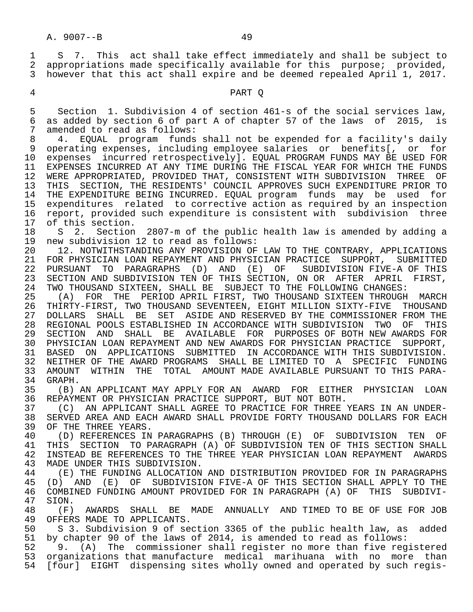1 S 7. This act shall take effect immediately and shall be subject to<br>2 appropriations made specifically available for this purpose; provided. 2 appropriations made specifically available for this purpose; provided,<br>3 however that this act shall expire and be deemed repealed April 1, 2017. however that this act shall expire and be deemed repealed April 1, 2017.

#### 4 PART Q

 5 Section 1. Subdivision 4 of section 461-s of the social services law, 6 as added by section 6 of part A of chapter 57 of the laws of 2015, is<br>7 amended to read as follows: 7 amended to read as follows:<br>8 4. EQUAL program funds

 8 4. EQUAL program funds shall not be expended for a facility's daily 9 operating expenses, including employee salaries or benefits[, or for<br>10 expenses incurred retrospectively]. EOUAL PROGRAM FUNDS MAY BE USED FOR expenses incurred retrospectively]. EQUAL PROGRAM FUNDS MAY BE USED FOR 11 EXPENSES INCURRED AT ANY TIME DURING THE FISCAL YEAR FOR WHICH THE FUNDS<br>12 WERE APPROPRIATED, PROVIDED THAT, CONSISTENT WITH SUBDIVISION THREE OF WERE APPROPRIATED, PROVIDED THAT, CONSISTENT WITH SUBDIVISION THREE OF 13 THIS SECTION, THE RESIDENTS' COUNCIL APPROVES SUCH EXPENDITURE PRIOR TO 14 THE EXPENDITURE BEING INCURRED. EQUAL program funds may be used for 15 expenditures related to corrective action as required by an inspection<br>16 report, provided such expenditure is consistent with subdivision three 16 report, provided such expenditure is consistent with subdivision three<br>17 of this section. 17 of this section.<br>18 S 2. Section

18 S 2. Section 2807-m of the public health law is amended by adding a<br>19 new subdivision 12 to read as follows: 19 new subdivision 12 to read as follows:<br>20 12. NOTWITHSTANDING ANY PROVISION OF

20 12. NOTWITHSTANDING ANY PROVISION OF LAW TO THE CONTRARY, APPLICATIONS<br>21 FOR PHYSICIAN LOAN REPAYMENT AND PHYSICIAN PRACTICE SUPPORT, SUBMITTED 21 FOR PHYSICIAN LOAN REPAYMENT AND PHYSICIAN PRACTICE SUPPORT, SUBMITTED 22 PURSUANT TO PARAGRAPHS (D) AND (E) OF SUBDIVISION FIVE-A OF THIS 23 SECTION AND SUBDIVISION TEN OF THIS SECTION, ON OR AFTER APRIL FIRST,<br>24 TWO THOUSAND SIXTEEN, SHALL BE SUBJECT TO THE FOLLOWING CHANGES: 24 TWO THOUSAND SIXTEEN, SHALL BE SUBJECT TO THE FOLLOWING CHANGES:<br>25 (A) FOR THE PERIOD APRIL FIRST, TWO THOUSAND SIXTEEN THROUGH

25 (A) FOR THE PERIOD APRIL FIRST, TWO THOUSAND SIXTEEN THROUGH MARCH<br>26 THIRTY-FIRST, TWO THOUSAND SEVENTEEN, EIGHT MILLION SIXTY-FIVE THOUSAND 26 THIRTY-FIRST, TWO THOUSAND SEVENTEEN, EIGHT MILLION SIXTY-FIVE THOUSAND DOLLARS SHALL BE SET ASIDE AND RESERVED BY THE COMMISSIONER FROM THE REGIONAL POOLS ESTABLISHED IN ACCORDANCE WITH SUBDIVISION TWO OF THIS 28 REGIONAL POOLS ESTABLISHED IN ACCORDANCE WITH SUBDIVISION TWO OF<br>29 SECTION AND SHALL BE AVAILABLE FOR PURPOSES OF BOTH NEW AWARI 29 SECTION AND SHALL BE AVAILABLE FOR PURPOSES OF BOTH\_NEW\_AWARDS\_FOR<br>30 PHYSICIAN\_LOAN\_REPAYMENT\_AND\_NEW\_AWARDS\_FOR\_PHYSICIAN\_PRACTICE\_\_SUPPORT, 30 PHYSICIAN LOAN REPAYMENT AND NEW AWARDS FOR PHYSICIAN PRACTICE SUPPORT,<br>31 BASED ON APPLICATIONS SUBMITTED IN ACCORDANCE WITH THIS SUBDIVISION. BASED ON APPLICATIONS SUBMITTED IN ACCORDANCE WITH THIS SUBDIVISION. 32 NEITHER OF THE AWARD PROGRAMS SHALL BE LIMITED TO A SPECIFIC FUNDING<br>33 AMOUNT WITHIN THE TOTAL AMOUNT MADE AVAILABLE PURSUANT TO THIS PARA-33 AMOUNT WITHIN THE TOTAL AMOUNT—MADE AVAILABLE PURSUANT TO THIS PARA-34 GRAPH.<br>35 (B)

 35 (B) AN APPLICANT MAY APPLY FOR AN AWARD FOR EITHER PHYSICIAN LOAN 36 REPAYMENT OR PHYSICIAN PRACTICE SUPPORT, BUT NOT BOTH.

37 (C) AN APPLICANT SHALL AGREE TO PRACTICE FOR THREE YEARS IN AN UNDER-<br>38 SERVED AREA AND EACH AWARD SHALL PROVIDE FORTY THOUSAND DOLLARS FOR EACH 38 SERVED AREA AND EACH AWARD SHALL PROVIDE FORTY THOUSAND DOLLARS FOR EACH 39 OF THE THREE YEARS. 39 OF THE THREE YEARS.<br>40 (D) REFERENCES IN

40 (D) REFERENCES IN PARAGRAPHS (B) THROUGH (E) OF SUBDIVISION TEN OF<br>41 THIS SECTION TO PARAGRAPH (A) OF SUBDIVISION TEN OF THIS SECTION SHALL 41 THIS SECTION TO PARAGRAPH (A) OF SUBDIVISION TEN OF THIS SECTION SHALL<br>42 INSTEAD BE REFERENCES TO THE THREE YEAR PHYSICIAN LOAN REPAYMENT AWARDS 42 INSTEAD BE REFERENCES TO THE THREE YEAR PHYSICIAN LOAN REPAYMENT AWARDS<br>43 MADE UNDER THIS SUBDIVISION. MADE UNDER THIS SUBDIVISION.

44 (E) THE FUNDING ALLOCATION AND DISTRIBUTION PROVIDED FOR IN PARAGRAPHS<br>45 (D) AND (E) OF SUBDIVISION FIVE-A OF THIS SECTION SHALL APPLY TO THE 45 (D) AND (E) OF SUBDIVISION FIVE-A OF THIS SECTION SHALL APPLY TO THE 46 COMBINED FUNDING AMOUNT PROVIDED FOR IN PARAGRAPH (A) OF THIS SUBDIVI- 47 SION.<br>48 (F)

48 (F) AWARDS SHALL BE MADE ANNUALLY AND TIMED TO BE OF USE FOR JOB<br>49 OFFERS MADE TO APPLICANTS. 49 OFFERS MADE TO APPLICANTS.<br>50 S 3. Subdivision 9 of se

50 S 3. Subdivision 9 of section 3365 of the public health law, as added<br>51 by chapter 90 of the laws of 2014, is amended to read as follows: 51 by chapter 90 of the laws of 2014, is amended to read as follows:<br>52 9. (A) The commissioner shall register no more than five regi

52 9. (A) The commissioner shall register no more than five registered<br>53 organizations that manufacture medical marihuana with no more than 53 organizations that manufacture medical marihuana with no more than<br>54 [four] EIGHT dispensing sites wholly owned and operated by such regis-[four] EIGHT dispensing sites wholly owned and operated by such regis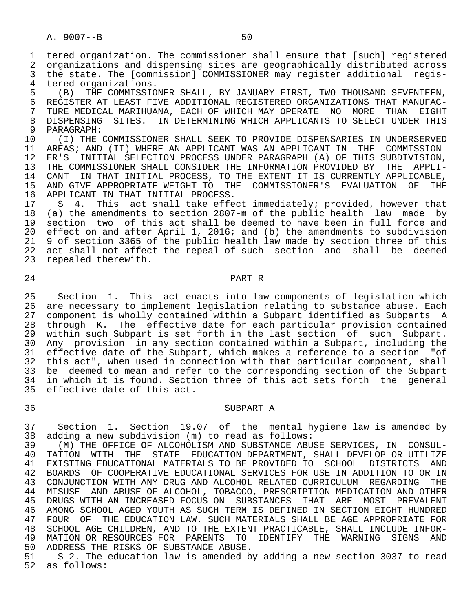1 tered organization. The commissioner shall ensure that [such] registered 2 organizations and dispensing sites are geographically distributed across<br>3 the state. The [commission] COMMISSIONER may register additional regis-3 the state. The [commission] COMMISSIONER may register additional regis-<br>4 tered organizations.

4 tered organizations.<br>5 (B) THE COMMISSIO 5 (B) THE COMMISSIONER SHALL, BY JANUARY FIRST, TWO THOUSAND SEVENTEEN, 6 REGISTER AT LEAST FIVE ADDITIONAL REGISTERED ORGANIZATIONS THAT MANUFAC-<br>7 TURE MEDICAL MARIHUANA, EACH OF WHICH MAY OPERATE NO MORE THAN EIGHT 7 TURE MEDICAL MARIHUANA, EACH OF WHICH MAY OPERATE NO MORE THAN EIGHT<br>8 DISPENSING SITES, IN DETERMINING WHICH APPLICANTS TO SELECT UNDER THIS 8 DISPENSING SITES. IN DETERMINING WHICH APPLICANTS TO SELECT UNDER THIS<br>9 PARAGRAPH:

9 PARAGRAPH:<br>10 (I) THE 10 (I) THE COMMISSIONER SHALL SEEK TO PROVIDE DISPENSARIES IN UNDERSERVED<br>11 AREAS; AND (II) WHERE AN APPLICANT WAS AN APPLICANT IN THE COMMISSION-11 AREAS; AND (II) WHERE AN APPLICANT WAS AN APPLICANT IN THE COMMISSION-<br>12 ER'S INITIAL SELECTION PROCESS UNDER PARAGRAPH (A) OF THIS SUBDIVISION, 12 ER'S INITIAL SELECTION PROCESS UNDER PARAGRAPH (A) OF THIS SUBDIVISION,<br>13 THE COMMISSIONER SHALL CONSIDER THE INFORMATION PROVIDED BY THE APPLI-13 THE COMMISSIONER SHALL CONSIDER THE INFORMATION PROVIDED BY THE APPLI-<br>14 CANT IN THAT INITIAL PROCESS, TO THE EXTENT IT IS CURRENTLY APPLICABLE, 14 CANT IN THAT INITIAL PROCESS, TO THE EXTENT IT IS CURRENTLY APPLICABLE,<br>15 AND GIVE APPROPRIATE WEIGHT TO THE COMMISSIONER'S EVALUATION OF THE 15 AND GIVE APPROPRIATE WEIGHT TO THE COMMISSIONER'S EVALUATION OF THE 16 APPLICANT IN THAT INITIAL PROCESS. 16 APPLICANT IN THAT INITIAL PROCESS.<br>17 S 4. This act shall take effe

17 S 4. This act shall take effect immediately; provided, however that<br>18 (a) the amendments to section 2807-m of the public health law made by 18 (a) the amendments to section 2807-m of the public health law made by<br>19 section two of this act shall be deemed to have been in full force and section two of this act shall be deemed to have been in full force and 20 effect on and after April 1, 2016; and (b) the amendments to subdivision 21 9 of section 3365 of the public health law made by section three of this 22 act shall not affect the repeal of such section and shall be deemed 23 repealed therewith.

24 PART R

25 Section 1. This act enacts into law components of legislation which<br>26 are necessary to implement legislation relating to substance abuse. Each 26 are necessary to implement legislation relating to substance abuse. Each<br>27 component is wholly contained within a Subpart identified as Subparts A 27 component is wholly contained within a Subpart identified as Subparts A<br>28 through K. The effective date for each particular provision contained 28 through K. The effective date for each particular provision contained<br>29 within such Subpart is set forth in the last section of such Subpart. 29 within such Subpart is set forth in the last section of such Subpart.<br>20 Any provision in any section contained within a Subpart, including the 30 Any provision in any section contained within a Subpart, including the<br>31 effective date of the Subpart, which makes a reference to a section "of 31 effective date of the Subpart, which makes a reference to a section "of<br>32 this act", when used in connection with that particular component, shall this act", when used in connection with that particular component, shall 33 be deemed to mean and refer to the corresponding section of the Subpart<br>34 in which it is found. Section three of this act sets forth the general in which it is found. Section three of this act sets forth the general 35 effective date of this act.

# 36 SUBPART A

 37 Section 1. Section 19.07 of the mental hygiene law is amended by 38 adding a new subdivision (m) to read as follows:

 39 (M) THE OFFICE OF ALCOHOLISM AND SUBSTANCE ABUSE SERVICES, IN CONSUL- 40 TATION WITH THE STATE EDUCATION DEPARTMENT, SHALL DEVELOP OR UTILIZE<br>41 EXISTING EDUCATIONAL MATERIALS TO BE PROVIDED TO SCHOOL DISTRICTS AND 41 EXISTING EDUCATIONAL MATERIALS TO BE PROVIDED TO SCHOOL DISTRICTS AND 42 BOARDS OF COOPERATIVE EDUCATIONAL SERVICES FOR USE IN ADDITION TO OR IN<br>43 CONJUNCTION WITH ANY DRUG AND ALCOHOL RELATED CURRICULUM REGARDING THE 43 CONJUNCTION WITH ANY DRUG AND ALCOHOL RELATED CURRICULUM REGARDING THE 44 MISUSE AND ABUSE OF ALCOHOL, TOBACCO, PRESCRIPTION MEDICATION AND OTHER 45 DRUGS WITH AN INCREASED FOCUS ON SUBSTANCES THAT ARE 46 AMONG SCHOOL AGED YOUTH AS SUCH TERM IS DEFINED IN SECTI 46 AMONG SCHOOL AGED YOUTH AS SUCH TERM IS DEFINED IN SECTION EIGHT HUNDRED<br>47 FOUR OF THE EDUCATION LAW. SUCH MATERIALS SHALL BE AGE APPROPRIATE FOR 47 FOUR OF THE EDUCATION LAW. SUCH MATERIALS SHALL BE AGE APPROPRIATE FOR 48 SCHOOL AGE CHILDREN, AND TO THE EXTENT PRACTICABLE, SHALL INCLUDE INFOR-<br>49 MATION OR RESOURCES FOR PARENTS TO IDENTIFY THE WARNING SIGNS AND 49 MATION OR RESOURCES FOR PARENTS TO IDENTIFY THE WARNING SIGNS AND<br>50 ADDRESS THE RISKS OF SUBSTANCE ABUSE. 50 ADDRESS THE RISKS OF SUBSTANCE ABUSE.<br>51 S 2. The education law is amended b

 51 S 2. The education law is amended by adding a new section 3037 to read 52 as follows: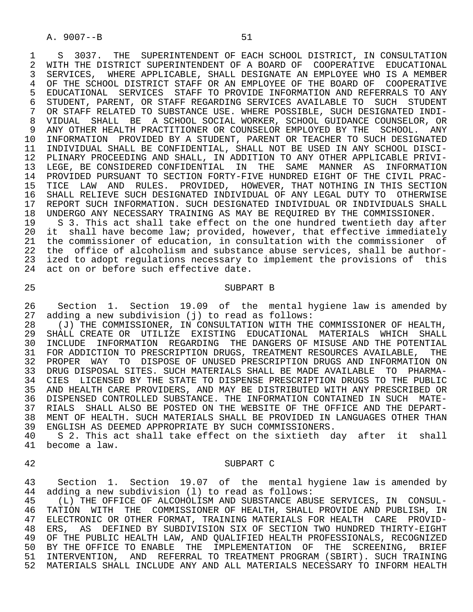1 S 3037. THE SUPERINTENDENT OF EACH SCHOOL DISTRICT, IN CONSULTATION<br>2 WITH THE DISTRICT SUPERINTENDENT OF A BOARD OF COOPERATIVE EDUCATIONAL 2 WITH THE DISTRICT SUPERINTENDENT OF A BOARD OF COOPERATIVE EDUCATIONAL<br>3 SERVICES, WHERE APPLICABLE, SHALL DESIGNATE AN EMPLOYEE WHO IS A MEMBER 3 SERVICES, WHERE APPLICABLE, SHALL DESIGNATE AN EMPLOYEE WHO IS A MEMBER<br>4 OF THE SCHOOL DISTRICT STAFF OR AN EMPLOYEE OF THE BOARD OF COOPERATIVE 4 OF THE SCHOOL DISTRICT STAFF OR AN EMPLOYEE OF THE BOARD OF COOPERATIVE<br>5 EDUCATIONAL SERVICES STAFF TO PROVIDE INFORMATION AND REFERRALS TO ANY 5 EDUCATIONAL SERVICES STAFF TO PROVIDE INFORMATION AND REFERRALS TO ANY<br>6 STUDENT, PARENT, OR STAFF REGARDING SERVICES AVAILABLE TO SUCH STUDENT 6 STUDENT, PARENT, OR STAFF REGARDING SERVICES AVAILABLE TO SUCH STUDENT<br>7 OR STAFF RELATED TO SUBSTANCE USE, WHERE POSSIBLE, SUCH DESIGNATED INDI-7 OR STAFF RELATED TO SUBSTANCE USE. WHERE POSSIBLE, SUCH DESIGNATED INDI-<br>8 VIDUAL SHALL BE A SCHOOL SOCIAL WORKER, SCHOOL GUIDANCE COUNSELOR, OR 8 VIDUAL SHALL BE A SCHOOL SOCIAL WORKER, SCHOOL GUIDANCE COUNSELOR, OR 9 ANY OTHER HEALTH PRACTITIONER OR COUNSELOR EMPLOYED BY THE SCHOOL. ANY<br>10 INFORMATION PROVIDED BY A STUDENT, PARENT OR TEACHER TO SUCH DESIGNATED 10 INFORMATION PROVIDED BY A STUDENT, PARENT OR TEACHER TO SUCH DESIGNATED<br>11 INDIVIDUAL SHALL BE CONFIDENTIAL, SHALL NOT BE USED IN ANY SCHOOL DISCI- 11 INDIVIDUAL SHALL BE CONFIDENTIAL, SHALL NOT BE USED IN ANY SCHOOL DISCI- 12 PLINARY PROCEEDING AND SHALL, IN ADDITION TO ANY OTHER APPLICABLE PRIVI-<br>13 LEGE, BE CONSIDERED CONFIDENTIAL IN THE SAME MANNER AS INFORMATION 13 LEGE, BE CONSIDERED CONFIDENTIAL IN THE SAME MANNER AS INFORMATION<br>14 PROVIDED PURSUANT TO SECTION FORTY-FIVE HUNDRED EIGHT OF THE CIVIL PRAC- 14 PROVIDED PURSUANT TO SECTION FORTY-FIVE HUNDRED EIGHT OF THE CIVIL PRAC- 15 TICE LAW AND RULES. PROVIDED, HOWEVER, THAT NOTHING IN THIS SECTION<br>16 SHALL RELIEVE SUCH DESIGNATED INDIVIDUAL OF ANY LEGAL DUTY TO OTHERWISE 16 SHALL RELIEVE SUCH DESIGNATED INDIVIDUAL OF ANY LEGAL DUTY TO OTHERWISE<br>17 REPORT SUCH INFORMATION, SUCH DESIGNATED INDIVIDUAL OR INDIVIDUALS SHALL 17 REPORT SUCH INFORMATION. SUCH DESIGNATED INDIVIDUAL OR INDIVIDUALS SHALL<br>18 UNDERGO ANY NECESSARY TRAINING AS MAY BE REOUIRED BY THE COMMISSIONER. 18 UNDERGO ANY NECESSARY TRAINING AS MAY BE REQUIRED BY THE COMMISSIONER.<br>19 S.3. This act shall take effect on the one hundred twentieth day aft

19 S 3. This act shall take effect on the one hundred twentieth day after<br>20 it shall have become law; provided, however, that effective immediately 20 it shall have become law; provided, however, that effective immediately<br>21 the commissioner of education, in consultation with the commissioner of 21 the commissioner of education, in consultation with the commissioner of 22 the office of alcoholism and substance abuse services, shall be authorthe office of alcoholism and substance abuse services, shall be author- 23 ized to adopt regulations necessary to implement the provisions of this 24 act on or before such effective date.

#### 25 SUBPART B

26 Section 1. Section 19.09 of the mental hygiene law is amended by<br>27 adding a new subdivision (j) to read as follows: 27 adding a new subdivision (j) to read as follows:<br>28 (J) THE COMMISSIONER, IN CONSULTATION WITH THE

 28 (J) THE COMMISSIONER, IN CONSULTATION WITH THE COMMISSIONER OF HEALTH, 29 SHALL CREATE OR UTILIZE EXISTING EDUCATIONAL MATERIALS WHICH SHALL<br>30 INCLUDE INFORMATION REGARDING THE DANGERS OF MISUSE AND THE POTENTIAL 30 INCLUDE INFORMATION REGARDING THE DANGERS OF MISUSE AND THE POTENTIAL<br>31 FOR ADDICTION TO PRESCRIPTION DRUGS, TREATMENT RESOURCES AVAILABLE, THE FOR ADDICTION TO PRESCRIPTION DRUGS, TREATMENT RESOURCES AVAILABLE, 32 PROPER WAY TO DISPOSE OF UNUSED PRESCRIPTION DRUGS AND INFORMATION ON 33 DRUG DISPOSAL SITES. SUCH MATERIALS SHALL BE MADE AVAILABLE TO PHARMA- 34 CIES LICENSED BY THE STATE TO DISPENSE PRESCRIPTION DRUGS TO THE PUBLIC 35 AND HEALTH CARE PROVIDERS, AND MAY BE DISTRIBUTED WITH ANY PRESCRIBED OR 36 DISPENSED CONTROLLED SUBSTANCE. THE INFORMATION CONTAINED IN SUCH MATE- 37 RIALS SHALL ALSO BE POSTED ON THE WEBSITE OF THE OFFICE AND THE DEPART- 38 MENT OF HEALTH. SUCH MATERIALS SHALL BE PROVIDED IN LANGUAGES OTHER THAN<br>39 ENGLISH AS DEEMED APPROPRIATE BY SUCH COMMISSIONERS. 39 ENGLISH AS DEEMED APPROPRIATE BY SUCH COMMISSIONERS.<br>40 S 2. This act shall take effect on the sixtieth d

40 S 2. This act shall take effect on the sixtieth day after it shall<br>41 become a law. become a law.

#### 42 SUBPART C

43 Section 1. Section 19.07 of the mental hygiene law is amended by<br>44 adding a new subdivision (1) to read as follows: 44 adding a new subdivision (1) to read as follows:<br>45 (L) THE OFFICE OF ALCOHOLISM AND SUBSTANCE ABU

 45 (L) THE OFFICE OF ALCOHOLISM AND SUBSTANCE ABUSE SERVICES, IN CONSUL- 46 TATION WITH THE COMMISSIONER OF HEALTH, SHALL PROVIDE AND PUBLISH, IN<br>47 ELECTRONIC OR OTHER FORMAT, TRAINING MATERIALS FOR HEALTH CARE PROVID- 47 ELECTRONIC OR OTHER FORMAT, TRAINING MATERIALS FOR HEALTH CARE PROVID- 48 ERS, AS DEFINED BY SUBDIVISION SIX OF SECTION TWO HUNDRED THIRTY-EIGHT<br>49 OF THE PUBLIC HEALTH LAW, AND OUALIFIED HEALTH PROFESSIONALS, RECOGNIZED 49 OF THE PUBLIC HEALTH LAW, AND QUALIFIED HEALTH PROFESSIONALS, RECOGNIZED<br>50 BY THE OFFICE TO ENABLE THE IMPLEMENTATION OF THE SCREENING. BRIEF 50 BY THE OFFICE TO ENABLE THE IMPLEMENTATION OF THE SCREENING,<br>51 INTERVENTION, AND REFERRAL TO TREATMENT PROGRAM (SBIRT), SUCH TR 51 INTERVENTION, AND REFERRAL TO TREATMENT PROGRAM (SBIRT). SUCH TRAINING 52 MATERIALS SHALL INCLUDE ANY AND ALL MATERIALS NECESSARY TO INFORM HEALTH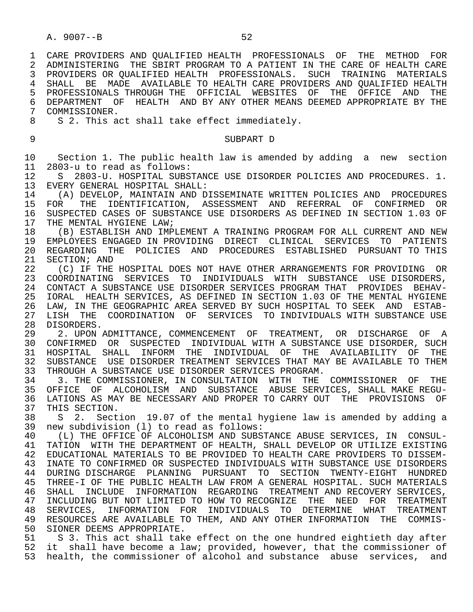1 CARE PROVIDERS AND QUALIFIED HEALTH PROFESSIONALS OF THE METHOD FOR<br>2 ADMINISTERING THE SBIRT PROGRAM TO A PATIENT IN THE CARE OF HEALTH CARE 2 ADMINISTERING THE SBIRT PROGRAM TO A PATIENT IN THE CARE OF HEALTH CARE<br>3 PROVIDERS OR OUALIFIED HEALTH PROFESSIONALS. SUCH TRAINING MATERIALS 3 PROVIDERS OR QUALIFIED HEALTH PROFESSIONALS. SUCH TRAINING MATERIALS 4 SHALL BE MADE AVAILABLE TO HEALTH CARE PROVIDERS AND QUALIFIED HEALTH<br>5 PROFESSIONALS THROUGH THE OFFICIAL WEBSITES OF THE OFFICE AND THE 5 PROFESSIONALS THROUGH THE OFFICIAL WEBSITES OF THE OFFICE AND THE<br>6 DEPARTMENT OF HEALTH AND BY ANY-OTHER-MEANS-DEEMED-APPROPRIATE-BY-THE 6 DEPARTMENT OF HEALTH AND BY ANY OTHER MEANS DEEMED APPROPRIATE BY THE 7 COMMISSIONER.

7 COMMISSIONER.<br>8 S 2 This a 8 S 2. This act shall take effect immediately.

9 SUBPART D

 10 Section 1. The public health law is amended by adding a new section 11 2803-u to read as follows:

 12 S 2803-U. HOSPITAL SUBSTANCE USE DISORDER POLICIES AND PROCEDURES. 1. 13 EVERY GENERAL HOSPITAL SHALL:<br>14 (A) DEVELOP, MAINTAIN AND D

14 (A) DEVELOP, MAINTAIN AND DISSEMINATE WRITTEN POLICIES AND PROCEDURES<br>15 FOR THE IDENTIFICATION, ASSESSMENT AND REFERRAL OF CONFIRMED OR 15 FOR THE IDENTIFICATION, ASSESSMENT AND REFERRAL OF CONFIRMED OR<br>16 SUSPECTED CASES OF SUBSTANCE USE DISORDERS AS DEFINED IN SECTION 1.03 OF 16 SUSPECTED CASES OF SUBSTANCE USE DISORDERS AS DEFINED IN SECTION 1.03 OF 17 THE MENTAL HYGIENE LAW; THE MENTAL HYGIENE LAW;

18 (B) ESTABLISH AND IMPLEMENT A TRAINING PROGRAM FOR ALL CURRENT AND NEW<br>19 EMPLOYEES ENGAGED IN PROVIDING DIRECT CLINICAL SERVICES TO PATIENTS 19 EMPLOYEES ENGAGED IN PROVIDING DIRECT CLINICAL SERVICES TO PATIENTS<br>20 REGARDING THE POLICIES AND PROCEDURES ESTABLISHED PURSUANT-TO-THIS 20 REGARDING THE POLICIES AND PROCEDURES ESTABLISHED PURSUANT TO THIS<br>21 SECTION; AND 21 SECTION; AND<br>22 (C) IF THE

22 (C) IF THE HOSPITAL DOES NOT HAVE OTHER ARRANGEMENTS FOR PROVIDING OR<br>23 COORDINATING SERVICES TO INDIVIDUALS WITH SUBSTANCE USE DISORDERS. 23 COORDINATING SERVICES TO INDIVIDUALS WITH SUBSTANCE USE DISORDERS, 24 CONTACT A SUBSTANCE USE DISORDER SERVICES PROGRAM THAT PROVIDES BEHAV-<br>25 IORAL HEALTH SERVICES, AS DEFINED IN SECTION 1.03 OF THE MENTAL HYGIENE 25 IORAL HEALTH SERVICES, AS DEFINED IN SECTION 1.03 OF THE MENTAL HYGIENE 26 LAW, IN THE GEOGRAPHIC AREA SERVED BY SUCH HOSPITAL TO SEEK AND ESTAB-<br>27 LISH THE COORDINATION OF SERVICES TO INDIVIDUALS WITH SUBSTANCE USE LISH THE COORDINATION OF SERVICES TO INDIVIDUALS WITH SUBSTANCE USE

28 DISORDERS.<br>29 2. UPON A 29 2. UPON ADMITTANCE, COMMENCEMENT OF TREATMENT, OR DISCHARGE OF A<br>30 CONFIRMED OR SUSPECTED INDIVIDUAL WITH A SUBSTANCE USE DISORDER, SUCH 30 CONFIRMED OR SUSPECTED INDIVIDUAL WITH A SUBSTANCE USE DISORDER, SUCH<br>31 HOSPITAL SHALL INFORM THE INDIVIDUAL OF THE AVAILABILITY OF THE 31 HOSPITAL SHALL INFORM THE INDIVIDUAL OF THE AVAILABILITY OF THE<br>32 SUBSTANCE USE DISORDER TREATMENT SERVICES THAT MAY BE AVAILABLE TO THEM 32 SUBSTANCE USE DISORDER TREATMENT SERVICES THAT MAY BE AVAILABLE TO THEM<br>33 THROUGH A SUBSTANCE USE DISORDER SERVICES PROGRAM. 33 THROUGH A SUBSTANCE USE DISORDER SERVICES PROGRAM.<br>34 3. THE COMMISSIONER, IN CONSULTATION WITH THE

3. THE COMMISSIONER, IN CONSULTATION WITH THE COMMISSIONER OF THE 35 OFFICE OF ALCOHOLISM AND SUBSTANCE ABUSE SERVICES, SHALL MAKE REGU- 36 LATIONS AS MAY BE NECESSARY AND PROPER TO CARRY OUT THE PROVISIONS OF<br>37 THIS SECTION. 37 THIS SECTION.<br>38 S 2. Sect

38 S 2. Section 19.07 of the mental hygiene law is amended by adding a<br>39 new subdivision (1) to read as follows: 39 new subdivision (l) to read as follows:

40 (L) THE OFFICE OF ALCOHOLISM AND SUBSTANCE ABUSE SERVICES, IN CONSUL-<br>41 TATION WITH THE DEPARTMENT OF HEALTH, SHALL DEVELOP OR UTILIZE EXISTING 41 TATION WITH THE DEPARTMENT OF HEALTH, SHALL DEVELOP OR UTILIZE EXISTING<br>42 EDUCATIONAL MATERIALS TO BE PROVIDED TO HEALTH CARE PROVIDERS TO DISSEM-42 EDUCATIONAL MATERIALS TO BE PROVIDED TO HEALTH CARE PROVIDERS TO DISSEM-<br>43 INATE TO CONFIRMED OR SUSPECTED INDIVIDUALS WITH SUBSTANCE USE DISORDERS INATE TO CONFIRMED OR SUSPECTED INDIVIDUALS WITH SUBSTANCE USE DISORDERS 44 DURING DISCHARGE PLANNING PURSUANT TO SECTION TWENTY-EIGHT HUNDRED<br>45 THREE-I OF THE PUBLIC HEALTH LAW FROM A GENERAL HOSPITAL, SUCH MATERIALS THREE-I OF THE PUBLIC HEALTH LAW FROM A GENERAL HOSPITAL. SUCH MATERIALS 46 SHALL INCLUDE INFORMATION REGARDING TREATMENT—AND—RECOVERY—SERVICES,<br>47 INCLUDING BUT NOT LIMITED TO HOW TO RECOGNIZE THE NEED—FOR—TREATMENT 47 INCLUDING BUT NOT LIMITED TO HOW TO RECOGNIZE THE NEED FOR TREATMENT<br>48 SERVICES, INFORMATION FOR INDIVIDUALS TO DETERMINE WHAT TREATMENT 48 SERVICES, INFORMATION FOR INDIVIDUALS TO DETERMINE WHAT<br>49 RESOURCES ARE AVAILABLE TO THEM, AND ANY OTHER INFORMATION TH 49 RESOURCES ARE AVAILABLE TO THEM, AND ANY OTHER INFORMATION THE COMMIS-<br>50 SIONER DEEMS APPROPRIATE 50 SIONER DEEMS APPROPRIATE.<br>51 S 3. This act shall take

51 S 3. This act shall take effect on the one hundred eightieth day after<br>52 it shall have become a law; provided, however, that the commissioner of 52 it shall have become a law; provided, however, that the commissioner of 53 health, the commissioner of alcohol and substance abuse services, and health, the commissioner of alcohol and substance abuse services, and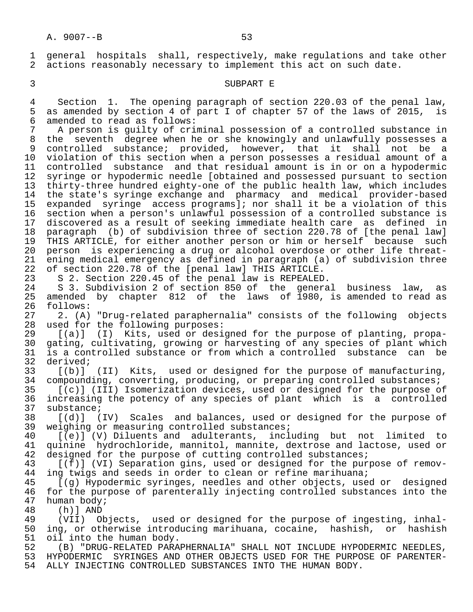1 general hospitals shall, respectively, make regulations and take other<br>2 actions reasonably necessary to implement this act on such date. actions reasonably necessary to implement this act on such date.

3 SUBPART E

4 Section 1. The opening paragraph of section 220.03 of the penal law,<br>5 as amended by section 4 of part I of chapter 57 of the laws of 2015, is 5 as amended by section 4 of part I of chapter 57 of the laws of 2015, is<br>6 amended to read as follows: 6 amended to read as follows:<br>7 A person is quilty of cri-

7 A person is guilty of criminal possession of a controlled substance in<br>8 the seventh degree when he or she knowingly and unlawfully possesses a 8 the seventh degree when he or she knowingly and unlawfully possesses a<br>9 controlled substance; provided, however, that it shall not be a 9 controlled substance; provided, however, that it shall not be a<br>10 violation of this section when a person possesses a residual amount of a violation of this section when a person possesses a residual amount of a 11 controlled substance and that residual amount is in or on a hypodermic<br>12 syringe or hypodermic needle [obtained and possessed pursuant to section syringe or hypodermic needle [obtained and possessed pursuant to section 13 thirty-three hundred eighty-one of the public health law, which includes 14 the state's syringe exchange and pharmacy and medical provider-based<br>15 expanded syringe access programsl; nor shall it be a violation of this 15 expanded syringe access programs]; nor shall it be a violation of this<br>16 section when a person's unlawful possession of a controlled substance is 16 section when a person's unlawful possession of a controlled substance is<br>17 discovered as a result of seeking immediate health care as defined in 17 discovered as a result of seeking immediate health care as defined in 18 paragraph (b) of subdivision three of section 220.78 of [the penal law] 19 THIS ARTICLE, for either another person or him or herself because such<br>20 person is experiencing a drug or alcohol overdose or other life threat-20 person is experiencing a drug or alcohol overdose or other life threat-<br>21 ening medical emergency as defined in paragraph (a) of subdivision three ening medical emergency as defined in paragraph (a) of subdivision three 22 of section 220.78 of the [penal law] THIS ARTICLE.<br>23 S 2. Section 220.45 of the penal law is REPEALED

S 2. Section 220.45 of the penal law is REPEALED.

 24 S 3. Subdivision 2 of section 850 of the general business law, as 25 amended by chapter 812 of the laws of 1980, is amended to read as 26 follows: 26 follows:<br>27 2. (A)

27 2. (A) "Drug-related paraphernalia" consists of the following objects<br>28 used for the following purposes: 28 used for the following purposes:<br>29 [(a)] (I) Kits, used or desi

 29 [(a)] (I) Kits, used or designed for the purpose of planting, propa- 30 gating, cultivating, growing or harvesting of any species of plant which<br>31 is a controlled substance or from which a controlled substance can be 31 is a controlled substance or from which a controlled substance can be 32 derived; 32 derived;<br>33 [(b)]

33 [(b)] (II) Kits, used or designed for the purpose of manufacturing,<br>34 compounding, converting, producing, or preparing controlled substances; 34 compounding, converting, producing, or preparing controlled substances;<br>35 [(c)] (III) Isomerization devices, used or designed for the purpose of

35 [(c)] (III) Isomerization devices, used or designed for the purpose of<br>36 increasing the potency of any species of plant which is a controlled 36 increasing the potency of any species of plant which is a controlled<br>37 substance; 37 substance;<br>38 [(d)] (

38 [(d)] (IV) Scales and balances, used or designed for the purpose of 39 weighing or measuring controlled substances; 39 weighing or measuring controlled substances;<br>40 [(e)] (V) Diluents and adulterants, incl

40 [(e)] (V) Diluents and adulterants, including but not limited to<br>41 quinine hydrochloride, mannitol, mannite, dextrose and lactose, used or 41 quinine hydrochloride, mannitol, mannite, dextrose and lactose, used or<br>42 designed for the purpose of cutting controlled substances; 42 designed for the purpose of cutting controlled substances;<br>43 [(f)] (VI) Separation gins, used or designed for the pur

43 [(f)] (VI) Separation gins, used or designed for the purpose of remov-<br>44 ing twigs and seeds in order to clean or refine marihuana; 44 ing twigs and seeds in order to clean or refine marihuana;<br>45 [(g) Hypodermic syringes, needles and other objects, use

[(g) Hypodermic syringes, needles and other objects, used or designed 46 for the purpose of parenterally injecting controlled substances into the 47 human body; 47 human body;<br>48 (h) 1 AND

 48 (h)] AND 49 (VII) Objects, used or designed for the purpose of ingesting, inhal-<br>50 ing, or otherwise introducing marihuana, cocaine, hashish, or hashish ing, or otherwise introducing marihuana, cocaine, hashish, or hashish 51 oil into the human body.<br>52 (B) "DRUG-RELATED PARA

52 (B) "DRUG-RELATED PARAPHERNALIA" SHALL NOT INCLUDE HYPODERMIC NEEDLES,<br>53 HYPODERMIC SYRINGES AND OTHER OBJECTS USED FOR THE PURPOSE OF PARENTER-53 HYPODERMIC SYRINGES AND OTHER OBJECTS USED FOR THE PURPOSE OF PARENTER-<br>54 ALLY INJECTING CONTROLLED SUBSTANCES INTO THE HUMAN BODY. 54 ALLY INJECTING CONTROLLED SUBSTANCES INTO THE HUMAN BODY.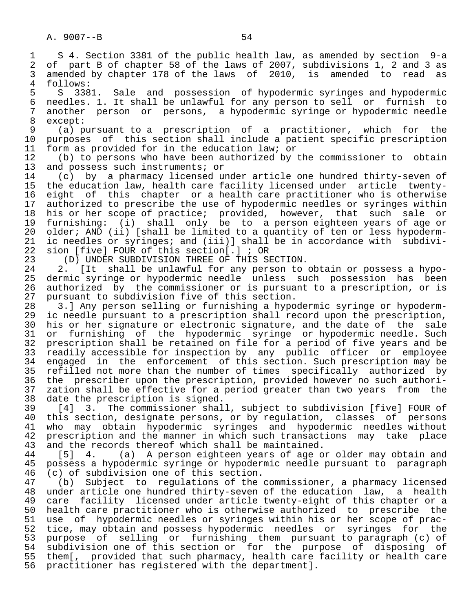A. 9007--B 54 1 S 4. Section 3381 of the public health law, as amended by section 9-a 2 of part B of chapter 58 of the laws of 2007, subdivisions 1, 2 and 3 as<br>3 amended by chapter 178 of the laws of 2010, is amended to read as 3 amended by chapter 178 of the laws of 2010, is amended to read as follows: 4 follows:<br>5 S 338 5 S 3381. Sale and possession of hypodermic syringes and hypodermic<br>6 needles. 1. It shall be unlawful for any person to sell or furnish to 6 needles. 1. It shall be unlawful for any person to sell or furnish to<br>7 another person or persons, a hypodermic syringe or hypodermic needle 7 another person or persons, a hypodermic syringe or hypodermic needle 8 except:<br>9 (a) p 9 (a) pursuant to a prescription of a practitioner, which for the<br>10 purposes of this section shall include a patient specific prescription 10 purposes of this section shall include a patient specific prescription<br>11 form as provided for in the education law; or 11 form as provided for in the education law; or<br>12 (b) to persons who have been authorized by 12 (b) to persons who have been authorized by the commissioner to obtain<br>13 and possess such instruments; or 13 and possess such instruments; or<br>14 (c) by a pharmacy licensed up 14 (c) by a pharmacy licensed under article one hundred thirty-seven of 15 the education law, health care facility licensed under article twenty-<br>16 eight of this chapter or a health care practitioner who is otherwise 16 eight of this chapter or a health care practitioner who is otherwise<br>17 authorized to prescribe the use of hypodermic needles or syringes within 17 authorized to prescribe the use of hypodermic needles or syringes within<br>18 his or her scope of practice; provided, however, that such sale or 18 his or her scope of practice; provided, however, that such sale or<br>19 furnishing: (i) shall only be to a person eighteen years of age or 19 furnishing: (i) shall only be to a person eighteen years of age or<br>20 older; AND (ii) [shall be limited to a quantity of ten or less hypoderm-20 older; AND (ii) [shall be limited to a quantity of ten or less hypoderm-<br>21 ic needles or syringes; and (iii)] shall be in accordance with subdivi-21 ic needles or syringes; and (iii)] shall be in accordance with subdivi-<br>22 sion [five] FOUR of this section[.]; OR 22 sion [five] FOUR of this section[.] ; OR<br>23 (D) UNDER SUBDIVISION THREE OF THIS SI 23 (D) UNDER SUBDIVISION THREE OF THIS SECTION.<br>24 2. [It shall be unlawful for any person to 24 2. [It shall be unlawful for any person to obtain or possess a hypo-<br>25 dermic syringe or hypodermic needle unless such possession has been dermic syringe or hypodermic needle unless such possession has been 26 authorized by the commissioner or is pursuant to a prescription, or is<br>27 pursuant to subdivision five of this section. 27 pursuant to subdivision five of this section.<br>28 3.] Any person selling or furnishing a hypo 28 3.] Any person selling or furnishing a hypodermic syringe or hypoderm-<br>29 ic needle pursuant to a prescription shall record upon the prescription, 29 ic needle pursuant to a prescription shall record upon the prescription,<br>30 his or her signature or electronic signature, and the date of the sale 30 his or her signature or electronic signature, and the date of the sale<br>31 or furnishing of the hypodermic syringe or hypodermic needle. Such 31 or furnishing of the hypodermic syringe or hypodermic needle. Such<br>32 prescription shall be retained on file for a period of five years and be 32 prescription shall be retained on file for a period of five years and be<br>33 readily accessible for inspection by any public officer or employee 33 readily accessible for inspection by any public officer or employee<br>34 engaged in the enforcement of this section. Such prescription may be 34 engaged in the enforcement of this section. Such prescription may be<br>35 refilled not more than the number of times specifically authorized by

35 refilled not more than the number of times specifically authorized by<br>36 the prescriber upon the prescription, provided however no such authorithe prescriber upon the prescription, provided however no such authori-37 zation shall be effective for a period greater than two years from the<br>38 date the prescription is signed. 38 date the prescription is signed.<br>39 [4] 3. The commissioner shal

 39 [4] 3. The commissioner shall, subject to subdivision [five] FOUR of 40 this section, designate persons, or by regulation, classes of persons<br>41 who may obtain hypodermic syringes and hypodermic needles without 41 who may obtain hypodermic syringes and hypodermic needles without<br>42 prescription and the manner in which such transactions may take place 42 prescription and the manner in which such transactions may take place<br>43 and the records thereof which shall be maintained. 43 and the records thereof which shall be maintained.<br>44 [5] 4. (a) A person eighteen years of age o

44 [5] 4. (a) A person eighteen years of age or older may obtain and<br>45 possess a hypodermic syringe or hypodermic needle pursuant to paragraph 45 possess a hypodermic syringe or hypodermic needle pursuant to paragraph 46 (c) of subdivision one of this section.<br>47 (b) Subject to regulations of the

 47 (b) Subject to regulations of the commissioner, a pharmacy licensed 48 under article one hundred thirty-seven of the education law, a health 49 care facility licensed under article twenty-eight of this chapter or a<br>50 health care practitioner who is otherwise authorized to prescribe the 50 health care practitioner who is otherwise authorized to prescribe the<br>51 use of hypodermic needles or syringes within his or her scope of prac-51 use of hypodermic needles or syringes within his or her scope of prac-<br>52 tice, may obtain and possess hypodermic needles or syringes for the 52 tice, may obtain and possess hypodermic needles or syringes for the<br>53 purpose of selling or furnishing them pursuant to paragraph (c) of 53 purpose of selling or furnishing them pursuant to paragraph (c) of subdivision one of this section or for the purpose of disposing of 55 them[, provided that such pharmacy, health care facility or health care 56 practitioner has registered with the department].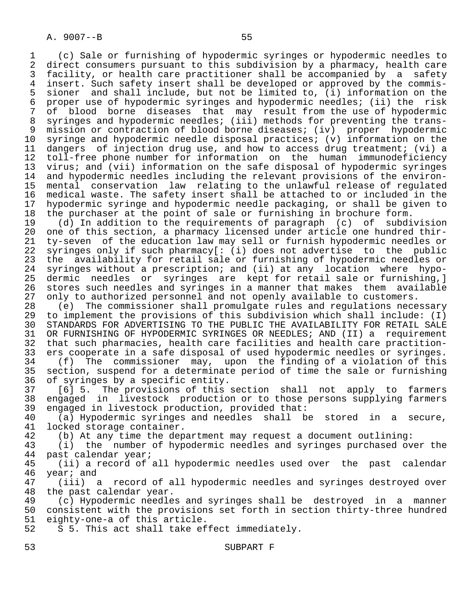1 (c) Sale or furnishing of hypodermic syringes or hypodermic needles to 2 direct consumers pursuant to this subdivision by a pharmacy, health care<br>3 facility, or health care practitioner shall be accompanied by a safety facility, or health care practitioner shall be accompanied by a safety 4 insert. Such safety insert shall be developed or approved by the commis- 5 sioner and shall include, but not be limited to, (i) information on the<br>6 proper use of hypodermic syringes and hypodermic needles; (ii) the risk 6 proper use of hypodermic syringes and hypodermic needles; (ii) the risk 7 of blood borne diseases that may result from the use of hypodermic 8 syringes and hypodermic needles; (iii) methods for preventing the trans- 9 mission or contraction of blood borne diseases; (iv) proper hypodermic<br>10 syringe and hypodermic needle disposal practices; (y) information on the 10 syringe and hypodermic needle disposal practices; (v) information on the<br>11 dangers of injection drug use, and how to access drug treatment; (vi) a 11 dangers of injection drug use, and how to access drug treatment; (vi) a<br>12 toll-free phone number for information on the human immunodeficiency 12 toll-free phone number for information on the human immunodeficiency<br>13 virus; and (vii) information on the safe disposal of hypodermic syringes 13 virus; and (vii) information on the safe disposal of hypodermic syringes<br>14 and hypodermic needles including the relevant provisions of the environand hypodermic needles including the relevant provisions of the environ- 15 mental conservation law relating to the unlawful release of regulated 16 medical waste. The safety insert shall be attached to or included in the<br>17 hypodermic syringe and hypodermic needle packaging, or shall be given to 17 hypodermic syringe and hypodermic needle packaging, or shall be given to<br>18 the purchaser at the point of sale or furnishing in brochure form. 18 the purchaser at the point of sale or furnishing in brochure form.<br>19 (d) In addition to the requirements of paragraph (c) of subdi

19 (d) In addition to the requirements of paragraph (c) of subdivision<br>20 one of this section, a pharmacy licensed under article one hundred thir-20 one of this section, a pharmacy licensed under article one hundred thir-<br>21 ty-seven of the education law may sell or furnish hypodermic needles or 21 ty-seven of the education law may sell or furnish hypodermic needles or<br>22 syringes only if such pharmacy[: (i) does not advertise to the public 22 syringes only if such pharmacy[: (i) does not advertise to the public<br>23 the availability for retail sale or furnishing of hypodermic needles or the availability for retail sale or furnishing of hypodermic needles or 24 syringes without a prescription; and (ii) at any location where hypo dermic needles or syringes are kept for retail sale or furnishing,] 26 stores such needles and syringes in a manner that makes them available<br>27 only to authorized personnel and not openly available to customers. 27 only to authorized personnel and not openly available to customers.<br>28 (e) The commissioner shall promulgate rules and regulations nece

28 (e) The commissioner shall promulgate rules and regulations necessary<br>29 to implement the provisions of this subdivision which shall include: (I) 29 to implement the provisions of this subdivision which shall include: (I) 30 STANDARDS FOR ADVERTISING TO THE PUBLIC THE AVAILABILITY FOR RETAIL SALE<br>31 OR FURNISHING OF HYPODERMIC SYRINGES OR NEEDLES; AND (II) a requirement 31 OR FURNISHING OF HYPODERMIC SYRINGES OR NEEDLES; AND (II) a requirement<br>32 that such pharmacies, health care facilities and health care practition-32 that such pharmacies, health care facilities and health care practition-<br>33 ers cooperate in a safe disposal of used hypodermic needles or syringes. 33 ers cooperate in a safe disposal of used hypodermic needles or syringes.<br>34 (f) The commissioner may, upon the finding of a violation of this

34 (f) The commissioner may, upon the finding of a violation of this<br>35 section, suspend for a determinate period of time the sale or furnishing section, suspend for a determinate period of time the sale or furnishing 36 of syringes by a specific entity.

 37 [6] 5. The provisions of this section shall not apply to farmers 38 engaged in livestock production or to those persons supplying farmers<br>39 engaged in livestock production, provided that: 39 engaged in livestock production, provided that:<br>40 (a) Hypodermic syringes and needles shall b

40 (a) Hypodermic syringes and needles shall be stored in a secure,<br>41 locked storage container. 41 locked storage container.<br>42 (b) At any time the dep

42 (b) At any time the department may request a document outlining:<br>43 (i) the number of hypodermic needles and syringes purchased ov

43 (i) the number of hypodermic needles and syringes purchased over the 44 past calendar vear;

44 past calendar year;<br>45 (ii) a record of (ii) a record of all hypodermic needles used over the past calendar 46 year; and<br>47 (iii) a

(iii) a record of all hypodermic needles and syringes destroyed over 48 the past calendar year.<br>49 (c) Hypodermic needle

 49 (c) Hypodermic needles and syringes shall be destroyed in a manner 50 consistent with the provisions set forth in section thirty-three hundred<br>51 eighty-one-a of this article. 51 eighty-one-a of this article.

S 5. This act shall take effect immediately.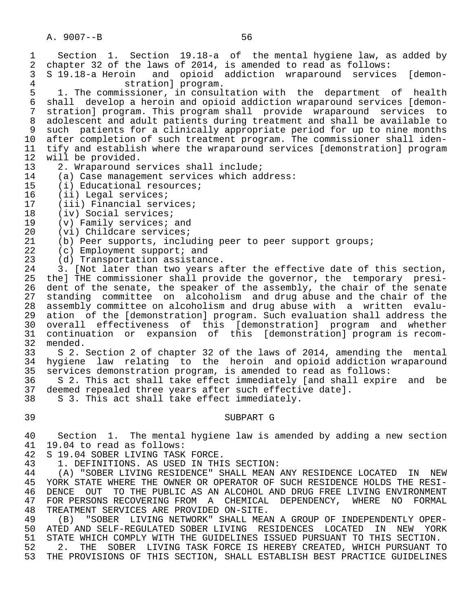A. 9007--B 56 1 Section 1. Section 19.18-a of the mental hygiene law, as added by<br>2 chapter 32 of the laws of 2014, is amended to read as follows: 2 chapter 32 of the laws of 2014, is amended to read as follows:<br>3 S 19.18-a Heroin and opioid addiction wraparound service 3 S 19.18-a Heroin and opioid addiction wraparound services [demon- 4 stration] program.<br>5 1. The commissioner, in consul 5 1. The commissioner, in consultation with the department of health<br>6 shall develop a heroin and opioid addiction wraparound services [demon- 6 shall develop a heroin and opioid addiction wraparound services [demon stration] program. This program shall provide wraparound services to 8 adolescent and adult patients during treatment and shall be available to<br>8 such patients for a clinically appropriate period for up to nine months 9 such patients for a clinically appropriate period for up to nine months<br>10 after completion of such treatment program. The commissioner shall iden-10 after completion of such treatment program. The commissioner shall iden-<br>11 tify and establish where the wraparound services [demonstration] program 11 tify and establish where the wraparound services [demonstration] program<br>12 will be provided. 12 will be provided.<br>13 2. Wraparound s 13 2. Wraparound services shall include;<br>14 (a) Case management services which ad 14 (a) Case management services which address:<br>15 (i) Educational resources; 15 (i) Educational resources;<br>16 (ii) Legal services; 16 (ii) Legal services;<br>17 (iii) Financial serv 17 (iii) Financial services;<br>18 (iv) Social services; 18 (iv) Social services;<br>19 (v) Family services; 19 (v) Family services; and<br>20 (vi) Childcare services; 20 (vi) Childcare services;<br>21 (b) Peer supports, inclu 21 (b) Peer supports, including peer to peer support groups;<br>22 (c) Employment support; and 22 (c) Employment support; and<br>23 (d) Transportation assistano 23 (d) Transportation assistance.<br>24 3. Not later than two years a 24 3. [Not later than two years after the effective date of this section,<br>25 thel THE commissioner shall provide the governor, the temporary presithe] THE commissioner shall provide the governor, the temporary presi-26 dent of the senate, the speaker of the assembly, the chair of the senate<br>27 standing committee on alcoholism and drug abuse and the chair of the 27 standing committee on alcoholism and drug abuse and the chair of the 28 assembly committee on alcoholism and drug abuse with a written evalu- 29 ation of the [demonstration] program. Such evaluation shall address the<br>20 overall effectiveness of this [demonstration] program and whether overall effectiveness of this [demonstration] program and whether 31 continuation or expansion of this [demonstration] program is recom- 32 mended.<br>33 S 2. 33 S 2. Section 2 of chapter 32 of the laws of 2014, amending the mental<br>34 hygiene law relating to the heroin and opioid addiction wraparound 34 hygiene law relating to the heroin and opioid addiction wraparound 35 services demonstration program, is amended to read as follows: 36 S 2. This act shall take effect immediately [and shall expire and be<br>37 deemed repealed three vears after such effective datel. 37 deemed repealed three years after such effective date].<br>38 S 3. This act shall take effect immediately. S 3. This act shall take effect immediately. 39 SUBPART G 40 Section 1. The mental hygiene law is amended by adding a new section<br>41 19.04 to read as follows:

- 41 19.04 to read as follows:<br>42 S 19.04 SOBER LIVING TASK
- 42 S 19.04 SOBER LIVING TASK FORCE.<br>43 1. DEFINITIONS. AS USED IN THI
	- 1. DEFINITIONS. AS USED IN THIS SECTION:

44 THE SOBER LIVING RESIDENCE" SHALL MEAN ANY RESIDENCE LOCATED IN NEW<br>45 YORK STATE WHERE THE OWNER OR OPERATOR OF SUCH RESIDENCE HOLDS THE RESI-YORK STATE WHERE THE OWNER OR OPERATOR OF SUCH RESIDENCE HOLDS THE RESI-46 DENCE OUT TO THE PUBLIC AS AN ALCOHOL AND DRUG FREE LIVING ENVIRONMENT<br>47 FOR PERSONS RECOVERING FROM A CHEMICAL DEPENDENCY, WHERE NO FORMAL 47 FOR PERSONS RECOVERING FROM A CHEMICAL DEPENDENCY, WHERE NO FORMAL<br>48 TREATMENT SERVICES ARE PROVIDED ON-SITE. 48 TREATMENT SERVICES ARE PROVIDED ON-SITE.<br>49 (B) "SOBER LIVING NETWORK" SHALL MEA

49 (B) "SOBER LIVING NETWORK" SHALL MEAN A GROUP OF INDEPENDENTLY OPER-<br>50 ATED AND SELF-REGULATED SOBER LIVING RESIDENCES LOCATED IN NEW YORK 50 ATED AND SELF-REGULATED SOBER LIVING RESIDENCES LOCATED IN NEW YORK<br>51 STATE WHICH COMPLY WITH THE GUIDELINES ISSUED PURSUANT TO THIS SECTION. 51 STATE WHICH COMPLY WITH THE GUIDELINES ISSUED PURSUANT TO THIS SECTION.<br>52 . 2. THE SOBER LIVING TASK FORCE IS HEREBY CREATED, WHICH PURSUANT T 52 52 2. THE SOBER LIVING TASK FORCE IS HEREBY CREATED, WHICH PURSUANT TO 53 THE PROVISIONS OF THIS SECTION, SHALL ESTABLISH BEST PRACTICE GUIDELINES

THE PROVISIONS OF THIS SECTION, SHALL ESTABLISH BEST PRACTICE GUIDELINES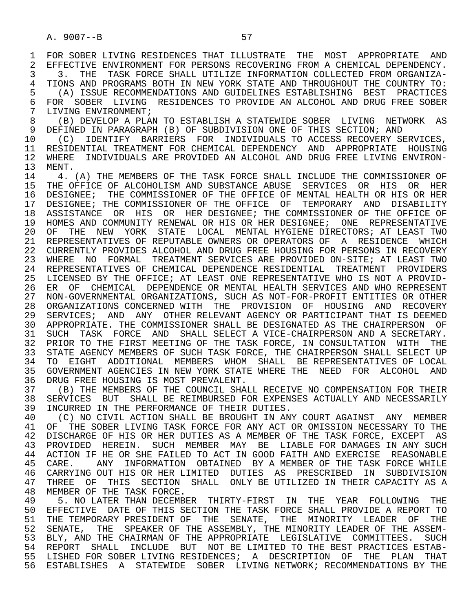1 FOR SOBER LIVING RESIDENCES THAT ILLUSTRATE THE MOST APPROPRIATE AND<br>2 EFFECTIVE ENVIRONMENT FOR PERSONS RECOVERING FROM A CHEMICAL DEPENDENCY. 2 EFFECTIVE ENVIRONMENT FOR PERSONS RECOVERING FROM A CHEMICAL DEPENDENCY.<br>3 3. THE TASK FORCE SHALL UTILIZE INFORMATION COLLECTED FROM ORGANIZA-3 3. THE TASK FORCE SHALL UTILIZE INFORMATION COLLECTED FROM ORGANIZA-<br>4 TIONS AND PROGRAMS BOTH IN NEW YORK STATE AND THROUGHOUT THE COUNTRY TO: 4 TIONS AND PROGRAMS BOTH IN NEW YORK STATE AND THROUGHOUT THE COUNTRY TO:<br>5 (A) ISSUE RECOMMENDATIONS AND GUIDELINES ESTABLISHING BEST PRACTICES 5 (A) ISSUE RECOMMENDATIONS AND GUIDELINES ESTABLISHING BEST PRACTICES 6 FOR SOBER LIVING RESIDENCES TO PROVIDE AN ALCOHOL AND DRUG FREE SOBER<br>7 LIVING ENVIRONMENT; 7 LIVING ENVIRONMENT;<br>8 (B) DEVELOP A PLA 8 (B) DEVELOP A PLAN TO ESTABLISH A STATEWIDE SOBER LIVING NETWORK AS<br>9 DEFINED IN PARAGRAPH (B) OF SUBDIVISION ONE OF THIS SECTION; AND

9 DEFINED IN PARAGRAPH (B) OF SUBDIVISION ONE OF THIS SECTION; AND<br>10 (C) IDENTIFY BARRIERS FOR INDIVIDUALS TO ACCESS RECOVERY SE 10 (C) IDENTIFY BARRIERS FOR INDIVIDUALS TO ACCESS RECOVERY SERVICES,<br>11 RESIDENTIAL TREATMENT FOR CHEMICAL DEPENDENCY AND APPROPRIATE HOUSING 11 RESIDENTIAL TREATMENT FOR CHEMICAL DEPENDENCY AND APPROPRIATE HOUSING<br>12 WHERE INDIVIDUALS ARE PROVIDED AN ALCOHOL AND DRUG FREE LIVING ENVIRON-12 WHERE INDIVIDUALS ARE PROVIDED AN ALCOHOL AND DRUG FREE LIVING ENVIRON-<br>13 MENT.

13 MENT.<br>14 4 14 THE A. (A) THE MEMBERS OF THE TASK FORCE SHALL INCLUDE THE COMMISSIONER OF ALCOHOLISM AND SUBSTANCE ABUSE SERVICES OR HIS OR HER 15 THE OFFICE OF ALCOHOLISM AND SUBSTANCE ABUSE SERVICES OR HIS OR HER<br>16 DESIGNEE; THE COMMISSIONER OF THE OFFICE OF MENTAL HEALTH OR HIS OR HER 16 DESIGNEE; THE COMMISSIONER OF THE OFFICE OF MENTAL HEALTH OR HIS OR HER 17 DESIGNEE; THE COMMISSIONER OF THE OFFICE OF TEMPORARY AND DISABILITY<br>18 ASSISTANCE OR HIS OR HER DESIGNEE; THE COMMISSIONER OF THE OFFICE OF 18 ASSISTANCE OR HIS OR HER DESIGNEE; THE COMMISSIONER OF THE OFFICE OF 19 HOMES AND COMMUNITY RENEWAL OR HIS OR HER DESIGNEE; ONE REPRESENTATIVE 20 OF THE NEW YORK STATE LOCAL MENTAL-HYGIENE-DIRECTORS; AT LEAST TWO 21 REPRESENTATIVES OF REPUTABLE OWNERS OR OPERATORS OF A RESIDENCE WHICH REPRESENTATIVES OF REPUTABLE OWNERS OR OPERATORS OF A RESIDENCE WHICH 22 CURRENTLY PROVIDES ALCOHOL AND DRUG FREE HOUSING FOR PERSONS IN RECOVERY 23 WHERE NO FORMAL TREATMENT SERVICES ARE PROVIDED ON-SITE; AT LEAST TWO 24 REPRESENTATIVES OF CHEMICAL DEPENDENCE RESIDENTIAL TREATMENT PROVIDERS<br>25 LICENSED BY THE OFFICE; AT LEAST ONE REPRESENTATIVE WHO IS NOT A PROVID- 25 LICENSED BY THE OFFICE; AT LEAST ONE REPRESENTATIVE WHO IS NOT A PROVID- 26 ER OF CHEMICAL DEPENDENCE OR MENTAL HEALTH SERVICES AND WHO REPRESENT 27 NON-GOVERNMENTAL ORGANIZATIONS, SUCH AS NOT-FOR-PROFIT ENTITIES OR OTHER<br>28 ORGANIZATIONS CONCERNED WITH THE PROVISION OF HOUSING AND RECOVERY 28 ORGANIZATIONS CONCERNED WITH THE PROVISION OF HOUSING AND RECOVERY<br>29 SERVICES; AND ANY OTHER RELEVANT AGENCY OR PARTICIPANT THAT IS DEEMED SERVICES; AND ANY OTHER RELEVANT AGENCY OR PARTICIPANT THAT IS DEEMED 30 APPROPRIATE. THE COMMISSIONER SHALL BE DESIGNATED AS THE CHAIRPERSON OF 31 SUCH TASK FORCE AND SHALL SELECT A VICE-CHAIRPERSON AND A SECRETARY.<br>32 PRIOR TO THE FIRST MEETING OF THE TASK FORCE, IN CONSULTATION WITH THE 32 PRIOR TO THE FIRST MEETING OF THE TASK FORCE, IN CONSULTATION WITH THE THE SELECT UP 33 STATE AGENCY MEMBERS OF SUCH TASK FORCE, THE CHAIRPERSON SHALL SELECT UP 34 TO EIGHT ADDITIONAL MEMBERS WHOM SHALL BE REPRESENTATIVES OF LOCAL 34 TO EIGHT ADDITIONAL MEMBERS WHOM SHALL BE REPRESENTATIVES OF LOCAL<br>35 GOVERNMENT AGENCIES IN NEW YORK STATE WHERE THE NEED FOR ALCOHOL AND 35 GOVERNMENT AGENCIES IN NEW YORK STATE WHERE THE NEED FOR ALCOHOL AND<br>36 DRUG FREE HOUSING IS MOST PREVALENT. 36 DRUG FREE HOUSING IS MOST PREVALENT.<br>37 (B) THE MEMBERS OF THE COUNCIL SHAP

37 (B) THE MEMBERS OF THE COUNCIL SHALL RECEIVE NO COMPENSATION FOR THEIR<br>38 SERVICES BUT SHALL BE REIMBURSED FOR EXPENSES ACTUALLY AND NECESSARILY 38 SERVICES BUT SHALL BE REIMBURSED FOR EXPENSES ACTUALLY AND NECESSARILY<br>39 INCURRED IN THE PERFORMANCE OF THEIR DUTIES. 39 INCURRED IN THE PERFORMANCE OF THEIR DUTIES.<br>40 (C) NO CIVIL ACTION SHALL BE BROUGHT IN AN

40 (C) NO CIVIL ACTION SHALL BE BROUGHT IN ANY COURT AGAINST ANY MEMBER<br>41 OF THE SOBER LIVING TASK FORCE FOR ANY ACT OR OMISSION NECESSARY TO THE 41 OF THE SOBER LIVING TASK FORCE FOR ANY ACT OR OMISSION NECESSARY TO THE 42 DISCHARGE OF HIS OR HER DUTIES AS A MEMBER OF THE TASK FORCE, EXCEPT AS 42 DISCHARGE OF HIS OR HER DUTIES AS A MEMBER OF THE TASK FORCE, EXCEPT AS<br>43 PROVIDED HEREIN, SUCH MEMBER MAY BE, LIABLE FOR DAMAGES IN ANY SUCH 43 PROVIDED HEREIN. SUCH MEMBER MAY BE LIABLE FOR DAMAGES IN ANY SUCH<br>44 ACTION IF HE OR SHE FAILED TO ACT IN GOOD FAITH AND EXERCISE REASONABLE 44 ACTION IF HE OR SHE FAILED TO ACT IN GOOD FAITH AND EXERCISE REASONABLE<br>45 CARE. ANY INFORMATION OBTAINED BY A MEMBER OF THE TASK FORCE WHILE CARE. ANY INFORMATION OBTAINED BY A MEMBER OF THE TASK FORCE WHILE 46 CARRYING OUT HIS OR HER LIMITED DUTIES AS PRESCRIBED IN SUBDIVISION<br>47 THREE OF THIS SECTION SHALL ONLY BE-UTILIZED IN THEIR-CAPACITY AS A 47 THREE OF THIS SECTION SHALL ONLY BE UTILIZED IN THEIR CAPACITY AS A 48 MEMBER OF THE TASK FORCE.

48 MEMBER OF THE TASK FORCE.<br>49 5. NO LATER THAN DECEMBI 49 THE STRICK STAND OF A THE STRING THAN DECEMBER THE THAN THE THE THE YEAR FOLLOWING THE STRING THE SECTION THE TASK FORCE SHALL PROVIDE A REPORT TO 50 EFFECTIVE DATE OF THIS SECTION THE TASK FORCE SHALL PROVIDE A REPORT TO<br>51 THE TEMPORARY PRESIDENT OF THE SENATE, THE MINORITY LEADER OF THE 51 THE TEMPORARY PRESIDENT OF THE SENATE, THE MINORITY LEADER OF THE<br>52 SENATE, THE SPEAKER OF THE ASSEMBLY, THE MINORITY LEADER OF THE ASSEM-52 SENATE, THE SPEAKER OF THE ASSEMBLY, THE MINORITY LEADER OF THE ASSEM-<br>53 BLY, AND THE CHAIRMAN OF THE APPROPRIATE LEGISLATIVE COMMITTEES. SUCH 53 BLY, AND THE CHAIRMAN OF THE APPROPRIATE LEGISLATIVE COMMITTEES. SUCH 54 REPORT SHALL INCLUDE BIT NOT BE LIMITED TO THE BEST PRACTICES ESTAB-54 REPORT SHALL INCLUDE BUT NOT-BE LIMITED TO THE BEST PRACTICES ESTAB-<br>55 LISHED FOR SOBER LIVING RESIDENCES; A DESCRIPTION OF THE PLAN THAT 55 LISHED FOR SOBER LIVING RESIDENCES; A DESCRIPTION OF THE PLAN THAT 56 ESTABLISHES A STATEWIDE SOBER LIVING NETWORK; RECOMMENDATIONS BY THE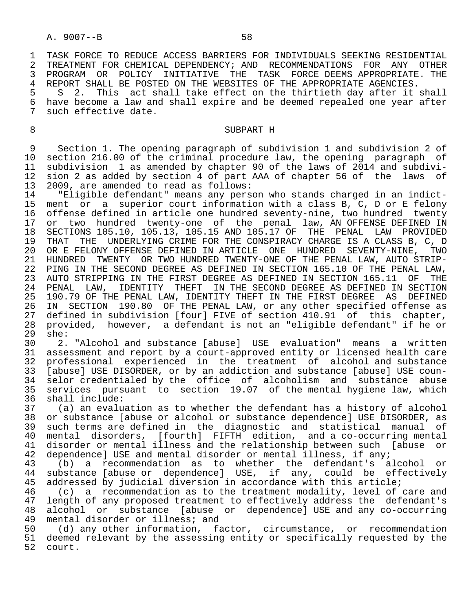1 TASK FORCE TO REDUCE ACCESS BARRIERS FOR INDIVIDUALS SEEKING RESIDENTIAL<br>2 TREATMENT FOR CHEMICAL DEPENDENCY; AND RECOMMENDATIONS FOR ANY OTHER 2 TREATMENT FOR CHEMICAL DEPENDENCY; AND RECOMMENDATIONS FOR ANY OTHER<br>3 PROGRAM OR POLICY INITIATIVE THE TASK FORCE-DEEMS-APPROPRIATE, THE 3 PROGRAM OR POLICY INITIATIVE THE TASK FORCE—DEEMS APPROPRIATE. THE 1999 THE SALL THE SERVING SERVING SERVING SERVING SERVING SERVING SERVING SERVING SERVING SERVING SERVING SERVING SERVING SERVING SERVING SERVING SERVING

4 REPORT SHALL BE POSTED ON THE WEBSITES OF THE APPROPRIATE AGENCIES.<br>5 S 2. This act shall take effect on the thirtieth day after it 5 S 2. This act shall take effect on the thirtieth day after it shall<br>6 have become a law and shall expire and be deemed repealed one vear after 6 have become a law and shall expire and be deemed repealed one year after<br>7 such effective date. such effective date.

### 8 SUBPART H

9 Section 1. The opening paragraph of subdivision 1 and subdivision 2 of<br>10 section 216.00 of the criminal procedure law, the opening paragraph of 10 section 216.00 of the criminal procedure law, the opening paragraph of<br>11 subdivision 1 as amended by chapter 90 of the laws of 2014 and subdivi-11 subdivision 1 as amended by chapter 90 of the laws of 2014 and subdivi-<br>12 sion 2 as added by section 4 of part AAA of chapter 56 of the laws of 12 sion 2 as added by section 4 of part AAA of chapter 56 of the laws of<br>13 2009, are amended to read as follows: 13 2009, are amended to read as follows:

 14 "Eligible defendant" means any person who stands charged in an indict- 15 ment or a superior court information with a class B, C, D or E felony<br>16 offense defined in article one hundred seventy-nine, two hundred twenty 16 offense defined in article one hundred seventy-nine, two hundred twenty<br>17 or two hundred twenty-one of the penal law, AN-OFFENSE-DEFINED-IN or two hundred twenty-one of the penal law, AN OFFENSE DEFINED IN 18 SECTIONS 105.10, 105.13, 105.15 AND 105.17 OF THE PENAL LAW PROVIDED<br>19 THAT THE UNDERLYING CRIME FOR THE CONSPIRACY CHARGE IS A CLASS B. C. D 19 THAT THE UNDERLYING CRIME FOR THE CONSPIRACY CHARGE IS A CLASS B, C, D<br>20 OR E FELONY OFFENSE DEFINED IN ARTICLE ONE HUNDRED SEVENTY-NINE. TWO 20 OR E FELONY OFFENSE DEFINED IN ARTICLE ONE HUNDRED SEVENTY-NINE,<br>21 HUNDRED TWENTY OR TWO HUNDRED TWENTY-ONE OF THE PENAL LAW, AUTO ST 21 HUNDRED TWENTY OR TWO HUNDRED TWENTY-ONE OF THE PENAL LAW, AUTO STRIP- 22 PING IN THE SECOND DEGREE AS DEFINED IN SECTION 165.10 OF THE PENAL LAW,<br>23 AUTO STRIPPING IN THE FIRST DEGREE AS DEFINED IN SECTION 165.11 OF THE 23 AUTO STRIPPING IN THE FIRST DEGREE AS DEFINED IN SECTION 165.11 OF THE<br>24 PENAL LAW, IDENTITY THEFT IN THE SECOND DEGREE AS DEFINED IN SECTION 24 PENAL LAW, IDENTITY THEFT IN THE SECOND DEGREE AS DEFINED IN SECTION<br>25 190.79 OF THE PENAL LAW, IDENTITY THEFT IN THE FIRST DEGREE AS DEFINED 25 190.79 OF THE PENAL LAW, IDENTITY THEFT IN THE FIRST DEGREE AS DEFINED<br>26 IN SECTION 190.80 OF THE PENAL LAW, or any other specified offense as 23 1980.79 of the research control.<br>26 IN SECTION 190.80 OF THE PENAL LAW, or any other specified offense as<br>27 defined in subdivision [four] FIVE of section 410.91 of this chapter, 27 defined in subdivision [four] FIVE of section 410.91 of this chapter,<br>28 provided, however, a defendant is not an "eligible defendant" if he or 28 provided, however, a defendant is not an "eligible defendant" if he or  $29$  she:<br>30 2.

 30 2. "Alcohol and substance [abuse] USE evaluation" means a written 31 assessment and report by a court-approved entity or licensed health care<br>32 professional experienced in the treatment of alcohol and substance 32 professional experienced in the treatment of alcohol and substance<br>33 [abuse] USE DISORDER, or by an addiction and substance [abuse] USE coun- 33 [abuse] USE DISORDER, or by an addiction and substance [abuse] USE coun- 34 selor credentialed by the office of alcoholism and substance abuse<br>35 services pursuant to section 19.07 of the mental hygiene law, which 35 services pursuant to section 19.07 of the mental hygiene law, which 36 shall include:<br>37 (a) an evalu

37 (a) an evaluation as to whether the defendant has a history of alcohol<br>38 or substance [abuse or alcohol or substance dependence] USE DISORDER, as 38 or substance [abuse or alcohol or substance dependence] USE DISORDER, as<br>39 such terms are defined in the diagnostic and statistical manual of 39 such terms are defined in the diagnostic and statistical manual of 40 mental disorders, [fourth] FIFTH edition, and a co-occurring mental 41 disorder or mental illness and the relationship between such [abuse or 42 dependence] USE and mental disorder or mental illness, if any;<br>43 (b) a recommendation as to whether the defendant's a

 43 (b) a recommendation as to whether the defendant's alcohol or 44 substance [abuse or dependence] USE, if any, could be effectively 45 addressed by judicial diversion in accordance with this article;

46 (c) a recommendation as to the treatment modality, level of care and<br>47 length of any proposed treatment to effectively address the defendant's 10 length of any proposed treatment to effectively address the defendant's<br>48 alcohol or substance [abuse or dependence] USE and any co-occurring 48 alcohol or substance [abuse or dependence] USE and any co-occurring<br>49 mental disorder or illness; and 49 mental disorder or illness; and<br>50 (d) any other information, fa

(d) any other information, factor, circumstance, or recommendation 51 deemed relevant by the assessing entity or specifically requested by the 52 court. court.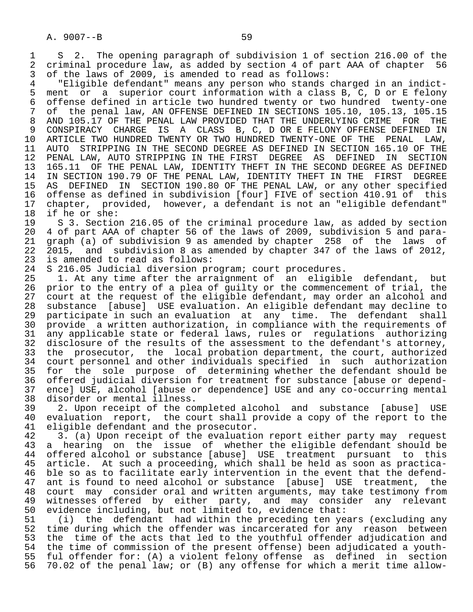1 S 2. The opening paragraph of subdivision 1 of section 216.00 of the<br>2 criminal procedure law, as added by section 4 of part AAA of chapter 56 2 criminal procedure law, as added by section 4 of part AAA of chapter 56<br>3 of the laws of 2009, is amended to read as follows:

 3 of the laws of 2009, is amended to read as follows: 4 "Eligible defendant" means any person who stands charged in an indict- 5 ment or a superior court information with a class B, C, D or E felony<br>6 offense defined in article two hundred twenty or two hundred twenty-one 6 offense defined in article two hundred twenty or two hundred twenty-one<br>7 of the penal law, AN OFFENSE DEFINED IN SECTIONS 105.10, 105.13, 105.15 7 of the penal law, AN OFFENSE DEFINED IN SECTIONS 105.10, 105.13, 105.15<br>8 AND 105.17 OF THE PENAL LAW PROVIDED THAT THE UNDERLYING CRIME FOR THE 8 AND 105.17 OF THE PENAL LAW PROVIDED THAT THE UNDERLYING CRIME FOR THE 9 CONSPIRACY CHARGE IS A CLASS B, C, D OR E FELONY OFFENSE DEFINED IN 9 CONSPIRACY CHARGE IS A CLASS B, C, D OR E FELONY OFFENSE DEFINED IN<br>10 ARTICLE TWO HUNDRED TWENTY OR TWO HUNDRED TWENTY-ONE OF THE PENAL LAW. 10 ARTICLE TWO HUNDRED TWENTY OR TWO HUNDRED TWENTY-ONE OF THE PENAL LAW,<br>11 AUTO STRIPPING IN THE SECOND DEGREE AS DEFINED IN SECTION 165.10 OF THE 11 AUTO STRIPPING IN THE SECOND DEGREE AS DEFINED IN SECTION 165.10 OF THE<br>12 PENAL LAW, AUTO STRIPPING IN THE FIRST DEGREE AS DEFINED IN SECTION 12 PENAL LAW, AUTO STRIPPING IN THE FIRST DEGREE AS DEFINED IN<br>13 165.11 OF THE PENAL LAW, IDENTITY THEFT IN THE SECOND DEGREE AS 13 165.11 OF THE PENAL LAW, IDENTITY THEFT IN THE SECOND DEGREE AS DEFINED<br>14 IN SECTION 190.79 OF THE PENAL LAW, IDENTITY THEFT IN THE FIRST DEGREE 14 IN SECTION 190.79 OF THE PENAL LAW, IDENTITY THEFT IN THE FIRST DEGREE<br>15 AS DEFINED IN SECTION 190.80 OF THE PENAL LAW, or any other specified 15 AS DEFINED IN SECTION 190.80 OF THE PENAL LAW, or any other specified<br>16 offense as defined in subdivision [four] FIVE of section 410.91 of this 16 offense as defined in subdivision [four] FIVE of section 410.91 of this<br>17 chapter, provided, however, a defendant is not an "eligible defendant" 17 chapter, provided, however, a defendant is not an "eligible defendant"

18 if he or she:<br>19 S 3. Section 19 S 3. Section 216.05 of the criminal procedure law, as added by section<br>20 4 of part AAA of chapter 56 of the laws of 2009, subdivision 5 and para-20 4 of part AAA of chapter 56 of the laws of 2009, subdivision 5 and para-<br>21 graph (a) of subdivision 9 as amended by chapter 258 of the laws of 21 graph (a) of subdivision 9 as amended by chapter 258 of the  $22$  2015, and subdivision 8 as amended by chapter 347 of the laws 22 2015, and subdivision 8 as amended by chapter 347 of the laws of 2012,<br>23 is amended to read as follows: 23 is amended to read as follows:<br>24 S 216.05 Judicial diversion pr

24 S 216.05 Judicial diversion program; court procedures.<br>25 1. At any time after the arraignment of an eligibl

1. At any time after the arraignment of an eligible defendant, but 26 prior to the entry of a plea of guilty or the commencement of trial, the<br>27 court at the request of the eligible defendant, may order an alcohol and 27 court at the request of the eligible defendant, may order an alcohol and<br>28 substance [abuse] USE evaluation. An eligible defendant may decline to 28 substance [abuse] USE evaluation. An eligible defendant may decline to 29 participate in such an evaluation at any time. The defendant shall<br>20 provide a written authorization, in compliance with the requirements of 30 provide a written authorization, in compliance with the requirements of<br>31 any applicable state or federal laws, rules or regulations authorizing 31 any applicable state or federal laws, rules or regulations authorizing<br>32 disclosure of the results of the assessment to the defendant's attorney, 32 disclosure of the results of the assessment to the defendant's attorney,<br>33 the prosecutor, the local probation department, the court, authorized 33 the prosecutor, the local probation department, the court, authorized<br>34 court personnel and other individuals specified in such authorization 34 court personnel and other individuals specified in such authorization<br>35 for the sole purpose of determining whether the defendant should be 35 for the sole purpose of determining whether the defendant should be<br>36 offered judicial diversion for treatment for substance [abuse or dependoffered judicial diversion for treatment for substance [abuse or depend- 37 ence] USE, alcohol [abuse or dependence] USE and any co-occurring mental 38 disorder or mental illness.

39 2. Upon receipt of the completed alcohol and substance [abuse] USE<br>40 evaluation report, the court shall provide a copy of the report to the 40 evaluation report, the court shall provide a copy of the report to the 41 eligible defendant and the prosecutor. 41 eligible defendant and the prosecutor.<br>42 3. (a) Upon receipt of the evaluation

42 3. (a) Upon receipt of the evaluation report either party may request<br>43 a hearing on the issue of whether the eligible defendant should be 43 a hearing on the issue of whether the eligible-defendant should be 44 offered alcohol or substance [abuse] USE treatment pursuant to this 44 offered alcohol or substance [abuse] USE treatment pursuant to this<br>45 article. At such a proceeding, which shall be held as soon as practicaarticle. At such a proceeding, which shall be held as soon as practica-46 ble so as to facilitate early intervention in the event that the defend-<br>47 ant is found to need alcohol or substance [abuse] USE treatment, the 47 ant is found to need alcohol or substance [abuse] USE treatment, the<br>48 court may consider oral and written arguments, may take testimony from 48 court may consider oral and written arguments, may take testimony from<br>49 witnesses offered by either party, and may consider any relevant 49 witnesses offered by either party, and may consider any relevant 50 evidence including, but not limited to, evidence that:

51 (i) the defendant had within the preceding ten years (excluding any<br>52 time during which the offender was incarcerated for any reason between 52 time during which the offender was incarcerated for any reason between<br>53 the time of the acts that led to the vouthful offender adjudication and 53 the time of the acts that led to the youthful offender adjudication and<br>54 the time of commission of the present offense) been adjudicated a vouth-54 the time of commission of the present offense) been adjudicated a youth-<br>55 ful offender for: (A) a violent felony offense as defined in section 55 ful offender for: (A) a violent felony offense as defined in section<br>56 70.02 of the penal law; or (B) any offense for which a merit time allow-56 70.02 of the penal law; or (B) any offense for which a merit time allow-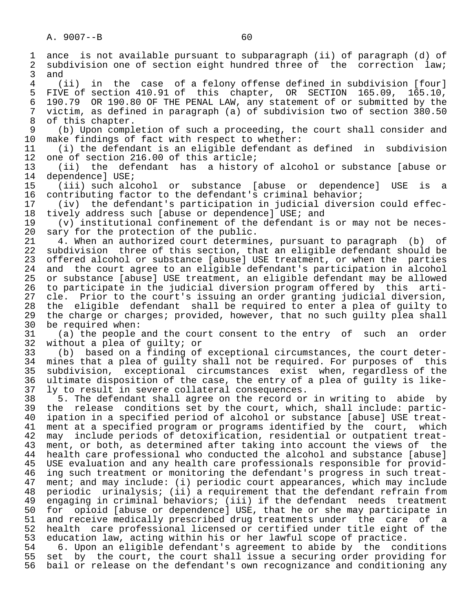1 ance is not available pursuant to subparagraph (ii) of paragraph (d) of<br>2 subdivision one of section eight hundred three of the correction law; 2 subdivision one of section eight hundred three of the correction law;<br>3 and 3 and  $\frac{3}{4}$  ( 4 (ii) in the case of a felony offense defined in subdivision [four] 5 FIVE of section 410.91 of this chapter, OR SECTION 165.09, 165.10,<br>6 190.79 OR 190.80 OF THE PENAL LAW, any statement of or submitted by the 6 190.79 OR 190.80 OF THE PENAL LAW, any statement of or submitted by the 7 victim, as defined in paragraph (a) of subdivision two of section 380.50 8 of this chapter.<br>9 (b) Upon compl 9 (b) Upon completion of such a proceeding, the court shall consider and<br>10 make findings of fact with respect to whether: 10 make findings of fact with respect to whether:<br>11 (i) the defendant is an eligible defendant a 11 (i) the defendant is an eligible defendant as defined in subdivision 12 one of section 216.00 of this article;<br>13 (ii) the defendant has a history 13 (ii) the defendant has a history of alcohol or substance [abuse or 14 dependence] USE;<br>15 (iii) such alc 15 (iii) such alcohol or substance [abuse or dependence] USE is a 16 contributing factor to the defendant's criminal behavior;<br>17 (iv) the defendant's participation in judicial diversi 17 (iv) the defendant's participation in judicial diversion could effec-<br>18 tively address such [abuse or dependence] USE; and 18 tively address such [abuse or dependence] USE; and<br>19 (v) institutional confinement of the defendant is 19 (v) institutional confinement of the defendant is or may not be neces-<br>20 sary for the protection of the public. 20 sary for the protection of the public.<br>21 4. When an authorized court determin 21 4. When an authorized court determines, pursuant to paragraph (b) of<br>22 subdivision three of this section, that an eligible defendant should be 22 subdivision three of this section, that an eligible defendant should be<br>23 offered alcohol or substance [abuse] USE treatment, or when the parties 23 offered alcohol or substance [abuse] USE treatment, or when the parties 24 and the court agree to an eligible defendant's participation in alcohol<br>25 or substance [abuse] USE treatment, an eligible defendant may be allowed 25 or substance [abuse] USE treatment, an eligible defendant may be allowed 26 to participate in the judicial diversion program offered by this arti- 27 cle. Prior to the court's issuing an order granting judicial diversion,<br>28 the eligible defendant shall be required to enter a plea of quilty to 28 the eligible defendant shall be required to enter a plea of guilty to<br>29 the charge or charges; provided, however, that no such quilty plea shall 29 the charge or charges; provided, however, that no such guilty plea shall<br>30 be required when: 30 be required when:<br>31 (a) the people 31 (a) the people and the court consent to the entry of such an order<br>32 without a plea of quilty; or 32 without a plea of guilty; or<br>33 (b) based on a finding of 33 (b) based on a finding of exceptional circumstances, the court deter- 34 mines that a plea of guilty shall not be required. For purposes of this<br>35 subdivision, exceptional circumstances exist when, regardless of the 35 subdivision, exceptional circumstances exist when, regardless of the<br>36 ultimate disposition of the case, the entry of a plea of quilty is likeultimate disposition of the case, the entry of a plea of quilty is like- 37 ly to result in severe collateral consequences. 38 5. The defendant shall agree on the record or in writing to abide by<br>39 the release conditions set by the court, which, shall include: partic-39 the release conditions set by the court, which, shall include: partic-<br>40 ipation in a specified period of alcohol or substance [abuse] USE treat-40 ipation in a specified period of alcohol or substance [abuse] USE treat-<br>41 ment at a specified program or programs identified by the court, which 41 ment at a specified program or programs identified by the court, which<br>42 may include periods of detoxification, residential or outpatient treat-42 may include periods of detoxification, residential or outpatient treat-<br>43 ment, or both, as determined after taking into account the views of the 43 ment, or both, as determined after taking into account the views of the<br>44 health care professional who conducted the alcohol and substance [abuse] 44 health care professional who conducted the alcohol and substance [abuse]<br>45 USE evaluation and any health care professionals responsible for provid-USE evaluation and any health care professionals responsible for provid-46 ing such treatment or monitoring the defendant's progress in such treat-<br>47 ment; and may include: (i) periodic court appearances, which may include ment; and may include: (i) periodic court appearances, which may include 48 periodic urinalysis; (ii) a requirement that the defendant refrain from 49 engaging in criminal behaviors; (iii) if the defendant needs treatment<br>50 for opioid [abuse or dependence] USE, that he or she may participate in 50 for opioid [abuse or dependence] USE, that he or she may participate in<br>51 and receive medically prescribed drug treatments under the care of a and receive medically prescribed drug treatments under the care of a 52 health care professional licensed or certified under title eight of the 53 education law, acting within his or her lawful scope of practice.

54 6. Upon an eligible defendant's agreement to abide by the conditions<br>55 set by the court, the court shall issue a securing order providing for 55 set by the court, the court shall issue a securing order providing for<br>56 bail or release on the defendant's own recognizance and conditioning any bail or release on the defendant's own recognizance and conditioning any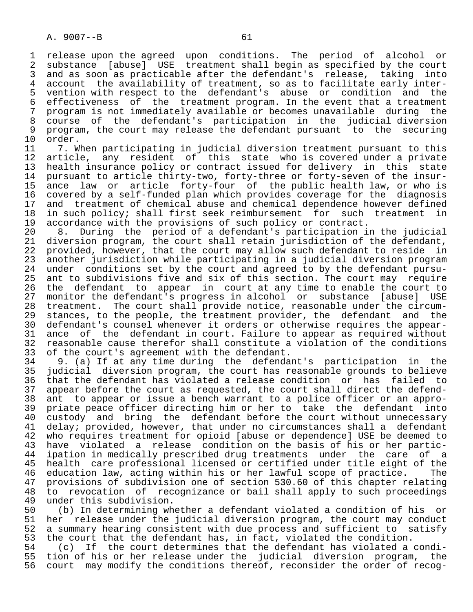1 release upon the agreed upon conditions. The period of alcohol or<br>2 substance [abuse] USE treatment shall begin as specified by the court 2 substance [abuse] USE treatment shall begin as specified by the court<br>3 and as soon as practicable after the defendant's release, taking into 3 and as soon as practicable after the defendant's release, taking into<br>4 account the availability of treatment, so as to facilitate early inter-4 account the availability of treatment, so as to facilitate early inter-<br>5 vention with respect to the defendant's abuse or condition and the 5 vention with respect to the defendant's abuse or condition and the 6 effectiveness of the treatment program. In the event that a treatment<br>7 program is not immediately available or becomes unavailable during the 7 program is not immediately available or becomes unavailable during the<br>8 course of the defendant's participation in the judicial diversion 8 course of the defendant's participation in the judicial diversion 9 program, the court may release the defendant pursuant to the securing 10 order.<br>11 7. W

11 7. When participating in judicial diversion treatment pursuant to this<br>12 article, any resident of this state who is covered under a private 12 article, any resident of this state who is covered under a private<br>13 health insurance policy or contract issued for delivery in this state 13 health insurance policy or contract issued for delivery in this state<br>14 pursuant to article thirty-two, forty-three or forty-seven of the insurpursuant to article thirty-two, forty-three or forty-seven of the insur-15 ance law or article forty-four of the public health law, or who is<br>16 covered by a self-funded plan which provides coverage for the diagnosis 16 covered by a self-funded plan which provides coverage for the diagnosis<br>17 and treatment of chemical abuse and chemical dependence however defined 17 and treatment of chemical abuse and chemical dependence however defined<br>18 in such policy; shall first seek reimbursement for such treatment in 18 in such policy; shall first seek reimbursement for such treatment in<br>19 accordance with the provisions of such policy or contract. 19 accordance with the provisions of such policy or contract.<br>20 8. During the period of a defendant's participation i

20 8. During the period of a defendant's participation in the judicial<br>21 diversion program, the court shall retain jurisdiction of the defendant, 21 diversion program, the court shall retain jurisdiction of the defendant,<br>22 provided, however, that the court may allow such defendant to reside in 22 provided, however, that the court may allow such defendant to reside in<br>23 another jurisdiction while participating in a judicial diversion program 23 another jurisdiction while participating in a judicial diversion program<br>24 under conditions set by the court and agreed to by the defendant pursu-24 under conditions set by the court and agreed to by the defendant pursu-<br>25 ant to subdivisions five and six of this section. The court may require ant to subdivisions five and six of this section. The court may require 26 the defendant to appear in court at any time to enable the court to<br>27 monitor the defendant's progress in alcohol or substance [abuse] USE 27 monitor the defendant's progress in alcohol or substance [abuse] USE<br>28 treatment. The court shall provide notice, reasonable under the circum-28 treatment. The court shall provide notice, reasonable under the circum-<br>29 stances, to the people, the treatment provider, the defendant and the 29 stances, to the people, the treatment provider, the defendant and the<br>30 defendant's counsel whenever it orders or otherwise requires the appear-30 defendant's counsel whenever it orders or otherwise requires the appear-<br>31 ance of the defendant in court. Failure to appear as required without 31 ance of the defendant in court. Failure to appear as required without<br>32 reasonable cause therefor shall constitute a violation of the conditions 32 reasonable cause therefor shall constitute a violation of the conditions<br>33 of the court's agreement with the defendant.

33 of the court's agreement with the defendant.<br>34 9. (a) If at any time during the defenda 34 9. (a) If at any time during the defendant's participation in the 35 judicial diversion program, the court has reasonable grounds to believe 36 that the defendant has violated a release condition or has failed to 37 appear before the court as requested, the court shall direct the defend-<br>38 ant to appear or issue a bench warrant to a police officer or an appro- 38 ant to appear or issue a bench warrant to a police officer or an appro- 39 priate peace officer directing him or her to take the defendant into<br>40 custody and bring the defendant before the court without unnecessary 40 custody and bring the defendant before the court without unnecessary<br>41 delav; provided, however, that under no circumstances shall a defendant 41 delay; provided, however, that under no circumstances shall a defendant<br>42 who requires treatment for opioid [abuse or dependence] USE be deemed to 42 who requires treatment for opioid [abuse or dependence] USE be deemed to<br>43 have violated a release condition on the basis of his or her partic- 43 have violated a release condition on the basis of his or her partic- 44 ipation in medically prescribed drug treatments under the care of a<br>45 health care professional licensed or certified under title eight of the health care professional licensed or certified under title eight of the 46 education law, acting within his or her lawful scope of practice. The<br>47 provisions of subdivision one of section 530.60 of this chapter relating 47 provisions of subdivision one of section 530.60 of this chapter relating<br>48 to revocation of recognizance or bail shall apply to such proceedings 48 to revocation of recognizance or bail shall apply to such proceedings<br>49 under this subdivision. 49 under this subdivision.<br>50 (b) In determining wh

50 (b) In determining whether a defendant violated a condition of his or<br>51 her release under the judicial diversion program, the court may conduct 51 her release under the judicial diversion program, the court may conduct<br>52 a summary hearing consistent with due process and sufficient to satisfy 52 a summary hearing consistent with due process and sufficient to satisfy<br>53 the court that the defendant has, in fact, violated the condition. 53 the court that the defendant has, in fact, violated the condition.<br>54 (c) If the court determines that the defendant has violated a

54 (c) If the court determines that the defendant has violated a condi-<br>55 tion of his or her release under the judicial diversion program, the 55 tion of his or her release under the judicial diversion program, the<br>56 court may modify the conditions thereof, reconsider the order of recog-56 court may modify the conditions thereof, reconsider the order of recog-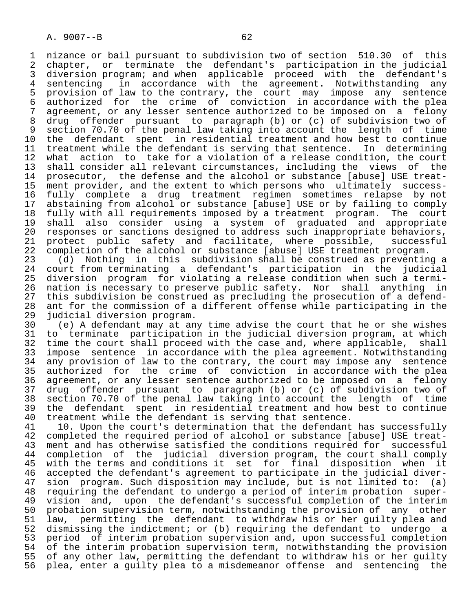1 nizance or bail pursuant to subdivision two of section 510.30 of this<br>2 chapter, or terminate the defendant's participation in the judicial 2 chapter, or terminate the defendant's participation in the judicial<br>3 diversion program; and when applicable proceed with the defendant's 3 diversion program; and when applicable proceed with the defendant's<br>4 sentencing in accordance with the agreement. Notwithstanding any 4 sentencing in accordance with the agreement. Notwithstanding any<br>5 provision of law to the contrary, the court may impose any sentence 5 provision of law to the contrary, the court may impose any sentence<br>6 authorized for the crime of conviction in accordance with the plea 6 authorized for the crime of conviction in accordance with the plea<br>7 agreement, or any lesser sentence authorized to be imposed on a felony 7 agreement, or any lesser sentence authorized to be imposed on a felony<br>8 drug offender pursuant to paragraph (b) or (c) of subdivision two of 8 drug offender pursuant to paragraph (b) or (c) of subdivision two of<br>9 section 70.70 of the penal law taking into account the length of time 9 section 70.70 of the penal law taking into account the length of time<br>10 the defendant spent in residential treatment and how best to continue 10 the defendant spent in residential treatment and how best to continue<br>11 treatment while the defendant is serving that sentence. In determining 11 treatment while the defendant is serving that sentence. In determining<br>12 what action to take for a violation of a release condition, the court 12 what action to take for a violation of a release condition, the court<br>13 shall consider all relevant circumstances, including the views of the 13 shall consider all relevant circumstances, including the views of the<br>14 prosecutor, the defense and the alcohol or substance [abuse] USE treatprosecutor, the defense and the alcohol or substance [abuse] USE treat- 15 ment provider, and the extent to which persons who ultimately success- 16 fully complete a drug treatment regimen sometimes relapse by not 17 abstaining from alcohol or substance [abuse] USE or by failing to comply<br>18 fully with all requirements imposed by a treatment program. The court 18 fully with all requirements imposed by a treatment program. The court<br>19 shall also consider using a system of graduated and appropriate 19 shall also consider using a system of graduated and appropriate<br>20 responses or sanctions designed to address such inappropriate behaviors, 20 responses or sanctions designed to address such inappropriate behaviors,<br>21 protect public safety and facilitate, where possible, successful 21 protect public safety and facilitate, where possible,<br>22 completion of the alcohol or substance [abuse] USE treatment

22 completion of the alcohol or substance [abuse] USE treatment program.<br>23 (d) Nothing in this subdivision shall be construed as preventin 23 (d) Nothing in this subdivision shall be construed as preventing a<br>24 court from terminating a defendant's participation in the judicial 24 court from terminating a defendant's participation in the judicial<br>25 diversion program for violating a release condition when such a termidiversion program for violating a release condition when such a termi-26 nation is necessary to preserve public safety. Nor shall anything in<br>27 this subdivision be construed as precluding the prosecution of a defend-27 this subdivision be construed as precluding the prosecution of a defend-<br>28 ant for the commission of a different offense while participating in the 28 ant for the commission of a different offense while participating in the 29 judicial diversion program. 29 judicial diversion program.<br>30 (e) A defendant may at an

30 (e) A defendant may at any time advise the court that he or she wishes<br>31 to terminate participation in the judicial diversion program, at which 31 to terminate participation in the judicial diversion program, at which<br>32 time the court shall proceed with the case and, where applicable, shall 32 time the court shall proceed with the case and, where applicable,<br>33 impose sentence in accordance with the plea agreement. Notwithsta 33 impose sentence in accordance with the plea agreement. Notwithstanding<br>34 any provision of law to the contrary, the court may impose any sentence 34 any provision of law to the contrary, the court may impose any sentence<br>35 authorized for the crime of conviction in accordance with the plea 35 authorized for the crime of conviction in accordance with the plea<br>36 agreement, or any lesser sentence authorized to be imposed on a felony agreement, or any lesser sentence authorized to be imposed on a felony 37 drug offender pursuant to paragraph (b) or (c) of subdivision two of 38 section 70.70 of the penal law taking into account the length of time 39 the defendant spent in residential treatment and how best to continue<br>40 treatment while the defendant is serving that sentence.

40 treatment while the defendant is serving that sentence.<br>41 10. Upon the court's determination that the defendant 41 10. Upon the court's determination that the defendant has successfully<br>42 completed the required period of alcohol or substance [abuse] USE treat-42 completed the required period of alcohol or substance [abuse] USE treat-<br>43 ment and has otherwise satisfied the conditions required for successful 43 ment and has otherwise satisfied the conditions required for successful<br>44 completion of the judicial diversion program, the court shall comply 44 completion of the judicial diversion program, the court shall comply<br>45 with the terms and conditions it set for final disposition when it 45 with the terms and conditions it set for final disposition when it<br>46 accepted the defendant's agreement to participate in the judicial diver-46 accepted the defendant's agreement to participate in the judicial diver-<br>47 sion program. Such disposition may include, but is not limited to: (a) 47 sion program. Such disposition may include, but is not limited to: (a)<br>48 requiring the defendant to undergo a period of interim probation super- 48 requiring the defendant to undergo a period of interim probation super- 49 vision and, upon the defendant's successful completion of the interim<br>50 probation supervision term, notwithstanding the provision of any other 50 probation supervision term, notwithstanding the provision of any other<br>51 law, permitting the defendant to withdraw his or her quilty plea and 51 law, permitting the defendant to withdraw his or her guilty plea and<br>52 dismissing the indictment; or (b) requiring the defendant to undergo a 52 dismissing the indictment; or (b) requiring the defendant to undergo a<br>53 period of interim probation supervision and, upon successful completion 53 period of interim probation supervision and, upon successful completion<br>54 of the interim probation supervision term, notwithstanding the provision 54 of the interim probation supervision term, notwithstanding the provision<br>55 of any other law, permitting the defendant to withdraw his or her quilty 55 of any other law, permitting the defendant to withdraw his or her guilty<br>56 plea, enter a quilty plea to a misdemeanor offense and sentencing the plea, enter a guilty plea to a misdemeanor offense and sentencing the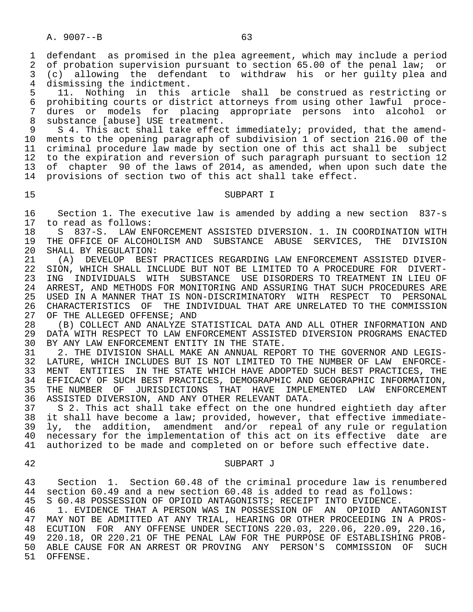1 defendant as promised in the plea agreement, which may include a period<br>2 of probation supervision pursuant to section 65.00 of the penal law; or 2 of probation supervision pursuant to section 65.00 of the penal law; or<br>3 (c) allowing the defendant to withdraw his or her quilty plea and 3 (c) allowing the defendant to withdraw his or her guilty plea and<br>4 dismissing the indictment.

4 dismissing the indictment.<br>5 11. Nothing in this 5 11. Nothing in this article shall be construed as restricting or<br>6 prohibiting courts or district attorneys from using other lawful proce-6 prohibiting courts or district attorneys from using other lawful proce-<br>7 dures or models for placing appropriate persons into alcohol or 7 dures or models for placing appropriate persons into alcohol or<br>8 substance [abuse] USE treatment 8 substance [abuse] USE treatment.<br>9 S 4. This act shall take effec

S 4. This act shall take effect immediately; provided, that the amend-10 ments to the opening paragraph of subdivision 1 of section 216.00 of the<br>11 criminal procedure law made by section one of this act shall be subject 11 criminal procedure law made by section one of this act shall be subject<br>12 to the expiration and reversion of such paragraph pursuant to section 12 12 to the expiration and reversion of such paragraph pursuant to section 12<br>13 of chapter 90 of the laws of 2014, as amended, when upon such date the 13 of chapter 90 of the laws of 2014, as amended, when upon such date the<br>14 provisions of section two of this act shall take effect. provisions of section two of this act shall take effect.

# 15 SUBPART I

16 Section 1. The executive law is amended by adding a new section 837-s<br>17 to read as follows: 17 to read as follows:<br>18 S 837-S. LAW EN

18 S 837-S. LAW ENFORCEMENT ASSISTED DIVERSION. 1. IN COORDINATION WITH<br>19 THE OFFICE OF ALCOHOLISM AND SUBSTANCE ABUSE SERVICES, THE DIVISION 19 THE OFFICE OF ALCOHOLISM AND SUBSTANCE ABUSE SERVICES,<br>20 SHALL BY REGULATION: 20 SHALL BY REGULATION:<br>21 (A) DEVELOP BEST

21 (A) DEVELOP BEST PRACTICES REGARDING LAW ENFORCEMENT ASSISTED DIVER-<br>22 SION, WHICH SHALL INCLUDE BUT NOT BE LIMITED TO A PROCEDURE FOR DIVERT-22 SION, WHICH SHALL INCLUDE BUT NOT BE LIMITED TO A PROCEDURE FOR DIVERT-<br>23 ING INDIVIDUALS WITH SUBSTANCE USE DISORDERS TO TREATMENT IN LIEU OF 23 ING INDIVIDUALS WITH SUBSTANCE USE DISORDERS TO TREATMENT IN LIEU OF<br>24 ARREST, AND METHODS FOR MONITORING AND ASSURING THAT SUCH PROCEDURES ARE 24 ARREST, AND METHODS FOR MONITORING AND ASSURING THAT SUCH PROCEDURES ARE 25 USED IN A MANNER THAT IS NON-DISCRIMINATORY WITH RESPECT TO PERSONAL<br>26 CHARACTERISTICS OF THE INDIVIDUAL THAT ARE UNRELATED TO THE COMMISSION 26 CHARACTERISTICS OF THE INDIVIDUAL THAT ARE UNRELATED TO THE COMMISSION 27 OF THE ALLEGED OFFENSE; AND 27 OF THE ALLEGED OFFENSE; AND<br>28 (B) COLLECT AND ANALYZE S'

28 (B) COLLECT AND ANALYZE STATISTICAL DATA AND ALL OTHER INFORMATION AND<br>29 DATA WITH RESPECT TO LAW ENFORCEMENT ASSISTED DIVERSION PROGRAMS ENACTED 29 DATA WITH RESPECT TO LAW ENFORCEMENT ASSISTED DIVERSION PROGRAMS ENACTED<br>30 BY ANY LAW ENFORCEMENT ENTITY IN THE STATE. 30 BY ANY LAW ENFORCEMENT ENTITY IN THE STATE.<br>31 2. THE DIVISION SHALL MAKE AN ANNUAL REPO

31 2. THE DIVISION SHALL MAKE AN ANNUAL REPORT TO THE GOVERNOR AND LEGIS-<br>32 LATURE, WHICH INCLUDES BUT IS NOT LIMITED TO THE NUMBER OF LAW ENFORCE-32 LATURE, WHICH INCLUDES BUT IS NOT LIMITED TO THE NUMBER OF LAW ENFORCE-<br>33 MENT ENTITIES IN THE STATE WHICH HAVE ADOPTED SUCH BEST PRACTICES. THE 33 MENT ENTITIES IN THE STATE WHICH HAVE ADOPTED SUCH BEST PRACTICES, THE 34 EFFICACY OF SUCH BEST PRACTICES. DEMOGRAPHIC AND GEOGRAPHIC INFORMATION. 34 EFFICACY OF SUCH BEST PRACTICES, DEMOGRAPHIC AND GEOGRAPHIC INFORMATION,<br>35 THE NUMBER OF JURISDICTIONS THAT HAVE IMPLEMENTED LAW ENFORCEMENT 35 THE NUMBER OF JURISDICTIONS THAT HAVE IMPLEMENTED LAW ENFORCEMENT<br>36 ASSISTED-DIVERSION, AND-ANY-OTHER-RELEVANT-DATA. 36 ASSISTED DIVERSION, AND ANY OTHER RELEVANT DATA.

37 S 2. This act shall take effect on the one hundred eightieth day after<br>38 it shall have become a law; provided, however, that effective immediate-38 it shall have become a law; provided, however, that effective immediate-<br>39 ly, the addition, amendment and/or repeal of any rule or regulation 39 ly, the addition, amendment and/or repeal of any rule or regulation<br>40 necessary for the implementation of this act on its effective date are 40 necessary for the implementation of this act on its effective date are<br>41 authorized to be made and completed on or before such effective date. authorized to be made and completed on or before such effective date.

#### 42 SUBPART J

43 Section 1. Section 60.48 of the criminal procedure law is renumbered<br>44 section 60.49 and a new section 60.48 is added to read as follows: 44 section 60.49 and a new section 60.48 is added to read as follows:<br>45 S 60.48 POSSESSION OF OPIOID ANTAGONISTS; RECEIPT INTO EVIDENCE.

45 S 60.48 POSSESSION OF OPIOID ANTAGONISTS; RECEIPT INTO EVIDENCE.<br>46 T 1. EVIDENCE THAT A PERSON WAS IN POSSESSION OF AN OPIOID AN

46 1. EVIDENCE THAT A PERSON WAS IN POSSESSION OF AN OPIOID ANTAGONIST<br>47 MAY NOT BE ADMITTED AT ANY TRIAL, HEARING OR OTHER PROCEEDING IN A PROS- 47 MAY NOT BE ADMITTED AT ANY TRIAL, HEARING OR OTHER PROCEEDING IN A PROS- 48 ECUTION FOR ANY OFFENSE UNDER SECTIONS 220.03, 220.06, 220.09, 220.16, 49 220.18, OR 220.21 OF THE PENAL LAW FOR THE PURPOSE OF ESTABLISHING PROB-<br>50 ABLE CAUSE FOR AN ARREST OR PROVING ANY PERSON'S COMMISSION OF SUCH 50 ABLE CAUSE FOR AN ARREST OR PROVING ANY PERSON'S COMMISSION OF<br>51 OFFENSE. OFFENSE.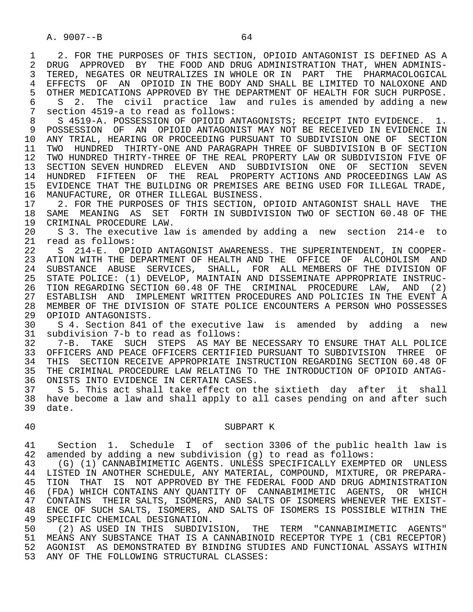1 2. FOR THE PURPOSES OF THIS SECTION, OPIOID ANTAGONIST IS DEFINED AS A<br>2 DRUG APPROVED BY THE FOOD AND DRUG ADMINISTRATION THAT, WHEN ADMINIS-2 DRUG APPROVED BY THE FOOD AND DRUG ADMINISTRATION THAT, WHEN ADMINIS-<br>3 TERED, NEGATES OR NEUTRALIZES IN WHOLE OR IN PART THE PHARMACOLOGICAL 3 TERED, NEGATES OR NEUTRALIZES IN WHOLE OR IN PART THE PHARMACOLOGICAL 4 EFFECTS OF AN OPIOID IN THE BODY AND SHALL BE LIMITED TO NALOXONE AND<br>5 OTHER MEDICATIONS APPROVED BY THE DEPARTMENT OF HEALTH FOR SUCH PURPOSE. 5 OTHER MEDICATIONS APPROVED BY THE DEPARTMENT OF HEALTH FOR SUCH PURPOSE.<br>6 S 2. The civil practice law and rules is amended by adding a new 6 S 2. The civil practice law and rules is amended by adding a new 3 section 4519-a to read as follows: 7 section 4519-a to read as follows:

8 S 4519-A. POSSESSION OF OPIOID ANTAGONISTS; RECEIPT INTO EVIDENCE. 1.<br>9 POSSESSION OF AN OPIOID ANTAGONIST MAY NOT BE RECEIVED IN EVIDENCE IN 9 POSSESSION OF AN OPIOID ANTAGONIST MAY NOT BE RECEIVED IN EVIDENCE IN<br>10 ANY TRIAL, HEARING OR PROCEEDING PURSUANT TO SUBDIVISION ONE OF SECTION 10 ANY TRIAL, HEARING OR PROCEEDING PURSUANT TO SUBDIVISION ONE OF SECTION<br>11 TWO HUNDRED THIRTY-ONE AND PARAGRAPH THREE OF SUBDIVISION B OF SECTION 11 TWO HUNDRED THIRTY-ONE AND PARAGRAPH THREE OF SUBDIVISION B OF SECTION<br>12 TWO HUNDRED THIRTY-THREE OF THE REAL PROPERTY LAW OR SUBDIVISION FIVE OF 12 TWO HUNDRED THIRTY-THREE OF THE REAL PROPERTY LAW OR SUBDIVISION FIVE OF<br>13 SECTION SEVEN HUNDRED ELEVEN AND SUBDIVISION ONE OF SECTION SEVEN 13 SECTION SEVEN HUNDRED ELEVEN AND SUBDIVISION ONE OF SECTION SEVEN<br>14 HUNDRED FIFTEEN OF THE REAL PROPERTY-ACTIONS AND PROCEEDINGS LAW AS 14 HUNDRED FIFTEEN OF THE REAL PROPERTY ACTIONS AND PROCEEDINGS LAW AS 15 EVIDENCE THAT THE BUILDING OR PREMISES ARE BEING USED FOR ILLEGAL TRADE,

16 MANUFACTURE, OR OTHER ILLEGAL BUSINESS.<br>17 2. FOR THE PURPOSES OF THIS SECTION. 17 2. FOR THE PURPOSES OF THIS SECTION, OPIOID ANTAGONIST SHALL HAVE THE 18 SAME MEANING AS SET FORTH IN SUBDIVISION TWO OF SECTION 60.48 OF THE 18 SAME MEANING AS SET FORTH IN SUBDIVISION TWO OF SECTION 60.48 OF THE 19 CRIMINAL PROCEDURE LAW. 19 CRIMINAL PROCEDURE LAW.<br>20 S 3. The executive law

 20 S 3. The executive law is amended by adding a new section 214-e to 21 read as follows:<br>22 S 214-E. OPI

22 S 214-E. OPIOID ANTAGONIST AWARENESS. THE SUPERINTENDENT, IN COOPER-<br>23 ATION WITH THE DEPARTMENT OF HEALTH AND THE OFFICE OF ALCOHOLISM AND 23 ATION WITH THE DEPARTMENT OF HEALTH AND THE OFFICE OF ALCOHOLISM AND 24 SUBSTANCE ABUSE SERVICES, SHALL, FOR ALL MEMBERS OF THE DIVISION OF<br>25 STATE POLICE: (1) DEVELOP, MAINTAIN AND DISSEMINATE APPROPRIATE INSTRUC- 25 STATE POLICE: (1) DEVELOP, MAINTAIN AND DISSEMINATE APPROPRIATE INSTRUC- 26 TION REGARDING SECTION 60.48 OF THE CRIMINAL PROCEDURE LAW, AND (2) 27 ESTABLISH AND IMPLEMENT WRITTEN PROCEDURES AND POLICIES IN THE EVENT A 28 MEMBER OF THE DIVISION OF STATE POLICE ENCOUNTERS A PERSON WHO POSSESSES 29 OPIOID ANTAGONISTS. 29 OPIOID ANTAGONISTS.<br>30 S 4. Section 841

 30 S 4. Section 841 of the executive law is amended by adding a new 31 subdivision 7-b to read as follows:

 32 7-B. TAKE SUCH STEPS AS MAY BE NECESSARY TO ENSURE THAT ALL POLICE 33 OFFICERS AND PEACE OFFICERS CERTIFIED PURSUANT TO SUBDIVISION THREE OF<br>34 THIS SECTION RECEIVE APPROPRIATE INSTRUCTION REGARDING SECTION 60.48 OF 34 THIS SECTION RECEIVE APPROPRIATE INSTRUCTION REGARDING SECTION 60.48 OF<br>35 THE CRIMINAL PROCEDURE LAW RELATING TO THE INTRODUCTION OF OPIOID ANTAG-THE CRIMINAL PROCEDURE LAW RELATING TO THE INTRODUCTION OF OPIOID ANTAG-36 ONISTS INTO EVIDENCE IN CERTAIN CASES.

 37 S 5. This act shall take effect on the sixtieth day after it shall 38 have become a law and shall apply to all cases pending on and after such 39 date.

#### 40 SUBPART K

 41 Section 1. Schedule I of section 3306 of the public health law is 42 amended by adding a new subdivision (g) to read as follows:<br>43 (G) (1) CANNABIMIMETIC AGENTS. UNLESS SPECIFICALLY EXEMPT

 43 (G) (1) CANNABIMIMETIC AGENTS. UNLESS SPECIFICALLY EXEMPTED OR UNLESS 44 LISTED IN ANOTHER SCHEDULE, ANY MATERIAL, COMPOUND, MIXTURE, OR PREPARA-<br>45 TION THAT IS NOT APPROVED BY THE FEDERAL FOOD AND DRUG ADMINISTRATION 45 TION THAT IS NOT APPROVED BY THE FEDERAL FOOD AND DRUG ADMINISTRATION 46 (FDA) WHICH CONTAINS ANY QUANTITY OF CANNABIMIMETIC AGENTS, OR WHICH<br>47 CONTAINS THEIR SALTS, ISOMERS, AND SALTS OF ISOMERS WHENEVER THE EXIST-47 CONTAINS THEIR SALTS, ISOMERS, AND SALTS OF ISOMERS WHENEVER THE EXIST-<br>48 ENCE OF SUCH SALTS, ISOMERS, AND SALTS OF ISOMERS IS POSSIBLE WITHIN THE 48 ENCE OF SUCH SALTS, ISOMERS, AND SALTS OF ISOMERS IS POSSIBLE WITHIN THE 49 SPECIFIC CHEMICAL DESIGNATION. 49 SPECIFIC CHEMICAL DESIGNATION.<br>50 (2) AS USED IN THIS SUBDIVI

(2) AS USED IN THIS SUBDIVISION, THE TERM "CANNABIMIMETIC AGENTS" 51 MEANS ANY SUBSTANCE THAT IS A CANNABINOID RECEPTOR TYPE 1 (CB1 RECEPTOR) 52 AGONIST AS DEMONSTRATED BY BINDING STUDIES AND FUNCTIONAL ASSAYS WITHIN 53 ANY OF THE FOLLOWING STRUCTURAL CLASSES: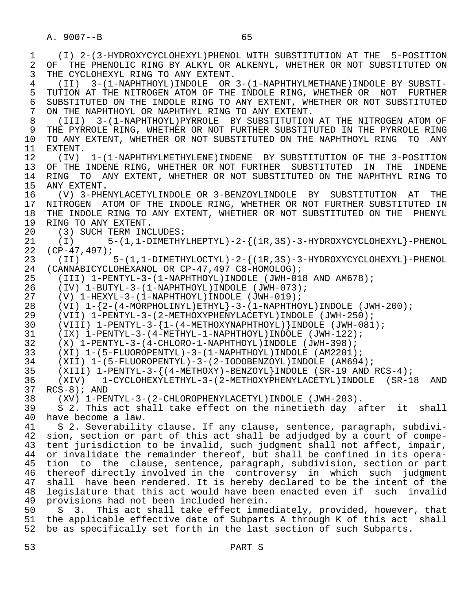1 (I) 2-(3-HYDROXYCYCLOHEXYL)PHENOL WITH SUBSTITUTION AT THE 5-POSITION 2 OF THE PHENOLIC RING BY ALKYL OR ALKENYL, WHETHER OR NOT SUBSTITUTED ON 2 THE CYCLOHEXYL RING TO ANY EXTENT. THE CYCLOHEXYL RING TO ANY EXTENT. 4 (II) 3-(1-NAPHTHOYL)INDOLE OR 3-(1-NAPHTHYLMETHANE)INDOLE BY SUBSTI- 5 TUTION AT THE NITROGEN ATOM OF THE INDOLE RING, WHETHER OR NOT FURTHER<br>6 SUBSTITUTED ON THE INDOLE RING TO ANY EXTENT, WHETHER OR NOT SUBSTITUTED 6 SUBSTITUTED ON THE INDOLE RING TO ANY EXTENT, WHETHER OR NOT SUBSTITUTED<br>7 ON THE NAPHTHOYL OR NAPHTHYL RING TO ANY EXTENT. 7 ON THE NAPHTHOYL OR NAPHTHYL RING TO ANY EXTENT.<br>8 (TTT) 3-(1-NAPHTHOYL)PYRROLE BY SUBSTITUTION 8 (III) 3-(1-NAPHTHOYL)PYRROLE BY SUBSTITUTION AT THE NITROGEN ATOM OF 9 THE PYRROLE RING, WHETHER OR NOT FURTHER SUBSTITUTED IN THE PYRROLE RING<br>10 TO ANY EXTENT, WHETHER OR NOT SUBSTITUTED ON THE NAPHTHOYL RING TO ANY 10 TO ANY EXTENT, WHETHER OR NOT SUBSTITUTED ON THE NAPHTHOYL RING TO ANY 11 EXTENT. 11 EXTENT.<br>12 (IV) 12 (IV) 1-(1-NAPHTHYLMETHYLENE)INDENE BY SUBSTITUTION OF THE 3-POSITION 13 OF THE INDENE RING, WHETHER OR NOT FURTHER SUBSTITUTED IN THE INDENE<br>14 RING TO ANY EXTENT, WHETHER OR NOT SUBSTITUTED ON THE NAPHTHYL RING TO 14 RING TO ANY EXTENT, WHETHER OR NOT SUBSTITUTED ON THE NAPHTHYL RING TO 15 ANY EXTENT. 15 ANY EXTENT.<br>16 (V) 3-PHE 16 (V) 3-PHENYLACETYLINDOLE OR 3-BENZOYLINDOLE BY SUBSTITUTION AT THE 17 NITROGEN ATOM OF THE INDOLE RING, WHETHER OR NOT FURTHER SUBSTITUTED IN<br>18 THE INDOLE RING TO ANY EXTENT, WHETHER OR NOT SUBSTITUTED ON THE PHENYL 18 THE INDOLE RING TO ANY EXTENT, WHETHER OR NOT SUBSTITUTED ON THE PHENYL 19 RING TO ANY EXTENT. 19 RING TO ANY EXTENT.<br>20 (3) SUCH TERM INC 20 (3) SUCH TERM INCLUDES:<br>21 (I) 5-(1,1-DIMETHY 21 (I)  $5-(1,1-DIMETHYLHEPTYL)-2-$  ( $1R,3S$ ) - 3-HYDROXYCYCLOHEXYL }-PHENOL  $22$  (CP-47,497);  $22$  (CP-47,497);<br>23 (II) 23 (II) 5-(1,1-DIMETHYLOCTYL)-2-{(1R,3S)-3-HYDROXYCYCLOHEXYL}-PHENOL<br>24 (CANNABICYCLOHEXANOL OR CP-47,497 C8-HOMOLOG); 24 (CANNABICYCLOHEXANOL OR CP-47,497 C8-HOMOLOG);<br>25 (III) 1-PENTYL-3-(1-NAPHTHOYL)INDOLE (JWH-01 25 (III) 1-PENTYL-3-(1-NAPHTHOYL)INDOLE (JWH-018 AND AM678); 26 (IV) 1-BUTYL-3-(1-NAPHTHOYL)INDOLE (JWH-073); 27 (V)  $1-HEXYL-3-(1-NAPHTHOYL)INDOLE (JWH-019)$ ;<br>28 (VI)  $1-\{2-(4-MORPHOLINYL)ETHYL\}-3-(1-NAPHTHO)$ 28 (VI)  $1-\{2-(4-MORPHOLINYL)ETHYL\}-3-(1-NAPHTHOYL)INDOLE (JWH-200)$ ;<br>29 (VII)  $1-PENTYL-3-(2-METHOXYPHENYLACETYL)INDOLE (JWH-250)$ ; 29 (VII) 1-PENTYL-3-(2-METHOXYPHENYLACETYL)INDOLE (JWH-250);<br>30 (VIII) 1-PENTYL-3-{1-(4-METHOXYNAPHTHOYL)}INDOLE (JWH-081 30 (VIII) 1-PENTYL-3-{1-(4-METHOXYNAPHTHOYL)}INDOLE (JWH-081); 31 (IX) 1-PENTYL-3-(4-METHYL-1-NAPHTHOYL)INDOLE (JWH-122); 32 (X) 1-PENTYL-3-(4-CHLORO-1-NAPHTHOYL)INDOLE (JWH-398);<br>33 (XI) 1-(5-FLUOROPENTYL)-3-(1-NAPHTHOYL)INDOLE (AM2201) 33 (XI) 1-(5-FLUOROPENTYL)-3-(1-NAPHTHOYL)INDOLE (AM2201); 34 (XII) 1-(5-FLUOROPENTYL)-3-(2-IODOBENZOYL)INDOLE (AM694);<br>35 (XIII) 1-PENTYL-3-{(4-METHOXY)-BENZOYL}INDOLE (SR-19 AND 35 (XIII) 1-PENTYL-3-{(4-METHOXY)-BENZOYL}INDOLE (SR-19 AND RCS-4); 36 (XIV) 1-CYCLOHEXYLETHYL-3-(2-METHOXYPHENYLACETYL)INDOLE (SR-18 AND 37 RCS-8); AND<br>38 (XV) 1-PE 38 (XV) 1-PENTYL-3-(2-CHLOROPHENYLACETYL)INDOLE (JWH-203). 39 S 2. This act shall take effect on the ninetieth day after it shall<br>40 have become a law. 40 have become a law.<br>41 S 2. Severabilit 41 S 2. Severability clause. If any clause, sentence, paragraph, subdivi-<br>42 sion, section or part of this act shall be adjudged by a court of compe-42 sion, section or part of this act shall be adjudged by a court of compe-<br>43 tent jurisdiction to be invalid, such judgment shall not affect, impair, 43 tent jurisdiction to be invalid, such judgment shall not affect, impair,<br>44 or invalidate the remainder thereof, but shall be confined in its opera-44 or invalidate the remainder thereof, but shall be confined in its opera-<br>45 tion to the clause, sentence, paragraph, subdivision, section or part 45 tion to the clause, sentence, paragraph, subdivision, section or part 46 thereof directly involved in the controversy in which such judgment<br>47 shall have been rendered. It is hereby declared to be the intent of the shall have been rendered. It is hereby declared to be the intent of the 48 legislature that this act would have been enacted even if such invalid<br>49 provisions had not been included herein. 49 provisions had not been included herein.<br>50 S 3. This act shall take effect imme 50 S 3. This act shall take effect immediately, provided, however, that<br>51 the applicable effective date of Subparts A through K of this act shall the applicable effective date of Subparts A through K of this act shall 52 be as specifically set forth in the last section of such Subparts.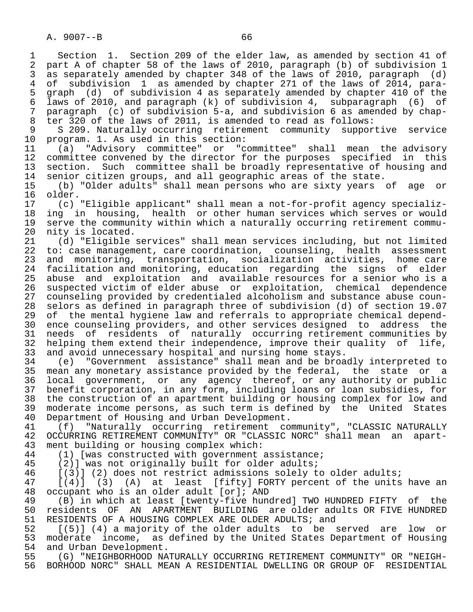1 Section 1. Section 209 of the elder law, as amended by section 41 of<br>2 part A of chapter 58 of the laws of 2010, paragraph (b) of subdivision 1 2 part A of chapter 58 of the laws of 2010, paragraph (b) of subdivision 1<br>3 as separately amended by chapter 348 of the laws of 2010, paragraph (d) 3 as separately amended by chapter 348 of the laws of 2010, paragraph (d)<br>4 of subdivision 1 as amended by chapter 271 of the laws of 2014, para-4 of subdivision 1 as amended by chapter 271 of the laws of 2014, para-<br>5 graph (d) of subdivision 4 as separately amended by chapter 410 of the 5 graph (d) of subdivision 4 as separately amended by chapter 410 of the<br>6 laws of 2010, and paragraph (k) of subdivision 4, subparagraph (6) of 6 laws of 2010, and paragraph (k) of subdivision 4, subparagraph (6) of 7 paragraph (c) of subdivision 5-a, and subdivision 6 as amended by chap-<br>8 ter 320 of the laws of 2011, is amended to read as follows: 8 ter 320 of the laws of 2011, is amended to read as follows:<br>9 S 209. Naturally occurring retirement community suppor 9 S 209. Naturally occurring retirement community supportive service<br>10 program. 1. As used in this section: 10 program. 1. As used in this section:<br>11 (a) "Advisory committee" or "c 11 (a) "Advisory committee" or "committee" shall mean the advisory 12 committee convened by the director for the purposes specified in this<br>13 section. Such committee shall be broadly representative of housing and 13 section. Such committee shall be broadly representative of housing and<br>14 senior citizen groups, and all geographic areas of the state. 14 senior citizen groups, and all geographic areas of the state.<br>15 (b) "Older adults" shall mean persons who are sixty years 15 (b) "Older adults" shall mean persons who are sixty years of age or 16 older.<br>17  $(c)$  17 (c) "Eligible applicant" shall mean a not-for-profit agency specializ- 18 ing in housing, health or other human services which serves or would<br>19 serve the community within which a naturally occurring retirement commu-19 serve the community within which a naturally occurring retirement commu-<br>20 nity is located. 20 nity is located.<br>21 (d) "Eligible 21 (d) "Eligible services" shall mean services including, but not limited<br>22 to: case management, care coordination, counseling, health assessment 22 to: case management, care coordination, counseling, health assessment<br>23 and monitoring, transportation, socialization activities, home care 23 and monitoring, transportation, socialization activities, home-care<br>24 facilitation and monitoring, education, regarding the signs of elder 24 facilitation and monitoring, education regarding the signs of elder<br>25 abuse and exploitation and available-resources-for-a-senior-who-is-a abuse and exploitation and available resources for a senior who is a 26 suspected victim of elder abuse or exploitation, chemical dependence 27 counseling provided by credentialed alcoholism and substance abuse coun-<br>28 selors as defined in paragraph three of subdivision (d) of section 19.07 28 selors as defined in paragraph three of subdivision (d) of section 19.07<br>29 of the mental hygiene law and referrals to appropriate chemical depend-29 of the mental hygiene law and referrals to appropriate chemical depend-<br>20 ence counseling providers, and other services designed to address the 30 ence counseling providers, and other services designed to address the 31 needs of residents of naturally occurring retirement communities by<br>32 helping them extend their independence, improve their quality of life, 32 helping them extend their independence, improve their quality of life,<br>33 and avoid unnecessary hospital and nursing home stays. 33 and avoid unnecessary hospital and nursing home stays.<br>34 (e) "Government assistance" shall mean and be broa 34 (e) "Government assistance" shall mean and be broadly interpreted to 35 mean any monetary assistance provided by the federal, the state or a<br>36 local government, or any agency thereof, or any authority or public local government, or any agency thereof, or any authority or public 37 benefit corporation, in any form, including loans or loan subsidies, for<br>38 the construction of an apartment building or housing complex for low and 38 the construction of an apartment building or housing complex for low and<br>39 moderate income persons, as such term is defined by the United States 39 moderate income persons, as such term is defined by the United States<br>40 Department of Housing and Urban Development. 40 Department of Housing and Urban Development.<br>41 (f) "Naturally occurring retirement com 41 (f) "Naturally occurring retirement community", "CLASSIC NATURALLY<br>42 OCCURRING RETIREMENT COMMUNITY" OR "CLASSIC NORC" shall mean an apart-42 OCCURRING RETIREMENT COMMUNITY" OR "CLASSIC NORC" shall mean an apart-<br>43 ment building or housing complex which:

43 ment building or housing complex which:<br>44 (1) [was constructed with government

44 (1) [was constructed with government assistance;<br>45 (2)] was not originally built for older adults;

45 (2)] was not originally built for older adults;<br>46 [(3)] (2) does not restrict admissions solely t

46 [(3)] (2) does not restrict admissions solely to older adults;<br>47 [(4)] (3) (A) at least [fifty] FORTY percent of the units

 $[(4)]$  (3) (A) at least [fifty] FORTY percent of the units have an 48 occupant who is an older adult [or]; AND<br>49 (B) in which at least [twenty-five hun

49 (B) in which at least [twenty-five hundred] TWO HUNDRED FIFTY of the<br>50 residents OF AN APARTMENT BUILDING are older adults OR FIVE HUNDRED 50 residents OF AN APARTMENT BUILDING are older adults OR FIVE HUNDRED<br>51 RESIDENTS OF A HOUSING COMPLEX ARE OLDER ADULTS; and 51 RESIDENTS OF A HOUSING COMPLEX ARE OLDER ADULTS; and<br>52 [(5)] (4) a majority of the older adults to be :

52 [(5)] (4) a majority of the older adults to be served are low or<br>53 moderate income, as defined by the United States Department of Housing 53 moderate income, as defined by the United States Department of Housing<br>54 and Urban Development. 54 and Urban Development.<br>55 (G) "NEIGHBORHOOD NA'

55 (G) "NEIGHBORHOOD NATURALLY OCCURRING RETIREMENT COMMUNITY" OR "NEIGH-<br>56 BORHOOD NORC" SHALL MEAN A RESIDENTIAL DWELLING OR GROUP OF RESIDENTIAL 56 BORHOOD NORC" SHALL MEAN A RESIDENTIAL DWELLING OR GROUP OF RESIDENTIAL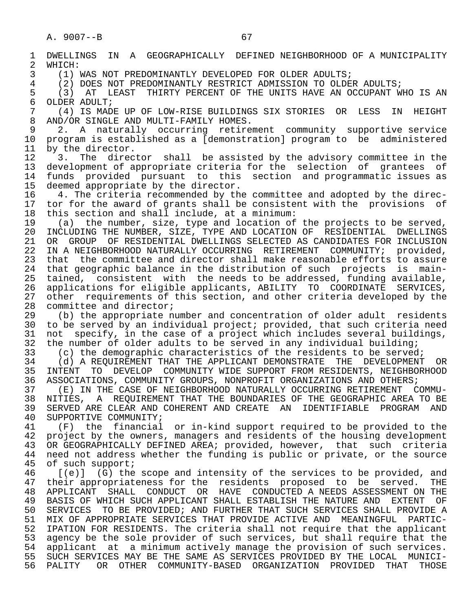2 WHICH:<br>3 (1) I

1 DWELLINGS IN A GEOGRAPHICALLY DEFINED—NEIGHBORHOOD OF A MUNICIPALITY<br>2 WHICH: 3 (1) WAS NOT PREDOMINANTLY DEVELOPED FOR OLDER ADULTS;<br>4 (2) DOES NOT PREDOMINANTLY RESTRICT ADMISSION TO OLDE 4 (2) DOES NOT PREDOMINANTLY RESTRICT ADMISSION TO OLDER ADULTS;<br>5 (3) AT LEAST THIRTY PERCENT OF THE UNITS HAVE AN OCCUPANT W 5 (3) AT LEAST THIRTY PERCENT OF THE UNITS HAVE AN OCCUPANT WHO IS AN 6 OLDER ADULT: 6 OLDER ADULT;<br>7 (4) IS MAD 7 (4) IS MADE UP OF LOW-RISE BUILDINGS SIX STORIES OR LESS IN HEIGHT 8 AND/OR SINGLE AND MULTI-FAMILY HOMES.<br>9 2. A naturally occurring retire 9 2. A naturally occurring retirement community supportive service<br>10 program is established as a [demonstration] program to be administered 10 program is established as a [demonstration] program to be administered 11 by the director.

11 by the director.<br>12 3. The direc 12 3. The director shall be assisted by the advisory committee in the<br>13 development of appropriate criteria for the selection of grantees of 13 development of appropriate criteria for the selection of grantees of<br>14 funds provided pursuant to this section and programmatic issues as funds provided pursuant to this section and programmatic issues as

15 deemed appropriate by the director.<br>16 4. The criteria recommended by the 16 1. The criteria recommended by the committee and adopted by the direc-<br>17 tor for the award of grants shall be consistent with the provisions of 17 tor for the award of grants shall be consistent with the provisions of<br>18 this section and shall include, at a minimum: 18 this section and shall include, at a minimum:<br>19 (a) the number, size, type and location of

 19 (a) the number, size, type and location of the projects to be served, 20 INCLUDING THE NUMBER, SIZE, TYPE AND LOCATION OF RESIDENTIAL DWELLINGS<br>21 OR GROUP OF RESIDENTIAL DWELLINGS SELECTED AS CANDIDATES FOR INCLUSION 21 OR GROUP OF RESIDENTIAL DWELLINGS SELECTED AS CANDIDATES FOR INCLUSION<br>22 IN A NEIGHBORHOOD NATURALLY OCCURRING RETIREMENT COMMUNITY; provided, 22 IN A NEIGHBORHOOD NATURALLY OCCURRING RETIREMENT COMMUNITY; provided,<br>23 that the committee and director shall make reasonable efforts to assure that the committee and director shall make reasonable efforts to assure 24 that geographic balance in the distribution of such projects is main-<br>25 tained, consistent with the needs to be addressed, funding available, 25 tained, consistent with the needs to be addressed, funding available, 26 applications for eligible applicants, ABILITY TO COORDINATE SERVICES, 27 other requirements of this section, and other criteria developed by the<br>28 committee and director; 28 committee and director;<br>29 (b) the appropriate n

29 (b) the appropriate number and concentration of older adult residents<br>30 to be served by an individual project; provided, that such criteria need 30 to be served by an individual project; provided, that such criteria need<br>31 not specify, in the case of a project which includes several buildings, 31 not specify, in the case of a project which includes several buildings,<br>32 the number of older adults to be served in any individual building; 32 the number of older adults to be served in any individual building;<br>33 (c) the demographic characteristics of the residents to be served

33 (c) the demographic characteristics of the residents to be served;<br>34 (d) A REOUIREMENT THAT THE APPLICANT DEMONSTRATE THE DEVELOPMENT 34 (d) A REQUIREMENT THAT THE APPLICANT DEMONSTRATE THE DEVELOPMENT OR<br>35 INTENT TO DEVELOP COMMUNITY WIDE SUPPORT FROM RESIDENTS, NEIGHBORHOOD 35 INTENT TO DEVELOP COMMUNITY WIDE SUPPORT FROM RESIDENTS, NEIGHBORHOOD<br>36 ASSOCIATIONS, COMMUNITY GROUPS, NONPROFIT ORGANIZATIONS AND OTHERS;

36 ASSOCIATIONS, COMMUNITY GROUPS, NONPROFIT ORGANIZATIONS AND OTHERS;<br>37 (E) IN THE CASE OF NEIGHBORHOOD NATURALLY OCCURRING RETIREMENT C 37 (E) IN THE CASE OF NEIGHBORHOOD NATURALLY OCCURRING RETIREMENT COMMU-<br>38 NITIES, A REOUIREMENT THAT THE BOUNDARIES OF THE GEOGRAPHIC AREA TO BE 38 NITIES, A REQUIREMENT THAT THE BOUNDARIES OF THE GEOGRAPHIC AREA TO BE<br>39 SERVED ARE CLEAR AND COHERENT AND CREATE AN IDENTIFIABLE PROGRAM AND 39 SERVED ARE CLEAR AND COHERENT AND CREATE AN IDENTIFIABLE PROGRAM AND 40 SUPPORTIVE COMMUNITY; 40 SUPPORTIVE COMMUNITY;<br>41 (F) the financial

41 (F) the financial or in-kind support required to be provided to the<br>42 project by the owners, managers and residents of the housing development 42 project by the owners, managers and residents of the housing development<br>43 OR GEOGRAPHICALLY DEFINED AREA; provided, however, that such criteria 43 OR GEOGRAPHICALLY DEFINED AREA; provided, however, that such criteria<br>44 need not address whether the funding is public or private, or the source 44 need not address whether the funding is public or private, or the source<br>45 of such support; of such support;

46 [(e)] (G) the scope and intensity of the services to be provided, and<br>47 their appropriateness for the residents proposed to be served. THE 47 their appropriateness for the residents proposed to be served. THE<br>48 APPLICANT SHALL CONDUCT OR HAVE CONDUCTED ANEEDS ASSESSMENT ON THE 48 APPLICANT SHALL CONDUCT OR HAVE CONDUCTED A NEEDS ASSESSMENT ON THE 49 BASIS OF WHICH SUCH APPLICANT SHALL ESTABLISH THE NATURE AND EXTENT OF<br>50 SERVICES TO BE PROVIDED; AND FURTHER THAT SUCH SERVICES SHALL PROVIDE A SERVICES TO BE PROVIDED; AND FURTHER THAT SUCH SERVICES SHALL PROVIDE A 51 MIX OF APPROPRIATE SERVICES THAT PROVIDE ACTIVE AND MEANINGFUL PARTIC-<br>52 IPATION FOR RESIDENTS. The criteria shall not require that the applicant IPATION FOR RESIDENTS. The criteria shall not require that the applicant 53 agency be the sole provider of such services, but shall require that the<br>54 applicant at a minimum actively manage the provision of such services. 54 applicant at a minimum actively manage the provision of such services.<br>55 SUCH SERVICES MAY BE THE SAME AS SERVICES PROVIDED BY THE LOCAL MUNICI-55 SUCH SERVICES MAY BE THE SAME AS SERVICES PROVIDED BY THE LOCAL MUNICI-<br>56 PALITY OR OTHER COMMUNITY-BASED ORGANIZATION PROVIDED THAT THOSE OR OTHER COMMUNITY-BASED ORGANIZATION PROVIDED THAT THOSE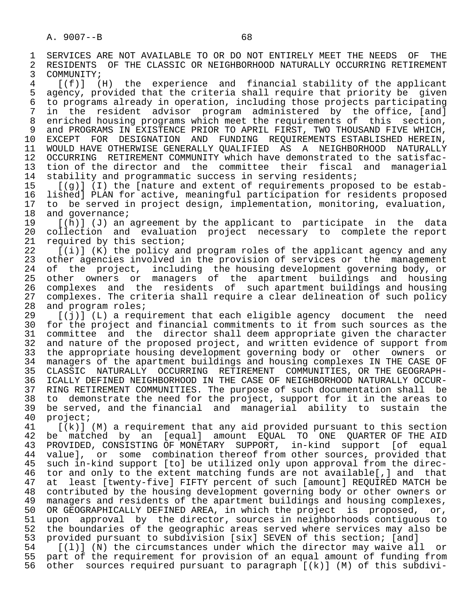1 SERVICES ARE NOT AVAILABLE TO OR DO NOT ENTIRELY MEET THE NEEDS OF THE<br>2 RESIDENTS OF THE CLASSIC OR NEIGHBORHOOD NATURALLY OCCURRING RETIREMENT 2 RESIDENTS OF THE CLASSIC OR NEIGHBORHOOD NATURALLY OCCURRING RETIREMENT<br>3 COMMUNITY;

3 COMMUNITY;<br>4 [(f)] ( 4 [(f)] (H) the experience and financial stability of the applicant 5 agency, provided that the criteria shall require that priority be given<br>6 to programs already in operation, including those projects participating 6 to programs already in operation, including those projects participating<br>7 in the resident advisor program administered by the office, [and] in the resident advisor program administered by the office, [and] 8 enriched housing programs which meet the requirements of this section,<br>8 and PROGRAMS IN EXISTENCE PRIOR TO APRIL FIRST, TWO THOUSAND FIVE WHICH, 9 and PROGRAMS IN EXISTENCE PRIOR TO APRIL FIRST, TWO THOUSAND FIVE WHICH,<br>10 EXCEPT FOR DESIGNATION AND FUNDING REOUIREMENTS ESTABLISHED HEREIN. 10 EXCEPT FOR DESIGNATION AND FUNDING REQUIREMENTS-ESTABLISHED-HEREIN,<br>11 WOULD-HAVE-OTHERWISE-GENERALLY-OUALIFIED AS A NEIGHBORHOOD NATURALLY 11 WOULD HAVE OTHERWISE GENERALLY QUALIFIED AS A NEIGHBORHOOD NATURALLY<br>12 OCCURRING RETIREMENT COMMUNITY which have demonstrated to the satisfac-12 OCCURRING RETIREMENT COMMUNITY which have demonstrated to the satisfac-<br>13 tion of the director and the committee their fiscal and managerial 13 tion of the director and the committee their fiscal and managerial<br>14 stability and programmatic success in serving residents; 14 stability and programmatic success in serving residents;<br>15  $[(a)]$  (I) the Inature and extent of requirements propo

15 [(g)] (I) the [nature and extent of requirements proposed to be estab-<br>16 lished] PLAN for active, meaningful participation for residents proposed 16 lished] PLAN for active, meaningful participation for residents proposed 17 to be served in project design, implementation, monitoring, evaluation,<br>18 and governance; 18 and governance;<br>19 [(h)] (J) an

 19 [(h)] (J) an agreement by the applicant to participate in the data 20 collection and evaluation project necessary to complete the report<br>21 required by this section; 21 required by this section;<br>22  $[(i)]$   $(K)$  the policy an

22 [(i)] (K) the policy and program roles of the applicant agency and any<br>23 other agencies involved in the provision of services or the management other agencies involved in the provision of services or the management 24 of the project, including the housing-development-governing-body, or<br>25 other owners or managers of the apartment buildings and housing other owners or managers of the apartment buildings and housing 26 complexes and the residents of such apartment buildings and housing<br>27 complexes. The criteria shall require a clear delineation of such policy 27 complexes. The criteria shall require a clear delineation of such policy<br>28 and program roles; 28 and program roles;<br>29 [(j)] (L) a requ

 29 [(j)] (L) a requirement that each eligible agency document the need 30 for the project and financial commitments to it from such sources as the<br>31 committee and the director shall deem appropriate given the character 31 committee and the director shall deem appropriate given the character<br>32 and nature of the proposed project, and written evidence of support from 32 and nature of the proposed project, and written evidence of support from<br>33 the appropriate housing development governing body or other owners or 33 the appropriate housing development governing body or other owners or<br>34 managers of the apartment buildings and housing complexes IN THE CASE OF 34 managers of the apartment buildings and housing complexes IN THE CASE OF 35 CLASSIC NATURALLY OCCURRING RETIREMENT COMMUNITIES, OR THE GEOGRAPH-<br>36 ICALLY DEFINED NEIGHBORHOOD IN THE CASE OF NEIGHBORHOOD NATURALLY OCCUR- 36 ICALLY DEFINED NEIGHBORHOOD IN THE CASE OF NEIGHBORHOOD NATURALLY OCCUR- 37 RING RETIREMENT COMMUNITIES. The purpose of such documentation shall be 38 to demonstrate the need for the project, support for it in the areas to<br>39 be served, and the financial and managerial ability to sustain the 39 be served, and the financial and managerial ability to sustain the 40 project;

40 project;<br>41 [(k)] 41 [(k)] (M) a requirement that any aid provided pursuant to this section<br>42 be matched by an [equal] amount EOUAL TO ONE OUARTER OF THE AID 42 be matched by an [equal] amount EQUAL TO ONE QUARTER. OF THE AID<br>43 PROVIDED, CONSISTING OF MONETARY SUPPORT, in-kind support [of equal 43 PROVIDED, CONSISTING OF MONETARY SUPPORT, in-kind support [of equal<br>44 valuel, or some combination thereof from other sources, provided that 44 value], or some combination thereof from other sources, provided that<br>45 such in-kind support [to] be utilized only upon approval from the direcsuch in-kind support [to] be utilized only upon approval from the direc-46 tor and only to the extent matching funds are not available[,] and that<br>47 at least [twenty-five] FIFTY percent of such [amount] REOUIRED MATCH be at least [twenty-five] FIFTY percent of such [amount] REQUIRED MATCH be 48 contributed by the housing development governing body or other owners or<br>49 managers and residents of the apartment buildings and housing complexes, 49 managers and residents of the apartment buildings and housing complexes,<br>50 OR GEOGRAPHICALLY DEFINED AREA, in which the project is proposed, or, 50 OR GEOGRAPHICALLY DEFINED AREA, in which the project is proposed, or,<br>51 upon approval by the director, sources in neighborhoods contiquous to 51 upon approval by the director, sources in neighborhoods contiguous to<br>52 the boundaries of the geographic areas served where services may also be 52 the boundaries of the geographic areas served where services may also be<br>53 provided pursuant to subdivision [six] SEVEN of this section; [and] 53 provided pursuant to subdivision [six] SEVEN of this section; [and]<br>54 [(1)] (N) the circumstances under which the director may waive al

54 [(l)] (N) the circumstances under which the director may waive all or<br>55 part of the requirement for provision of an equal amount of funding from 55 part of the requirement for provision of an equal amount of funding from<br>56 other sources required pursuant to paragraph [(k)] (M) of this subdiviother sources required pursuant to paragraph  $[(k)]$  (M) of this subdivi-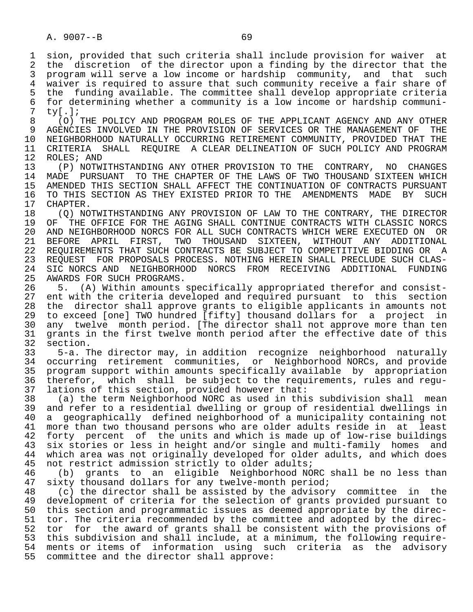1 sion, provided that such criteria shall include provision for waiver at<br>2 the discretion of the director upon a finding by the director that the 2 the discretion of the director upon a finding by the director that the<br>3 program will serve a low income or hardship community, and that such 3 program will serve a low income or hardship community, and that such<br>4 waiver is required to assure that such community receive a fair share of 4 waiver is required to assure that such community receive a fair share of<br>5 the funding available. The committee shall develop appropriate criteria 5 the funding available. The committee shall develop appropriate criteria<br>6 for determining whether a community is a low income or hardship communi-6 for determining whether a community is a low income or hardship communi-<br>7 tv[.];  $7 \text{ ty} [.]$ ;<br>8 (0)

8 (O) THE POLICY AND PROGRAM ROLES OF THE APPLICANT AGENCY AND ANY OTHER<br>9 AGENCIES INVOLVED IN THE PROVISION OF SERVICES OR THE MANAGEMENT OF THE 9 AGENCIES INVOLVED IN THE PROVISION OF SERVICES OR THE MANAGEMENT OF THE<br>10 NEIGHBORHOOD NATURALLY OCCURRING RETIREMENT COMMUNITY, PROVIDED THAT THE 10 NEIGHBORHOOD NATURALLY OCCURRING RETIREMENT COMMUNITY, PROVIDED THAT THE<br>11 CRITERIA SHALL REOUIRE A CLEAR DELINEATION OF SUCH POLICY AND PROGRAM 11 CRITERIA SHALL REQUIRE A CLEAR DELINEATION OF SUCH POLICY AND PROGRAM<br>12 ROLES; AND 12 ROLES; AND<br>13 (P) NOTW

 13 (P) NOTWITHSTANDING ANY OTHER PROVISION TO THE CONTRARY, NO CHANGES 14 MADE PURSUANT TO THE CHAPTER OF THE LAWS OF TWO THOUSAND SIXTEEN WHICH 15 AMENDED THIS SECTION SHALL AFFECT THE CONTINUATION OF CONTRACTS PURSUANT<br>16 TO THIS SECTION AS THEY EXISTED PRIOR TO THE AMENDMENTS MADE BY SUCH 16 TO THIS SECTION AS THEY EXISTED PRIOR TO THE AMENDMENTS MADE BY SUCH 17 CHAPTER. 17 CHAPTER.<br>18 (O) NO

18 (Q) NOTWITHSTANDING ANY PROVISION OF LAW TO THE CONTRARY, THE DIRECTOR<br>19 OF THE OFFICE FOR THE AGING SHALL CONTINUE CONTRACTS WITH CLASSIC NORCS 19 OF THE OFFICE FOR THE AGING SHALL CONTINUE CONTRACTS WITH CLASSIC NORCS<br>20 AND NEIGHBORHOOD NORCS FOR ALL SUCH CONTRACTS WHICH WERE EXECUTED ON OR 20 AND NEIGHBORHOOD NORCS FOR ALL SUCH CONTRACTS WHICH WERE EXECUTED ON OR<br>21 BEFORE APRIL FIRST, TWO THOUSAND SIXTEEN, WITHOUT ANY ADDITIONAL 21 BEFORE APRIL FIRST, TWO THOUSAND SIXTEEN,<br>22 REOUIREMENTS THAT SUCH CONTRACTS BE SUBJECT TO 22 REQUIREMENTS THAT SUCH CONTRACTS BE SUBJECT TO COMPETITIVE BIDDING OR A<br>23 REOUEST FOR PROPOSALS PROCESS. NOTHING HEREIN SHALL PRECLUDE SUCH CLAS- 23 REQUEST FOR PROPOSALS PROCESS. NOTHING HEREIN SHALL PRECLUDE SUCH CLAS- 24 SIC NORCS AND NEIGHBORHOOD NORCS FROM RECEIVING ADDITIONAL FUNDING<br>25 AWARDS FOR SUCH PROGRAMS. AWARDS FOR SUCH PROGRAMS.

 26 5. (A) Within amounts specifically appropriated therefor and consist- 27 ent with the criteria developed and required pursuant to this section<br>28 the director shall approve grants to eligible applicants in amounts not 28 the director shall approve grants to eligible applicants in amounts not<br>29 to exceed [one] TWO hundred [fifty] thousand dollars for a project in 29 to exceed [one] TWO hundred [fifty] thousand dollars for a project in<br>30 any twelve month period. [The director shall not approve more than ten 30 any twelve month period. [The director shall not approve more than ten<br>31 grants in the first twelve month period after the effective date of this 31 grants in the first twelve month period after the effective date of this<br>32 section.  $32$  section.<br> $33$   $5-a$ . T

 33 5-a. The director may, in addition recognize neighborhood naturally 34 occurring retirement communities, or Neighborhood NORCs, and provide<br>35 program support within amounts specifically available by appropriation <sup>25</sup> program support within amounts specifically available by appropriation<br>36 therefor, which shall be subject to the requirements, rules and requtherefor, which shall be subject to the requirements, rules and regu-37 lations of this section, provided however that:<br>38 (a) the term Neighborhood NORC as used in thi

 38 (a) the term Neighborhood NORC as used in this subdivision shall mean 39 and refer to a residential dwelling or group of residential dwellings in<br>40 a geographically defined neighborhood of a municipality containing not 40 a geographically defined neighborhood of a municipality containing not<br>41 more than two thousand persons who are older adults reside in at least 41 more than two thousand persons who are older adults reside in at least<br>42 forty percent of the units and which is made up of low-rise buildings 42 forty percent of the units and which is made up of low-rise buildings<br>43 six stories or less in height and/or single and multi-family homes and 43 six stories or less in height and/or single and multi-family homes and<br>44 which area was not originally developed for older adults, and which does 44 which area was not originally developed for older adults, and which does<br>45 not restrict admission strictly to older adults; 45 not restrict admission strictly to older adults;<br>46 (b) grants to an eligible Neighborhood NO

46 (b) grants to an eligible Neighborhood NORC shall be no less than<br>47 sixty thousand dollars for any twelve-month period; 47 sixty thousand dollars for any twelve-month period;<br>48 (c) the director shall be assisted by the advisor

 48 (c) the director shall be assisted by the advisory committee in the 49 development of criteria for the selection of grants provided pursuant to<br>50 this section and programmatic issues as deemed appropriate by the direc-50 this section and programmatic issues as deemed appropriate by the direc-<br>51 tor. The criteria recommended by the committee and adopted by the direc-51 tor. The criteria recommended by the committee and adopted by the direc-<br>52 tor for the award of grants shall be consistent with the provisions of 52 tor for the award of grants shall be consistent with the provisions of<br>53 this subdivision and shall include, at a minimum, the following requirethis subdivision and shall include, at a minimum, the following require-54 ments or items of information using such criteria as the advisory<br>55 committee and the director shall approve: committee and the director shall approve: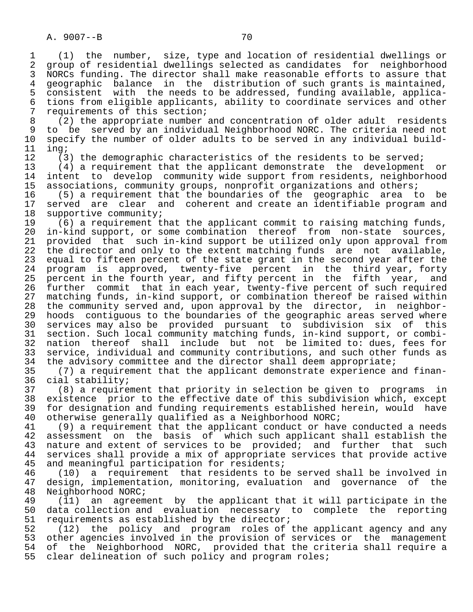1 (1) the number, size, type and location of residential dwellings or 2 group of residential dwellings selected as candidates for neighborhood<br>3 NORCs funding. The director shall make reasonable efforts to assure that 3 NORCs funding. The director shall make reasonable efforts to assure that<br>4 geographic balance in the distribution of such grants is maintained. 4 geographic balance in the distribution of such grants is maintained,<br>5 consistent with the needs to be addressed, funding available, applica-5 consistent with the needs to be addressed, funding available, applica-<br>6 tions from eligible applicants, ability to coordinate services and other 6 tions from eligible applicants, ability to coordinate services and other 7 requirements of this section;<br>8 (2) the appropriate number

8 (2) the appropriate number and concentration of older adult residents<br>9 to be served by an individual Neighborhood NORC. The criteria need not 9 to be served by an individual Neighborhood NORC. The criteria need not<br>10 specify the number of older adults to be served in any individual build-10 specify the number of older adults to be served in any individual build-<br>11 ing; 11 ing;<br>12 (3

12 (3) the demographic characteristics of the residents to be served;<br>13 (4) a requirement that the applicant demonstrate the development

 13 (4) a requirement that the applicant demonstrate the development or 14 intent to develop community wide support from residents, neighborhood<br>15 associations, community groups, nonprofit organizations and others; 15 associations, community groups, nonprofit organizations and others;<br>16 (5) a requirement that the boundaries of the geographic area t

 16 (5) a requirement that the boundaries of the geographic area to be 17 served are clear and coherent and create an identifiable program and<br>18 supportive community; 18 supportive community;<br>19 (6) a requirement t

19 (6) a requirement that the applicant commit to raising matching funds,<br>20 in-kind support, or some combination thereof from non-state sources, 20 in-kind support, or some combination thereof from non-state sources,<br>21 provided that such in-kind support be utilized only upon approval from 21 provided that such in-kind support be utilized only upon approval from<br>22 the director and only to the extent matching funds are not available, 22 the director and only to the extent matching funds are not available,<br>23 equal to fifteen percent of the state grant in the second year after the 23 equal to fifteen percent of the state grant in the second year after the<br>24 program is approved, twenty-five percent in the third year, forty 24 program is approved, twenty-five percent in the third-year, forty<br>25 percent in the fourth-year, and fifty-percent in the fifth year, and 25 percent in the fourth year, and fifty percent in the fifth year, and 26 further commit that in each year, twenty-five percent of such required<br>27 matching funds, in-kind support, or combination thereof be raised within 27 matching funds, in-kind support, or combination thereof be raised within<br>28 the community served and, upon approval by the director, in neighbor-28 the community served and, upon approval by the director, in neighbor-<br>29 hoods contiquous to the boundaries of the geographic areas served where 29 hoods contiguous to the boundaries of the geographic areas served where<br>20 services may also be provided pursuant to subdivision six of this 30 services may also be provided pursuant to subdivision six of this 31 section. Such local community matching funds, in-kind support, or combi-<br>32 nation thereof shall include but not be limited to: dues, fees for 32 nation thereof shall include but not be limited to: dues, fees for<br>33 service, individual and community contributions, and such other funds as 33 service, individual and community contributions, and such other funds as<br>34 the advisory committee and the director shall deem appropriate; 34 the advisory committee and the director shall deem appropriate;<br>35 (7) a requirement that the applicant demonstrate experience a

 35 (7) a requirement that the applicant demonstrate experience and finan- 36 cial stability;<br>37 (8) a require

 37 (8) a requirement that priority in selection be given to programs in 38 existence prior to the effective date of this subdivision which, except<br>39 for designation and funding requirements established herein, would have 39 for designation and funding requirements established herein, would have<br>40 otherwise generally qualified as a Neighborhood NORC; 40 otherwise generally qualified as a Neighborhood NORC;<br>41 (9) a requirement that the applicant conduct or hav

41 (9) a requirement that the applicant conduct or have conducted a needs<br>42 assessment on the basis of which such applicant shall establish the 42 assessment on the basis of which such applicant shall establish the 43 nature and extent of services to be provided; and further that such 44 services shall provide a mix of appropriate services that provide active<br>45 and meaningful participation for residents; and meaningful participation for residents;

46 (10) a requirement that residents to be served shall be involved in<br>47 design, implementation, monitoring, evaluation and governance of the 47 design, implementation, monitoring, evaluation and governance of 48 Neighborhood NORC; 48 Neighborhood NORC;<br>49 (11) an agreem

49 (11) an agreement by the applicant that it will participate in the<br>50 data collection and evaluation necessary to complete the reporting 50 data collection and evaluation necessary to complete the reporting<br>51 requirements as established by the director; 51 requirements as established by the director;<br>52 (12) the policy and program roles of

52 (12) the policy and program roles of the applicant agency and any<br>53 other agencies involved in the provision of services or the management 53 other agencies involved in the provision of services or the management<br>54 of the Neighborhood NORC, provided that the criteria shall require a 54 of the Neighborhood NORC, provided that the criteria shall require a<br>55 clear delineation of such policy and program roles; clear delineation of such policy and program roles;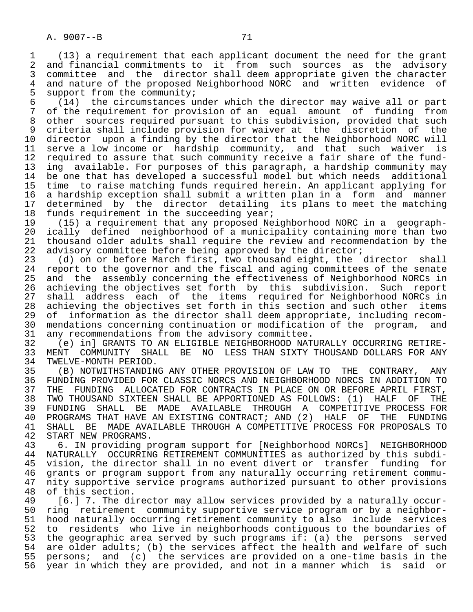1 (13) a requirement that each applicant document the need for the grant<br>2 and financial commitments to it from such sources as the advisory 2 and financial commitments to it from such sources as the advisory<br>3 committee and the director shall deem appropriate given the character 3 committee and the director shall deem appropriate given the character<br>4 and nature of the proposed Neighborhood NORC and written evidence of 4 and nature of the proposed Neighborhood NORC and written evidence of<br>5 support from the community; 5 support from the community;<br>6 (14) the circumstances up

 $\begin{bmatrix} 14 \\ 14 \end{bmatrix}$  the circumstances under which the director may waive all or part<br>7 of the requirement for provision of an equal amount of funding from of the requirement for provision of an equal amount of funding from 8 other sources required pursuant to this subdivision, provided that such 9 criteria shall include provision for waiver at the discretion of the<br>10 director upon a finding by the director that the Neighborhood NORC will 10 director upon a finding by the director that the Neighborhood NORC will<br>11 serve a low income or hardship community, and that such waiver is 11 serve a low income or hardship community, and that such waiver is<br>12 required to assure that such community receive a fair share of the fund-12 required to assure that such community receive a fair share of the fund-<br>13 ing available. For purposes of this paragraph, a hardship community may 13 ing available. For purposes of this paragraph, a hardship community may<br>14 be one that has developed a successful model but which needs additional be one that has developed a successful model but which needs additional 15 time to raise matching funds required herein. An applicant applying for<br>16 a hardship exception shall submit a written plan in a form and manner 16 a hardship exception shall submit a written plan in a form and manner<br>17 determined by the director detailing its plans to meet the matching 17 determined by the director detailing its plans to meet the matching<br>18 funds requirement in the succeeding year; 18 funds requirement in the succeeding year;<br>19 (15) a requirement that any proposed Ne

 19 (15) a requirement that any proposed Neighborhood NORC in a geograph- 20 ically defined neighborhood of a municipality containing more than two<br>21 thousand older adults shall require the review and recommendation by the 21 thousand older adults shall require the review and recommendation by the<br>22 advisory committee before being approved by the director; 22 advisory committee before being approved by the director;<br>23 (d) on or before March first, two thousand eight, the

23 (d) on or before March first, two thousand eight, the director shall<br>24 report to the governor and the fiscal and aging committees of the senate 24 report to the governor and the fiscal and aging committees of the senate<br>25 and the assembly concerning the effectiveness of Neighborhood NORCs in and the assembly concerning the effectiveness of Neighborhood NORCs in 26 achieving the objectives set forth by this subdivision. Such report 27 shall address each of the items required for Neighborhood NORCs in<br>28 achieving the objectives set forth in this section and such other items 28 achieving the objectives set forth in this section and such other items<br>29 of information as the director shall deem appropriate, including recom-29 of information as the director shall deem appropriate, including recom-<br>30 mendations concerning continuation or modification of the program, and 30 mendations concerning continuation or modification of the program, and<br>31 any recommendations from the advisory committee. 31 any recommendations from the advisory committee.<br>32 (e) inl GRANTS TO AN ELIGIBLE NEIGHBORHOOD NAT

32 (e) in] GRANTS TO AN ELIGIBLE NEIGHBORHOOD NATURALLY OCCURRING RETIRE-<br>33 MENT COMMUNITY SHALL BE NO LESS THAN SIXTY THOUSAND DOLLARS FOR ANY 33 MENT COMMUNITY SHALL BE NO LESS THAN SIXTY THOUSAND DOLLARS FOR ANY 34 TWELVE-MONTH PERIOD.<br>35 (B) NOTWITHSTANDIN

 35 (B) NOTWITHSTANDING ANY OTHER PROVISION OF LAW TO THE CONTRARY, ANY 36 FUNDING PROVIDED FOR CLASSIC NORCS AND NEIGHBORHOOD NORCS IN ADDITION TO 37 THE FUNDING ALLOCATED FOR CONTRACTS IN PLACE ON OR BEFORE APRIL FIRST,<br>38 TWO THOUSAND SIXTEEN SHALL BE APPORTIONED AS FOLLOWS: (1) HALF OF THE 38 TWO THOUSAND SIXTEEN SHALL BE APPORTIONED AS FOLLOWS: (1) HALF OF THE 39 FUNDING SHALL BE MADE AVAILABLE THROUGH A COMPETITIVE PROCESS FOR<br>40 PROGRAMS THAT HAVE AN EXISTING CONTRACT; AND (2) HALF OF THE FUNDING 40 PROGRAMS THAT HAVE AN EXISTING CONTRACT; AND (2) HALF OF THE FUNDING<br>41 SHALL BE MADE AVAILABLE THROUGH A COMPETITIVE PROCESS FOR PROPOSALS TO 41 SHALL BE MADE AVAILABLE THROUGH A COMPETITIVE PROCESS FOR PROPOSALS TO 42 START NEW PROGRAMS. 42 START NEW PROGRAMS.<br>43 6. IN providing p

43 6. IN providing program support for [Neighborhood NORCs] NEIGHBORHOOD<br>44 NATURALLY OCCURRING RETIREMENT COMMUNITIES as authorized by this subdi- 44 NATURALLY OCCURRING RETIREMENT COMMUNITIES as authorized by this subdi- 45 vision, the director shall in no event divert or transfer funding for 46 grants or program support from any naturally occurring retirement commu- 47 nity supportive service programs authorized pursuant to other provisions<br>48 of this section. 48 of this section.<br>49 [6.] 7. The di

 49 [6.] 7. The director may allow services provided by a naturally occur- 50 ring retirement community supportive service program or by a neighbor-<br>51 hood naturally occurring retirement community to also include services 51 hood naturally occurring retirement community to also include services<br>52 to residents who live in neighborhoods contiguous to the boundaries of 52 to residents who live in neighborhoods contiguous to the boundaries of<br>53 the geographic area served by such programs if: (a) the persons served 53 the geographic area served by such programs if: (a) the persons served<br>54 are older adults; (b) the services affect the health and welfare of such 54 are older adults; (b) the services affect the health and welfare of such<br>55 persons; and (c) the services are provided on a one-time basis in the 55 persons; and (c) the services are provided on a one-time basis in the<br>56 year in which they are provided, and not in a manner which is said or year in which they are provided, and not in a manner which is said or